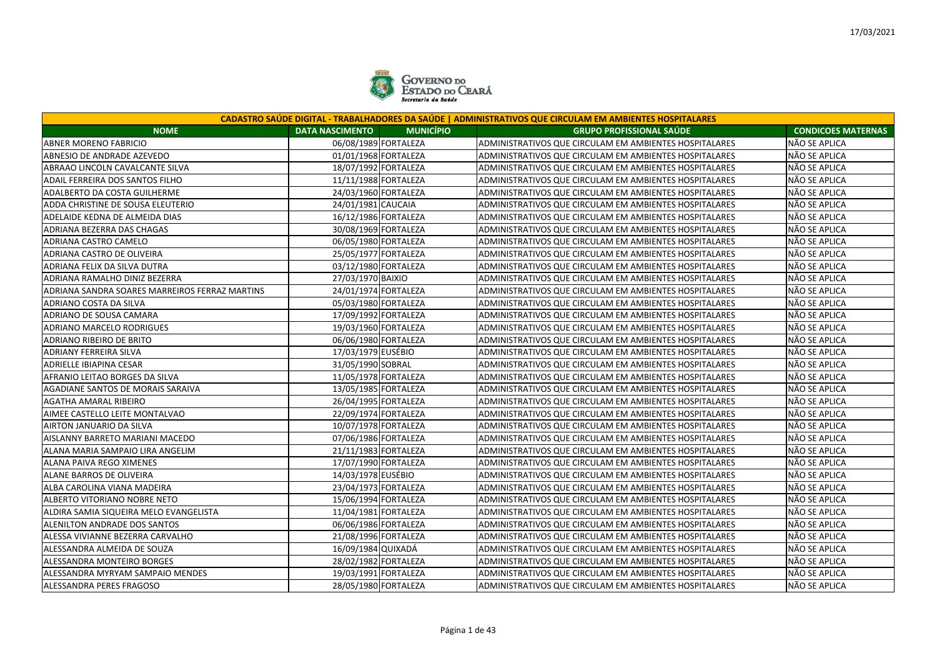

|                                                |                                            | CADASTRO SAÚDE DIGITAL - TRABALHADORES DA SAÚDE   ADMINISTRATIVOS QUE CIRCULAM EM AMBIENTES HOSPITALARES |                           |
|------------------------------------------------|--------------------------------------------|----------------------------------------------------------------------------------------------------------|---------------------------|
| <b>NOME</b>                                    | <b>MUNICÍPIO</b><br><b>DATA NASCIMENTO</b> | <b>GRUPO PROFISSIONAL SAÚDE</b>                                                                          | <b>CONDICOES MATERNAS</b> |
| <b>ABNER MORENO FABRICIO</b>                   | 06/08/1989 FORTALEZA                       | ADMINISTRATIVOS QUE CIRCULAM EM AMBIENTES HOSPITALARES                                                   | NÃO SE APLICA             |
| ABNESIO DE ANDRADE AZEVEDO                     | 01/01/1968 FORTALEZA                       | ADMINISTRATIVOS QUE CIRCULAM EM AMBIENTES HOSPITALARES                                                   | NÃO SE APLICA             |
| ABRAAO LINCOLN CAVALCANTE SILVA                | 18/07/1992 FORTALEZA                       | ADMINISTRATIVOS QUE CIRCULAM EM AMBIENTES HOSPITALARES                                                   | NÃO SE APLICA             |
| ADAIL FERREIRA DOS SANTOS FILHO                | 11/11/1988 FORTALEZA                       | ADMINISTRATIVOS QUE CIRCULAM EM AMBIENTES HOSPITALARES                                                   | NÃO SE APLICA             |
| ADALBERTO DA COSTA GUILHERME                   | 24/03/1960 FORTALEZA                       | ADMINISTRATIVOS QUE CIRCULAM EM AMBIENTES HOSPITALARES                                                   | NÃO SE APLICA             |
| ADDA CHRISTINE DE SOUSA ELEUTERIO              | 24/01/1981 CAUCAIA                         | ADMINISTRATIVOS QUE CIRCULAM EM AMBIENTES HOSPITALARES                                                   | NÃO SE APLICA             |
| ADELAIDE KEDNA DE ALMEIDA DIAS                 | 16/12/1986 FORTALEZA                       | ADMINISTRATIVOS QUE CIRCULAM EM AMBIENTES HOSPITALARES                                                   | NÃO SE APLICA             |
| ADRIANA BEZERRA DAS CHAGAS                     | 30/08/1969 FORTALEZA                       | ADMINISTRATIVOS QUE CIRCULAM EM AMBIENTES HOSPITALARES                                                   | NÃO SE APLICA             |
| ADRIANA CASTRO CAMELO                          | 06/05/1980 FORTALEZA                       | ADMINISTRATIVOS QUE CIRCULAM EM AMBIENTES HOSPITALARES                                                   | NÃO SE APLICA             |
| ADRIANA CASTRO DE OLIVEIRA                     | 25/05/1977 FORTALEZA                       | ADMINISTRATIVOS QUE CIRCULAM EM AMBIENTES HOSPITALARES                                                   | NÃO SE APLICA             |
| ADRIANA FELIX DA SILVA DUTRA                   | 03/12/1980 FORTALEZA                       | ADMINISTRATIVOS QUE CIRCULAM EM AMBIENTES HOSPITALARES                                                   | NÃO SE APLICA             |
| ADRIANA RAMALHO DINIZ BEZERRA                  | 27/03/1970 BAIXIO                          | ADMINISTRATIVOS QUE CIRCULAM EM AMBIENTES HOSPITALARES                                                   | NÃO SE APLICA             |
| ADRIANA SANDRA SOARES MARREIROS FERRAZ MARTINS | 24/01/1974 FORTALEZA                       | ADMINISTRATIVOS QUE CIRCULAM EM AMBIENTES HOSPITALARES                                                   | NÃO SE APLICA             |
| ADRIANO COSTA DA SILVA                         | 05/03/1980 FORTALEZA                       | ADMINISTRATIVOS QUE CIRCULAM EM AMBIENTES HOSPITALARES                                                   | NÃO SE APLICA             |
| ADRIANO DE SOUSA CAMARA                        | 17/09/1992 FORTALEZA                       | ADMINISTRATIVOS QUE CIRCULAM EM AMBIENTES HOSPITALARES                                                   | NÃO SE APLICA             |
| ADRIANO MARCELO RODRIGUES                      | 19/03/1960 FORTALEZA                       | ADMINISTRATIVOS QUE CIRCULAM EM AMBIENTES HOSPITALARES                                                   | NÃO SE APLICA             |
| ADRIANO RIBEIRO DE BRITO                       | 06/06/1980 FORTALEZA                       | ADMINISTRATIVOS QUE CIRCULAM EM AMBIENTES HOSPITALARES                                                   | NÃO SE APLICA             |
| ADRIANY FERREIRA SILVA                         | 17/03/1979 EUSÉBIO                         | ADMINISTRATIVOS QUE CIRCULAM EM AMBIENTES HOSPITALARES                                                   | NÃO SE APLICA             |
| <b>ADRIELLE IBIAPINA CESAR</b>                 | 31/05/1990 SOBRAL                          | <b>ADMINISTRATIVOS QUE CIRCULAM EM AMBIENTES HOSPITALARES</b>                                            | NÃO SE APLICA             |
| AFRANIO LEITAO BORGES DA SILVA                 | 11/05/1978 FORTALEZA                       | ADMINISTRATIVOS QUE CIRCULAM EM AMBIENTES HOSPITALARES                                                   | NÃO SE APLICA             |
| AGADIANE SANTOS DE MORAIS SARAIVA              | 13/05/1985 FORTALEZA                       | ADMINISTRATIVOS QUE CIRCULAM EM AMBIENTES HOSPITALARES                                                   | NÃO SE APLICA             |
| AGATHA AMARAL RIBEIRO                          | 26/04/1995 FORTALEZA                       | ADMINISTRATIVOS QUE CIRCULAM EM AMBIENTES HOSPITALARES                                                   | NÃO SE APLICA             |
| AIMEE CASTELLO LEITE MONTALVAO                 | 22/09/1974 FORTALEZA                       | ADMINISTRATIVOS QUE CIRCULAM EM AMBIENTES HOSPITALARES                                                   | NÃO SE APLICA             |
| AIRTON JANUARIO DA SILVA                       | 10/07/1978 FORTALEZA                       | ADMINISTRATIVOS QUE CIRCULAM EM AMBIENTES HOSPITALARES                                                   | NÃO SE APLICA             |
| AISLANNY BARRETO MARIANI MACEDO                | 07/06/1986 FORTALEZA                       | ADMINISTRATIVOS QUE CIRCULAM EM AMBIENTES HOSPITALARES                                                   | NÃO SE APLICA             |
| ALANA MARIA SAMPAIO LIRA ANGELIM               | 21/11/1983 FORTALEZA                       | ADMINISTRATIVOS QUE CIRCULAM EM AMBIENTES HOSPITALARES                                                   | NÃO SE APLICA             |
| <b>ALANA PAIVA REGO XIMENES</b>                | 17/07/1990 FORTALEZA                       | ADMINISTRATIVOS QUE CIRCULAM EM AMBIENTES HOSPITALARES                                                   | NÃO SE APLICA             |
| ALANE BARROS DE OLIVEIRA                       | 14/03/1978 EUSÉBIO                         | ADMINISTRATIVOS QUE CIRCULAM EM AMBIENTES HOSPITALARES                                                   | NÃO SE APLICA             |
| ALBA CAROLINA VIANA MADEIRA                    | 23/04/1973 FORTALEZA                       | ADMINISTRATIVOS QUE CIRCULAM EM AMBIENTES HOSPITALARES                                                   | NÃO SE APLICA             |
| ALBERTO VITORIANO NOBRE NETO                   | 15/06/1994 FORTALEZA                       | ADMINISTRATIVOS QUE CIRCULAM EM AMBIENTES HOSPITALARES                                                   | NÃO SE APLICA             |
| ALDIRA SAMIA SIQUEIRA MELO EVANGELISTA         | 11/04/1981 FORTALEZA                       | ADMINISTRATIVOS QUE CIRCULAM EM AMBIENTES HOSPITALARES                                                   | NÃO SE APLICA             |
| ALENILTON ANDRADE DOS SANTOS                   | 06/06/1986 FORTALEZA                       | ADMINISTRATIVOS QUE CIRCULAM EM AMBIENTES HOSPITALARES                                                   | NÃO SE APLICA             |
| ALESSA VIVIANNE BEZERRA CARVALHO               | 21/08/1996 FORTALEZA                       | ADMINISTRATIVOS QUE CIRCULAM EM AMBIENTES HOSPITALARES                                                   | NÃO SE APLICA             |
| ALESSANDRA ALMEIDA DE SOUZA                    | 16/09/1984 QUIXADÁ                         | ADMINISTRATIVOS QUE CIRCULAM EM AMBIENTES HOSPITALARES                                                   | NÃO SE APLICA             |
| ALESSANDRA MONTEIRO BORGES                     | 28/02/1982 FORTALEZA                       | ADMINISTRATIVOS QUE CIRCULAM EM AMBIENTES HOSPITALARES                                                   | NÃO SE APLICA             |
| ALESSANDRA MYRYAM SAMPAIO MENDES               | 19/03/1991 FORTALEZA                       | ADMINISTRATIVOS QUE CIRCULAM EM AMBIENTES HOSPITALARES                                                   | NÃO SE APLICA             |
| ALESSANDRA PERES FRAGOSO                       | 28/05/1980 FORTALEZA                       | ADMINISTRATIVOS QUE CIRCULAM EM AMBIENTES HOSPITALARES                                                   | NÃO SE APLICA             |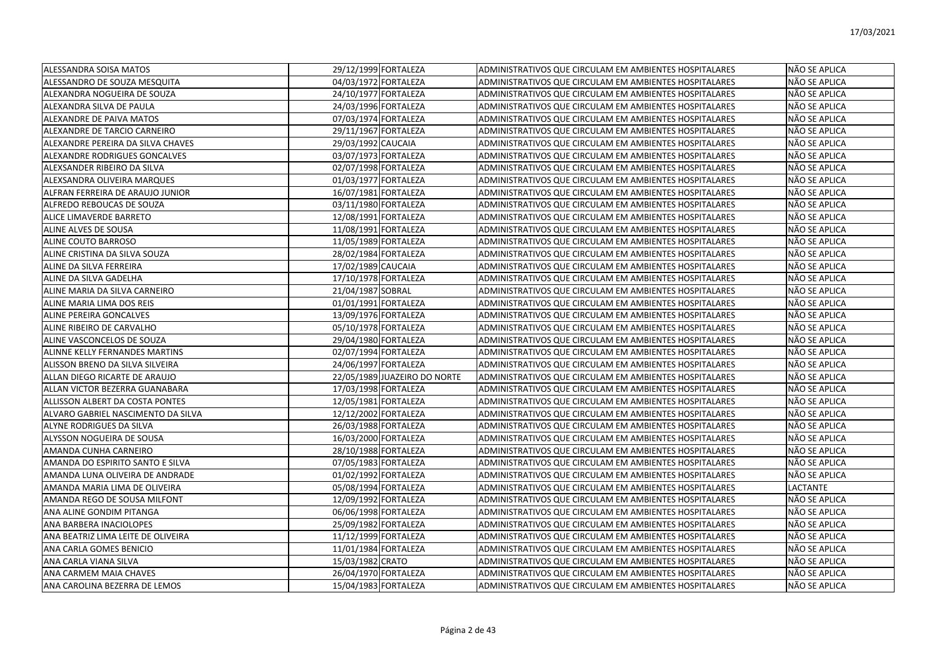| <b>ALESSANDRA SOISA MATOS</b>      | 29/12/1999 FORTALEZA         | ADMINISTRATIVOS QUE CIRCULAM EM AMBIENTES HOSPITALARES | NÃO SE APLICA |
|------------------------------------|------------------------------|--------------------------------------------------------|---------------|
| ALESSANDRO DE SOUZA MESQUITA       | 04/03/1972 FORTALEZA         | ADMINISTRATIVOS QUE CIRCULAM EM AMBIENTES HOSPITALARES | NÃO SE APLICA |
| lalexandra nogueira de SOUZA       | 24/10/1977 FORTALEZA         | ADMINISTRATIVOS QUE CIRCULAM EM AMBIENTES HOSPITALARES | NÃO SE APLICA |
| ALEXANDRA SILVA DE PAULA           | 24/03/1996 FORTALEZA         | ADMINISTRATIVOS QUE CIRCULAM EM AMBIENTES HOSPITALARES | NÃO SE APLICA |
| ALEXANDRE DE PAIVA MATOS           | 07/03/1974 FORTALEZA         | ADMINISTRATIVOS QUE CIRCULAM EM AMBIENTES HOSPITALARES | NÃO SE APLICA |
| ALEXANDRE DE TARCIO CARNEIRO       | 29/11/1967 FORTALEZA         | ADMINISTRATIVOS QUE CIRCULAM EM AMBIENTES HOSPITALARES | NÃO SE APLICA |
| ALEXANDRE PEREIRA DA SILVA CHAVES  | 29/03/1992 CAUCAIA           | ADMINISTRATIVOS QUE CIRCULAM EM AMBIENTES HOSPITALARES | NÃO SE APLICA |
| ALEXANDRE RODRIGUES GONCALVES      | 03/07/1973 FORTALEZA         | ADMINISTRATIVOS QUE CIRCULAM EM AMBIENTES HOSPITALARES | NÃO SE APLICA |
| ALEXSANDER RIBEIRO DA SILVA        | 02/07/1998 FORTALEZA         | ADMINISTRATIVOS QUE CIRCULAM EM AMBIENTES HOSPITALARES | NÃO SE APLICA |
| ALEXSANDRA OLIVEIRA MARQUES        | 01/03/1977 FORTALEZA         | ADMINISTRATIVOS QUE CIRCULAM EM AMBIENTES HOSPITALARES | NÃO SE APLICA |
| ALFRAN FERREIRA DE ARAUJO JUNIOR   | 16/07/1981 FORTALEZA         | ADMINISTRATIVOS QUE CIRCULAM EM AMBIENTES HOSPITALARES | NÃO SE APLICA |
| ALFREDO REBOUCAS DE SOUZA          | 03/11/1980 FORTALEZA         | ADMINISTRATIVOS QUE CIRCULAM EM AMBIENTES HOSPITALARES | NÃO SE APLICA |
| ALICE LIMAVERDE BARRETO            | 12/08/1991 FORTALEZA         | ADMINISTRATIVOS QUE CIRCULAM EM AMBIENTES HOSPITALARES | NÃO SE APLICA |
| ALINE ALVES DE SOUSA               | 11/08/1991 FORTALEZA         | ADMINISTRATIVOS QUE CIRCULAM EM AMBIENTES HOSPITALARES | NÃO SE APLICA |
| ALINE COUTO BARROSO                | 11/05/1989 FORTALEZA         | ADMINISTRATIVOS QUE CIRCULAM EM AMBIENTES HOSPITALARES | NÃO SE APLICA |
| ALINE CRISTINA DA SILVA SOUZA      | 28/02/1984 FORTALEZA         | ADMINISTRATIVOS QUE CIRCULAM EM AMBIENTES HOSPITALARES | NÃO SE APLICA |
| ALINE DA SILVA FERREIRA            | 17/02/1989 CAUCAIA           | ADMINISTRATIVOS QUE CIRCULAM EM AMBIENTES HOSPITALARES | NÃO SE APLICA |
| ALINE DA SILVA GADELHA             | 17/10/1978 FORTALEZA         | ADMINISTRATIVOS QUE CIRCULAM EM AMBIENTES HOSPITALARES | NÃO SE APLICA |
| ALINE MARIA DA SILVA CARNEIRO      | 21/04/1987 SOBRAL            | ADMINISTRATIVOS QUE CIRCULAM EM AMBIENTES HOSPITALARES | NÃO SE APLICA |
| ALINE MARIA LIMA DOS REIS          | 01/01/1991 FORTALEZA         | ADMINISTRATIVOS QUE CIRCULAM EM AMBIENTES HOSPITALARES | NÃO SE APLICA |
| <b>ALINE PEREIRA GONCALVES</b>     | 13/09/1976 FORTALEZA         | ADMINISTRATIVOS QUE CIRCULAM EM AMBIENTES HOSPITALARES | NÃO SE APLICA |
| ALINE RIBEIRO DE CARVALHO          | 05/10/1978 FORTALEZA         | ADMINISTRATIVOS QUE CIRCULAM EM AMBIENTES HOSPITALARES | NÃO SE APLICA |
| ALINE VASCONCELOS DE SOUZA         | 29/04/1980 FORTALEZA         | ADMINISTRATIVOS QUE CIRCULAM EM AMBIENTES HOSPITALARES | NÃO SE APLICA |
| ALINNE KELLY FERNANDES MARTINS     | 02/07/1994 FORTALEZA         | ADMINISTRATIVOS QUE CIRCULAM EM AMBIENTES HOSPITALARES | NÃO SE APLICA |
| ALISSON BRENO DA SILVA SILVEIRA    | 24/06/1997 FORTALEZA         | ADMINISTRATIVOS QUE CIRCULAM EM AMBIENTES HOSPITALARES | NÃO SE APLICA |
| ALLAN DIEGO RICARTE DE ARAUJO      | 22/05/1989 JUAZEIRO DO NORTE | ADMINISTRATIVOS QUE CIRCULAM EM AMBIENTES HOSPITALARES | NÃO SE APLICA |
| ALLAN VICTOR BEZERRA GUANABARA     | 17/03/1998 FORTALEZA         | ADMINISTRATIVOS QUE CIRCULAM EM AMBIENTES HOSPITALARES | NÃO SE APLICA |
| ALLISSON ALBERT DA COSTA PONTES    | 12/05/1981 FORTALEZA         | ADMINISTRATIVOS QUE CIRCULAM EM AMBIENTES HOSPITALARES | NÃO SE APLICA |
| ALVARO GABRIEL NASCIMENTO DA SILVA | 12/12/2002 FORTALEZA         | ADMINISTRATIVOS QUE CIRCULAM EM AMBIENTES HOSPITALARES | NÃO SE APLICA |
| ALYNE RODRIGUES DA SILVA           | 26/03/1988 FORTALEZA         | ADMINISTRATIVOS QUE CIRCULAM EM AMBIENTES HOSPITALARES | NÃO SE APLICA |
| ALYSSON NOGUEIRA DE SOUSA          | 16/03/2000 FORTALEZA         | ADMINISTRATIVOS QUE CIRCULAM EM AMBIENTES HOSPITALARES | NÃO SE APLICA |
| AMANDA CUNHA CARNEIRO              | 28/10/1988 FORTALEZA         | ADMINISTRATIVOS QUE CIRCULAM EM AMBIENTES HOSPITALARES | NÃO SE APLICA |
| AMANDA DO ESPIRITO SANTO E SILVA   | 07/05/1983 FORTALEZA         | ADMINISTRATIVOS QUE CIRCULAM EM AMBIENTES HOSPITALARES | NÃO SE APLICA |
| AMANDA LUNA OLIVEIRA DE ANDRADE    | 01/02/1992 FORTALEZA         | ADMINISTRATIVOS QUE CIRCULAM EM AMBIENTES HOSPITALARES | NÃO SE APLICA |
| AMANDA MARIA LIMA DE OLIVEIRA      | 05/08/1994 FORTALEZA         | ADMINISTRATIVOS QUE CIRCULAM EM AMBIENTES HOSPITALARES | LACTANTE      |
| AMANDA REGO DE SOUSA MILFONT       | 12/09/1992 FORTALEZA         | ADMINISTRATIVOS QUE CIRCULAM EM AMBIENTES HOSPITALARES | NÃO SE APLICA |
| ANA ALINE GONDIM PITANGA           | 06/06/1998 FORTALEZA         | ADMINISTRATIVOS QUE CIRCULAM EM AMBIENTES HOSPITALARES | NÃO SE APLICA |
| ANA BARBERA INACIOLOPES            | 25/09/1982 FORTALEZA         | ADMINISTRATIVOS QUE CIRCULAM EM AMBIENTES HOSPITALARES | NÃO SE APLICA |
| ANA BEATRIZ LIMA LEITE DE OLIVEIRA | 11/12/1999 FORTALEZA         | ADMINISTRATIVOS QUE CIRCULAM EM AMBIENTES HOSPITALARES | NÃO SE APLICA |
| ANA CARLA GOMES BENICIO            | 11/01/1984 FORTALEZA         | ADMINISTRATIVOS QUE CIRCULAM EM AMBIENTES HOSPITALARES | NÃO SE APLICA |
| ANA CARLA VIANA SILVA              | 15/03/1982 CRATO             | ADMINISTRATIVOS QUE CIRCULAM EM AMBIENTES HOSPITALARES | NÃO SE APLICA |
| ANA CARMEM MAIA CHAVES             | 26/04/1970 FORTALEZA         | ADMINISTRATIVOS QUE CIRCULAM EM AMBIENTES HOSPITALARES | NÃO SE APLICA |
| IANA CAROLINA BEZERRA DE LEMOS     | 15/04/1983 FORTALEZA         | ADMINISTRATIVOS QUE CIRCULAM EM AMBIENTES HOSPITALARES | NÃO SE APLICA |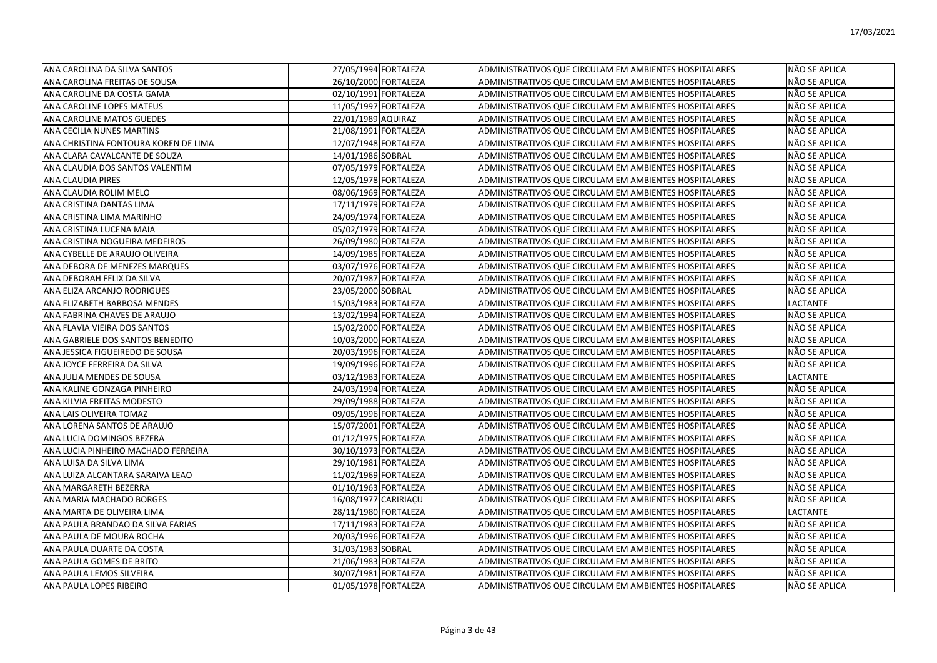| ANA CAROLINA DA SILVA SANTOS         | 27/05/1994 FORTALEZA | ADMINISTRATIVOS QUE CIRCULAM EM AMBIENTES HOSPITALARES | NÃO SE APLICA   |
|--------------------------------------|----------------------|--------------------------------------------------------|-----------------|
| ANA CAROLINA FREITAS DE SOUSA        | 26/10/2000 FORTALEZA | ADMINISTRATIVOS QUE CIRCULAM EM AMBIENTES HOSPITALARES | NÃO SE APLICA   |
| ANA CAROLINE DA COSTA GAMA           | 02/10/1991 FORTALEZA | ADMINISTRATIVOS QUE CIRCULAM EM AMBIENTES HOSPITALARES | NÃO SE APLICA   |
| ANA CAROLINE LOPES MATEUS            | 11/05/1997 FORTALEZA | ADMINISTRATIVOS QUE CIRCULAM EM AMBIENTES HOSPITALARES | NÃO SE APLICA   |
| ANA CAROLINE MATOS GUEDES            | 22/01/1989 AQUIRAZ   | ADMINISTRATIVOS QUE CIRCULAM EM AMBIENTES HOSPITALARES | NÃO SE APLICA   |
| ANA CECILIA NUNES MARTINS            | 21/08/1991 FORTALEZA | ADMINISTRATIVOS QUE CIRCULAM EM AMBIENTES HOSPITALARES | NÃO SE APLICA   |
| ANA CHRISTINA FONTOURA KOREN DE LIMA | 12/07/1948 FORTALEZA | ADMINISTRATIVOS QUE CIRCULAM EM AMBIENTES HOSPITALARES | NÃO SE APLICA   |
| ANA CLARA CAVALCANTE DE SOUZA        | 14/01/1986 SOBRAL    | ADMINISTRATIVOS QUE CIRCULAM EM AMBIENTES HOSPITALARES | NÃO SE APLICA   |
| ANA CLAUDIA DOS SANTOS VALENTIM      | 07/05/1979 FORTALEZA | ADMINISTRATIVOS QUE CIRCULAM EM AMBIENTES HOSPITALARES | NÃO SE APLICA   |
| ANA CLAUDIA PIRES                    | 12/05/1978 FORTALEZA | ADMINISTRATIVOS QUE CIRCULAM EM AMBIENTES HOSPITALARES | NÃO SE APLICA   |
| ANA CLAUDIA ROLIM MELO               | 08/06/1969 FORTALEZA | ADMINISTRATIVOS QUE CIRCULAM EM AMBIENTES HOSPITALARES | NÃO SE APLICA   |
| ANA CRISTINA DANTAS LIMA             | 17/11/1979 FORTALEZA | ADMINISTRATIVOS QUE CIRCULAM EM AMBIENTES HOSPITALARES | NÃO SE APLICA   |
| ANA CRISTINA LIMA MARINHO            | 24/09/1974 FORTALEZA | ADMINISTRATIVOS QUE CIRCULAM EM AMBIENTES HOSPITALARES | NÃO SE APLICA   |
| ANA CRISTINA LUCENA MAIA             | 05/02/1979 FORTALEZA | ADMINISTRATIVOS QUE CIRCULAM EM AMBIENTES HOSPITALARES | NÃO SE APLICA   |
| ANA CRISTINA NOGUEIRA MEDEIROS       | 26/09/1980 FORTALEZA | ADMINISTRATIVOS QUE CIRCULAM EM AMBIENTES HOSPITALARES | NÃO SE APLICA   |
| ANA CYBELLE DE ARAUJO OLIVEIRA       | 14/09/1985 FORTALEZA | ADMINISTRATIVOS QUE CIRCULAM EM AMBIENTES HOSPITALARES | NÃO SE APLICA   |
| ANA DEBORA DE MENEZES MARQUES        | 03/07/1976 FORTALEZA | ADMINISTRATIVOS QUE CIRCULAM EM AMBIENTES HOSPITALARES | NÃO SE APLICA   |
| ANA DEBORAH FELIX DA SILVA           | 20/07/1987 FORTALEZA | ADMINISTRATIVOS QUE CIRCULAM EM AMBIENTES HOSPITALARES | NÃO SE APLICA   |
| ANA ELIZA ARCANJO RODRIGUES          | 23/05/2000 SOBRAL    | ADMINISTRATIVOS QUE CIRCULAM EM AMBIENTES HOSPITALARES | NÃO SE APLICA   |
| ANA ELIZABETH BARBOSA MENDES         | 15/03/1983 FORTALEZA | ADMINISTRATIVOS QUE CIRCULAM EM AMBIENTES HOSPITALARES | LACTANTE        |
| ANA FABRINA CHAVES DE ARAUJO         | 13/02/1994 FORTALEZA | ADMINISTRATIVOS QUE CIRCULAM EM AMBIENTES HOSPITALARES | NÃO SE APLICA   |
| ANA FLAVIA VIEIRA DOS SANTOS         | 15/02/2000 FORTALEZA | ADMINISTRATIVOS QUE CIRCULAM EM AMBIENTES HOSPITALARES | NÃO SE APLICA   |
| ANA GABRIELE DOS SANTOS BENEDITO     | 10/03/2000 FORTALEZA | ADMINISTRATIVOS QUE CIRCULAM EM AMBIENTES HOSPITALARES | NÃO SE APLICA   |
| ANA JESSICA FIGUEIREDO DE SOUSA      | 20/03/1996 FORTALEZA | ADMINISTRATIVOS QUE CIRCULAM EM AMBIENTES HOSPITALARES | NÃO SE APLICA   |
| ANA JOYCE FERREIRA DA SILVA          | 19/09/1996 FORTALEZA | ADMINISTRATIVOS QUE CIRCULAM EM AMBIENTES HOSPITALARES | NÃO SE APLICA   |
| ANA JULIA MENDES DE SOUSA            | 03/12/1983 FORTALEZA | ADMINISTRATIVOS QUE CIRCULAM EM AMBIENTES HOSPITALARES | <b>LACTANTE</b> |
| ANA KALINE GONZAGA PINHEIRO          | 24/03/1994 FORTALEZA | ADMINISTRATIVOS QUE CIRCULAM EM AMBIENTES HOSPITALARES | NÃO SE APLICA   |
| ANA KILVIA FREITAS MODESTO           | 29/09/1988 FORTALEZA | ADMINISTRATIVOS QUE CIRCULAM EM AMBIENTES HOSPITALARES | NÃO SE APLICA   |
| ANA LAIS OLIVEIRA TOMAZ              | 09/05/1996 FORTALEZA | ADMINISTRATIVOS QUE CIRCULAM EM AMBIENTES HOSPITALARES | NÃO SE APLICA   |
| ANA LORENA SANTOS DE ARAUJO          | 15/07/2001 FORTALEZA | ADMINISTRATIVOS QUE CIRCULAM EM AMBIENTES HOSPITALARES | NÃO SE APLICA   |
| ANA LUCIA DOMINGOS BEZERA            | 01/12/1975 FORTALEZA | ADMINISTRATIVOS QUE CIRCULAM EM AMBIENTES HOSPITALARES | NÃO SE APLICA   |
| ANA LUCIA PINHEIRO MACHADO FERREIRA  | 30/10/1973 FORTALEZA | ADMINISTRATIVOS QUE CIRCULAM EM AMBIENTES HOSPITALARES | NÃO SE APLICA   |
| ANA LUISA DA SILVA LIMA              | 29/10/1981 FORTALEZA | ADMINISTRATIVOS QUE CIRCULAM EM AMBIENTES HOSPITALARES | NÃO SE APLICA   |
| ANA LUIZA ALCANTARA SARAIVA LEAO     | 11/02/1969 FORTALEZA | ADMINISTRATIVOS QUE CIRCULAM EM AMBIENTES HOSPITALARES | NÃO SE APLICA   |
| ANA MARGARETH BEZERRA                | 01/10/1963 FORTALEZA | ADMINISTRATIVOS QUE CIRCULAM EM AMBIENTES HOSPITALARES | NÃO SE APLICA   |
| ANA MARIA MACHADO BORGES             | 16/08/1977 CARIRIACU | ADMINISTRATIVOS QUE CIRCULAM EM AMBIENTES HOSPITALARES | NÃO SE APLICA   |
| ANA MARTA DE OLIVEIRA LIMA           | 28/11/1980 FORTALEZA | ADMINISTRATIVOS QUE CIRCULAM EM AMBIENTES HOSPITALARES | <b>LACTANTE</b> |
| ANA PAULA BRANDAO DA SILVA FARIAS    | 17/11/1983 FORTALEZA | ADMINISTRATIVOS QUE CIRCULAM EM AMBIENTES HOSPITALARES | NÃO SE APLICA   |
| ANA PAULA DE MOURA ROCHA             | 20/03/1996 FORTALEZA | ADMINISTRATIVOS QUE CIRCULAM EM AMBIENTES HOSPITALARES | NÃO SE APLICA   |
| ANA PAULA DUARTE DA COSTA            | 31/03/1983 SOBRAL    | ADMINISTRATIVOS QUE CIRCULAM EM AMBIENTES HOSPITALARES | NÃO SE APLICA   |
| ANA PAULA GOMES DE BRITO             | 21/06/1983 FORTALEZA | ADMINISTRATIVOS QUE CIRCULAM EM AMBIENTES HOSPITALARES | NÃO SE APLICA   |
| ANA PAULA LEMOS SILVEIRA             | 30/07/1981 FORTALEZA | ADMINISTRATIVOS QUE CIRCULAM EM AMBIENTES HOSPITALARES | NÃO SE APLICA   |
| ANA PAULA LOPES RIBEIRO              | 01/05/1978 FORTALEZA | ADMINISTRATIVOS QUE CIRCULAM EM AMBIENTES HOSPITALARES | NÃO SE APLICA   |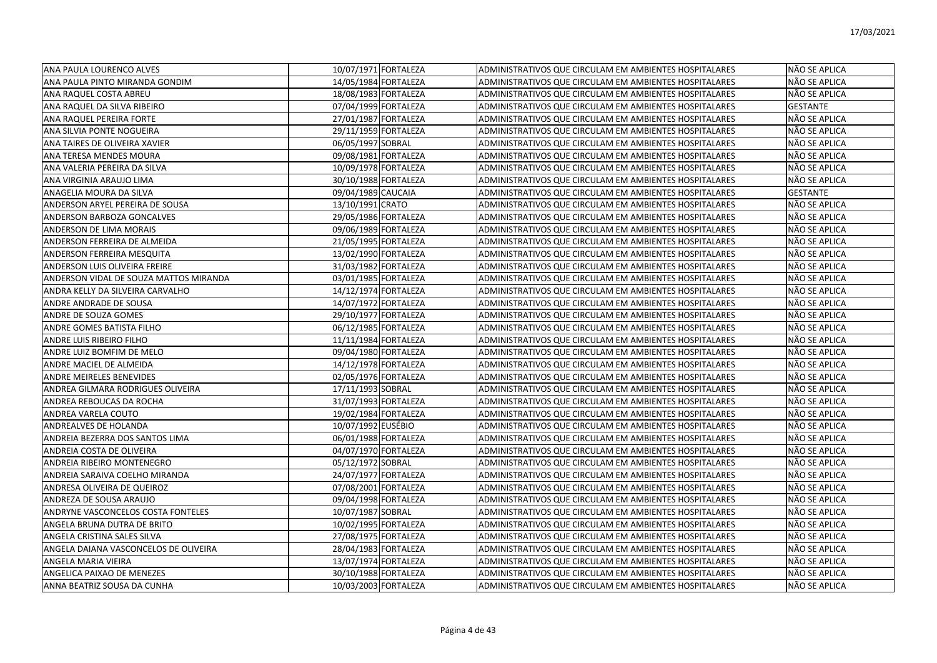| <b>ANA PAULA LOURENCO ALVES</b>        | 10/07/1971 FORTALEZA |                      | ADMINISTRATIVOS QUE CIRCULAM EM AMBIENTES HOSPITALARES | NÃO SE APLICA   |
|----------------------------------------|----------------------|----------------------|--------------------------------------------------------|-----------------|
| ANA PAULA PINTO MIRANDA GONDIM         |                      | 14/05/1984 FORTALEZA | ADMINISTRATIVOS QUE CIRCULAM EM AMBIENTES HOSPITALARES | NÃO SE APLICA   |
| ANA RAQUEL COSTA ABREU                 | 18/08/1983 FORTALEZA |                      | ADMINISTRATIVOS QUE CIRCULAM EM AMBIENTES HOSPITALARES | NÃO SE APLICA   |
| ANA RAQUEL DA SILVA RIBEIRO            | 07/04/1999 FORTALEZA |                      | ADMINISTRATIVOS QUE CIRCULAM EM AMBIENTES HOSPITALARES | <b>GESTANTE</b> |
| ANA RAQUEL PEREIRA FORTE               | 27/01/1987 FORTALEZA |                      | ADMINISTRATIVOS QUE CIRCULAM EM AMBIENTES HOSPITALARES | NÃO SE APLICA   |
| ANA SILVIA PONTE NOGUEIRA              | 29/11/1959 FORTALEZA |                      | ADMINISTRATIVOS QUE CIRCULAM EM AMBIENTES HOSPITALARES | NÃO SE APLICA   |
| ANA TAIRES DE OLIVEIRA XAVIER          | 06/05/1997 SOBRAL    |                      | ADMINISTRATIVOS QUE CIRCULAM EM AMBIENTES HOSPITALARES | NÃO SE APLICA   |
| ANA TERESA MENDES MOURA                | 09/08/1981 FORTALEZA |                      | ADMINISTRATIVOS QUE CIRCULAM EM AMBIENTES HOSPITALARES | NÃO SE APLICA   |
| ANA VALERIA PEREIRA DA SILVA           |                      | 10/09/1978 FORTALEZA | ADMINISTRATIVOS QUE CIRCULAM EM AMBIENTES HOSPITALARES | NÃO SE APLICA   |
| ANA VIRGINIA ARAUJO LIMA               |                      | 30/10/1988 FORTALEZA | ADMINISTRATIVOS QUE CIRCULAM EM AMBIENTES HOSPITALARES | NÃO SE APLICA   |
| ANAGELIA MOURA DA SILVA                | 09/04/1989 CAUCAIA   |                      | ADMINISTRATIVOS QUE CIRCULAM EM AMBIENTES HOSPITALARES | <b>GESTANTE</b> |
| ANDERSON ARYEL PEREIRA DE SOUSA        | 13/10/1991 CRATO     |                      | ADMINISTRATIVOS QUE CIRCULAM EM AMBIENTES HOSPITALARES | NÃO SE APLICA   |
| ANDERSON BARBOZA GONCALVES             | 29/05/1986 FORTALEZA |                      | ADMINISTRATIVOS QUE CIRCULAM EM AMBIENTES HOSPITALARES | NÃO SE APLICA   |
| ANDERSON DE LIMA MORAIS                | 09/06/1989 FORTALEZA |                      | ADMINISTRATIVOS QUE CIRCULAM EM AMBIENTES HOSPITALARES | NÃO SE APLICA   |
| ANDERSON FERREIRA DE ALMEIDA           | 21/05/1995 FORTALEZA |                      | ADMINISTRATIVOS QUE CIRCULAM EM AMBIENTES HOSPITALARES | NÃO SE APLICA   |
| ANDERSON FERREIRA MESQUITA             | 13/02/1990 FORTALEZA |                      | ADMINISTRATIVOS QUE CIRCULAM EM AMBIENTES HOSPITALARES | NÃO SE APLICA   |
| ANDERSON LUIS OLIVEIRA FREIRE          |                      | 31/03/1982 FORTALEZA | ADMINISTRATIVOS QUE CIRCULAM EM AMBIENTES HOSPITALARES | NÃO SE APLICA   |
| ANDERSON VIDAL DE SOUZA MATTOS MIRANDA | 03/01/1985 FORTALEZA |                      | ADMINISTRATIVOS QUE CIRCULAM EM AMBIENTES HOSPITALARES | NÃO SE APLICA   |
| ANDRA KELLY DA SILVEIRA CARVALHO       | 14/12/1974 FORTALEZA |                      | ADMINISTRATIVOS QUE CIRCULAM EM AMBIENTES HOSPITALARES | NÃO SE APLICA   |
| ANDRE ANDRADE DE SOUSA                 | 14/07/1972 FORTALEZA |                      | ADMINISTRATIVOS QUE CIRCULAM EM AMBIENTES HOSPITALARES | NÃO SE APLICA   |
| ANDRE DE SOUZA GOMES                   |                      | 29/10/1977 FORTALEZA | ADMINISTRATIVOS QUE CIRCULAM EM AMBIENTES HOSPITALARES | NÃO SE APLICA   |
| ANDRE GOMES BATISTA FILHO              | 06/12/1985 FORTALEZA |                      | ADMINISTRATIVOS QUE CIRCULAM EM AMBIENTES HOSPITALARES | NÃO SE APLICA   |
| ANDRE LUIS RIBEIRO FILHO               | 11/11/1984 FORTALEZA |                      | ADMINISTRATIVOS QUE CIRCULAM EM AMBIENTES HOSPITALARES | NÃO SE APLICA   |
| ANDRE LUIZ BOMFIM DE MELO              | 09/04/1980 FORTALEZA |                      | ADMINISTRATIVOS QUE CIRCULAM EM AMBIENTES HOSPITALARES | NÃO SE APLICA   |
| ANDRE MACIEL DE ALMEIDA                | 14/12/1978 FORTALEZA |                      | ADMINISTRATIVOS QUE CIRCULAM EM AMBIENTES HOSPITALARES | NÃO SE APLICA   |
| <b>ANDRE MEIRELES BENEVIDES</b>        | 02/05/1976 FORTALEZA |                      | ADMINISTRATIVOS QUE CIRCULAM EM AMBIENTES HOSPITALARES | NÃO SE APLICA   |
| ANDREA GILMARA RODRIGUES OLIVEIRA      | 17/11/1993 SOBRAL    |                      | ADMINISTRATIVOS QUE CIRCULAM EM AMBIENTES HOSPITALARES | NÃO SE APLICA   |
| ANDREA REBOUCAS DA ROCHA               | 31/07/1993 FORTALEZA |                      | ADMINISTRATIVOS QUE CIRCULAM EM AMBIENTES HOSPITALARES | NÃO SE APLICA   |
| ANDREA VARELA COUTO                    |                      | 19/02/1984 FORTALEZA | ADMINISTRATIVOS QUE CIRCULAM EM AMBIENTES HOSPITALARES | NÃO SE APLICA   |
| ANDREALVES DE HOLANDA                  | 10/07/1992 EUSÉBIO   |                      | ADMINISTRATIVOS QUE CIRCULAM EM AMBIENTES HOSPITALARES | NÃO SE APLICA   |
| ANDREIA BEZERRA DOS SANTOS LIMA        | 06/01/1988 FORTALEZA |                      | ADMINISTRATIVOS QUE CIRCULAM EM AMBIENTES HOSPITALARES | NÃO SE APLICA   |
| ANDREIA COSTA DE OLIVEIRA              | 04/07/1970 FORTALEZA |                      | ADMINISTRATIVOS QUE CIRCULAM EM AMBIENTES HOSPITALARES | NÃO SE APLICA   |
| ANDREIA RIBEIRO MONTENEGRO             | 05/12/1972 SOBRAL    |                      | ADMINISTRATIVOS QUE CIRCULAM EM AMBIENTES HOSPITALARES | NÃO SE APLICA   |
| ANDREIA SARAIVA COELHO MIRANDA         | 24/07/1977 FORTALEZA |                      | ADMINISTRATIVOS QUE CIRCULAM EM AMBIENTES HOSPITALARES | NÃO SE APLICA   |
| ANDRESA OLIVEIRA DE QUEIROZ            | 07/08/2001 FORTALEZA |                      | ADMINISTRATIVOS QUE CIRCULAM EM AMBIENTES HOSPITALARES | NÃO SE APLICA   |
| ANDREZA DE SOUSA ARAUJO                | 09/04/1998 FORTALEZA |                      | ADMINISTRATIVOS QUE CIRCULAM EM AMBIENTES HOSPITALARES | NÃO SE APLICA   |
| ANDRYNE VASCONCELOS COSTA FONTELES     | 10/07/1987 SOBRAL    |                      | ADMINISTRATIVOS QUE CIRCULAM EM AMBIENTES HOSPITALARES | NÃO SE APLICA   |
| ANGELA BRUNA DUTRA DE BRITO            | 10/02/1995 FORTALEZA |                      | ADMINISTRATIVOS QUE CIRCULAM EM AMBIENTES HOSPITALARES | NÃO SE APLICA   |
| ANGELA CRISTINA SALES SILVA            | 27/08/1975 FORTALEZA |                      | ADMINISTRATIVOS QUE CIRCULAM EM AMBIENTES HOSPITALARES | NÃO SE APLICA   |
| ANGELA DAIANA VASCONCELOS DE OLIVEIRA  | 28/04/1983 FORTALEZA |                      | ADMINISTRATIVOS QUE CIRCULAM EM AMBIENTES HOSPITALARES | NÃO SE APLICA   |
| ANGELA MARIA VIEIRA                    | 13/07/1974 FORTALEZA |                      | ADMINISTRATIVOS QUE CIRCULAM EM AMBIENTES HOSPITALARES | NÃO SE APLICA   |
| ANGELICA PAIXAO DE MENEZES             |                      | 30/10/1988 FORTALEZA | ADMINISTRATIVOS QUE CIRCULAM EM AMBIENTES HOSPITALARES | NÃO SE APLICA   |
| IANNA BEATRIZ SOUSA DA CUNHA           | 10/03/2003 FORTALEZA |                      | ADMINISTRATIVOS QUE CIRCULAM EM AMBIENTES HOSPITALARES | NÃO SE APLICA   |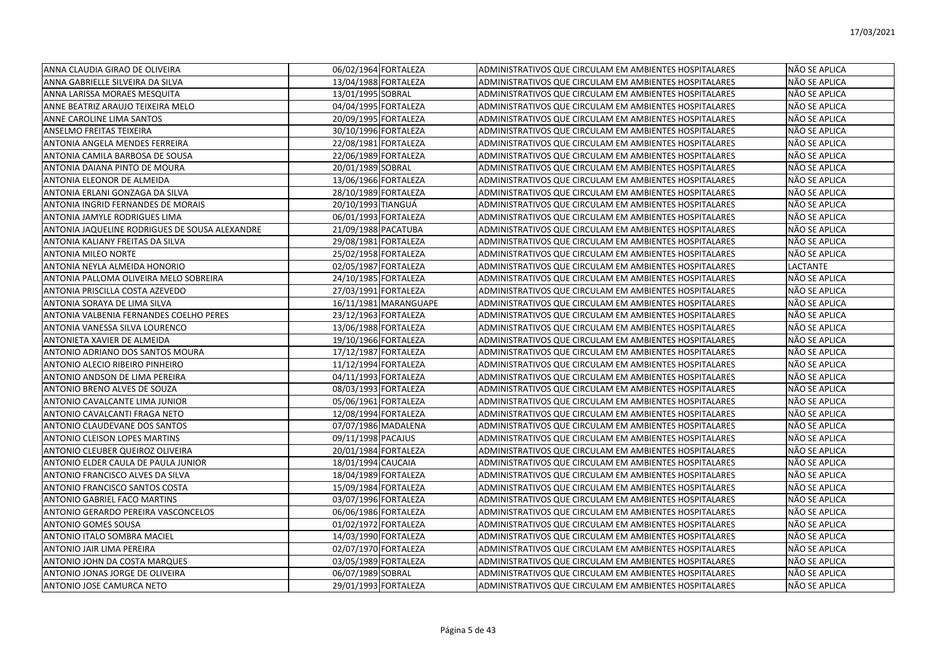| ANNA CLAUDIA GIRAO DE OLIVEIRA                 | 06/02/1964 FORTALEZA  | ADMINISTRATIVOS QUE CIRCULAM EM AMBIENTES HOSPITALARES | NÃO SE APLICA        |
|------------------------------------------------|-----------------------|--------------------------------------------------------|----------------------|
| ANNA GABRIELLE SILVEIRA DA SILVA               | 13/04/1988 FORTALEZA  | ADMINISTRATIVOS QUE CIRCULAM EM AMBIENTES HOSPITALARES | NÃO SE APLICA        |
| ANNA LARISSA MORAES MESQUITA                   | 13/01/1995 SOBRAL     | ADMINISTRATIVOS QUE CIRCULAM EM AMBIENTES HOSPITALARES | NÃO SE APLICA        |
| ANNE BEATRIZ ARAUJO TEIXEIRA MELO              | 04/04/1995 FORTALEZA  | ADMINISTRATIVOS QUE CIRCULAM EM AMBIENTES HOSPITALARES | NÃO SE APLICA        |
| ANNE CAROLINE LIMA SANTOS                      | 20/09/1995 FORTALEZA  | ADMINISTRATIVOS QUE CIRCULAM EM AMBIENTES HOSPITALARES | NÃO SE APLICA        |
| ANSELMO FREITAS TEIXEIRA                       | 30/10/1996 FORTALEZA  | ADMINISTRATIVOS QUE CIRCULAM EM AMBIENTES HOSPITALARES | NÃO SE APLICA        |
| ANTONIA ANGELA MENDES FERREIRA                 | 22/08/1981 FORTALEZA  | ADMINISTRATIVOS QUE CIRCULAM EM AMBIENTES HOSPITALARES | NÃO SE APLICA        |
| ANTONIA CAMILA BARBOSA DE SOUSA                | 22/06/1989 FORTALEZA  | ADMINISTRATIVOS QUE CIRCULAM EM AMBIENTES HOSPITALARES | NÃO SE APLICA        |
| ANTONIA DAIANA PINTO DE MOURA                  | 20/01/1989 SOBRAL     | ADMINISTRATIVOS QUE CIRCULAM EM AMBIENTES HOSPITALARES | NÃO SE APLICA        |
| ANTONIA ELEONOR DE ALMEIDA                     | 13/06/1966 FORTALEZA  | ADMINISTRATIVOS QUE CIRCULAM EM AMBIENTES HOSPITALARES | NÃO SE APLICA        |
| ANTONIA ERLANI GONZAGA DA SILVA                | 28/10/1989 FORTALEZA  | ADMINISTRATIVOS QUE CIRCULAM EM AMBIENTES HOSPITALARES | NÃO SE APLICA        |
| ANTONIA INGRID FERNANDES DE MORAIS             | 20/10/1993 TIANGUÁ    | ADMINISTRATIVOS QUE CIRCULAM EM AMBIENTES HOSPITALARES | NÃO SE APLICA        |
| ANTONIA JAMYLE RODRIGUES LIMA                  | 06/01/1993 FORTALEZA  | ADMINISTRATIVOS QUE CIRCULAM EM AMBIENTES HOSPITALARES | NÃO SE APLICA        |
| ANTONIA JAQUELINE RODRIGUES DE SOUSA ALEXANDRE | 21/09/1988 PACATUBA   | ADMINISTRATIVOS QUE CIRCULAM EM AMBIENTES HOSPITALARES | NÃO SE APLICA        |
| ANTONIA KALIANY FREITAS DA SILVA               | 29/08/1981 FORTALEZA  | ADMINISTRATIVOS QUE CIRCULAM EM AMBIENTES HOSPITALARES | NÃO SE APLICA        |
| <b>ANTONIA MILEO NORTE</b>                     | 25/02/1958 FORTALEZA  | ADMINISTRATIVOS QUE CIRCULAM EM AMBIENTES HOSPITALARES | NÃO SE APLICA        |
| ANTONIA NEYLA ALMEIDA HONORIO                  | 02/05/1987 FORTALEZA  | ADMINISTRATIVOS QUE CIRCULAM EM AMBIENTES HOSPITALARES | <b>LACTANTE</b>      |
| ANTONIA PALLOMA OLIVEIRA MELO SOBREIRA         | 24/10/1985 FORTALEZA  | ADMINISTRATIVOS QUE CIRCULAM EM AMBIENTES HOSPITALARES | NÃO SE APLICA        |
| ANTONIA PRISCILLA COSTA AZEVEDO                | 27/03/1991 FORTALEZA  | ADMINISTRATIVOS QUE CIRCULAM EM AMBIENTES HOSPITALARES | NÃO SE APLICA        |
| ANTONIA SORAYA DE LIMA SILVA                   | 16/11/1981 MARANGUAPE | ADMINISTRATIVOS QUE CIRCULAM EM AMBIENTES HOSPITALARES | NÃO SE APLICA        |
| ANTONIA VALBENIA FERNANDES COELHO PERES        | 23/12/1963 FORTALEZA  | ADMINISTRATIVOS QUE CIRCULAM EM AMBIENTES HOSPITALARES | NÃO SE APLICA        |
| ANTONIA VANESSA SILVA LOURENCO                 | 13/06/1988 FORTALEZA  | ADMINISTRATIVOS QUE CIRCULAM EM AMBIENTES HOSPITALARES | NÃO SE APLICA        |
| ANTONIETA XAVIER DE ALMEIDA                    | 19/10/1966 FORTALEZA  | ADMINISTRATIVOS QUE CIRCULAM EM AMBIENTES HOSPITALARES | NÃO SE APLICA        |
| ANTONIO ADRIANO DOS SANTOS MOURA               | 17/12/1987 FORTALEZA  | ADMINISTRATIVOS QUE CIRCULAM EM AMBIENTES HOSPITALARES | NÃO SE APLICA        |
| ANTONIO ALECIO RIBEIRO PINHEIRO                | 11/12/1994 FORTALEZA  | ADMINISTRATIVOS QUE CIRCULAM EM AMBIENTES HOSPITALARES | NÃO SE APLICA        |
| ANTONIO ANDSON DE LIMA PEREIRA                 | 04/11/1993 FORTALEZA  | ADMINISTRATIVOS QUE CIRCULAM EM AMBIENTES HOSPITALARES | NÃO SE APLICA        |
| ANTONIO BRENO ALVES DE SOUZA                   | 08/03/1993 FORTALEZA  | ADMINISTRATIVOS QUE CIRCULAM EM AMBIENTES HOSPITALARES | NÃO SE APLICA        |
| ANTONIO CAVALCANTE LIMA JUNIOR                 | 05/06/1961 FORTALEZA  | ADMINISTRATIVOS QUE CIRCULAM EM AMBIENTES HOSPITALARES | NÃO SE APLICA        |
| ANTONIO CAVALCANTI FRAGA NETO                  | 12/08/1994 FORTALEZA  | ADMINISTRATIVOS QUE CIRCULAM EM AMBIENTES HOSPITALARES | NÃO SE APLICA        |
| ANTONIO CLAUDEVANE DOS SANTOS                  | 07/07/1986 MADALENA   | ADMINISTRATIVOS QUE CIRCULAM EM AMBIENTES HOSPITALARES | NÃO SE APLICA        |
| ANTONIO CLEISON LOPES MARTINS                  | 09/11/1998 PACAJUS    | ADMINISTRATIVOS QUE CIRCULAM EM AMBIENTES HOSPITALARES | NÃO SE APLICA        |
| ANTONIO CLEUBER QUEIROZ OLIVEIRA               | 20/01/1984 FORTALEZA  | ADMINISTRATIVOS QUE CIRCULAM EM AMBIENTES HOSPITALARES | NÃO SE APLICA        |
| ANTONIO ELDER CAULA DE PAULA JUNIOR            | 18/01/1994 CAUCAIA    | ADMINISTRATIVOS QUE CIRCULAM EM AMBIENTES HOSPITALARES | NÃO SE APLICA        |
| ANTONIO FRANCISCO ALVES DA SILVA               | 18/04/1989 FORTALEZA  | ADMINISTRATIVOS QUE CIRCULAM EM AMBIENTES HOSPITALARES | NÃO SE APLICA        |
| ANTONIO FRANCISCO SANTOS COSTA                 | 15/09/1984 FORTALEZA  | ADMINISTRATIVOS QUE CIRCULAM EM AMBIENTES HOSPITALARES | NÃO SE APLICA        |
| ANTONIO GABRIEL FACO MARTINS                   | 03/07/1996 FORTALEZA  | ADMINISTRATIVOS QUE CIRCULAM EM AMBIENTES HOSPITALARES | NÃO SE APLICA        |
| ANTONIO GERARDO PEREIRA VASCONCELOS            | 06/06/1986 FORTALEZA  | ADMINISTRATIVOS QUE CIRCULAM EM AMBIENTES HOSPITALARES | NÃO SE APLICA        |
| <b>ANTONIO GOMES SOUSA</b>                     | 01/02/1972 FORTALEZA  | ADMINISTRATIVOS QUE CIRCULAM EM AMBIENTES HOSPITALARES | NÃO SE APLICA        |
| ANTONIO ITALO SOMBRA MACIEL                    | 14/03/1990 FORTALEZA  | ADMINISTRATIVOS QUE CIRCULAM EM AMBIENTES HOSPITALARES | NÃO SE APLICA        |
| ANTONIO JAIR LIMA PEREIRA                      | 02/07/1970 FORTALEZA  | ADMINISTRATIVOS QUE CIRCULAM EM AMBIENTES HOSPITALARES | NÃO SE APLICA        |
| ANTONIO JOHN DA COSTA MARQUES                  | 03/05/1989 FORTALEZA  | ADMINISTRATIVOS QUE CIRCULAM EM AMBIENTES HOSPITALARES | NÃO SE APLICA        |
| ANTONIO JONAS JORGE DE OLIVEIRA                | 06/07/1989 SOBRAL     | ADMINISTRATIVOS QUE CIRCULAM EM AMBIENTES HOSPITALARES | NÃO SE APLICA        |
| ANTONIO JOSE CAMURCA NETO                      | 29/01/1993 FORTALEZA  | ADMINISTRATIVOS QUE CIRCULAM EM AMBIENTES HOSPITALARES | <b>NÃO SE APLICA</b> |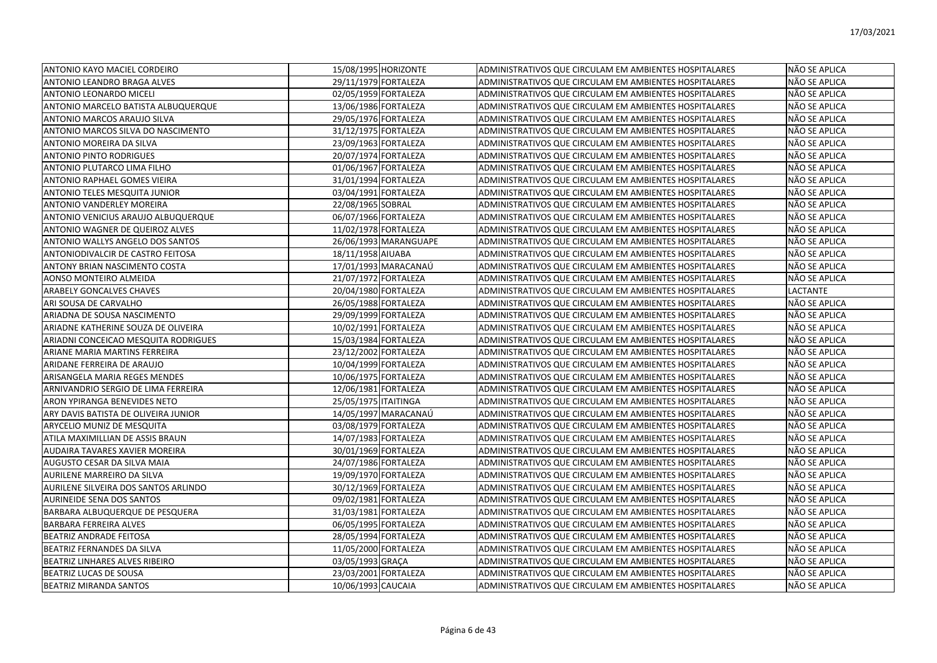| ANTONIO KAYO MACIEL CORDEIRO          | 15/08/1995 HORIZONTE  | ADMINISTRATIVOS QUE CIRCULAM EM AMBIENTES HOSPITALARES | NÃO SE APLICA   |
|---------------------------------------|-----------------------|--------------------------------------------------------|-----------------|
| ANTONIO LEANDRO BRAGA ALVES           | 29/11/1979 FORTALEZA  | ADMINISTRATIVOS QUE CIRCULAM EM AMBIENTES HOSPITALARES | NÃO SE APLICA   |
| <b>ANTONIO LEONARDO MICELI</b>        | 02/05/1959 FORTALEZA  | ADMINISTRATIVOS QUE CIRCULAM EM AMBIENTES HOSPITALARES | NÃO SE APLICA   |
| ANTONIO MARCELO BATISTA ALBUQUERQUE   | 13/06/1986 FORTALEZA  | ADMINISTRATIVOS QUE CIRCULAM EM AMBIENTES HOSPITALARES | NÃO SE APLICA   |
| ANTONIO MARCOS ARAUJO SILVA           | 29/05/1976 FORTALEZA  | ADMINISTRATIVOS QUE CIRCULAM EM AMBIENTES HOSPITALARES | NÃO SE APLICA   |
| ANTONIO MARCOS SILVA DO NASCIMENTO    | 31/12/1975 FORTALEZA  | ADMINISTRATIVOS QUE CIRCULAM EM AMBIENTES HOSPITALARES | NÃO SE APLICA   |
| ANTONIO MOREIRA DA SILVA              | 23/09/1963 FORTALEZA  | ADMINISTRATIVOS QUE CIRCULAM EM AMBIENTES HOSPITALARES | NÃO SE APLICA   |
| <b>ANTONIO PINTO RODRIGUES</b>        | 20/07/1974 FORTALEZA  | ADMINISTRATIVOS QUE CIRCULAM EM AMBIENTES HOSPITALARES | NÃO SE APLICA   |
| ANTONIO PLUTARCO LIMA FILHO           | 01/06/1967 FORTALEZA  | ADMINISTRATIVOS QUE CIRCULAM EM AMBIENTES HOSPITALARES | NÃO SE APLICA   |
| <b>ANTONIO RAPHAEL GOMES VIEIRA</b>   | 31/01/1994 FORTALEZA  | ADMINISTRATIVOS QUE CIRCULAM EM AMBIENTES HOSPITALARES | NÃO SE APLICA   |
| <b>ANTONIO TELES MESQUITA JUNIOR</b>  | 03/04/1991 FORTALEZA  | ADMINISTRATIVOS QUE CIRCULAM EM AMBIENTES HOSPITALARES | NÃO SE APLICA   |
| <b>ANTONIO VANDERLEY MOREIRA</b>      | 22/08/1965 SOBRAL     | ADMINISTRATIVOS QUE CIRCULAM EM AMBIENTES HOSPITALARES | NÃO SE APLICA   |
| ANTONIO VENICIUS ARAUJO ALBUQUERQUE   | 06/07/1966 FORTALEZA  | ADMINISTRATIVOS QUE CIRCULAM EM AMBIENTES HOSPITALARES | NÃO SE APLICA   |
| ANTONIO WAGNER DE QUEIROZ ALVES       | 11/02/1978 FORTALEZA  | ADMINISTRATIVOS QUE CIRCULAM EM AMBIENTES HOSPITALARES | NÃO SE APLICA   |
| ANTONIO WALLYS ANGELO DOS SANTOS      | 26/06/1993 MARANGUAPE | ADMINISTRATIVOS QUE CIRCULAM EM AMBIENTES HOSPITALARES | NÃO SE APLICA   |
| ANTONIODIVALCIR DE CASTRO FEITOSA     | 18/11/1958 AIUABA     | ADMINISTRATIVOS QUE CIRCULAM EM AMBIENTES HOSPITALARES | NÃO SE APLICA   |
| ANTONY BRIAN NASCIMENTO COSTA         | 17/01/1993 MARACANAÚ  | ADMINISTRATIVOS QUE CIRCULAM EM AMBIENTES HOSPITALARES | NÃO SE APLICA   |
| AONSO MONTEIRO ALMEIDA                | 21/07/1972 FORTALEZA  | ADMINISTRATIVOS QUE CIRCULAM EM AMBIENTES HOSPITALARES | NÃO SE APLICA   |
| <b>ARABELY GONCALVES CHAVES</b>       | 20/04/1980 FORTALEZA  | ADMINISTRATIVOS QUE CIRCULAM EM AMBIENTES HOSPITALARES | <b>LACTANTE</b> |
| ARI SOUSA DE CARVALHO                 | 26/05/1988 FORTALEZA  | ADMINISTRATIVOS QUE CIRCULAM EM AMBIENTES HOSPITALARES | NÃO SE APLICA   |
| ARIADNA DE SOUSA NASCIMENTO           | 29/09/1999 FORTALEZA  | ADMINISTRATIVOS QUE CIRCULAM EM AMBIENTES HOSPITALARES | NÃO SE APLICA   |
| ARIADNE KATHERINE SOUZA DE OLIVEIRA   | 10/02/1991 FORTALEZA  | ADMINISTRATIVOS QUE CIRCULAM EM AMBIENTES HOSPITALARES | NÃO SE APLICA   |
| ARIADNI CONCEICAO MESQUITA RODRIGUES  | 15/03/1984 FORTALEZA  | ADMINISTRATIVOS QUE CIRCULAM EM AMBIENTES HOSPITALARES | NÃO SE APLICA   |
| ARIANE MARIA MARTINS FERREIRA         | 23/12/2002 FORTALEZA  | ADMINISTRATIVOS QUE CIRCULAM EM AMBIENTES HOSPITALARES | NÃO SE APLICA   |
| ARIDANE FERREIRA DE ARAUJO            | 10/04/1999 FORTALEZA  | ADMINISTRATIVOS QUE CIRCULAM EM AMBIENTES HOSPITALARES | NÃO SE APLICA   |
| ARISANGELA MARIA REGES MENDES         | 10/06/1975 FORTALEZA  | ADMINISTRATIVOS QUE CIRCULAM EM AMBIENTES HOSPITALARES | NÃO SE APLICA   |
| ARNIVANDRIO SERGIO DE LIMA FERREIRA   | 12/06/1981 FORTALEZA  | ADMINISTRATIVOS QUE CIRCULAM EM AMBIENTES HOSPITALARES | NÃO SE APLICA   |
| ARON YPIRANGA BENEVIDES NETO          | 25/05/1975 ITAITINGA  | ADMINISTRATIVOS QUE CIRCULAM EM AMBIENTES HOSPITALARES | NÃO SE APLICA   |
| ARY DAVIS BATISTA DE OLIVEIRA JUNIOR  | 14/05/1997 MARACANAÚ  | ADMINISTRATIVOS QUE CIRCULAM EM AMBIENTES HOSPITALARES | NÃO SE APLICA   |
| ARYCELIO MUNIZ DE MESQUITA            | 03/08/1979 FORTALEZA  | ADMINISTRATIVOS QUE CIRCULAM EM AMBIENTES HOSPITALARES | NÃO SE APLICA   |
| ATILA MAXIMILLIAN DE ASSIS BRAUN      | 14/07/1983 FORTALEZA  | ADMINISTRATIVOS QUE CIRCULAM EM AMBIENTES HOSPITALARES | NÃO SE APLICA   |
| AUDAIRA TAVARES XAVIER MOREIRA        | 30/01/1969 FORTALEZA  | ADMINISTRATIVOS QUE CIRCULAM EM AMBIENTES HOSPITALARES | NÃO SE APLICA   |
| AUGUSTO CESAR DA SILVA MAIA           | 24/07/1986 FORTALEZA  | ADMINISTRATIVOS QUE CIRCULAM EM AMBIENTES HOSPITALARES | NÃO SE APLICA   |
| AURILENE MARREIRO DA SILVA            | 19/09/1970 FORTALEZA  | ADMINISTRATIVOS QUE CIRCULAM EM AMBIENTES HOSPITALARES | NÃO SE APLICA   |
| AURILENE SILVEIRA DOS SANTOS ARLINDO  | 30/12/1969 FORTALEZA  | ADMINISTRATIVOS QUE CIRCULAM EM AMBIENTES HOSPITALARES | NÃO SE APLICA   |
| <b>AURINEIDE SENA DOS SANTOS</b>      | 09/02/1981 FORTALEZA  | ADMINISTRATIVOS QUE CIRCULAM EM AMBIENTES HOSPITALARES | NÃO SE APLICA   |
| BARBARA ALBUQUERQUE DE PESQUERA       | 31/03/1981 FORTALEZA  | ADMINISTRATIVOS QUE CIRCULAM EM AMBIENTES HOSPITALARES | NÃO SE APLICA   |
| <b>BARBARA FERREIRA ALVES</b>         | 06/05/1995 FORTALEZA  | ADMINISTRATIVOS QUE CIRCULAM EM AMBIENTES HOSPITALARES | NÃO SE APLICA   |
| <b>BEATRIZ ANDRADE FEITOSA</b>        | 28/05/1994 FORTALEZA  | ADMINISTRATIVOS QUE CIRCULAM EM AMBIENTES HOSPITALARES | NÃO SE APLICA   |
| BEATRIZ FERNANDES DA SILVA            | 11/05/2000 FORTALEZA  | ADMINISTRATIVOS QUE CIRCULAM EM AMBIENTES HOSPITALARES | NÃO SE APLICA   |
| <b>BEATRIZ LINHARES ALVES RIBEIRO</b> | 03/05/1993 GRACA      | ADMINISTRATIVOS QUE CIRCULAM EM AMBIENTES HOSPITALARES | NÃO SE APLICA   |
| BEATRIZ LUCAS DE SOUSA                | 23/03/2001 FORTALEZA  | ADMINISTRATIVOS QUE CIRCULAM EM AMBIENTES HOSPITALARES | NÃO SE APLICA   |
| BEATRIZ MIRANDA SANTOS                | 10/06/1993 CAUCAIA    | ADMINISTRATIVOS QUE CIRCULAM EM AMBIENTES HOSPITALARES | NÃO SE APLICA   |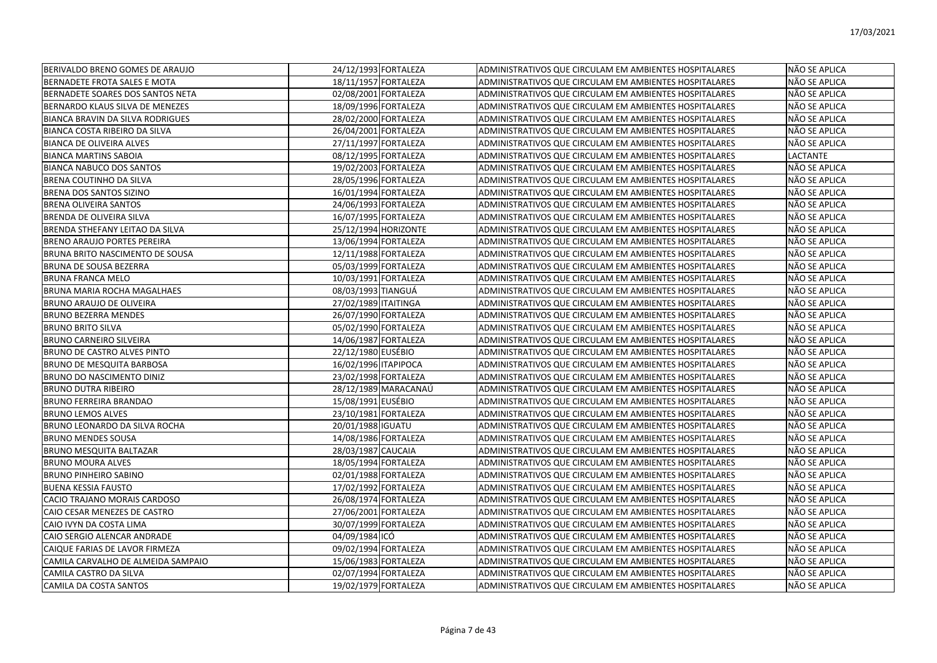| BERIVALDO BRENO GOMES DE ARAUJO        | 24/12/1993 FORTALEZA | ADMINISTRATIVOS QUE CIRCULAM EM AMBIENTES HOSPITALARES | NÃO SE APLICA |
|----------------------------------------|----------------------|--------------------------------------------------------|---------------|
| BERNADETE FROTA SALES E MOTA           | 18/11/1957 FORTALEZA | ADMINISTRATIVOS QUE CIRCULAM EM AMBIENTES HOSPITALARES | NÃO SE APLICA |
| BERNADETE SOARES DOS SANTOS NETA       | 02/08/2001 FORTALEZA | ADMINISTRATIVOS QUE CIRCULAM EM AMBIENTES HOSPITALARES | NÃO SE APLICA |
| BERNARDO KLAUS SILVA DE MENEZES        | 18/09/1996 FORTALEZA | ADMINISTRATIVOS QUE CIRCULAM EM AMBIENTES HOSPITALARES | NÃO SE APLICA |
| BIANCA BRAVIN DA SILVA RODRIGUES       | 28/02/2000 FORTALEZA | ADMINISTRATIVOS QUE CIRCULAM EM AMBIENTES HOSPITALARES | NÃO SE APLICA |
| BIANCA COSTA RIBEIRO DA SILVA          | 26/04/2001 FORTALEZA | ADMINISTRATIVOS QUE CIRCULAM EM AMBIENTES HOSPITALARES | NÃO SE APLICA |
| <b>BIANCA DE OLIVEIRA ALVES</b>        | 27/11/1997 FORTALEZA | ADMINISTRATIVOS QUE CIRCULAM EM AMBIENTES HOSPITALARES | NÃO SE APLICA |
| <b>BIANCA MARTINS SABOIA</b>           | 08/12/1995 FORTALEZA | ADMINISTRATIVOS QUE CIRCULAM EM AMBIENTES HOSPITALARES | LACTANTE      |
| <b>BIANCA NABUCO DOS SANTOS</b>        | 19/02/2003 FORTALEZA | ADMINISTRATIVOS QUE CIRCULAM EM AMBIENTES HOSPITALARES | NÃO SE APLICA |
| BRENA COUTINHO DA SILVA                | 28/05/1996 FORTALEZA | ADMINISTRATIVOS QUE CIRCULAM EM AMBIENTES HOSPITALARES | NÃO SE APLICA |
| BRENA DOS SANTOS SIZINO                | 16/01/1994 FORTALEZA | ADMINISTRATIVOS QUE CIRCULAM EM AMBIENTES HOSPITALARES | NÃO SE APLICA |
| <b>BRENA OLIVEIRA SANTOS</b>           | 24/06/1993 FORTALEZA | ADMINISTRATIVOS QUE CIRCULAM EM AMBIENTES HOSPITALARES | NÃO SE APLICA |
| BRENDA DE OLIVEIRA SILVA               | 16/07/1995 FORTALEZA | ADMINISTRATIVOS QUE CIRCULAM EM AMBIENTES HOSPITALARES | NÃO SE APLICA |
| BRENDA STHEFANY LEITAO DA SILVA        | 25/12/1994 HORIZONTE | ADMINISTRATIVOS QUE CIRCULAM EM AMBIENTES HOSPITALARES | NÃO SE APLICA |
| <b>BRENO ARAUJO PORTES PEREIRA</b>     | 13/06/1994 FORTALEZA | ADMINISTRATIVOS QUE CIRCULAM EM AMBIENTES HOSPITALARES | NÃO SE APLICA |
| <b>BRUNA BRITO NASCIMENTO DE SOUSA</b> | 12/11/1988 FORTALEZA | ADMINISTRATIVOS QUE CIRCULAM EM AMBIENTES HOSPITALARES | NÃO SE APLICA |
| <b>BRUNA DE SOUSA BEZERRA</b>          | 05/03/1999 FORTALEZA | ADMINISTRATIVOS QUE CIRCULAM EM AMBIENTES HOSPITALARES | NÃO SE APLICA |
| BRUNA FRANCA MELO                      | 10/03/1991 FORTALEZA | ADMINISTRATIVOS QUE CIRCULAM EM AMBIENTES HOSPITALARES | NÃO SE APLICA |
| <b>BRUNA MARIA ROCHA MAGALHAES</b>     | 08/03/1993 TIANGUÁ   | ADMINISTRATIVOS QUE CIRCULAM EM AMBIENTES HOSPITALARES | NÃO SE APLICA |
| <b>BRUNO ARAUJO DE OLIVEIRA</b>        | 27/02/1989 ITAITINGA | ADMINISTRATIVOS QUE CIRCULAM EM AMBIENTES HOSPITALARES | NÃO SE APLICA |
| <b>BRUNO BEZERRA MENDES</b>            | 26/07/1990 FORTALEZA | ADMINISTRATIVOS QUE CIRCULAM EM AMBIENTES HOSPITALARES | NÃO SE APLICA |
| <b>BRUNO BRITO SILVA</b>               | 05/02/1990 FORTALEZA | ADMINISTRATIVOS QUE CIRCULAM EM AMBIENTES HOSPITALARES | NÃO SE APLICA |
| <b>BRUNO CARNEIRO SILVEIRA</b>         | 14/06/1987 FORTALEZA | ADMINISTRATIVOS QUE CIRCULAM EM AMBIENTES HOSPITALARES | NÃO SE APLICA |
| <b>BRUNO DE CASTRO ALVES PINTO</b>     | 22/12/1980 EUSÉBIO   | ADMINISTRATIVOS QUE CIRCULAM EM AMBIENTES HOSPITALARES | NÃO SE APLICA |
| <b>BRUNO DE MESQUITA BARBOSA</b>       | 16/02/1996 ITAPIPOCA | ADMINISTRATIVOS QUE CIRCULAM EM AMBIENTES HOSPITALARES | NÃO SE APLICA |
| BRUNO DO NASCIMENTO DINIZ              | 23/02/1998 FORTALEZA | ADMINISTRATIVOS QUE CIRCULAM EM AMBIENTES HOSPITALARES | NÃO SE APLICA |
| <b>BRUNO DUTRA RIBEIRO</b>             | 28/12/1989 MARACANAÚ | ADMINISTRATIVOS QUE CIRCULAM EM AMBIENTES HOSPITALARES | NÃO SE APLICA |
| <b>BRUNO FERREIRA BRANDAO</b>          | 15/08/1991 EUSÉBIO   | ADMINISTRATIVOS QUE CIRCULAM EM AMBIENTES HOSPITALARES | NÃO SE APLICA |
| <b>BRUNO LEMOS ALVES</b>               | 23/10/1981 FORTALEZA | ADMINISTRATIVOS QUE CIRCULAM EM AMBIENTES HOSPITALARES | NÃO SE APLICA |
| BRUNO LEONARDO DA SILVA ROCHA          | 20/01/1988 IGUATU    | ADMINISTRATIVOS QUE CIRCULAM EM AMBIENTES HOSPITALARES | NÃO SE APLICA |
| <b>BRUNO MENDES SOUSA</b>              | 14/08/1986 FORTALEZA | ADMINISTRATIVOS QUE CIRCULAM EM AMBIENTES HOSPITALARES | NÃO SE APLICA |
| <b>BRUNO MESQUITA BALTAZAR</b>         | 28/03/1987 CAUCAIA   | ADMINISTRATIVOS QUE CIRCULAM EM AMBIENTES HOSPITALARES | NÃO SE APLICA |
| <b>BRUNO MOURA ALVES</b>               | 18/05/1994 FORTALEZA | ADMINISTRATIVOS QUE CIRCULAM EM AMBIENTES HOSPITALARES | NÃO SE APLICA |
| <b>BRUNO PINHEIRO SABINO</b>           | 02/01/1988 FORTALEZA | ADMINISTRATIVOS QUE CIRCULAM EM AMBIENTES HOSPITALARES | NÃO SE APLICA |
| <b>BUENA KESSIA FAUSTO</b>             | 17/02/1992 FORTALEZA | ADMINISTRATIVOS QUE CIRCULAM EM AMBIENTES HOSPITALARES | NÃO SE APLICA |
| CACIO TRAJANO MORAIS CARDOSO           | 26/08/1974 FORTALEZA | ADMINISTRATIVOS QUE CIRCULAM EM AMBIENTES HOSPITALARES | NÃO SE APLICA |
| CAIO CESAR MENEZES DE CASTRO           | 27/06/2001 FORTALEZA | ADMINISTRATIVOS QUE CIRCULAM EM AMBIENTES HOSPITALARES | NÃO SE APLICA |
| CAIO IVYN DA COSTA LIMA                | 30/07/1999 FORTALEZA | ADMINISTRATIVOS QUE CIRCULAM EM AMBIENTES HOSPITALARES | NÃO SE APLICA |
| CAIO SERGIO ALENCAR ANDRADE            | 04/09/1984 ICÓ       | ADMINISTRATIVOS QUE CIRCULAM EM AMBIENTES HOSPITALARES | NÃO SE APLICA |
| CAIQUE FARIAS DE LAVOR FIRMEZA         | 09/02/1994 FORTALEZA | ADMINISTRATIVOS QUE CIRCULAM EM AMBIENTES HOSPITALARES | NÃO SE APLICA |
| CAMILA CARVALHO DE ALMEIDA SAMPAIO     | 15/06/1983 FORTALEZA | ADMINISTRATIVOS QUE CIRCULAM EM AMBIENTES HOSPITALARES | NÃO SE APLICA |
| CAMILA CASTRO DA SILVA                 | 02/07/1994 FORTALEZA | ADMINISTRATIVOS QUE CIRCULAM EM AMBIENTES HOSPITALARES | NÃO SE APLICA |
| ICAMILA DA COSTA SANTOS                | 19/02/1979 FORTALEZA | ADMINISTRATIVOS QUE CIRCULAM EM AMBIENTES HOSPITALARES | NÃO SE APLICA |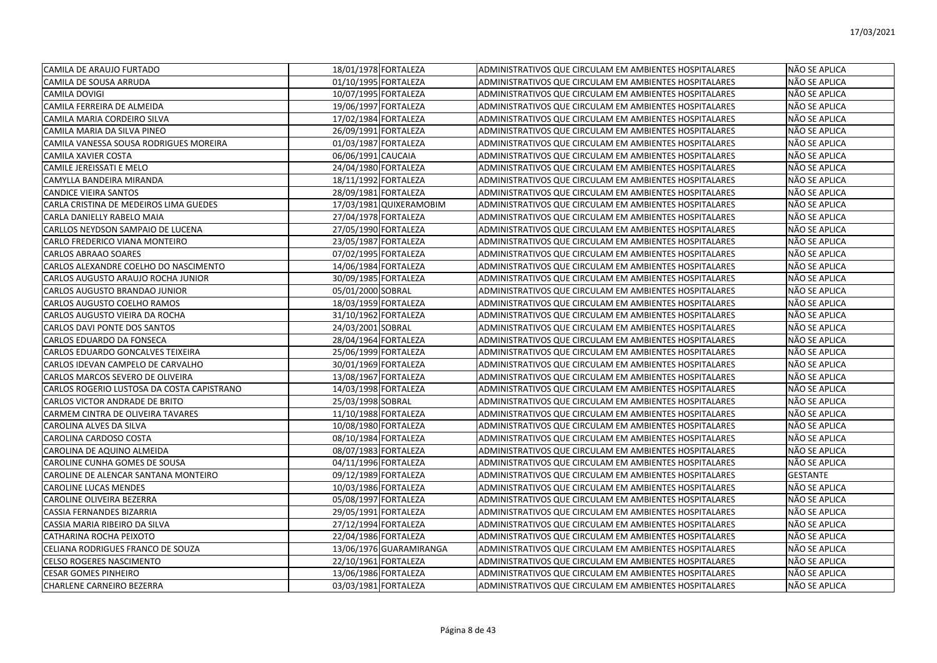| CAMILA DE ARAUJO FURTADO                   | 18/01/1978 FORTALEZA    | ADMINISTRATIVOS QUE CIRCULAM EM AMBIENTES HOSPITALARES        | NÃO SE APLICA   |
|--------------------------------------------|-------------------------|---------------------------------------------------------------|-----------------|
| CAMILA DE SOUSA ARRUDA                     | 01/10/1995 FORTALEZA    | ADMINISTRATIVOS QUE CIRCULAM EM AMBIENTES HOSPITALARES        | NÃO SE APLICA   |
| <b>CAMILA DOVIGI</b>                       | 10/07/1995 FORTALEZA    | ADMINISTRATIVOS QUE CIRCULAM EM AMBIENTES HOSPITALARES        | NÃO SE APLICA   |
| CAMILA FERREIRA DE ALMEIDA                 | 19/06/1997 FORTALEZA    | ADMINISTRATIVOS QUE CIRCULAM EM AMBIENTES HOSPITALARES        | NÃO SE APLICA   |
| CAMILA MARIA CORDEIRO SILVA                | 17/02/1984 FORTALEZA    | ADMINISTRATIVOS QUE CIRCULAM EM AMBIENTES HOSPITALARES        | NÃO SE APLICA   |
| CAMILA MARIA DA SILVA PINEO                | 26/09/1991 FORTALEZA    | ADMINISTRATIVOS QUE CIRCULAM EM AMBIENTES HOSPITALARES        | NÃO SE APLICA   |
| CAMILA VANESSA SOUSA RODRIGUES MOREIRA     | 01/03/1987 FORTALEZA    | ADMINISTRATIVOS QUE CIRCULAM EM AMBIENTES HOSPITALARES        | NÃO SE APLICA   |
| <b>CAMILA XAVIER COSTA</b>                 | 06/06/1991 CAUCAIA      | ADMINISTRATIVOS QUE CIRCULAM EM AMBIENTES HOSPITALARES        | NÃO SE APLICA   |
| CAMILE JEREISSATI E MELO                   | 24/04/1980 FORTALEZA    | ADMINISTRATIVOS QUE CIRCULAM EM AMBIENTES HOSPITALARES        | NÃO SE APLICA   |
| CAMYLLA BANDEIRA MIRANDA                   | 18/11/1992 FORTALEZA    | ADMINISTRATIVOS QUE CIRCULAM EM AMBIENTES HOSPITALARES        | NÃO SE APLICA   |
| <b>CANDICE VIEIRA SANTOS</b>               | 28/09/1981 FORTALEZA    | ADMINISTRATIVOS QUE CIRCULAM EM AMBIENTES HOSPITALARES        | NÃO SE APLICA   |
| CARLA CRISTINA DE MEDEIROS LIMA GUEDES     | 17/03/1981 QUIXERAMOBIM | <b>ADMINISTRATIVOS QUE CIRCULAM EM AMBIENTES HOSPITALARES</b> | NÃO SE APLICA   |
| CARLA DANIELLY RABELO MAIA                 | 27/04/1978 FORTALEZA    | ADMINISTRATIVOS QUE CIRCULAM EM AMBIENTES HOSPITALARES        | NÃO SE APLICA   |
| CARLLOS NEYDSON SAMPAIO DE LUCENA          | 27/05/1990 FORTALEZA    | ADMINISTRATIVOS QUE CIRCULAM EM AMBIENTES HOSPITALARES        | NÃO SE APLICA   |
| CARLO FREDERICO VIANA MONTEIRO             | 23/05/1987 FORTALEZA    | ADMINISTRATIVOS QUE CIRCULAM EM AMBIENTES HOSPITALARES        | NÃO SE APLICA   |
| <b>CARLOS ABRAAO SOARES</b>                | 07/02/1995 FORTALEZA    | ADMINISTRATIVOS QUE CIRCULAM EM AMBIENTES HOSPITALARES        | NÃO SE APLICA   |
| CARLOS ALEXANDRE COELHO DO NASCIMENTO      | 14/06/1984 FORTALEZA    | ADMINISTRATIVOS QUE CIRCULAM EM AMBIENTES HOSPITALARES        | NÃO SE APLICA   |
| CARLOS AUGUSTO ARAUJO ROCHA JUNIOR         | 30/09/1985 FORTALEZA    | ADMINISTRATIVOS QUE CIRCULAM EM AMBIENTES HOSPITALARES        | NÃO SE APLICA   |
| CARLOS AUGUSTO BRANDAO JUNIOR              | 05/01/2000 SOBRAL       | ADMINISTRATIVOS QUE CIRCULAM EM AMBIENTES HOSPITALARES        | NÃO SE APLICA   |
| CARLOS AUGUSTO COELHO RAMOS                | 18/03/1959 FORTALEZA    | ADMINISTRATIVOS QUE CIRCULAM EM AMBIENTES HOSPITALARES        | NÃO SE APLICA   |
| CARLOS AUGUSTO VIEIRA DA ROCHA             | 31/10/1962 FORTALEZA    | ADMINISTRATIVOS QUE CIRCULAM EM AMBIENTES HOSPITALARES        | NÃO SE APLICA   |
| CARLOS DAVI PONTE DOS SANTOS               | 24/03/2001 SOBRAL       | ADMINISTRATIVOS QUE CIRCULAM EM AMBIENTES HOSPITALARES        | NÃO SE APLICA   |
| CARLOS EDUARDO DA FONSECA                  | 28/04/1964 FORTALEZA    | ADMINISTRATIVOS QUE CIRCULAM EM AMBIENTES HOSPITALARES        | NÃO SE APLICA   |
| CARLOS EDUARDO GONCALVES TEIXEIRA          | 25/06/1999 FORTALEZA    | ADMINISTRATIVOS QUE CIRCULAM EM AMBIENTES HOSPITALARES        | NÃO SE APLICA   |
| CARLOS IDEVAN CAMPELO DE CARVALHO          | 30/01/1969 FORTALEZA    | ADMINISTRATIVOS QUE CIRCULAM EM AMBIENTES HOSPITALARES        | NÃO SE APLICA   |
| CARLOS MARCOS SEVERO DE OLIVEIRA           | 13/08/1967 FORTALEZA    | ADMINISTRATIVOS QUE CIRCULAM EM AMBIENTES HOSPITALARES        | NÃO SE APLICA   |
| CARLOS ROGERIO LUSTOSA DA COSTA CAPISTRANO | 14/03/1998 FORTALEZA    | ADMINISTRATIVOS QUE CIRCULAM EM AMBIENTES HOSPITALARES        | NÃO SE APLICA   |
| CARLOS VICTOR ANDRADE DE BRITO             | 25/03/1998 SOBRAL       | ADMINISTRATIVOS QUE CIRCULAM EM AMBIENTES HOSPITALARES        | NÃO SE APLICA   |
| CARMEM CINTRA DE OLIVEIRA TAVARES          | 11/10/1988 FORTALEZA    | ADMINISTRATIVOS QUE CIRCULAM EM AMBIENTES HOSPITALARES        | NÃO SE APLICA   |
| CAROLINA ALVES DA SILVA                    | 10/08/1980 FORTALEZA    | ADMINISTRATIVOS QUE CIRCULAM EM AMBIENTES HOSPITALARES        | NÃO SE APLICA   |
| <b>CAROLINA CARDOSO COSTA</b>              | 08/10/1984 FORTALEZA    | ADMINISTRATIVOS QUE CIRCULAM EM AMBIENTES HOSPITALARES        | NÃO SE APLICA   |
| CAROLINA DE AQUINO ALMEIDA                 | 08/07/1983 FORTALEZA    | ADMINISTRATIVOS QUE CIRCULAM EM AMBIENTES HOSPITALARES        | NÃO SE APLICA   |
| CAROLINE CUNHA GOMES DE SOUSA              | 04/11/1996 FORTALEZA    | ADMINISTRATIVOS QUE CIRCULAM EM AMBIENTES HOSPITALARES        | NÃO SE APLICA   |
| CAROLINE DE ALENCAR SANTANA MONTEIRO       | 09/12/1989 FORTALEZA    | ADMINISTRATIVOS QUE CIRCULAM EM AMBIENTES HOSPITALARES        | <b>GESTANTE</b> |
| <b>CAROLINE LUCAS MENDES</b>               | 10/03/1986 FORTALEZA    | <b>ADMINISTRATIVOS QUE CIRCULAM EM AMBIENTES HOSPITALARES</b> | NÃO SE APLICA   |
| CAROLINE OLIVEIRA BEZERRA                  | 05/08/1997 FORTALEZA    | ADMINISTRATIVOS QUE CIRCULAM EM AMBIENTES HOSPITALARES        | NÃO SE APLICA   |
| CASSIA FERNANDES BIZARRIA                  | 29/05/1991 FORTALEZA    | ADMINISTRATIVOS QUE CIRCULAM EM AMBIENTES HOSPITALARES        | NÃO SE APLICA   |
| CASSIA MARIA RIBEIRO DA SILVA              | 27/12/1994 FORTALEZA    | ADMINISTRATIVOS QUE CIRCULAM EM AMBIENTES HOSPITALARES        | NÃO SE APLICA   |
| CATHARINA ROCHA PEIXOTO                    | 22/04/1986 FORTALEZA    | ADMINISTRATIVOS QUE CIRCULAM EM AMBIENTES HOSPITALARES        | NÃO SE APLICA   |
| CELIANA RODRIGUES FRANCO DE SOUZA          | 13/06/1976 GUARAMIRANGA | ADMINISTRATIVOS QUE CIRCULAM EM AMBIENTES HOSPITALARES        | NÃO SE APLICA   |
| <b>CELSO ROGERES NASCIMENTO</b>            | 22/10/1961 FORTALEZA    | ADMINISTRATIVOS QUE CIRCULAM EM AMBIENTES HOSPITALARES        | NÃO SE APLICA   |
| <b>CESAR GOMES PINHEIRO</b>                | 13/06/1986 FORTALEZA    | ADMINISTRATIVOS QUE CIRCULAM EM AMBIENTES HOSPITALARES        | NÃO SE APLICA   |
| CHARLENE CARNEIRO BEZERRA                  | 03/03/1981 FORTALEZA    | ADMINISTRATIVOS QUE CIRCULAM EM AMBIENTES HOSPITALARES        | NÃO SE APLICA   |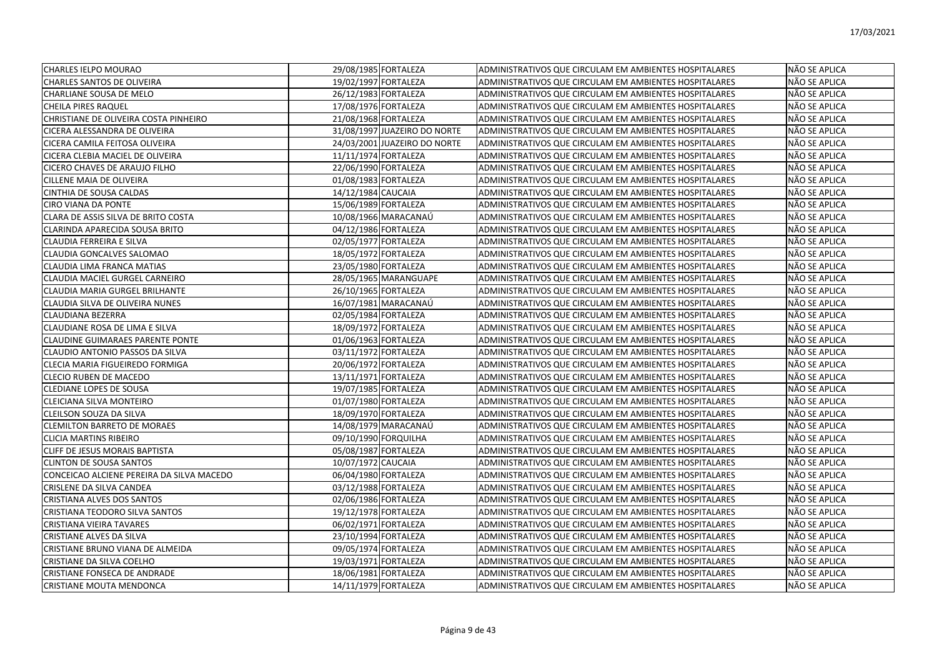| <b>CHARLES IELPO MOURAO</b>               | 29/08/1985 FORTALEZA         | ADMINISTRATIVOS QUE CIRCULAM EM AMBIENTES HOSPITALARES | NÃO SE APLICA |
|-------------------------------------------|------------------------------|--------------------------------------------------------|---------------|
| <b>CHARLES SANTOS DE OLIVEIRA</b>         | 19/02/1997 FORTALEZA         | ADMINISTRATIVOS QUE CIRCULAM EM AMBIENTES HOSPITALARES | NÃO SE APLICA |
| <b>CHARLIANE SOUSA DE MELO</b>            | 26/12/1983 FORTALEZA         | ADMINISTRATIVOS QUE CIRCULAM EM AMBIENTES HOSPITALARES | NÃO SE APLICA |
| <b>CHEILA PIRES RAQUEL</b>                | 17/08/1976 FORTALEZA         | ADMINISTRATIVOS QUE CIRCULAM EM AMBIENTES HOSPITALARES | NÃO SE APLICA |
| CHRISTIANE DE OLIVEIRA COSTA PINHEIRO     | 21/08/1968 FORTALEZA         | ADMINISTRATIVOS QUE CIRCULAM EM AMBIENTES HOSPITALARES | NÃO SE APLICA |
| CICERA ALESSANDRA DE OLIVEIRA             | 31/08/1997 JUAZEIRO DO NORTE | ADMINISTRATIVOS QUE CIRCULAM EM AMBIENTES HOSPITALARES | NÃO SE APLICA |
| CICERA CAMILA FEITOSA OLIVEIRA            | 24/03/2001 JUAZEIRO DO NORTE | ADMINISTRATIVOS QUE CIRCULAM EM AMBIENTES HOSPITALARES | NÃO SE APLICA |
| CICERA CLEBIA MACIEL DE OLIVEIRA          | 11/11/1974 FORTALEZA         | ADMINISTRATIVOS QUE CIRCULAM EM AMBIENTES HOSPITALARES | NÃO SE APLICA |
| CICERO CHAVES DE ARAUJO FILHO             | 22/06/1990 FORTALEZA         | ADMINISTRATIVOS QUE CIRCULAM EM AMBIENTES HOSPITALARES | NÃO SE APLICA |
| <b>CILLENE MAIA DE OLIVEIRA</b>           | 01/08/1983 FORTALEZA         | ADMINISTRATIVOS QUE CIRCULAM EM AMBIENTES HOSPITALARES | NÃO SE APLICA |
| CINTHIA DE SOUSA CALDAS                   | 14/12/1984 CAUCAIA           | ADMINISTRATIVOS QUE CIRCULAM EM AMBIENTES HOSPITALARES | NÃO SE APLICA |
| <b>CIRO VIANA DA PONTE</b>                | 15/06/1989 FORTALEZA         | ADMINISTRATIVOS QUE CIRCULAM EM AMBIENTES HOSPITALARES | NÃO SE APLICA |
| CLARA DE ASSIS SILVA DE BRITO COSTA       | 10/08/1966 MARACANAÚ         | ADMINISTRATIVOS QUE CIRCULAM EM AMBIENTES HOSPITALARES | NÃO SE APLICA |
| CLARINDA APARECIDA SOUSA BRITO            | 04/12/1986 FORTALEZA         | ADMINISTRATIVOS QUE CIRCULAM EM AMBIENTES HOSPITALARES | NÃO SE APLICA |
| CLAUDIA FERREIRA E SILVA                  | 02/05/1977 FORTALEZA         | ADMINISTRATIVOS QUE CIRCULAM EM AMBIENTES HOSPITALARES | NÃO SE APLICA |
| CLAUDIA GONCALVES SALOMAO                 | 18/05/1972 FORTALEZA         | ADMINISTRATIVOS QUE CIRCULAM EM AMBIENTES HOSPITALARES | NÃO SE APLICA |
| CLAUDIA LIMA FRANCA MATIAS                | 23/05/1980 FORTALEZA         | ADMINISTRATIVOS QUE CIRCULAM EM AMBIENTES HOSPITALARES | NÃO SE APLICA |
| CLAUDIA MACIEL GURGEL CARNEIRO            | 28/05/1965 MARANGUAPE        | ADMINISTRATIVOS QUE CIRCULAM EM AMBIENTES HOSPITALARES | NÃO SE APLICA |
| CLAUDIA MARIA GURGEL BRILHANTE            | 26/10/1965 FORTALEZA         | ADMINISTRATIVOS QUE CIRCULAM EM AMBIENTES HOSPITALARES | NÃO SE APLICA |
| CLAUDIA SILVA DE OLIVEIRA NUNES           | 16/07/1981 MARACANAÚ         | ADMINISTRATIVOS QUE CIRCULAM EM AMBIENTES HOSPITALARES | NÃO SE APLICA |
| <b>CLAUDIANA BEZERRA</b>                  | 02/05/1984 FORTALEZA         | ADMINISTRATIVOS QUE CIRCULAM EM AMBIENTES HOSPITALARES | NÃO SE APLICA |
| CLAUDIANE ROSA DE LIMA E SILVA            | 18/09/1972 FORTALEZA         | ADMINISTRATIVOS QUE CIRCULAM EM AMBIENTES HOSPITALARES | NÃO SE APLICA |
| <b>CLAUDINE GUIMARAES PARENTE PONTE</b>   | 01/06/1963 FORTALEZA         | ADMINISTRATIVOS QUE CIRCULAM EM AMBIENTES HOSPITALARES | NÃO SE APLICA |
| CLAUDIO ANTONIO PASSOS DA SILVA           | 03/11/1972 FORTALEZA         | ADMINISTRATIVOS QUE CIRCULAM EM AMBIENTES HOSPITALARES | NÃO SE APLICA |
| CLECIA MARIA FIGUEIREDO FORMIGA           | 20/06/1972 FORTALEZA         | ADMINISTRATIVOS QUE CIRCULAM EM AMBIENTES HOSPITALARES | NÃO SE APLICA |
| <b>CLECIO RUBEN DE MACEDO</b>             | 13/11/1971 FORTALEZA         | ADMINISTRATIVOS QUE CIRCULAM EM AMBIENTES HOSPITALARES | NÃO SE APLICA |
| <b>CLEDIANE LOPES DE SOUSA</b>            | 19/07/1985 FORTALEZA         | ADMINISTRATIVOS QUE CIRCULAM EM AMBIENTES HOSPITALARES | NÃO SE APLICA |
| CLEICIANA SILVA MONTEIRO                  | 01/07/1980 FORTALEZA         | ADMINISTRATIVOS QUE CIRCULAM EM AMBIENTES HOSPITALARES | NÃO SE APLICA |
| CLEILSON SOUZA DA SILVA                   | 18/09/1970 FORTALEZA         | ADMINISTRATIVOS QUE CIRCULAM EM AMBIENTES HOSPITALARES | NÃO SE APLICA |
| <b>CLEMILTON BARRETO DE MORAES</b>        | 14/08/1979 MARACANAÚ         | ADMINISTRATIVOS QUE CIRCULAM EM AMBIENTES HOSPITALARES | NÃO SE APLICA |
| <b>CLICIA MARTINS RIBEIRO</b>             | 09/10/1990 FORQUILHA         | ADMINISTRATIVOS QUE CIRCULAM EM AMBIENTES HOSPITALARES | NÃO SE APLICA |
| CLIFF DE JESUS MORAIS BAPTISTA            | 05/08/1987 FORTALEZA         | ADMINISTRATIVOS QUE CIRCULAM EM AMBIENTES HOSPITALARES | NÃO SE APLICA |
| <b>CLINTON DE SOUSA SANTOS</b>            | 10/07/1972 CAUCAIA           | ADMINISTRATIVOS QUE CIRCULAM EM AMBIENTES HOSPITALARES | NÃO SE APLICA |
| CONCEICAO ALCIENE PEREIRA DA SILVA MACEDO | 06/04/1980 FORTALEZA         | ADMINISTRATIVOS QUE CIRCULAM EM AMBIENTES HOSPITALARES | NÃO SE APLICA |
| CRISLENE DA SILVA CANDEA                  | 03/12/1988 FORTALEZA         | ADMINISTRATIVOS QUE CIRCULAM EM AMBIENTES HOSPITALARES | NÃO SE APLICA |
| CRISTIANA ALVES DOS SANTOS                | 02/06/1986 FORTALEZA         | ADMINISTRATIVOS QUE CIRCULAM EM AMBIENTES HOSPITALARES | NÃO SE APLICA |
| CRISTIANA TEODORO SILVA SANTOS            | 19/12/1978 FORTALEZA         | ADMINISTRATIVOS QUE CIRCULAM EM AMBIENTES HOSPITALARES | NÃO SE APLICA |
| CRISTIANA VIEIRA TAVARES                  | 06/02/1971 FORTALEZA         | ADMINISTRATIVOS QUE CIRCULAM EM AMBIENTES HOSPITALARES | NÃO SE APLICA |
| CRISTIANE ALVES DA SILVA                  | 23/10/1994 FORTALEZA         | ADMINISTRATIVOS QUE CIRCULAM EM AMBIENTES HOSPITALARES | NÃO SE APLICA |
| CRISTIANE BRUNO VIANA DE ALMEIDA          | 09/05/1974 FORTALEZA         | ADMINISTRATIVOS QUE CIRCULAM EM AMBIENTES HOSPITALARES | NÃO SE APLICA |
| <b>CRISTIANE DA SILVA COELHO</b>          | 19/03/1971 FORTALEZA         | ADMINISTRATIVOS QUE CIRCULAM EM AMBIENTES HOSPITALARES | NÃO SE APLICA |
| <b>CRISTIANE FONSECA DE ANDRADE</b>       | 18/06/1981 FORTALEZA         | ADMINISTRATIVOS QUE CIRCULAM EM AMBIENTES HOSPITALARES | NÃO SE APLICA |
| <b>CRISTIANE MOUTA MENDONCA</b>           | 14/11/1979 FORTALEZA         | ADMINISTRATIVOS QUE CIRCULAM EM AMBIENTES HOSPITALARES | NÃO SE APLICA |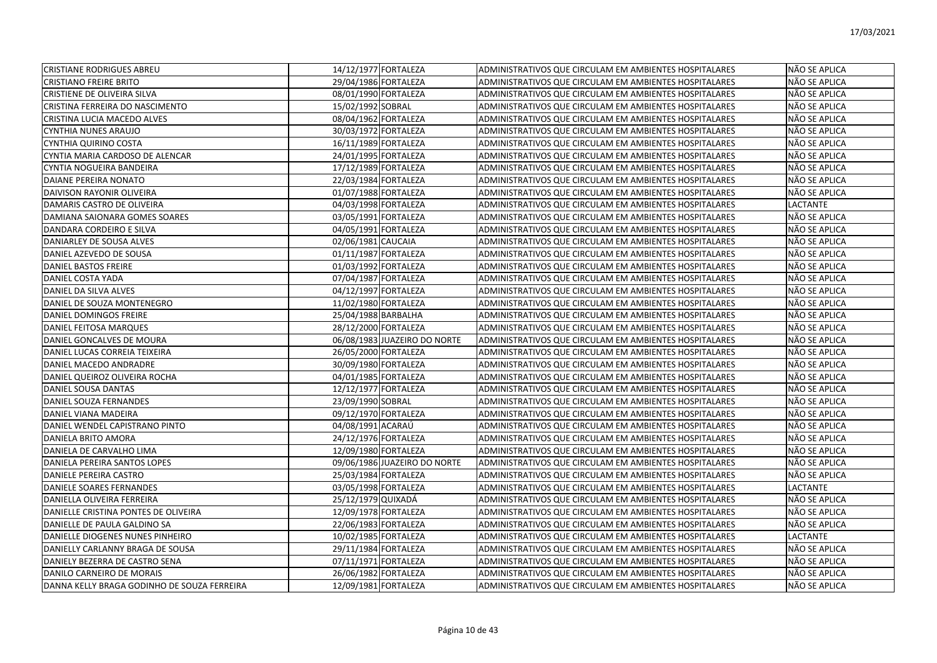| <b>CRISTIANE RODRIGUES ABREU</b>            |                      | 14/12/1977 FORTALEZA         | ADMINISTRATIVOS QUE CIRCULAM EM AMBIENTES HOSPITALARES | NÃO SE APLICA   |
|---------------------------------------------|----------------------|------------------------------|--------------------------------------------------------|-----------------|
| <b>CRISTIANO FREIRE BRITO</b>               |                      | 29/04/1986 FORTALEZA         | ADMINISTRATIVOS QUE CIRCULAM EM AMBIENTES HOSPITALARES | NÃO SE APLICA   |
| <b>CRISTIENE DE OLIVEIRA SILVA</b>          |                      | 08/01/1990 FORTALEZA         | ADMINISTRATIVOS QUE CIRCULAM EM AMBIENTES HOSPITALARES | NÃO SE APLICA   |
| CRISTINA FERREIRA DO NASCIMENTO             | 15/02/1992 SOBRAL    |                              | ADMINISTRATIVOS QUE CIRCULAM EM AMBIENTES HOSPITALARES | NÃO SE APLICA   |
| CRISTINA LUCIA MACEDO ALVES                 |                      | 08/04/1962 FORTALEZA         | ADMINISTRATIVOS QUE CIRCULAM EM AMBIENTES HOSPITALARES | NÃO SE APLICA   |
| CYNTHIA NUNES ARAUJO                        |                      | 30/03/1972 FORTALEZA         | ADMINISTRATIVOS QUE CIRCULAM EM AMBIENTES HOSPITALARES | NÃO SE APLICA   |
| CYNTHIA QUIRINO COSTA                       |                      | 16/11/1989 FORTALEZA         | ADMINISTRATIVOS QUE CIRCULAM EM AMBIENTES HOSPITALARES | NÃO SE APLICA   |
| CYNTIA MARIA CARDOSO DE ALENCAR             |                      | 24/01/1995 FORTALEZA         | ADMINISTRATIVOS QUE CIRCULAM EM AMBIENTES HOSPITALARES | NÃO SE APLICA   |
| CYNTIA NOGUEIRA BANDEIRA                    |                      | 17/12/1989 FORTALEZA         | ADMINISTRATIVOS QUE CIRCULAM EM AMBIENTES HOSPITALARES | NÃO SE APLICA   |
| DAIANE PEREIRA NONATO                       |                      | 22/03/1984 FORTALEZA         | ADMINISTRATIVOS QUE CIRCULAM EM AMBIENTES HOSPITALARES | NÃO SE APLICA   |
| DAIVISON RAYONIR OLIVEIRA                   | 01/07/1988 FORTALEZA |                              | ADMINISTRATIVOS QUE CIRCULAM EM AMBIENTES HOSPITALARES | NÃO SE APLICA   |
| DAMARIS CASTRO DE OLIVEIRA                  |                      | 04/03/1998 FORTALEZA         | ADMINISTRATIVOS QUE CIRCULAM EM AMBIENTES HOSPITALARES | <b>LACTANTE</b> |
| DAMIANA SAIONARA GOMES SOARES               | 03/05/1991 FORTALEZA |                              | ADMINISTRATIVOS QUE CIRCULAM EM AMBIENTES HOSPITALARES | NÃO SE APLICA   |
| DANDARA CORDEIRO E SILVA                    |                      | 04/05/1991 FORTALEZA         | ADMINISTRATIVOS QUE CIRCULAM EM AMBIENTES HOSPITALARES | NÃO SE APLICA   |
| DANIARLEY DE SOUSA ALVES                    | 02/06/1981 CAUCAIA   |                              | ADMINISTRATIVOS QUE CIRCULAM EM AMBIENTES HOSPITALARES | NÃO SE APLICA   |
| DANIEL AZEVEDO DE SOUSA                     |                      | 01/11/1987 FORTALEZA         | ADMINISTRATIVOS QUE CIRCULAM EM AMBIENTES HOSPITALARES | NÃO SE APLICA   |
| <b>DANIEL BASTOS FREIRE</b>                 |                      | 01/03/1992 FORTALEZA         | ADMINISTRATIVOS QUE CIRCULAM EM AMBIENTES HOSPITALARES | NÃO SE APLICA   |
| DANIEL COSTA YADA                           |                      | 07/04/1987 FORTALEZA         | ADMINISTRATIVOS QUE CIRCULAM EM AMBIENTES HOSPITALARES | NÃO SE APLICA   |
| DANIEL DA SILVA ALVES                       |                      | 04/12/1997 FORTALEZA         | ADMINISTRATIVOS QUE CIRCULAM EM AMBIENTES HOSPITALARES | NÃO SE APLICA   |
| DANIEL DE SOUZA MONTENEGRO                  |                      | 11/02/1980 FORTALEZA         | ADMINISTRATIVOS QUE CIRCULAM EM AMBIENTES HOSPITALARES | NÃO SE APLICA   |
| DANIEL DOMINGOS FREIRE                      | 25/04/1988 BARBALHA  |                              | ADMINISTRATIVOS QUE CIRCULAM EM AMBIENTES HOSPITALARES | NÃO SE APLICA   |
| DANIEL FEITOSA MARQUES                      |                      | 28/12/2000 FORTALEZA         | ADMINISTRATIVOS QUE CIRCULAM EM AMBIENTES HOSPITALARES | NÃO SE APLICA   |
| DANIEL GONCALVES DE MOURA                   |                      | 06/08/1983 JUAZEIRO DO NORTE | ADMINISTRATIVOS QUE CIRCULAM EM AMBIENTES HOSPITALARES | NÃO SE APLICA   |
| DANIEL LUCAS CORREIA TEIXEIRA               |                      | 26/05/2000 FORTALEZA         | ADMINISTRATIVOS QUE CIRCULAM EM AMBIENTES HOSPITALARES | NÃO SE APLICA   |
| DANIEL MACEDO ANDRADRE                      |                      | 30/09/1980 FORTALEZA         | ADMINISTRATIVOS QUE CIRCULAM EM AMBIENTES HOSPITALARES | NÃO SE APLICA   |
| DANIEL QUEIROZ OLIVEIRA ROCHA               |                      | 04/01/1985 FORTALEZA         | ADMINISTRATIVOS QUE CIRCULAM EM AMBIENTES HOSPITALARES | NÃO SE APLICA   |
| <b>DANIEL SOUSA DANTAS</b>                  |                      | 12/12/1977 FORTALEZA         | ADMINISTRATIVOS QUE CIRCULAM EM AMBIENTES HOSPITALARES | NÃO SE APLICA   |
| DANIEL SOUZA FERNANDES                      | 23/09/1990 SOBRAL    |                              | ADMINISTRATIVOS QUE CIRCULAM EM AMBIENTES HOSPITALARES | NÃO SE APLICA   |
| DANIEL VIANA MADEIRA                        |                      | 09/12/1970 FORTALEZA         | ADMINISTRATIVOS QUE CIRCULAM EM AMBIENTES HOSPITALARES | NÃO SE APLICA   |
| DANIEL WENDEL CAPISTRANO PINTO              | 04/08/1991 ACARAÚ    |                              | ADMINISTRATIVOS QUE CIRCULAM EM AMBIENTES HOSPITALARES | NÃO SE APLICA   |
| DANIELA BRITO AMORA                         |                      | 24/12/1976 FORTALEZA         | ADMINISTRATIVOS QUE CIRCULAM EM AMBIENTES HOSPITALARES | NÃO SE APLICA   |
| DANIELA DE CARVALHO LIMA                    |                      | 12/09/1980 FORTALEZA         | ADMINISTRATIVOS QUE CIRCULAM EM AMBIENTES HOSPITALARES | NÃO SE APLICA   |
| DANIELA PEREIRA SANTOS LOPES                |                      | 09/06/1986 JUAZEIRO DO NORTE | ADMINISTRATIVOS QUE CIRCULAM EM AMBIENTES HOSPITALARES | NÃO SE APLICA   |
| DANIELE PEREIRA CASTRO                      |                      | 25/03/1984 FORTALEZA         | ADMINISTRATIVOS QUE CIRCULAM EM AMBIENTES HOSPITALARES | NÃO SE APLICA   |
| DANIELE SOARES FERNANDES                    |                      | 03/05/1998 FORTALEZA         | ADMINISTRATIVOS QUE CIRCULAM EM AMBIENTES HOSPITALARES | <b>LACTANTE</b> |
| DANIELLA OLIVEIRA FERREIRA                  | 25/12/1979 QUIXADÁ   |                              | ADMINISTRATIVOS QUE CIRCULAM EM AMBIENTES HOSPITALARES | NÃO SE APLICA   |
| DANIELLE CRISTINA PONTES DE OLIVEIRA        |                      | 12/09/1978 FORTALEZA         | ADMINISTRATIVOS QUE CIRCULAM EM AMBIENTES HOSPITALARES | NÃO SE APLICA   |
| DANIELLE DE PAULA GALDINO SA                |                      | 22/06/1983 FORTALEZA         | ADMINISTRATIVOS QUE CIRCULAM EM AMBIENTES HOSPITALARES | NÃO SE APLICA   |
| DANIELLE DIOGENES NUNES PINHEIRO            |                      | 10/02/1985 FORTALEZA         | ADMINISTRATIVOS QUE CIRCULAM EM AMBIENTES HOSPITALARES | LACTANTE        |
| DANIELLY CARLANNY BRAGA DE SOUSA            |                      | 29/11/1984 FORTALEZA         | ADMINISTRATIVOS QUE CIRCULAM EM AMBIENTES HOSPITALARES | NÃO SE APLICA   |
| DANIELY BEZERRA DE CASTRO SENA              |                      | 07/11/1971 FORTALEZA         | ADMINISTRATIVOS QUE CIRCULAM EM AMBIENTES HOSPITALARES | NÃO SE APLICA   |
| DANILO CARNEIRO DE MORAIS                   |                      | 26/06/1982 FORTALEZA         | ADMINISTRATIVOS QUE CIRCULAM EM AMBIENTES HOSPITALARES | NÃO SE APLICA   |
| DANNA KELLY BRAGA GODINHO DE SOUZA FERREIRA |                      | 12/09/1981 FORTALEZA         | ADMINISTRATIVOS QUE CIRCULAM EM AMBIENTES HOSPITALARES | NÃO SE APLICA   |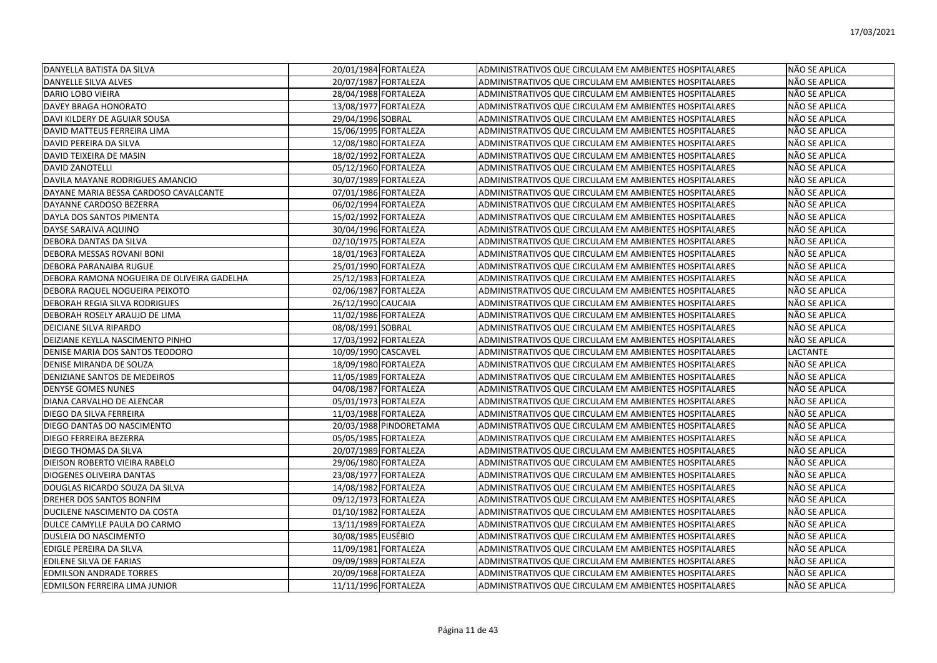| DANYELLA BATISTA DA SILVA                  | 20/01/1984 FORTALEZA   | ADMINISTRATIVOS QUE CIRCULAM EM AMBIENTES HOSPITALARES | NÃO SE APLICA        |
|--------------------------------------------|------------------------|--------------------------------------------------------|----------------------|
| DANYELLE SILVA ALVES                       | 20/07/1987 FORTALEZA   | ADMINISTRATIVOS QUE CIRCULAM EM AMBIENTES HOSPITALARES | NÃO SE APLICA        |
| IDARIO LOBO VIEIRA                         | 28/04/1988 FORTALEZA   | ADMINISTRATIVOS QUE CIRCULAM EM AMBIENTES HOSPITALARES | NÃO SE APLICA        |
| <b>DAVEY BRAGA HONORATO</b>                | 13/08/1977 FORTALEZA   | ADMINISTRATIVOS QUE CIRCULAM EM AMBIENTES HOSPITALARES | NÃO SE APLICA        |
| DAVI KILDERY DE AGUIAR SOUSA               | 29/04/1996 SOBRAL      | ADMINISTRATIVOS QUE CIRCULAM EM AMBIENTES HOSPITALARES | NÃO SE APLICA        |
| DAVID MATTEUS FERREIRA LIMA                | 15/06/1995 FORTALEZA   | ADMINISTRATIVOS QUE CIRCULAM EM AMBIENTES HOSPITALARES | NÃO SE APLICA        |
| DAVID PEREIRA DA SILVA                     | 12/08/1980 FORTALEZA   | ADMINISTRATIVOS QUE CIRCULAM EM AMBIENTES HOSPITALARES | NÃO SE APLICA        |
| DAVID TEIXEIRA DE MASIN                    | 18/02/1992 FORTALEZA   | ADMINISTRATIVOS QUE CIRCULAM EM AMBIENTES HOSPITALARES | NÃO SE APLICA        |
| <b>DAVID ZANOTELLI</b>                     | 05/12/1960 FORTALEZA   | ADMINISTRATIVOS QUE CIRCULAM EM AMBIENTES HOSPITALARES | NÃO SE APLICA        |
| DAVILA MAYANE RODRIGUES AMANCIO            | 30/07/1989 FORTALEZA   | ADMINISTRATIVOS QUE CIRCULAM EM AMBIENTES HOSPITALARES | NÃO SE APLICA        |
| DAYANE MARIA BESSA CARDOSO CAVALCANTE      | 07/01/1986 FORTALEZA   | ADMINISTRATIVOS QUE CIRCULAM EM AMBIENTES HOSPITALARES | NÃO SE APLICA        |
| DAYANNE CARDOSO BEZERRA                    | 06/02/1994 FORTALEZA   | ADMINISTRATIVOS QUE CIRCULAM EM AMBIENTES HOSPITALARES | NÃO SE APLICA        |
| DAYLA DOS SANTOS PIMENTA                   | 15/02/1992 FORTALEZA   | ADMINISTRATIVOS QUE CIRCULAM EM AMBIENTES HOSPITALARES | NÃO SE APLICA        |
| DAYSE SARAIVA AQUINO                       | 30/04/1996 FORTALEZA   | ADMINISTRATIVOS QUE CIRCULAM EM AMBIENTES HOSPITALARES | NÃO SE APLICA        |
| DEBORA DANTAS DA SILVA                     | 02/10/1975 FORTALEZA   | ADMINISTRATIVOS QUE CIRCULAM EM AMBIENTES HOSPITALARES | NÃO SE APLICA        |
| DEBORA MESSAS ROVANI BONI                  | 18/01/1963 FORTALEZA   | ADMINISTRATIVOS QUE CIRCULAM EM AMBIENTES HOSPITALARES | NÃO SE APLICA        |
| <b>DEBORA PARANAIBA RUGUE</b>              | 25/01/1990 FORTALEZA   | ADMINISTRATIVOS QUE CIRCULAM EM AMBIENTES HOSPITALARES | NÃO SE APLICA        |
| DEBORA RAMONA NOGUEIRA DE OLIVEIRA GADELHA | 25/12/1983 FORTALEZA   | ADMINISTRATIVOS QUE CIRCULAM EM AMBIENTES HOSPITALARES | NÃO SE APLICA        |
| IDEBORA RAQUEL NOGUEIRA PEIXOTO            | 02/06/1987 FORTALEZA   | ADMINISTRATIVOS QUE CIRCULAM EM AMBIENTES HOSPITALARES | <b>NÃO SE APLICA</b> |
| DEBORAH REGIA SILVA RODRIGUES              | 26/12/1990 CAUCAIA     | ADMINISTRATIVOS QUE CIRCULAM EM AMBIENTES HOSPITALARES | NÃO SE APLICA        |
| DEBORAH ROSELY ARAUJO DE LIMA              | 11/02/1986 FORTALEZA   | ADMINISTRATIVOS QUE CIRCULAM EM AMBIENTES HOSPITALARES | NÃO SE APLICA        |
| <b>DEICIANE SILVA RIPARDO</b>              | 08/08/1991 SOBRAL      | ADMINISTRATIVOS QUE CIRCULAM EM AMBIENTES HOSPITALARES | <b>NÃO SE APLICA</b> |
| DEIZIANE KEYLLA NASCIMENTO PINHO           | 17/03/1992 FORTALEZA   | ADMINISTRATIVOS QUE CIRCULAM EM AMBIENTES HOSPITALARES | NÃO SE APLICA        |
| DENISE MARIA DOS SANTOS TEODORO            | 10/09/1990 CASCAVEL    | ADMINISTRATIVOS QUE CIRCULAM EM AMBIENTES HOSPITALARES | <b>LACTANTE</b>      |
| DENISE MIRANDA DE SOUZA                    | 18/09/1980 FORTALEZA   | ADMINISTRATIVOS QUE CIRCULAM EM AMBIENTES HOSPITALARES | NÃO SE APLICA        |
| DENIZIANE SANTOS DE MEDEIROS               | 11/05/1989 FORTALEZA   | ADMINISTRATIVOS QUE CIRCULAM EM AMBIENTES HOSPITALARES | NÃO SE APLICA        |
| <b>DENYSE GOMES NUNES</b>                  | 04/08/1987 FORTALEZA   | ADMINISTRATIVOS QUE CIRCULAM EM AMBIENTES HOSPITALARES | NÃO SE APLICA        |
| DIANA CARVALHO DE ALENCAR                  | 05/01/1973 FORTALEZA   | ADMINISTRATIVOS QUE CIRCULAM EM AMBIENTES HOSPITALARES | NÃO SE APLICA        |
| DIEGO DA SILVA FERREIRA                    | 11/03/1988 FORTALEZA   | ADMINISTRATIVOS QUE CIRCULAM EM AMBIENTES HOSPITALARES | NÃO SE APLICA        |
| DIEGO DANTAS DO NASCIMENTO                 | 20/03/1988 PINDORETAMA | ADMINISTRATIVOS QUE CIRCULAM EM AMBIENTES HOSPITALARES | NÃO SE APLICA        |
| DIEGO FERREIRA BEZERRA                     | 05/05/1985 FORTALEZA   | ADMINISTRATIVOS QUE CIRCULAM EM AMBIENTES HOSPITALARES | NÃO SE APLICA        |
| DIEGO THOMAS DA SILVA                      | 20/07/1989 FORTALEZA   | ADMINISTRATIVOS QUE CIRCULAM EM AMBIENTES HOSPITALARES | NÃO SE APLICA        |
| DIEISON ROBERTO VIEIRA RABELO              | 29/06/1980 FORTALEZA   | ADMINISTRATIVOS QUE CIRCULAM EM AMBIENTES HOSPITALARES | NÃO SE APLICA        |
| <b>DIOGENES OLIVEIRA DANTAS</b>            | 23/08/1977 FORTALEZA   | ADMINISTRATIVOS QUE CIRCULAM EM AMBIENTES HOSPITALARES | NÃO SE APLICA        |
| DOUGLAS RICARDO SOUZA DA SILVA             | 14/08/1982 FORTALEZA   | ADMINISTRATIVOS QUE CIRCULAM EM AMBIENTES HOSPITALARES | NÃO SE APLICA        |
| DREHER DOS SANTOS BONFIM                   | 09/12/1973 FORTALEZA   | ADMINISTRATIVOS QUE CIRCULAM EM AMBIENTES HOSPITALARES | NÃO SE APLICA        |
| DUCILENE NASCIMENTO DA COSTA               | 01/10/1982 FORTALEZA   | ADMINISTRATIVOS QUE CIRCULAM EM AMBIENTES HOSPITALARES | NÃO SE APLICA        |
| DULCE CAMYLLE PAULA DO CARMO               | 13/11/1989 FORTALEZA   | ADMINISTRATIVOS QUE CIRCULAM EM AMBIENTES HOSPITALARES | NÃO SE APLICA        |
| <b>DUSLEIA DO NASCIMENTO</b>               | 30/08/1985 EUSÉBIO     | ADMINISTRATIVOS QUE CIRCULAM EM AMBIENTES HOSPITALARES | NÃO SE APLICA        |
| EDIGLE PEREIRA DA SILVA                    | 11/09/1981 FORTALEZA   | ADMINISTRATIVOS QUE CIRCULAM EM AMBIENTES HOSPITALARES | NÃO SE APLICA        |
| EDILENE SILVA DE FARIAS                    | 09/09/1989 FORTALEZA   | ADMINISTRATIVOS QUE CIRCULAM EM AMBIENTES HOSPITALARES | NÃO SE APLICA        |
| <b>EDMILSON ANDRADE TORRES</b>             | 20/09/1968 FORTALEZA   | ADMINISTRATIVOS QUE CIRCULAM EM AMBIENTES HOSPITALARES | NÃO SE APLICA        |
| <b>EDMILSON FERREIRA LIMA JUNIOR</b>       | 11/11/1996 FORTALEZA   | ADMINISTRATIVOS QUE CIRCULAM EM AMBIENTES HOSPITALARES | <b>NÃO SE APLICA</b> |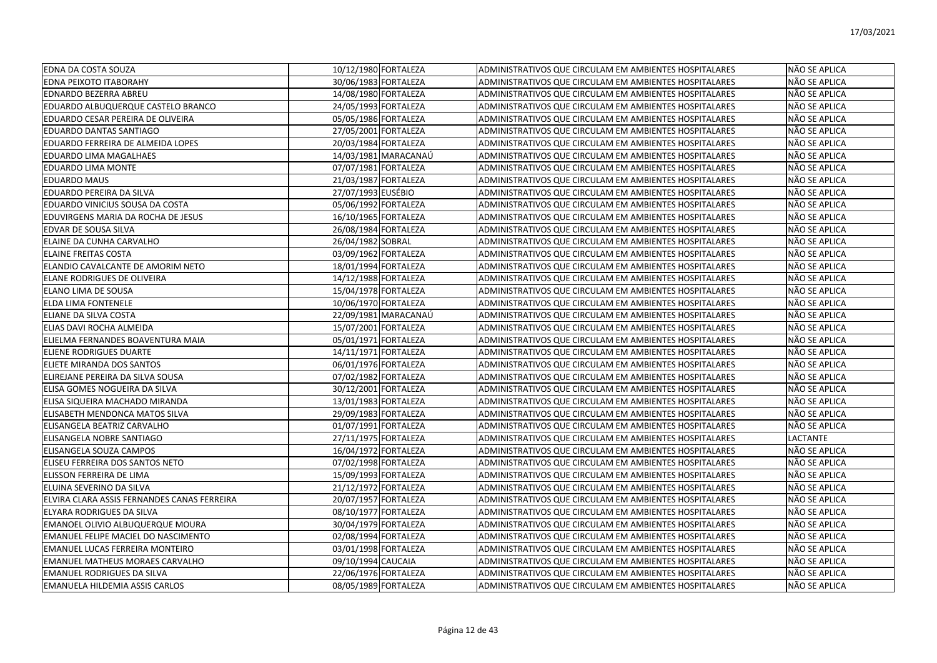| <b>EDNA DA COSTA SOUZA</b>                  |                    | 10/12/1980 FORTALEZA | ADMINISTRATIVOS QUE CIRCULAM EM AMBIENTES HOSPITALARES | NÃO SE APLICA   |
|---------------------------------------------|--------------------|----------------------|--------------------------------------------------------|-----------------|
| EDNA PEIXOTO ITABORAHY                      |                    | 30/06/1983 FORTALEZA | ADMINISTRATIVOS QUE CIRCULAM EM AMBIENTES HOSPITALARES | NÃO SE APLICA   |
| EDNARDO BEZERRA ABREU                       |                    | 14/08/1980 FORTALEZA | ADMINISTRATIVOS QUE CIRCULAM EM AMBIENTES HOSPITALARES | NÃO SE APLICA   |
| EDUARDO ALBUQUERQUE CASTELO BRANCO          |                    | 24/05/1993 FORTALEZA | ADMINISTRATIVOS QUE CIRCULAM EM AMBIENTES HOSPITALARES | NÃO SE APLICA   |
| EDUARDO CESAR PEREIRA DE OLIVEIRA           |                    | 05/05/1986 FORTALEZA | ADMINISTRATIVOS QUE CIRCULAM EM AMBIENTES HOSPITALARES | NÃO SE APLICA   |
| EDUARDO DANTAS SANTIAGO                     |                    | 27/05/2001 FORTALEZA | ADMINISTRATIVOS QUE CIRCULAM EM AMBIENTES HOSPITALARES | NÃO SE APLICA   |
| EDUARDO FERREIRA DE ALMEIDA LOPES           |                    | 20/03/1984 FORTALEZA | ADMINISTRATIVOS QUE CIRCULAM EM AMBIENTES HOSPITALARES | NÃO SE APLICA   |
| EDUARDO LIMA MAGALHAES                      |                    | 14/03/1981 MARACANAÚ | ADMINISTRATIVOS QUE CIRCULAM EM AMBIENTES HOSPITALARES | NÃO SE APLICA   |
| EDUARDO LIMA MONTE                          |                    | 07/07/1981 FORTALEZA | ADMINISTRATIVOS QUE CIRCULAM EM AMBIENTES HOSPITALARES | NÃO SE APLICA   |
| <b>EDUARDO MAUS</b>                         |                    | 21/03/1987 FORTALEZA | ADMINISTRATIVOS QUE CIRCULAM EM AMBIENTES HOSPITALARES | NÃO SE APLICA   |
| EDUARDO PEREIRA DA SILVA                    | 27/07/1993 EUSÉBIO |                      | ADMINISTRATIVOS QUE CIRCULAM EM AMBIENTES HOSPITALARES | NÃO SE APLICA   |
| EDUARDO VINICIUS SOUSA DA COSTA             |                    | 05/06/1992 FORTALEZA | ADMINISTRATIVOS QUE CIRCULAM EM AMBIENTES HOSPITALARES | NÃO SE APLICA   |
| EDUVIRGENS MARIA DA ROCHA DE JESUS          |                    | 16/10/1965 FORTALEZA | ADMINISTRATIVOS QUE CIRCULAM EM AMBIENTES HOSPITALARES | NÃO SE APLICA   |
| EDVAR DE SOUSA SILVA                        |                    | 26/08/1984 FORTALEZA | ADMINISTRATIVOS QUE CIRCULAM EM AMBIENTES HOSPITALARES | NÃO SE APLICA   |
| ELAINE DA CUNHA CARVALHO                    | 26/04/1982 SOBRAL  |                      | ADMINISTRATIVOS QUE CIRCULAM EM AMBIENTES HOSPITALARES | NÃO SE APLICA   |
| <b>ELAINE FREITAS COSTA</b>                 |                    | 03/09/1962 FORTALEZA | ADMINISTRATIVOS QUE CIRCULAM EM AMBIENTES HOSPITALARES | NÃO SE APLICA   |
| ELANDIO CAVALCANTE DE AMORIM NETO           |                    | 18/01/1994 FORTALEZA | ADMINISTRATIVOS QUE CIRCULAM EM AMBIENTES HOSPITALARES | NÃO SE APLICA   |
| ELANE RODRIGUES DE OLIVEIRA                 |                    | 14/12/1988 FORTALEZA | ADMINISTRATIVOS QUE CIRCULAM EM AMBIENTES HOSPITALARES | NÃO SE APLICA   |
| ELANO LIMA DE SOUSA                         |                    | 15/04/1978 FORTALEZA | ADMINISTRATIVOS QUE CIRCULAM EM AMBIENTES HOSPITALARES | NÃO SE APLICA   |
| <b>ELDA LIMA FONTENELE</b>                  |                    | 10/06/1970 FORTALEZA | ADMINISTRATIVOS QUE CIRCULAM EM AMBIENTES HOSPITALARES | NÃO SE APLICA   |
| ELIANE DA SILVA COSTA                       |                    | 22/09/1981 MARACANAÚ | ADMINISTRATIVOS QUE CIRCULAM EM AMBIENTES HOSPITALARES | NÃO SE APLICA   |
| ELIAS DAVI ROCHA ALMEIDA                    |                    | 15/07/2001 FORTALEZA | ADMINISTRATIVOS QUE CIRCULAM EM AMBIENTES HOSPITALARES | NÃO SE APLICA   |
| ELIELMA FERNANDES BOAVENTURA MAIA           |                    | 05/01/1971 FORTALEZA | ADMINISTRATIVOS QUE CIRCULAM EM AMBIENTES HOSPITALARES | NÃO SE APLICA   |
| ELIENE RODRIGUES DUARTE                     |                    | 14/11/1971 FORTALEZA | ADMINISTRATIVOS QUE CIRCULAM EM AMBIENTES HOSPITALARES | NÃO SE APLICA   |
| ELIETE MIRANDA DOS SANTOS                   |                    | 06/01/1976 FORTALEZA | ADMINISTRATIVOS QUE CIRCULAM EM AMBIENTES HOSPITALARES | NÃO SE APLICA   |
| ELIREJANE PEREIRA DA SILVA SOUSA            |                    | 07/02/1982 FORTALEZA | ADMINISTRATIVOS QUE CIRCULAM EM AMBIENTES HOSPITALARES | NÃO SE APLICA   |
| ELISA GOMES NOGUEIRA DA SILVA               |                    | 30/12/2001 FORTALEZA | ADMINISTRATIVOS QUE CIRCULAM EM AMBIENTES HOSPITALARES | NÃO SE APLICA   |
| ELISA SIQUEIRA MACHADO MIRANDA              |                    | 13/01/1983 FORTALEZA | ADMINISTRATIVOS QUE CIRCULAM EM AMBIENTES HOSPITALARES | NÃO SE APLICA   |
| ELISABETH MENDONCA MATOS SILVA              |                    | 29/09/1983 FORTALEZA | ADMINISTRATIVOS QUE CIRCULAM EM AMBIENTES HOSPITALARES | NÃO SE APLICA   |
| ELISANGELA BEATRIZ CARVALHO                 |                    | 01/07/1991 FORTALEZA | ADMINISTRATIVOS QUE CIRCULAM EM AMBIENTES HOSPITALARES | NÃO SE APLICA   |
| ELISANGELA NOBRE SANTIAGO                   |                    | 27/11/1975 FORTALEZA | ADMINISTRATIVOS QUE CIRCULAM EM AMBIENTES HOSPITALARES | <b>LACTANTE</b> |
| ELISANGELA SOUZA CAMPOS                     |                    | 16/04/1972 FORTALEZA | ADMINISTRATIVOS QUE CIRCULAM EM AMBIENTES HOSPITALARES | NÃO SE APLICA   |
| ELISEU FERREIRA DOS SANTOS NETO             |                    | 07/02/1998 FORTALEZA | ADMINISTRATIVOS QUE CIRCULAM EM AMBIENTES HOSPITALARES | NÃO SE APLICA   |
| ELISSON FERREIRA DE LIMA                    |                    | 15/09/1993 FORTALEZA | ADMINISTRATIVOS QUE CIRCULAM EM AMBIENTES HOSPITALARES | NÃO SE APLICA   |
| IELUINA SEVERINO DA SILVA                   |                    | 21/12/1972 FORTALEZA | ADMINISTRATIVOS QUE CIRCULAM EM AMBIENTES HOSPITALARES | NÃO SE APLICA   |
| ELVIRA CLARA ASSIS FERNANDES CANAS FERREIRA |                    | 20/07/1957 FORTALEZA | ADMINISTRATIVOS QUE CIRCULAM EM AMBIENTES HOSPITALARES | NÃO SE APLICA   |
| ELYARA RODRIGUES DA SILVA                   |                    | 08/10/1977 FORTALEZA | ADMINISTRATIVOS QUE CIRCULAM EM AMBIENTES HOSPITALARES | NÃO SE APLICA   |
| EMANOEL OLIVIO ALBUQUERQUE MOURA            |                    | 30/04/1979 FORTALEZA | ADMINISTRATIVOS QUE CIRCULAM EM AMBIENTES HOSPITALARES | NÃO SE APLICA   |
| EMANUEL FELIPE MACIEL DO NASCIMENTO         |                    | 02/08/1994 FORTALEZA | ADMINISTRATIVOS QUE CIRCULAM EM AMBIENTES HOSPITALARES | NÃO SE APLICA   |
| EMANUEL LUCAS FERREIRA MONTEIRO             |                    | 03/01/1998 FORTALEZA | ADMINISTRATIVOS QUE CIRCULAM EM AMBIENTES HOSPITALARES | NÃO SE APLICA   |
| <b>EMANUEL MATHEUS MORAES CARVALHO</b>      | 09/10/1994 CAUCAIA |                      | ADMINISTRATIVOS QUE CIRCULAM EM AMBIENTES HOSPITALARES | NÃO SE APLICA   |
| <b>EMANUEL RODRIGUES DA SILVA</b>           |                    | 22/06/1976 FORTALEZA | ADMINISTRATIVOS QUE CIRCULAM EM AMBIENTES HOSPITALARES | NÃO SE APLICA   |
| <b>IEMANUELA HILDEMIA ASSIS CARLOS</b>      |                    | 08/05/1989 FORTALEZA | ADMINISTRATIVOS QUE CIRCULAM EM AMBIENTES HOSPITALARES | NÃO SE APLICA   |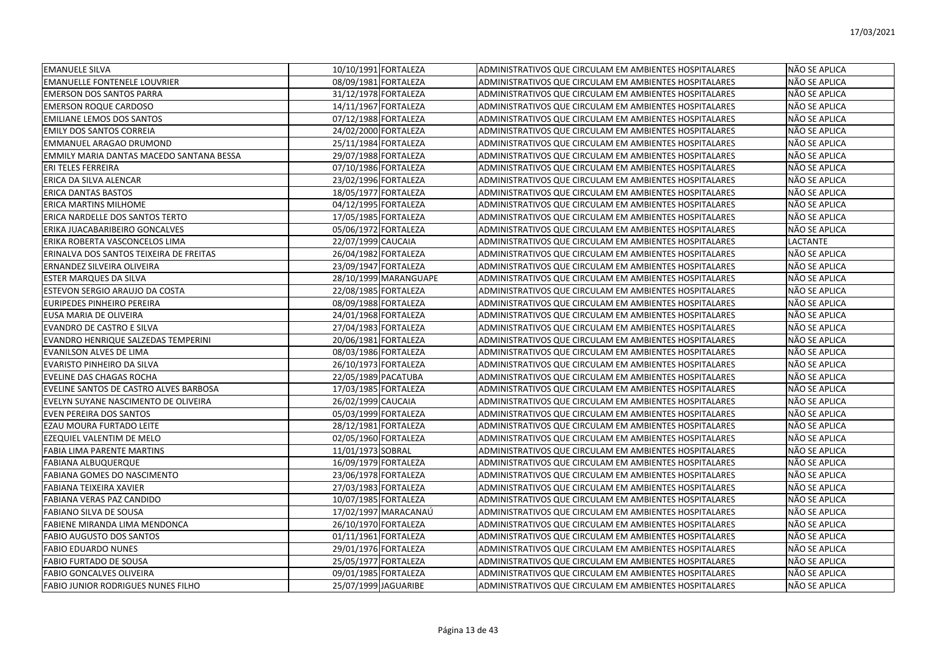| <b>EMANUELE SILVA</b>                    |                     | 10/10/1991 FORTALEZA  | ADMINISTRATIVOS QUE CIRCULAM EM AMBIENTES HOSPITALARES | NÃO SE APLICA |
|------------------------------------------|---------------------|-----------------------|--------------------------------------------------------|---------------|
| <b>EMANUELLE FONTENELE LOUVRIER</b>      |                     | 08/09/1981 FORTALEZA  | ADMINISTRATIVOS QUE CIRCULAM EM AMBIENTES HOSPITALARES | NÃO SE APLICA |
| <b>EMERSON DOS SANTOS PARRA</b>          |                     | 31/12/1978 FORTALEZA  | ADMINISTRATIVOS QUE CIRCULAM EM AMBIENTES HOSPITALARES | NÃO SE APLICA |
| <b>EMERSON ROQUE CARDOSO</b>             |                     | 14/11/1967 FORTALEZA  | ADMINISTRATIVOS QUE CIRCULAM EM AMBIENTES HOSPITALARES | NÃO SE APLICA |
| <b>EMILIANE LEMOS DOS SANTOS</b>         |                     | 07/12/1988 FORTALEZA  | ADMINISTRATIVOS QUE CIRCULAM EM AMBIENTES HOSPITALARES | NÃO SE APLICA |
| <b>EMILY DOS SANTOS CORREIA</b>          |                     | 24/02/2000 FORTALEZA  | ADMINISTRATIVOS QUE CIRCULAM EM AMBIENTES HOSPITALARES | NÃO SE APLICA |
| EMMANUEL ARAGAO DRUMOND                  |                     | 25/11/1984 FORTALEZA  | ADMINISTRATIVOS QUE CIRCULAM EM AMBIENTES HOSPITALARES | NÃO SE APLICA |
| EMMILY MARIA DANTAS MACEDO SANTANA BESSA |                     | 29/07/1988 FORTALEZA  | ADMINISTRATIVOS QUE CIRCULAM EM AMBIENTES HOSPITALARES | NÃO SE APLICA |
| ERI TELES FERREIRA                       |                     | 07/10/1986 FORTALEZA  | ADMINISTRATIVOS QUE CIRCULAM EM AMBIENTES HOSPITALARES | NÃO SE APLICA |
| ERICA DA SILVA ALENCAR                   |                     | 23/02/1996 FORTALEZA  | ADMINISTRATIVOS QUE CIRCULAM EM AMBIENTES HOSPITALARES | NÃO SE APLICA |
| <b>ERICA DANTAS BASTOS</b>               |                     | 18/05/1977 FORTALEZA  | ADMINISTRATIVOS QUE CIRCULAM EM AMBIENTES HOSPITALARES | NÃO SE APLICA |
| ERICA MARTINS MILHOME                    |                     | 04/12/1995 FORTALEZA  | ADMINISTRATIVOS QUE CIRCULAM EM AMBIENTES HOSPITALARES | NÃO SE APLICA |
| ERICA NARDELLE DOS SANTOS TERTO          |                     | 17/05/1985 FORTALEZA  | ADMINISTRATIVOS QUE CIRCULAM EM AMBIENTES HOSPITALARES | NÃO SE APLICA |
| ERIKA JUACABARIBEIRO GONCALVES           |                     | 05/06/1972 FORTALEZA  | ADMINISTRATIVOS QUE CIRCULAM EM AMBIENTES HOSPITALARES | NÃO SE APLICA |
| ERIKA ROBERTA VASCONCELOS LIMA           | 22/07/1999 CAUCAIA  |                       | ADMINISTRATIVOS QUE CIRCULAM EM AMBIENTES HOSPITALARES | LACTANTE      |
| ERINALVA DOS SANTOS TEIXEIRA DE FREITAS  |                     | 26/04/1982 FORTALEZA  | ADMINISTRATIVOS QUE CIRCULAM EM AMBIENTES HOSPITALARES | NÃO SE APLICA |
| ERNANDEZ SILVEIRA OLIVEIRA               |                     | 23/09/1947 FORTALEZA  | ADMINISTRATIVOS QUE CIRCULAM EM AMBIENTES HOSPITALARES | NÃO SE APLICA |
| ESTER MARQUES DA SILVA                   |                     | 28/10/1999 MARANGUAPE | ADMINISTRATIVOS QUE CIRCULAM EM AMBIENTES HOSPITALARES | NÃO SE APLICA |
| ESTEVON SERGIO ARAUJO DA COSTA           |                     | 22/08/1985 FORTALEZA  | ADMINISTRATIVOS QUE CIRCULAM EM AMBIENTES HOSPITALARES | NÃO SE APLICA |
| <b>EURIPEDES PINHEIRO PEREIRA</b>        |                     | 08/09/1988 FORTALEZA  | ADMINISTRATIVOS QUE CIRCULAM EM AMBIENTES HOSPITALARES | NÃO SE APLICA |
| EUSA MARIA DE OLIVEIRA                   |                     | 24/01/1968 FORTALEZA  | ADMINISTRATIVOS QUE CIRCULAM EM AMBIENTES HOSPITALARES | NÃO SE APLICA |
| <b>EVANDRO DE CASTRO E SILVA</b>         |                     | 27/04/1983 FORTALEZA  | ADMINISTRATIVOS QUE CIRCULAM EM AMBIENTES HOSPITALARES | NÃO SE APLICA |
| EVANDRO HENRIQUE SALZEDAS TEMPERINI      |                     | 20/06/1981 FORTALEZA  | ADMINISTRATIVOS QUE CIRCULAM EM AMBIENTES HOSPITALARES | NÃO SE APLICA |
| <b>EVANILSON ALVES DE LIMA</b>           |                     | 08/03/1986 FORTALEZA  | ADMINISTRATIVOS QUE CIRCULAM EM AMBIENTES HOSPITALARES | NÃO SE APLICA |
| EVARISTO PINHEIRO DA SILVA               |                     | 26/10/1973 FORTALEZA  | ADMINISTRATIVOS QUE CIRCULAM EM AMBIENTES HOSPITALARES | NÃO SE APLICA |
| <b>EVELINE DAS CHAGAS ROCHA</b>          | 22/05/1989 PACATUBA |                       | ADMINISTRATIVOS QUE CIRCULAM EM AMBIENTES HOSPITALARES | NÃO SE APLICA |
| EVELINE SANTOS DE CASTRO ALVES BARBOSA   |                     | 17/03/1985 FORTALEZA  | ADMINISTRATIVOS QUE CIRCULAM EM AMBIENTES HOSPITALARES | NÃO SE APLICA |
| EVELYN SUYANE NASCIMENTO DE OLIVEIRA     | 26/02/1999 CAUCAIA  |                       | ADMINISTRATIVOS QUE CIRCULAM EM AMBIENTES HOSPITALARES | NÃO SE APLICA |
| <b>EVEN PEREIRA DOS SANTOS</b>           |                     | 05/03/1999 FORTALEZA  | ADMINISTRATIVOS QUE CIRCULAM EM AMBIENTES HOSPITALARES | NÃO SE APLICA |
| EZAU MOURA FURTADO LEITE                 |                     | 28/12/1981 FORTALEZA  | ADMINISTRATIVOS QUE CIRCULAM EM AMBIENTES HOSPITALARES | NÃO SE APLICA |
| EZEQUIEL VALENTIM DE MELO                |                     | 02/05/1960 FORTALEZA  | ADMINISTRATIVOS QUE CIRCULAM EM AMBIENTES HOSPITALARES | NÃO SE APLICA |
| <b>FABIA LIMA PARENTE MARTINS</b>        | 11/01/1973 SOBRAL   |                       | ADMINISTRATIVOS QUE CIRCULAM EM AMBIENTES HOSPITALARES | NÃO SE APLICA |
| <b>FABIANA ALBUQUERQUE</b>               |                     | 16/09/1979 FORTALEZA  | ADMINISTRATIVOS QUE CIRCULAM EM AMBIENTES HOSPITALARES | NÃO SE APLICA |
| <b>FABIANA GOMES DO NASCIMENTO</b>       |                     | 23/06/1978 FORTALEZA  | ADMINISTRATIVOS QUE CIRCULAM EM AMBIENTES HOSPITALARES | NÃO SE APLICA |
| FABIANA TEIXEIRA XAVIER                  |                     | 27/03/1983 FORTALEZA  | ADMINISTRATIVOS QUE CIRCULAM EM AMBIENTES HOSPITALARES | NÃO SE APLICA |
| FABIANA VERAS PAZ CANDIDO                |                     | 10/07/1985 FORTALEZA  | ADMINISTRATIVOS QUE CIRCULAM EM AMBIENTES HOSPITALARES | NÃO SE APLICA |
| <b>FABIANO SILVA DE SOUSA</b>            |                     | 17/02/1997 MARACANAÚ  | ADMINISTRATIVOS QUE CIRCULAM EM AMBIENTES HOSPITALARES | NÃO SE APLICA |
| <b>FABIENE MIRANDA LIMA MENDONCA</b>     |                     | 26/10/1970 FORTALEZA  | ADMINISTRATIVOS QUE CIRCULAM EM AMBIENTES HOSPITALARES | NÃO SE APLICA |
| <b>FABIO AUGUSTO DOS SANTOS</b>          |                     | 01/11/1961 FORTALEZA  | ADMINISTRATIVOS QUE CIRCULAM EM AMBIENTES HOSPITALARES | NÃO SE APLICA |
| <b>FABIO EDUARDO NUNES</b>               |                     | 29/01/1976 FORTALEZA  | ADMINISTRATIVOS QUE CIRCULAM EM AMBIENTES HOSPITALARES | NÃO SE APLICA |
| <b>FABIO FURTADO DE SOUSA</b>            |                     | 25/05/1977 FORTALEZA  | ADMINISTRATIVOS QUE CIRCULAM EM AMBIENTES HOSPITALARES | NÃO SE APLICA |
| <b>FABIO GONCALVES OLIVEIRA</b>          |                     | 09/01/1985 FORTALEZA  | ADMINISTRATIVOS QUE CIRCULAM EM AMBIENTES HOSPITALARES | NÃO SE APLICA |
| FABIO JUNIOR RODRIGUES NUNES FILHO       |                     | 25/07/1999 JAGUARIBE  | ADMINISTRATIVOS QUE CIRCULAM EM AMBIENTES HOSPITALARES | NÃO SE APLICA |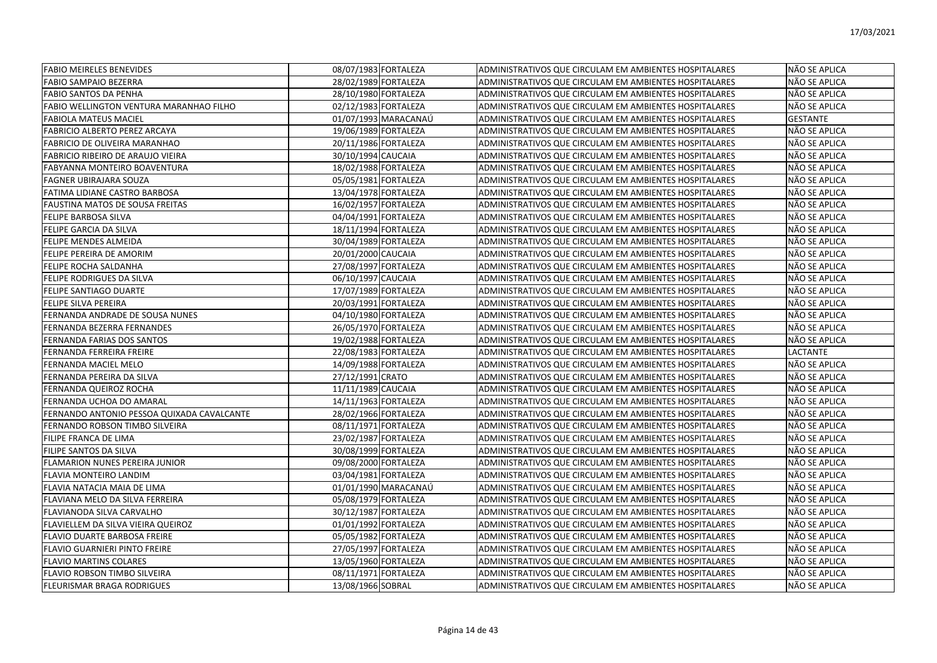| <b>FABIO MEIRELES BENEVIDES</b>                | 08/07/1983 FORTALEZA |                      | ADMINISTRATIVOS QUE CIRCULAM EM AMBIENTES HOSPITALARES | NÃO SE APLICA   |
|------------------------------------------------|----------------------|----------------------|--------------------------------------------------------|-----------------|
| <b>FABIO SAMPAIO BEZERRA</b>                   | 28/02/1989 FORTALEZA |                      | ADMINISTRATIVOS QUE CIRCULAM EM AMBIENTES HOSPITALARES | NÃO SE APLICA   |
| <b>FABIO SANTOS DA PENHA</b>                   | 28/10/1980 FORTALEZA |                      | ADMINISTRATIVOS QUE CIRCULAM EM AMBIENTES HOSPITALARES | NÃO SE APLICA   |
| <b>FABIO WELLINGTON VENTURA MARANHAO FILHO</b> | 02/12/1983 FORTALEZA |                      | ADMINISTRATIVOS QUE CIRCULAM EM AMBIENTES HOSPITALARES | NÃO SE APLICA   |
| <b>FABIOLA MATEUS MACIEL</b>                   |                      | 01/07/1993 MARACANAÚ | ADMINISTRATIVOS QUE CIRCULAM EM AMBIENTES HOSPITALARES | <b>GESTANTE</b> |
| <b>FABRICIO ALBERTO PEREZ ARCAYA</b>           | 19/06/1989 FORTALEZA |                      | ADMINISTRATIVOS QUE CIRCULAM EM AMBIENTES HOSPITALARES | NÃO SE APLICA   |
| FABRICIO DE OLIVEIRA MARANHAO                  | 20/11/1986 FORTALEZA |                      | ADMINISTRATIVOS QUE CIRCULAM EM AMBIENTES HOSPITALARES | NÃO SE APLICA   |
| FABRICIO RIBEIRO DE ARAUJO VIEIRA              | 30/10/1994 CAUCAIA   |                      | ADMINISTRATIVOS QUE CIRCULAM EM AMBIENTES HOSPITALARES | NÃO SE APLICA   |
| <b>FABYANNA MONTEIRO BOAVENTURA</b>            | 18/02/1988 FORTALEZA |                      | ADMINISTRATIVOS QUE CIRCULAM EM AMBIENTES HOSPITALARES | NÃO SE APLICA   |
| <b>FAGNER UBIRAJARA SOUZA</b>                  | 05/05/1981 FORTALEZA |                      | ADMINISTRATIVOS QUE CIRCULAM EM AMBIENTES HOSPITALARES | NÃO SE APLICA   |
| FATIMA LIDIANE CASTRO BARBOSA                  | 13/04/1978 FORTALEZA |                      | ADMINISTRATIVOS QUE CIRCULAM EM AMBIENTES HOSPITALARES | NÃO SE APLICA   |
| <b>FAUSTINA MATOS DE SOUSA FREITAS</b>         | 16/02/1957 FORTALEZA |                      | ADMINISTRATIVOS QUE CIRCULAM EM AMBIENTES HOSPITALARES | NÃO SE APLICA   |
| <b>FELIPE BARBOSA SILVA</b>                    | 04/04/1991 FORTALEZA |                      | ADMINISTRATIVOS QUE CIRCULAM EM AMBIENTES HOSPITALARES | NÃO SE APLICA   |
| <b>FELIPE GARCIA DA SILVA</b>                  | 18/11/1994 FORTALEZA |                      | ADMINISTRATIVOS QUE CIRCULAM EM AMBIENTES HOSPITALARES | NÃO SE APLICA   |
| <b>FELIPE MENDES ALMEIDA</b>                   | 30/04/1989 FORTALEZA |                      | ADMINISTRATIVOS QUE CIRCULAM EM AMBIENTES HOSPITALARES | NÃO SE APLICA   |
| FELIPE PEREIRA DE AMORIM                       | 20/01/2000 CAUCAIA   |                      | ADMINISTRATIVOS QUE CIRCULAM EM AMBIENTES HOSPITALARES | NÃO SE APLICA   |
| <b>FELIPE ROCHA SALDANHA</b>                   | 27/08/1997 FORTALEZA |                      | ADMINISTRATIVOS QUE CIRCULAM EM AMBIENTES HOSPITALARES | NÃO SE APLICA   |
| <b>FELIPE RODRIGUES DA SILVA</b>               | 06/10/1997 CAUCAIA   |                      | ADMINISTRATIVOS QUE CIRCULAM EM AMBIENTES HOSPITALARES | NÃO SE APLICA   |
| <b>FELIPE SANTIAGO DUARTE</b>                  | 17/07/1989 FORTALEZA |                      | ADMINISTRATIVOS QUE CIRCULAM EM AMBIENTES HOSPITALARES | NÃO SE APLICA   |
| <b>FELIPE SILVA PEREIRA</b>                    | 20/03/1991 FORTALEZA |                      | ADMINISTRATIVOS QUE CIRCULAM EM AMBIENTES HOSPITALARES | NÃO SE APLICA   |
| FERNANDA ANDRADE DE SOUSA NUNES                | 04/10/1980 FORTALEZA |                      | ADMINISTRATIVOS QUE CIRCULAM EM AMBIENTES HOSPITALARES | NÃO SE APLICA   |
| FERNANDA BEZERRA FERNANDES                     | 26/05/1970 FORTALEZA |                      | ADMINISTRATIVOS QUE CIRCULAM EM AMBIENTES HOSPITALARES | NÃO SE APLICA   |
| FERNANDA FARIAS DOS SANTOS                     | 19/02/1988 FORTALEZA |                      | ADMINISTRATIVOS QUE CIRCULAM EM AMBIENTES HOSPITALARES | NÃO SE APLICA   |
| FERNANDA FERREIRA FREIRE                       | 22/08/1983 FORTALEZA |                      | ADMINISTRATIVOS QUE CIRCULAM EM AMBIENTES HOSPITALARES | LACTANTE        |
| FERNANDA MACIEL MELO                           | 14/09/1988 FORTALEZA |                      | ADMINISTRATIVOS QUE CIRCULAM EM AMBIENTES HOSPITALARES | NÃO SE APLICA   |
| FERNANDA PEREIRA DA SILVA                      | 27/12/1991 CRATO     |                      | ADMINISTRATIVOS QUE CIRCULAM EM AMBIENTES HOSPITALARES | NÃO SE APLICA   |
| FERNANDA QUEIROZ ROCHA                         | 11/11/1989 CAUCAIA   |                      | ADMINISTRATIVOS QUE CIRCULAM EM AMBIENTES HOSPITALARES | NÃO SE APLICA   |
| FERNANDA UCHOA DO AMARAL                       | 14/11/1963 FORTALEZA |                      | ADMINISTRATIVOS QUE CIRCULAM EM AMBIENTES HOSPITALARES | NÃO SE APLICA   |
| FERNANDO ANTONIO PESSOA QUIXADA CAVALCANTE     | 28/02/1966 FORTALEZA |                      | ADMINISTRATIVOS QUE CIRCULAM EM AMBIENTES HOSPITALARES | NÃO SE APLICA   |
| FERNANDO ROBSON TIMBO SILVEIRA                 | 08/11/1971 FORTALEZA |                      | ADMINISTRATIVOS QUE CIRCULAM EM AMBIENTES HOSPITALARES | NÃO SE APLICA   |
| FILIPE FRANCA DE LIMA                          | 23/02/1987 FORTALEZA |                      | ADMINISTRATIVOS QUE CIRCULAM EM AMBIENTES HOSPITALARES | NÃO SE APLICA   |
| <b>FILIPE SANTOS DA SILVA</b>                  | 30/08/1999 FORTALEZA |                      | ADMINISTRATIVOS QUE CIRCULAM EM AMBIENTES HOSPITALARES | NÃO SE APLICA   |
| FLAMARION NUNES PEREIRA JUNIOR                 | 09/08/2000 FORTALEZA |                      | ADMINISTRATIVOS QUE CIRCULAM EM AMBIENTES HOSPITALARES | NÃO SE APLICA   |
| FLAVIA MONTEIRO LANDIM                         | 03/04/1981 FORTALEZA |                      | ADMINISTRATIVOS QUE CIRCULAM EM AMBIENTES HOSPITALARES | NÃO SE APLICA   |
| FLAVIA NATACIA MAIA DE LIMA                    |                      | 01/01/1990 MARACANAÚ | ADMINISTRATIVOS QUE CIRCULAM EM AMBIENTES HOSPITALARES | NÃO SE APLICA   |
| FLAVIANA MELO DA SILVA FERREIRA                | 05/08/1979 FORTALEZA |                      | ADMINISTRATIVOS QUE CIRCULAM EM AMBIENTES HOSPITALARES | NÃO SE APLICA   |
| FLAVIANODA SILVA CARVALHO                      | 30/12/1987 FORTALEZA |                      | ADMINISTRATIVOS QUE CIRCULAM EM AMBIENTES HOSPITALARES | NÃO SE APLICA   |
| FLAVIELLEM DA SILVA VIEIRA QUEIROZ             | 01/01/1992 FORTALEZA |                      | ADMINISTRATIVOS QUE CIRCULAM EM AMBIENTES HOSPITALARES | NÃO SE APLICA   |
| <b>FLAVIO DUARTE BARBOSA FREIRE</b>            | 05/05/1982 FORTALEZA |                      | ADMINISTRATIVOS QUE CIRCULAM EM AMBIENTES HOSPITALARES | NÃO SE APLICA   |
| FLAVIO GUARNIERI PINTO FREIRE                  | 27/05/1997 FORTALEZA |                      | ADMINISTRATIVOS QUE CIRCULAM EM AMBIENTES HOSPITALARES | NÃO SE APLICA   |
| <b>FLAVIO MARTINS COLARES</b>                  | 13/05/1960 FORTALEZA |                      | ADMINISTRATIVOS QUE CIRCULAM EM AMBIENTES HOSPITALARES | NÃO SE APLICA   |
| FLAVIO ROBSON TIMBO SILVEIRA                   | 08/11/1971 FORTALEZA |                      | ADMINISTRATIVOS QUE CIRCULAM EM AMBIENTES HOSPITALARES | NÃO SE APLICA   |
| <b>FLEURISMAR BRAGA RODRIGUES</b>              | 13/08/1966 SOBRAL    |                      | ADMINISTRATIVOS QUE CIRCULAM EM AMBIENTES HOSPITALARES | NÃO SE APLICA   |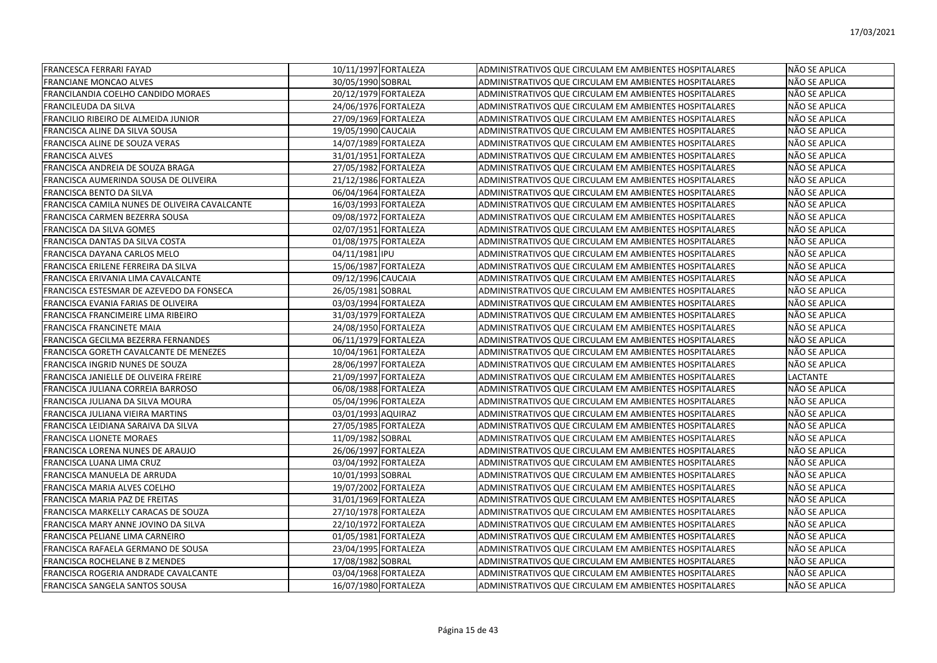| FRANCESCA FERRARI FAYAD                       | 10/11/1997 FORTALEZA | ADMINISTRATIVOS QUE CIRCULAM EM AMBIENTES HOSPITALARES | NÃO SE APLICA |
|-----------------------------------------------|----------------------|--------------------------------------------------------|---------------|
| FRANCIANE MONCAO ALVES                        | 30/05/1990 SOBRAL    | ADMINISTRATIVOS QUE CIRCULAM EM AMBIENTES HOSPITALARES | NÃO SE APLICA |
| FRANCILANDIA COELHO CANDIDO MORAES            | 20/12/1979 FORTALEZA | ADMINISTRATIVOS QUE CIRCULAM EM AMBIENTES HOSPITALARES | NÃO SE APLICA |
| FRANCILEUDA DA SILVA                          | 24/06/1976 FORTALEZA | ADMINISTRATIVOS QUE CIRCULAM EM AMBIENTES HOSPITALARES | NÃO SE APLICA |
| FRANCILIO RIBEIRO DE ALMEIDA JUNIOR           | 27/09/1969 FORTALEZA | ADMINISTRATIVOS QUE CIRCULAM EM AMBIENTES HOSPITALARES | NÃO SE APLICA |
| FRANCISCA ALINE DA SILVA SOUSA                | 19/05/1990 CAUCAIA   | ADMINISTRATIVOS QUE CIRCULAM EM AMBIENTES HOSPITALARES | NÃO SE APLICA |
| FRANCISCA ALINE DE SOUZA VERAS                | 14/07/1989 FORTALEZA | ADMINISTRATIVOS QUE CIRCULAM EM AMBIENTES HOSPITALARES | NÃO SE APLICA |
| <b>FRANCISCA ALVES</b>                        | 31/01/1951 FORTALEZA | ADMINISTRATIVOS QUE CIRCULAM EM AMBIENTES HOSPITALARES | NÃO SE APLICA |
| FRANCISCA ANDREIA DE SOUZA BRAGA              | 27/05/1982 FORTALEZA | ADMINISTRATIVOS QUE CIRCULAM EM AMBIENTES HOSPITALARES | NÃO SE APLICA |
| FRANCISCA AUMERINDA SOUSA DE OLIVEIRA         | 21/12/1986 FORTALEZA | ADMINISTRATIVOS QUE CIRCULAM EM AMBIENTES HOSPITALARES | NÃO SE APLICA |
| FRANCISCA BENTO DA SILVA                      | 06/04/1964 FORTALEZA | ADMINISTRATIVOS QUE CIRCULAM EM AMBIENTES HOSPITALARES | NÃO SE APLICA |
| FRANCISCA CAMILA NUNES DE OLIVEIRA CAVALCANTE | 16/03/1993 FORTALEZA | ADMINISTRATIVOS QUE CIRCULAM EM AMBIENTES HOSPITALARES | NÃO SE APLICA |
| FRANCISCA CARMEN BEZERRA SOUSA                | 09/08/1972 FORTALEZA | ADMINISTRATIVOS QUE CIRCULAM EM AMBIENTES HOSPITALARES | NÃO SE APLICA |
| FRANCISCA DA SILVA GOMES                      | 02/07/1951 FORTALEZA | ADMINISTRATIVOS QUE CIRCULAM EM AMBIENTES HOSPITALARES | NÃO SE APLICA |
| FRANCISCA DANTAS DA SILVA COSTA               | 01/08/1975 FORTALEZA | ADMINISTRATIVOS QUE CIRCULAM EM AMBIENTES HOSPITALARES | NÃO SE APLICA |
| FRANCISCA DAYANA CARLOS MELO                  | 04/11/1981 IPU       | ADMINISTRATIVOS QUE CIRCULAM EM AMBIENTES HOSPITALARES | NÃO SE APLICA |
| FRANCISCA ERILENE FERREIRA DA SILVA           | 15/06/1987 FORTALEZA | ADMINISTRATIVOS QUE CIRCULAM EM AMBIENTES HOSPITALARES | NÃO SE APLICA |
| FRANCISCA ERIVANIA LIMA CAVALCANTE            | 09/12/1996 CAUCAIA   | ADMINISTRATIVOS QUE CIRCULAM EM AMBIENTES HOSPITALARES | NÃO SE APLICA |
| FRANCISCA ESTESMAR DE AZEVEDO DA FONSECA      | 26/05/1981 SOBRAL    | ADMINISTRATIVOS QUE CIRCULAM EM AMBIENTES HOSPITALARES | NÃO SE APLICA |
| FRANCISCA EVANIA FARIAS DE OLIVEIRA           | 03/03/1994 FORTALEZA | ADMINISTRATIVOS QUE CIRCULAM EM AMBIENTES HOSPITALARES | NÃO SE APLICA |
| FRANCISCA FRANCIMEIRE LIMA RIBEIRO            | 31/03/1979 FORTALEZA | ADMINISTRATIVOS QUE CIRCULAM EM AMBIENTES HOSPITALARES | NÃO SE APLICA |
| FRANCISCA FRANCINETE MAIA                     | 24/08/1950 FORTALEZA | ADMINISTRATIVOS QUE CIRCULAM EM AMBIENTES HOSPITALARES | NÃO SE APLICA |
| FRANCISCA GECILMA BEZERRA FERNANDES           | 06/11/1979 FORTALEZA | ADMINISTRATIVOS QUE CIRCULAM EM AMBIENTES HOSPITALARES | NÃO SE APLICA |
| FRANCISCA GORETH CAVALCANTE DE MENEZES        | 10/04/1961 FORTALEZA | ADMINISTRATIVOS QUE CIRCULAM EM AMBIENTES HOSPITALARES | NÃO SE APLICA |
| FRANCISCA INGRID NUNES DE SOUZA               | 28/06/1997 FORTALEZA | ADMINISTRATIVOS QUE CIRCULAM EM AMBIENTES HOSPITALARES | NÃO SE APLICA |
| FRANCISCA JANIELLE DE OLIVEIRA FREIRE         | 21/09/1997 FORTALEZA | ADMINISTRATIVOS QUE CIRCULAM EM AMBIENTES HOSPITALARES | LACTANTE      |
| FRANCISCA JULIANA CORREIA BARROSO             | 06/08/1988 FORTALEZA | ADMINISTRATIVOS QUE CIRCULAM EM AMBIENTES HOSPITALARES | NÃO SE APLICA |
| FRANCISCA JULIANA DA SILVA MOURA              | 05/04/1996 FORTALEZA | ADMINISTRATIVOS QUE CIRCULAM EM AMBIENTES HOSPITALARES | NÃO SE APLICA |
| FRANCISCA JULIANA VIEIRA MARTINS              | 03/01/1993 AQUIRAZ   | ADMINISTRATIVOS QUE CIRCULAM EM AMBIENTES HOSPITALARES | NÃO SE APLICA |
| FRANCISCA LEIDIANA SARAIVA DA SILVA           | 27/05/1985 FORTALEZA | ADMINISTRATIVOS QUE CIRCULAM EM AMBIENTES HOSPITALARES | NÃO SE APLICA |
| FRANCISCA LIONETE MORAES                      | 11/09/1982 SOBRAL    | ADMINISTRATIVOS QUE CIRCULAM EM AMBIENTES HOSPITALARES | NÃO SE APLICA |
| FRANCISCA LORENA NUNES DE ARAUJO              | 26/06/1997 FORTALEZA | ADMINISTRATIVOS QUE CIRCULAM EM AMBIENTES HOSPITALARES | NÃO SE APLICA |
| FRANCISCA LUANA LIMA CRUZ                     | 03/04/1992 FORTALEZA | ADMINISTRATIVOS QUE CIRCULAM EM AMBIENTES HOSPITALARES | NÃO SE APLICA |
| FRANCISCA MANUELA DE ARRUDA                   | 10/01/1993 SOBRAL    | ADMINISTRATIVOS QUE CIRCULAM EM AMBIENTES HOSPITALARES | NÃO SE APLICA |
| FRANCISCA MARIA ALVES COELHO                  | 19/07/2002 FORTALEZA | ADMINISTRATIVOS QUE CIRCULAM EM AMBIENTES HOSPITALARES | NÃO SE APLICA |
| FRANCISCA MARIA PAZ DE FREITAS                | 31/01/1969 FORTALEZA | ADMINISTRATIVOS QUE CIRCULAM EM AMBIENTES HOSPITALARES | NÃO SE APLICA |
| FRANCISCA MARKELLY CARACAS DE SOUZA           | 27/10/1978 FORTALEZA | ADMINISTRATIVOS QUE CIRCULAM EM AMBIENTES HOSPITALARES | NÃO SE APLICA |
| FRANCISCA MARY ANNE JOVINO DA SILVA           | 22/10/1972 FORTALEZA | ADMINISTRATIVOS QUE CIRCULAM EM AMBIENTES HOSPITALARES | NÃO SE APLICA |
| FRANCISCA PELIANE LIMA CARNEIRO               | 01/05/1981 FORTALEZA | ADMINISTRATIVOS QUE CIRCULAM EM AMBIENTES HOSPITALARES | NÃO SE APLICA |
| FRANCISCA RAFAELA GERMANO DE SOUSA            | 23/04/1995 FORTALEZA | ADMINISTRATIVOS QUE CIRCULAM EM AMBIENTES HOSPITALARES | NÃO SE APLICA |
| FRANCISCA ROCHELANE B Z MENDES                | 17/08/1982 SOBRAL    | ADMINISTRATIVOS QUE CIRCULAM EM AMBIENTES HOSPITALARES | NÃO SE APLICA |
| FRANCISCA ROGERIA ANDRADE CAVALCANTE          | 03/04/1968 FORTALEZA | ADMINISTRATIVOS QUE CIRCULAM EM AMBIENTES HOSPITALARES | NÃO SE APLICA |
| FRANCISCA SANGELA SANTOS SOUSA                | 16/07/1980 FORTALEZA | ADMINISTRATIVOS QUE CIRCULAM EM AMBIENTES HOSPITALARES | NÃO SE APLICA |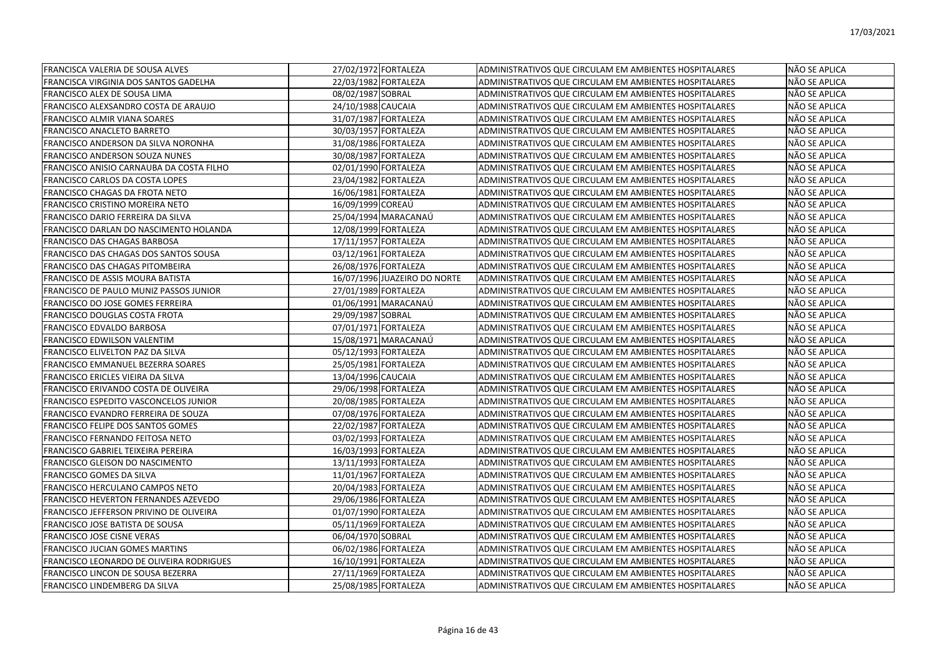| FRANCISCA VALERIA DE SOUSA ALVES         | 27/02/1972 FORTALEZA         | ADMINISTRATIVOS QUE CIRCULAM EM AMBIENTES HOSPITALARES | NÃO SE APLICA |
|------------------------------------------|------------------------------|--------------------------------------------------------|---------------|
| FRANCISCA VIRGINIA DOS SANTOS GADELHA    | 22/03/1982 FORTALEZA         | ADMINISTRATIVOS QUE CIRCULAM EM AMBIENTES HOSPITALARES | NÃO SE APLICA |
| FRANCISCO ALEX DE SOUSA LIMA             | 08/02/1987 SOBRAL            | ADMINISTRATIVOS QUE CIRCULAM EM AMBIENTES HOSPITALARES | NÃO SE APLICA |
| FRANCISCO ALEXSANDRO COSTA DE ARAUJO     | 24/10/1988 CAUCAIA           | ADMINISTRATIVOS QUE CIRCULAM EM AMBIENTES HOSPITALARES | NÃO SE APLICA |
| FRANCISCO ALMIR VIANA SOARES             | 31/07/1987 FORTALEZA         | ADMINISTRATIVOS QUE CIRCULAM EM AMBIENTES HOSPITALARES | NÃO SE APLICA |
| FRANCISCO ANACLETO BARRETO               | 30/03/1957 FORTALEZA         | ADMINISTRATIVOS QUE CIRCULAM EM AMBIENTES HOSPITALARES | NÃO SE APLICA |
| FRANCISCO ANDERSON DA SILVA NORONHA      | 31/08/1986 FORTALEZA         | ADMINISTRATIVOS QUE CIRCULAM EM AMBIENTES HOSPITALARES | NÃO SE APLICA |
| FRANCISCO ANDERSON SOUZA NUNES           | 30/08/1987 FORTALEZA         | ADMINISTRATIVOS QUE CIRCULAM EM AMBIENTES HOSPITALARES | NÃO SE APLICA |
| FRANCISCO ANISIO CARNAUBA DA COSTA FILHO | 02/01/1990 FORTALEZA         | ADMINISTRATIVOS QUE CIRCULAM EM AMBIENTES HOSPITALARES | NÃO SE APLICA |
| FRANCISCO CARLOS DA COSTA LOPES          | 23/04/1982 FORTALEZA         | ADMINISTRATIVOS QUE CIRCULAM EM AMBIENTES HOSPITALARES | NÃO SE APLICA |
| FRANCISCO CHAGAS DA FROTA NETO           | 16/06/1981 FORTALEZA         | ADMINISTRATIVOS QUE CIRCULAM EM AMBIENTES HOSPITALARES | NÃO SE APLICA |
| <b>FRANCISCO CRISTINO MOREIRA NETO</b>   | 16/09/1999 COREAÚ            | ADMINISTRATIVOS QUE CIRCULAM EM AMBIENTES HOSPITALARES | NÃO SE APLICA |
| FRANCISCO DARIO FERREIRA DA SILVA        | 25/04/1994 MARACANAÚ         | ADMINISTRATIVOS QUE CIRCULAM EM AMBIENTES HOSPITALARES | NÃO SE APLICA |
| FRANCISCO DARLAN DO NASCIMENTO HOLANDA   | 12/08/1999 FORTALEZA         | ADMINISTRATIVOS QUE CIRCULAM EM AMBIENTES HOSPITALARES | NÃO SE APLICA |
| FRANCISCO DAS CHAGAS BARBOSA             | 17/11/1957 FORTALEZA         | ADMINISTRATIVOS QUE CIRCULAM EM AMBIENTES HOSPITALARES | NÃO SE APLICA |
| FRANCISCO DAS CHAGAS DOS SANTOS SOUSA    | 03/12/1961 FORTALEZA         | ADMINISTRATIVOS QUE CIRCULAM EM AMBIENTES HOSPITALARES | NÃO SE APLICA |
| FRANCISCO DAS CHAGAS PITOMBEIRA          | 26/08/1976 FORTALEZA         | ADMINISTRATIVOS QUE CIRCULAM EM AMBIENTES HOSPITALARES | NÃO SE APLICA |
| FRANCISCO DE ASSIS MOURA BATISTA         | 16/07/1996 JUAZEIRO DO NORTE | ADMINISTRATIVOS QUE CIRCULAM EM AMBIENTES HOSPITALARES | NÃO SE APLICA |
| FRANCISCO DE PAULO MUNIZ PASSOS JUNIOR   | 27/01/1989 FORTALEZA         | ADMINISTRATIVOS QUE CIRCULAM EM AMBIENTES HOSPITALARES | NÃO SE APLICA |
| FRANCISCO DO JOSE GOMES FERREIRA         | 01/06/1991 MARACANAÚ         | ADMINISTRATIVOS QUE CIRCULAM EM AMBIENTES HOSPITALARES | NÃO SE APLICA |
| FRANCISCO DOUGLAS COSTA FROTA            | 29/09/1987 SOBRAL            | ADMINISTRATIVOS QUE CIRCULAM EM AMBIENTES HOSPITALARES | NÃO SE APLICA |
| FRANCISCO EDVALDO BARBOSA                | 07/01/1971 FORTALEZA         | ADMINISTRATIVOS QUE CIRCULAM EM AMBIENTES HOSPITALARES | NÃO SE APLICA |
| FRANCISCO EDWILSON VALENTIM              | 15/08/1971 MARACANAÚ         | ADMINISTRATIVOS QUE CIRCULAM EM AMBIENTES HOSPITALARES | NÃO SE APLICA |
| FRANCISCO ELIVELTON PAZ DA SILVA         | 05/12/1993 FORTALEZA         | ADMINISTRATIVOS QUE CIRCULAM EM AMBIENTES HOSPITALARES | NÃO SE APLICA |
| FRANCISCO EMMANUEL BEZERRA SOARES        | 25/05/1981 FORTALEZA         | ADMINISTRATIVOS QUE CIRCULAM EM AMBIENTES HOSPITALARES | NÃO SE APLICA |
| FRANCISCO ERICLES VIEIRA DA SILVA        | 13/04/1996 CAUCAIA           | ADMINISTRATIVOS QUE CIRCULAM EM AMBIENTES HOSPITALARES | NÃO SE APLICA |
| FRANCISCO ERIVANDO COSTA DE OLIVEIRA     | 29/06/1998 FORTALEZA         | ADMINISTRATIVOS QUE CIRCULAM EM AMBIENTES HOSPITALARES | NÃO SE APLICA |
| FRANCISCO ESPEDITO VASCONCELOS JUNIOR    | 20/08/1985 FORTALEZA         | ADMINISTRATIVOS QUE CIRCULAM EM AMBIENTES HOSPITALARES | NÃO SE APLICA |
| FRANCISCO EVANDRO FERREIRA DE SOUZA      | 07/08/1976 FORTALEZA         | ADMINISTRATIVOS QUE CIRCULAM EM AMBIENTES HOSPITALARES | NÃO SE APLICA |
| FRANCISCO FELIPE DOS SANTOS GOMES        | 22/02/1987 FORTALEZA         | ADMINISTRATIVOS QUE CIRCULAM EM AMBIENTES HOSPITALARES | NÃO SE APLICA |
| FRANCISCO FERNANDO FEITOSA NETO          | 03/02/1993 FORTALEZA         | ADMINISTRATIVOS QUE CIRCULAM EM AMBIENTES HOSPITALARES | NÃO SE APLICA |
| FRANCISCO GABRIEL TEIXEIRA PEREIRA       | 16/03/1993 FORTALEZA         | ADMINISTRATIVOS QUE CIRCULAM EM AMBIENTES HOSPITALARES | NÃO SE APLICA |
| FRANCISCO GLEISON DO NASCIMENTO          | 13/11/1993 FORTALEZA         | ADMINISTRATIVOS QUE CIRCULAM EM AMBIENTES HOSPITALARES | NÃO SE APLICA |
| <b>FRANCISCO GOMES DA SILVA</b>          | 11/01/1967 FORTALEZA         | ADMINISTRATIVOS QUE CIRCULAM EM AMBIENTES HOSPITALARES | NÃO SE APLICA |
| FRANCISCO HERCULANO CAMPOS NETO          | 20/04/1983 FORTALEZA         | ADMINISTRATIVOS QUE CIRCULAM EM AMBIENTES HOSPITALARES | NÃO SE APLICA |
| FRANCISCO HEVERTON FERNANDES AZEVEDO     | 29/06/1986 FORTALEZA         | ADMINISTRATIVOS QUE CIRCULAM EM AMBIENTES HOSPITALARES | NÃO SE APLICA |
| FRANCISCO JEFFERSON PRIVINO DE OLIVEIRA  | 01/07/1990 FORTALEZA         | ADMINISTRATIVOS QUE CIRCULAM EM AMBIENTES HOSPITALARES | NÃO SE APLICA |
| FRANCISCO JOSE BATISTA DE SOUSA          | 05/11/1969 FORTALEZA         | ADMINISTRATIVOS QUE CIRCULAM EM AMBIENTES HOSPITALARES | NÃO SE APLICA |
| FRANCISCO JOSE CISNE VERAS               | 06/04/1970 SOBRAL            | ADMINISTRATIVOS QUE CIRCULAM EM AMBIENTES HOSPITALARES | NÃO SE APLICA |
| FRANCISCO JUCIAN GOMES MARTINS           | 06/02/1986 FORTALEZA         | ADMINISTRATIVOS QUE CIRCULAM EM AMBIENTES HOSPITALARES | NÃO SE APLICA |
| FRANCISCO LEONARDO DE OLIVEIRA RODRIGUES | 16/10/1991 FORTALEZA         | ADMINISTRATIVOS QUE CIRCULAM EM AMBIENTES HOSPITALARES | NÃO SE APLICA |
| FRANCISCO LINCON DE SOUSA BEZERRA        | 27/11/1969 FORTALEZA         | ADMINISTRATIVOS QUE CIRCULAM EM AMBIENTES HOSPITALARES | NÃO SE APLICA |
| <b>FRANCISCO LINDEMBERG DA SILVA</b>     | 25/08/1985 FORTALEZA         | ADMINISTRATIVOS QUE CIRCULAM EM AMBIENTES HOSPITALARES | NÃO SE APLICA |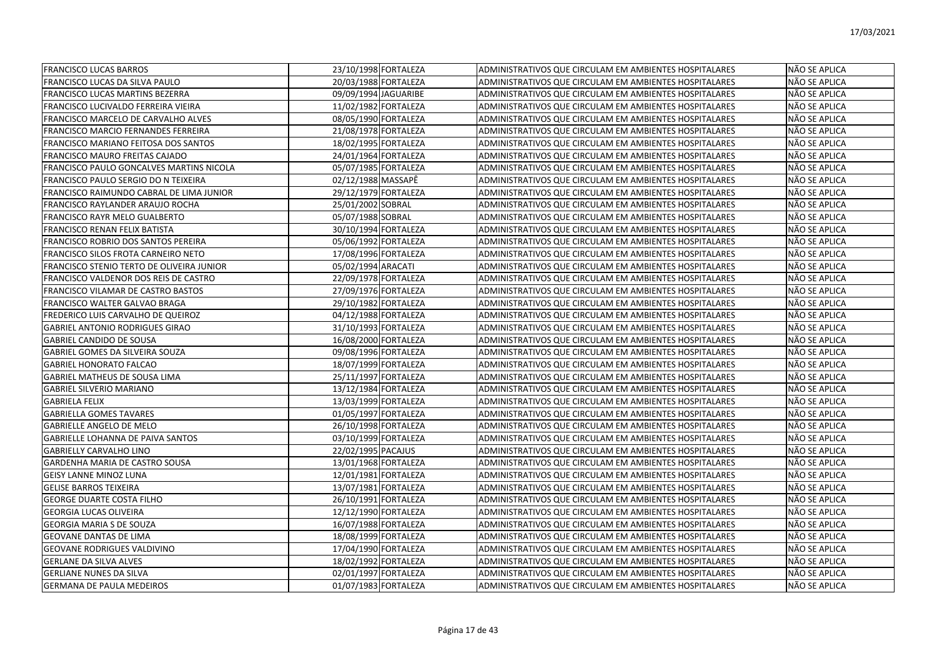| <b>FRANCISCO LUCAS BARROS</b>             | 23/10/1998 FORTALEZA | <b>ADMINISTRATIVOS QUE CIRCULAM EM AMBIENTES HOSPITALARES</b> | NÃO SE APLICA |
|-------------------------------------------|----------------------|---------------------------------------------------------------|---------------|
| FRANCISCO LUCAS DA SILVA PAULO            | 20/03/1988 FORTALEZA | ADMINISTRATIVOS QUE CIRCULAM EM AMBIENTES HOSPITALARES        | NÃO SE APLICA |
| FRANCISCO LUCAS MARTINS BEZERRA           | 09/09/1994 JAGUARIBE | ADMINISTRATIVOS QUE CIRCULAM EM AMBIENTES HOSPITALARES        | NÃO SE APLICA |
| FRANCISCO LUCIVALDO FERREIRA VIEIRA       | 11/02/1982 FORTALEZA | ADMINISTRATIVOS QUE CIRCULAM EM AMBIENTES HOSPITALARES        | NÃO SE APLICA |
| FRANCISCO MARCELO DE CARVALHO ALVES       | 08/05/1990 FORTALEZA | ADMINISTRATIVOS QUE CIRCULAM EM AMBIENTES HOSPITALARES        | NÃO SE APLICA |
| FRANCISCO MARCIO FERNANDES FERREIRA       | 21/08/1978 FORTALEZA | ADMINISTRATIVOS QUE CIRCULAM EM AMBIENTES HOSPITALARES        | NÃO SE APLICA |
| FRANCISCO MARIANO FEITOSA DOS SANTOS      | 18/02/1995 FORTALEZA | ADMINISTRATIVOS QUE CIRCULAM EM AMBIENTES HOSPITALARES        | NÃO SE APLICA |
| FRANCISCO MAURO FREITAS CAJADO            | 24/01/1964 FORTALEZA | ADMINISTRATIVOS QUE CIRCULAM EM AMBIENTES HOSPITALARES        | NÃO SE APLICA |
| FRANCISCO PAULO GONCALVES MARTINS NICOLA  | 05/07/1985 FORTALEZA | ADMINISTRATIVOS QUE CIRCULAM EM AMBIENTES HOSPITALARES        | NÃO SE APLICA |
| FRANCISCO PAULO SERGIO DO N TEIXEIRA      | 02/12/1988 MASSAPÊ   | ADMINISTRATIVOS QUE CIRCULAM EM AMBIENTES HOSPITALARES        | NÃO SE APLICA |
| FRANCISCO RAIMUNDO CABRAL DE LIMA JUNIOR  | 29/12/1979 FORTALEZA | ADMINISTRATIVOS QUE CIRCULAM EM AMBIENTES HOSPITALARES        | NÃO SE APLICA |
| FRANCISCO RAYLANDER ARAUJO ROCHA          | 25/01/2002 SOBRAL    | ADMINISTRATIVOS QUE CIRCULAM EM AMBIENTES HOSPITALARES        | NÃO SE APLICA |
| FRANCISCO RAYR MELO GUALBERTO             | 05/07/1988 SOBRAL    | ADMINISTRATIVOS QUE CIRCULAM EM AMBIENTES HOSPITALARES        | NÃO SE APLICA |
| FRANCISCO RENAN FELIX BATISTA             | 30/10/1994 FORTALEZA | ADMINISTRATIVOS QUE CIRCULAM EM AMBIENTES HOSPITALARES        | NÃO SE APLICA |
| FRANCISCO ROBRIO DOS SANTOS PEREIRA       | 05/06/1992 FORTALEZA | ADMINISTRATIVOS QUE CIRCULAM EM AMBIENTES HOSPITALARES        | NÃO SE APLICA |
| FRANCISCO SILOS FROTA CARNEIRO NETO       | 17/08/1996 FORTALEZA | ADMINISTRATIVOS QUE CIRCULAM EM AMBIENTES HOSPITALARES        | NÃO SE APLICA |
| FRANCISCO STENIO TERTO DE OLIVEIRA JUNIOR | 05/02/1994 ARACATI   | ADMINISTRATIVOS QUE CIRCULAM EM AMBIENTES HOSPITALARES        | NÃO SE APLICA |
| FRANCISCO VALDENOR DOS REIS DE CASTRO     | 22/09/1978 FORTALEZA | ADMINISTRATIVOS QUE CIRCULAM EM AMBIENTES HOSPITALARES        | NÃO SE APLICA |
| FRANCISCO VILAMAR DE CASTRO BASTOS        | 27/09/1976 FORTALEZA | ADMINISTRATIVOS QUE CIRCULAM EM AMBIENTES HOSPITALARES        | NÃO SE APLICA |
| FRANCISCO WALTER GALVAO BRAGA             | 29/10/1982 FORTALEZA | ADMINISTRATIVOS QUE CIRCULAM EM AMBIENTES HOSPITALARES        | NÃO SE APLICA |
| FREDERICO LUIS CARVALHO DE QUEIROZ        | 04/12/1988 FORTALEZA | ADMINISTRATIVOS QUE CIRCULAM EM AMBIENTES HOSPITALARES        | NÃO SE APLICA |
| <b>GABRIEL ANTONIO RODRIGUES GIRAO</b>    | 31/10/1993 FORTALEZA | ADMINISTRATIVOS QUE CIRCULAM EM AMBIENTES HOSPITALARES        | NÃO SE APLICA |
| <b>GABRIEL CANDIDO DE SOUSA</b>           | 16/08/2000 FORTALEZA | ADMINISTRATIVOS QUE CIRCULAM EM AMBIENTES HOSPITALARES        | NÃO SE APLICA |
| GABRIEL GOMES DA SILVEIRA SOUZA           | 09/08/1996 FORTALEZA | ADMINISTRATIVOS QUE CIRCULAM EM AMBIENTES HOSPITALARES        | NÃO SE APLICA |
| <b>GABRIEL HONORATO FALCAO</b>            | 18/07/1999 FORTALEZA | ADMINISTRATIVOS QUE CIRCULAM EM AMBIENTES HOSPITALARES        | NÃO SE APLICA |
| <b>GABRIEL MATHEUS DE SOUSA LIMA</b>      | 25/11/1997 FORTALEZA | <b>ADMINISTRATIVOS QUE CIRCULAM EM AMBIENTES HOSPITALARES</b> | NÃO SE APLICA |
| <b>GABRIEL SILVERIO MARIANO</b>           | 13/12/1984 FORTALEZA | ADMINISTRATIVOS QUE CIRCULAM EM AMBIENTES HOSPITALARES        | NÃO SE APLICA |
| <b>GABRIELA FELIX</b>                     | 13/03/1999 FORTALEZA | ADMINISTRATIVOS QUE CIRCULAM EM AMBIENTES HOSPITALARES        | NÃO SE APLICA |
| <b>GABRIELLA GOMES TAVARES</b>            | 01/05/1997 FORTALEZA | ADMINISTRATIVOS QUE CIRCULAM EM AMBIENTES HOSPITALARES        | NÃO SE APLICA |
| <b>GABRIELLE ANGELO DE MELO</b>           | 26/10/1998 FORTALEZA | ADMINISTRATIVOS QUE CIRCULAM EM AMBIENTES HOSPITALARES        | NÃO SE APLICA |
| <b>GABRIELLE LOHANNA DE PAIVA SANTOS</b>  | 03/10/1999 FORTALEZA | ADMINISTRATIVOS QUE CIRCULAM EM AMBIENTES HOSPITALARES        | NÃO SE APLICA |
| <b>GABRIELLY CARVALHO LINO</b>            | 22/02/1995 PACAJUS   | ADMINISTRATIVOS QUE CIRCULAM EM AMBIENTES HOSPITALARES        | NÃO SE APLICA |
| GARDENHA MARIA DE CASTRO SOUSA            | 13/01/1968 FORTALEZA | ADMINISTRATIVOS QUE CIRCULAM EM AMBIENTES HOSPITALARES        | NÃO SE APLICA |
| <b>GEISY LANNE MINOZ LUNA</b>             | 12/01/1981 FORTALEZA | ADMINISTRATIVOS QUE CIRCULAM EM AMBIENTES HOSPITALARES        | NÃO SE APLICA |
| <b>GELISE BARROS TEIXEIRA</b>             | 13/07/1981 FORTALEZA | ADMINISTRATIVOS QUE CIRCULAM EM AMBIENTES HOSPITALARES        | NÃO SE APLICA |
| <b>GEORGE DUARTE COSTA FILHO</b>          | 26/10/1991 FORTALEZA | ADMINISTRATIVOS QUE CIRCULAM EM AMBIENTES HOSPITALARES        | NÃO SE APLICA |
| <b>GEORGIA LUCAS OLIVEIRA</b>             | 12/12/1990 FORTALEZA | ADMINISTRATIVOS QUE CIRCULAM EM AMBIENTES HOSPITALARES        | NÃO SE APLICA |
| <b>GEORGIA MARIA S DE SOUZA</b>           | 16/07/1988 FORTALEZA | ADMINISTRATIVOS QUE CIRCULAM EM AMBIENTES HOSPITALARES        | NÃO SE APLICA |
| <b>GEOVANE DANTAS DE LIMA</b>             | 18/08/1999 FORTALEZA | ADMINISTRATIVOS QUE CIRCULAM EM AMBIENTES HOSPITALARES        | NÃO SE APLICA |
| <b>GEOVANE RODRIGUES VALDIVINO</b>        | 17/04/1990 FORTALEZA | ADMINISTRATIVOS QUE CIRCULAM EM AMBIENTES HOSPITALARES        | NÃO SE APLICA |
| <b>GERLANE DA SILVA ALVES</b>             | 18/02/1992 FORTALEZA | ADMINISTRATIVOS QUE CIRCULAM EM AMBIENTES HOSPITALARES        | NÃO SE APLICA |
| <b>GERLIANE NUNES DA SILVA</b>            | 02/01/1997 FORTALEZA | ADMINISTRATIVOS QUE CIRCULAM EM AMBIENTES HOSPITALARES        | NÃO SE APLICA |
| <b>GERMANA DE PAULA MEDEIROS</b>          | 01/07/1983 FORTALEZA | ADMINISTRATIVOS QUE CIRCULAM EM AMBIENTES HOSPITALARES        | NÃO SE APLICA |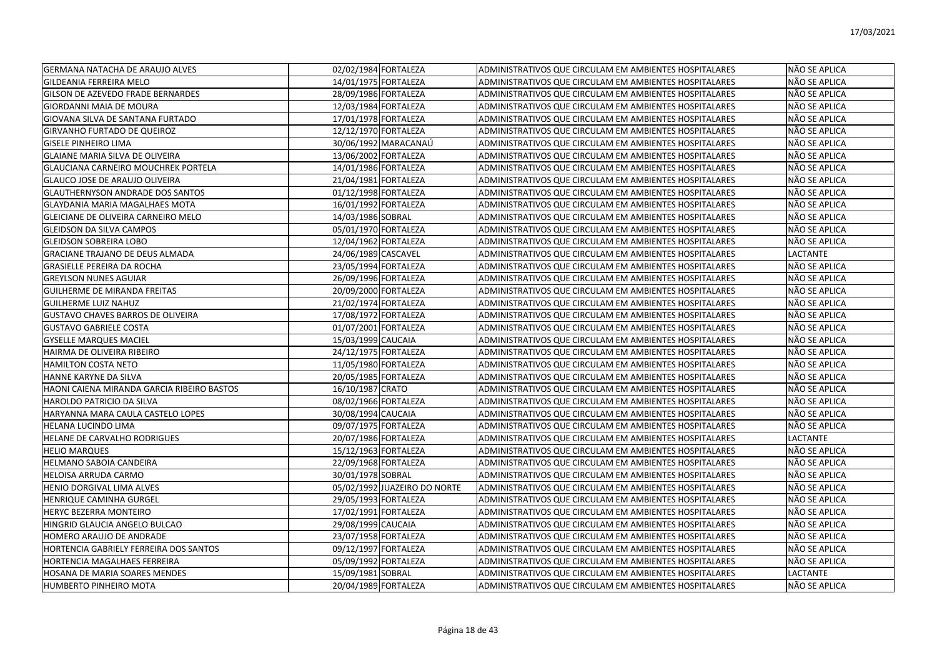| <b>GERMANA NATACHA DE ARAUJO ALVES</b>     | 02/02/1984 FORTALEZA              | ADMINISTRATIVOS QUE CIRCULAM EM AMBIENTES HOSPITALARES | NÃO SE APLICA   |
|--------------------------------------------|-----------------------------------|--------------------------------------------------------|-----------------|
| GILDEANIA FERREIRA MELO                    | 14/01/1975 FORTALEZA              | ADMINISTRATIVOS QUE CIRCULAM EM AMBIENTES HOSPITALARES | NÃO SE APLICA   |
| <b>GILSON DE AZEVEDO FRADE BERNARDES</b>   | 28/09/1986 FORTALEZA              | ADMINISTRATIVOS QUE CIRCULAM EM AMBIENTES HOSPITALARES | NÃO SE APLICA   |
| <b>GIORDANNI MAIA DE MOURA</b>             | 12/03/1984 FORTALEZA              | ADMINISTRATIVOS QUE CIRCULAM EM AMBIENTES HOSPITALARES | NÃO SE APLICA   |
| GIOVANA SILVA DE SANTANA FURTADO           | 17/01/1978 FORTALEZA              | ADMINISTRATIVOS QUE CIRCULAM EM AMBIENTES HOSPITALARES | NÃO SE APLICA   |
| <b>GIRVANHO FURTADO DE QUEIROZ</b>         | 12/12/1970 FORTALEZA              | ADMINISTRATIVOS QUE CIRCULAM EM AMBIENTES HOSPITALARES | NÃO SE APLICA   |
| <b>GISELE PINHEIRO LIMA</b>                | 30/06/1992 MARACANAÚ              | ADMINISTRATIVOS QUE CIRCULAM EM AMBIENTES HOSPITALARES | NÃO SE APLICA   |
| <b>GLAIANE MARIA SILVA DE OLIVEIRA</b>     | 13/06/2002 FORTALEZA              | ADMINISTRATIVOS QUE CIRCULAM EM AMBIENTES HOSPITALARES | NÃO SE APLICA   |
| <b>GLAUCIANA CARNEIRO MOUCHREK PORTELA</b> | 14/01/1986 FORTALEZA              | ADMINISTRATIVOS QUE CIRCULAM EM AMBIENTES HOSPITALARES | NÃO SE APLICA   |
| GLAUCO JOSE DE ARAUJO OLIVEIRA             | 21/04/1981 FORTALEZA              | ADMINISTRATIVOS QUE CIRCULAM EM AMBIENTES HOSPITALARES | NÃO SE APLICA   |
| <b>GLAUTHERNYSON ANDRADE DOS SANTOS</b>    | $\overline{01/12/1998}$ FORTALEZA | ADMINISTRATIVOS QUE CIRCULAM EM AMBIENTES HOSPITALARES | NÃO SE APLICA   |
| <b>GLAYDANIA MARIA MAGALHAES MOTA</b>      | 16/01/1992 FORTALEZA              | ADMINISTRATIVOS QUE CIRCULAM EM AMBIENTES HOSPITALARES | NÃO SE APLICA   |
| GLEICIANE DE OLIVEIRA CARNEIRO MELO        | 14/03/1986 SOBRAL                 | ADMINISTRATIVOS QUE CIRCULAM EM AMBIENTES HOSPITALARES | NÃO SE APLICA   |
| <b>GLEIDSON DA SILVA CAMPOS</b>            | 05/01/1970 FORTALEZA              | ADMINISTRATIVOS QUE CIRCULAM EM AMBIENTES HOSPITALARES | NÃO SE APLICA   |
| <b>GLEIDSON SOBREIRA LOBO</b>              | 12/04/1962 FORTALEZA              | ADMINISTRATIVOS QUE CIRCULAM EM AMBIENTES HOSPITALARES | NÃO SE APLICA   |
| <b>GRACIANE TRAJANO DE DEUS ALMADA</b>     | 24/06/1989 CASCAVEL               | ADMINISTRATIVOS QUE CIRCULAM EM AMBIENTES HOSPITALARES | LACTANTE        |
| <b>GRASIELLE PEREIRA DA ROCHA</b>          | 23/05/1994 FORTALEZA              | ADMINISTRATIVOS QUE CIRCULAM EM AMBIENTES HOSPITALARES | NÃO SE APLICA   |
| <b>GREYLSON NUNES AGUIAR</b>               | 26/09/1996 FORTALEZA              | ADMINISTRATIVOS QUE CIRCULAM EM AMBIENTES HOSPITALARES | NÃO SE APLICA   |
| <b>GUILHERME DE MIRANDA FREITAS</b>        | 20/09/2000 FORTALEZA              | ADMINISTRATIVOS QUE CIRCULAM EM AMBIENTES HOSPITALARES | NÃO SE APLICA   |
| <b>GUILHERME LUIZ NAHUZ</b>                | 21/02/1974 FORTALEZA              | ADMINISTRATIVOS QUE CIRCULAM EM AMBIENTES HOSPITALARES | NÃO SE APLICA   |
| <b>GUSTAVO CHAVES BARROS DE OLIVEIRA</b>   | 17/08/1972 FORTALEZA              | ADMINISTRATIVOS QUE CIRCULAM EM AMBIENTES HOSPITALARES | NÃO SE APLICA   |
| <b>GUSTAVO GABRIELE COSTA</b>              | 01/07/2001 FORTALEZA              | ADMINISTRATIVOS QUE CIRCULAM EM AMBIENTES HOSPITALARES | NÃO SE APLICA   |
| <b>GYSELLE MARQUES MACIEL</b>              | 15/03/1999 CAUCAIA                | ADMINISTRATIVOS QUE CIRCULAM EM AMBIENTES HOSPITALARES | NÃO SE APLICA   |
| HAIRMA DE OLIVEIRA RIBEIRO                 | 24/12/1975 FORTALEZA              | ADMINISTRATIVOS QUE CIRCULAM EM AMBIENTES HOSPITALARES | NÃO SE APLICA   |
| <b>HAMILTON COSTA NETO</b>                 | 11/05/1980 FORTALEZA              | ADMINISTRATIVOS QUE CIRCULAM EM AMBIENTES HOSPITALARES | NÃO SE APLICA   |
| HANNE KARYNE DA SILVA                      | 20/05/1985 FORTALEZA              | ADMINISTRATIVOS QUE CIRCULAM EM AMBIENTES HOSPITALARES | NÃO SE APLICA   |
| HAONI CAIENA MIRANDA GARCIA RIBEIRO BASTOS | 16/10/1987 CRATO                  | ADMINISTRATIVOS QUE CIRCULAM EM AMBIENTES HOSPITALARES | NÃO SE APLICA   |
| HAROLDO PATRICIO DA SILVA                  | 08/02/1966 FORTALEZA              | ADMINISTRATIVOS QUE CIRCULAM EM AMBIENTES HOSPITALARES | NÃO SE APLICA   |
| HARYANNA MARA CAULA CASTELO LOPES          | 30/08/1994 CAUCAIA                | ADMINISTRATIVOS QUE CIRCULAM EM AMBIENTES HOSPITALARES | NÃO SE APLICA   |
| HELANA LUCINDO LIMA                        | 09/07/1975 FORTALEZA              | ADMINISTRATIVOS QUE CIRCULAM EM AMBIENTES HOSPITALARES | NÃO SE APLICA   |
| HELANE DE CARVALHO RODRIGUES               | 20/07/1986 FORTALEZA              | ADMINISTRATIVOS QUE CIRCULAM EM AMBIENTES HOSPITALARES | LACTANTE        |
| <b>HELIO MARQUES</b>                       | 15/12/1963 FORTALEZA              | ADMINISTRATIVOS QUE CIRCULAM EM AMBIENTES HOSPITALARES | NÃO SE APLICA   |
| HELMANO SABOIA CANDEIRA                    | 22/09/1968 FORTALEZA              | ADMINISTRATIVOS QUE CIRCULAM EM AMBIENTES HOSPITALARES | NÃO SE APLICA   |
| <b>HELOISA ARRUDA CARMO</b>                | 30/01/1978 SOBRAL                 | ADMINISTRATIVOS QUE CIRCULAM EM AMBIENTES HOSPITALARES | NÃO SE APLICA   |
| HENIO DORGIVAL LIMA ALVES                  | 05/02/1992 JUAZEIRO DO NORTE      | ADMINISTRATIVOS QUE CIRCULAM EM AMBIENTES HOSPITALARES | NÃO SE APLICA   |
| HENRIQUE CAMINHA GURGEL                    | 29/05/1993 FORTALEZA              | ADMINISTRATIVOS QUE CIRCULAM EM AMBIENTES HOSPITALARES | NÃO SE APLICA   |
| HERYC BEZERRA MONTEIRO                     | 17/02/1991 FORTALEZA              | ADMINISTRATIVOS QUE CIRCULAM EM AMBIENTES HOSPITALARES | NÃO SE APLICA   |
| HINGRID GLAUCIA ANGELO BULCAO              | 29/08/1999 CAUCAIA                | ADMINISTRATIVOS QUE CIRCULAM EM AMBIENTES HOSPITALARES | NÃO SE APLICA   |
| HOMERO ARAUJO DE ANDRADE                   | 23/07/1958 FORTALEZA              | ADMINISTRATIVOS QUE CIRCULAM EM AMBIENTES HOSPITALARES | NÃO SE APLICA   |
| HORTENCIA GABRIELY FERREIRA DOS SANTOS     | 09/12/1997 FORTALEZA              | ADMINISTRATIVOS QUE CIRCULAM EM AMBIENTES HOSPITALARES | NÃO SE APLICA   |
| <b>HORTENCIA MAGALHAES FERREIRA</b>        | 05/09/1992 FORTALEZA              | ADMINISTRATIVOS QUE CIRCULAM EM AMBIENTES HOSPITALARES | NÃO SE APLICA   |
| <b>HOSANA DE MARIA SOARES MENDES</b>       | 15/09/1981 SOBRAL                 | ADMINISTRATIVOS QUE CIRCULAM EM AMBIENTES HOSPITALARES | <b>LACTANTE</b> |
| <b>HUMBERTO PINHEIRO MOTA</b>              | 20/04/1989 FORTALEZA              | ADMINISTRATIVOS QUE CIRCULAM EM AMBIENTES HOSPITALARES | INÃO SE APLICA  |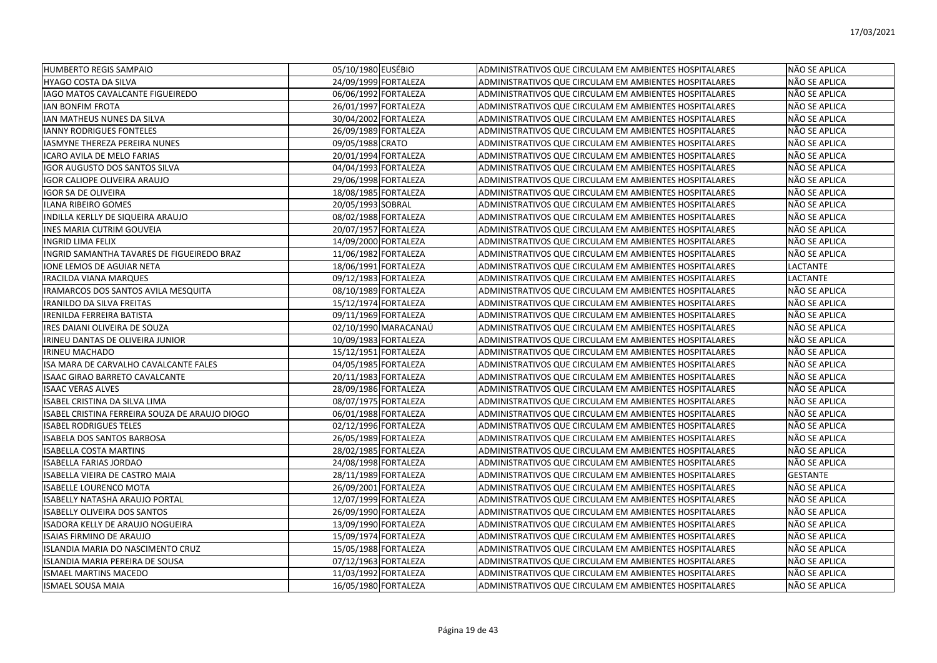| <b>HUMBERTO REGIS SAMPAIO</b>                  | 05/10/1980 EUSÉBIO   | ADMINISTRATIVOS QUE CIRCULAM EM AMBIENTES HOSPITALARES | NÃO SE APLICA   |
|------------------------------------------------|----------------------|--------------------------------------------------------|-----------------|
| HYAGO COSTA DA SILVA                           | 24/09/1999 FORTALEZA | ADMINISTRATIVOS QUE CIRCULAM EM AMBIENTES HOSPITALARES | NÃO SE APLICA   |
| IAGO MATOS CAVALCANTE FIGUEIREDO               | 06/06/1992 FORTALEZA | ADMINISTRATIVOS QUE CIRCULAM EM AMBIENTES HOSPITALARES | NÃO SE APLICA   |
| IAN BONFIM FROTA                               | 26/01/1997 FORTALEZA | ADMINISTRATIVOS QUE CIRCULAM EM AMBIENTES HOSPITALARES | NÃO SE APLICA   |
| IAN MATHEUS NUNES DA SILVA                     | 30/04/2002 FORTALEZA | ADMINISTRATIVOS QUE CIRCULAM EM AMBIENTES HOSPITALARES | NÃO SE APLICA   |
| <b>IANNY RODRIGUES FONTELES</b>                | 26/09/1989 FORTALEZA | ADMINISTRATIVOS QUE CIRCULAM EM AMBIENTES HOSPITALARES | NÃO SE APLICA   |
| IASMYNE THEREZA PEREIRA NUNES                  | 09/05/1988 CRATO     | ADMINISTRATIVOS QUE CIRCULAM EM AMBIENTES HOSPITALARES | NÃO SE APLICA   |
| ICARO AVILA DE MELO FARIAS                     | 20/01/1994 FORTALEZA | ADMINISTRATIVOS QUE CIRCULAM EM AMBIENTES HOSPITALARES | NÃO SE APLICA   |
| IGOR AUGUSTO DOS SANTOS SILVA                  | 04/04/1993 FORTALEZA | ADMINISTRATIVOS QUE CIRCULAM EM AMBIENTES HOSPITALARES | NÃO SE APLICA   |
| IGOR CALIOPE OLIVEIRA ARAUJO                   | 29/06/1998 FORTALEZA | ADMINISTRATIVOS QUE CIRCULAM EM AMBIENTES HOSPITALARES | NÃO SE APLICA   |
| IGOR SA DE OLIVEIRA                            | 18/08/1985 FORTALEZA | ADMINISTRATIVOS QUE CIRCULAM EM AMBIENTES HOSPITALARES | NÃO SE APLICA   |
| <b>ILANA RIBEIRO GOMES</b>                     | 20/05/1993 SOBRAL    | ADMINISTRATIVOS QUE CIRCULAM EM AMBIENTES HOSPITALARES | NÃO SE APLICA   |
| INDILLA KERLLY DE SIQUEIRA ARAUJO              | 08/02/1988 FORTALEZA | ADMINISTRATIVOS QUE CIRCULAM EM AMBIENTES HOSPITALARES | NÃO SE APLICA   |
| INES MARIA CUTRIM GOUVEIA                      | 20/07/1957 FORTALEZA | ADMINISTRATIVOS QUE CIRCULAM EM AMBIENTES HOSPITALARES | NÃO SE APLICA   |
| <b>INGRID LIMA FELIX</b>                       | 14/09/2000 FORTALEZA | ADMINISTRATIVOS QUE CIRCULAM EM AMBIENTES HOSPITALARES | NÃO SE APLICA   |
| INGRID SAMANTHA TAVARES DE FIGUEIREDO BRAZ     | 11/06/1982 FORTALEZA | ADMINISTRATIVOS QUE CIRCULAM EM AMBIENTES HOSPITALARES | NÃO SE APLICA   |
| ONE LEMOS DE AGUIAR NETA                       | 18/06/1991 FORTALEZA | ADMINISTRATIVOS QUE CIRCULAM EM AMBIENTES HOSPITALARES | <b>LACTANTE</b> |
| <b>IRACILDA VIANA MARQUES</b>                  | 09/12/1983 FORTALEZA | ADMINISTRATIVOS QUE CIRCULAM EM AMBIENTES HOSPITALARES | <b>LACTANTE</b> |
| IRAMARCOS DOS SANTOS AVILA MESQUITA            | 08/10/1989 FORTALEZA | ADMINISTRATIVOS QUE CIRCULAM EM AMBIENTES HOSPITALARES | NÃO SE APLICA   |
| IRANILDO DA SILVA FREITAS                      | 15/12/1974 FORTALEZA | ADMINISTRATIVOS QUE CIRCULAM EM AMBIENTES HOSPITALARES | NÃO SE APLICA   |
| IRENILDA FERREIRA BATISTA                      | 09/11/1969 FORTALEZA | ADMINISTRATIVOS QUE CIRCULAM EM AMBIENTES HOSPITALARES | NÃO SE APLICA   |
| IRES DAIANI OLIVEIRA DE SOUZA                  | 02/10/1990 MARACANAÚ | ADMINISTRATIVOS QUE CIRCULAM EM AMBIENTES HOSPITALARES | NÃO SE APLICA   |
| IRINEU DANTAS DE OLIVEIRA JUNIOR               | 10/09/1983 FORTALEZA | ADMINISTRATIVOS QUE CIRCULAM EM AMBIENTES HOSPITALARES | NÃO SE APLICA   |
| IRINEU MACHADO                                 | 15/12/1951 FORTALEZA | ADMINISTRATIVOS QUE CIRCULAM EM AMBIENTES HOSPITALARES | NÃO SE APLICA   |
| ISA MARA DE CARVALHO CAVALCANTE FALES          | 04/05/1985 FORTALEZA | ADMINISTRATIVOS QUE CIRCULAM EM AMBIENTES HOSPITALARES | NÃO SE APLICA   |
| <b>ISAAC GIRAO BARRETO CAVALCANTE</b>          | 20/11/1983 FORTALEZA | ADMINISTRATIVOS QUE CIRCULAM EM AMBIENTES HOSPITALARES | NÃO SE APLICA   |
| <b>ISAAC VERAS ALVES</b>                       | 28/09/1986 FORTALEZA | ADMINISTRATIVOS QUE CIRCULAM EM AMBIENTES HOSPITALARES | NÃO SE APLICA   |
| ISABEL CRISTINA DA SILVA LIMA                  | 08/07/1975 FORTALEZA | ADMINISTRATIVOS QUE CIRCULAM EM AMBIENTES HOSPITALARES | NÃO SE APLICA   |
| ISABEL CRISTINA FERREIRA SOUZA DE ARAUJO DIOGO | 06/01/1988 FORTALEZA | ADMINISTRATIVOS QUE CIRCULAM EM AMBIENTES HOSPITALARES | NÃO SE APLICA   |
| <b>ISABEL RODRIGUES TELES</b>                  | 02/12/1996 FORTALEZA | ADMINISTRATIVOS QUE CIRCULAM EM AMBIENTES HOSPITALARES | NÃO SE APLICA   |
| ISABELA DOS SANTOS BARBOSA                     | 26/05/1989 FORTALEZA | ADMINISTRATIVOS QUE CIRCULAM EM AMBIENTES HOSPITALARES | NÃO SE APLICA   |
| <b>ISABELLA COSTA MARTINS</b>                  | 28/02/1985 FORTALEZA | ADMINISTRATIVOS QUE CIRCULAM EM AMBIENTES HOSPITALARES | NÃO SE APLICA   |
| <b>ISABELLA FARIAS JORDAO</b>                  | 24/08/1998 FORTALEZA | ADMINISTRATIVOS QUE CIRCULAM EM AMBIENTES HOSPITALARES | NÃO SE APLICA   |
| ISABELLA VIEIRA DE CASTRO MAIA                 | 28/11/1989 FORTALEZA | ADMINISTRATIVOS QUE CIRCULAM EM AMBIENTES HOSPITALARES | <b>GESTANTE</b> |
| <b>ISABELLE LOURENCO MOTA</b>                  | 26/09/2001 FORTALEZA | ADMINISTRATIVOS QUE CIRCULAM EM AMBIENTES HOSPITALARES | NÃO SE APLICA   |
| ISABELLY NATASHA ARAUJO PORTAL                 | 12/07/1999 FORTALEZA | ADMINISTRATIVOS QUE CIRCULAM EM AMBIENTES HOSPITALARES | NÃO SE APLICA   |
| <b>ISABELLY OLIVEIRA DOS SANTOS</b>            | 26/09/1990 FORTALEZA | ADMINISTRATIVOS QUE CIRCULAM EM AMBIENTES HOSPITALARES | NÃO SE APLICA   |
| ISADORA KELLY DE ARAUJO NOGUEIRA               | 13/09/1990 FORTALEZA | ADMINISTRATIVOS QUE CIRCULAM EM AMBIENTES HOSPITALARES | NÃO SE APLICA   |
| ISAIAS FIRMINO DE ARAUJO                       | 15/09/1974 FORTALEZA | ADMINISTRATIVOS QUE CIRCULAM EM AMBIENTES HOSPITALARES | NÃO SE APLICA   |
| ISLANDIA MARIA DO NASCIMENTO CRUZ              | 15/05/1988 FORTALEZA | ADMINISTRATIVOS QUE CIRCULAM EM AMBIENTES HOSPITALARES | NÃO SE APLICA   |
| ISLANDIA MARIA PEREIRA DE SOUSA                | 07/12/1963 FORTALEZA | ADMINISTRATIVOS QUE CIRCULAM EM AMBIENTES HOSPITALARES | NÃO SE APLICA   |
| <b>ISMAEL MARTINS MACEDO</b>                   | 11/03/1992 FORTALEZA | ADMINISTRATIVOS QUE CIRCULAM EM AMBIENTES HOSPITALARES | NÃO SE APLICA   |
| <b>ISMAEL SOUSA MAIA</b>                       | 16/05/1980 FORTALEZA | ADMINISTRATIVOS QUE CIRCULAM EM AMBIENTES HOSPITALARES | NÃO SE APLICA   |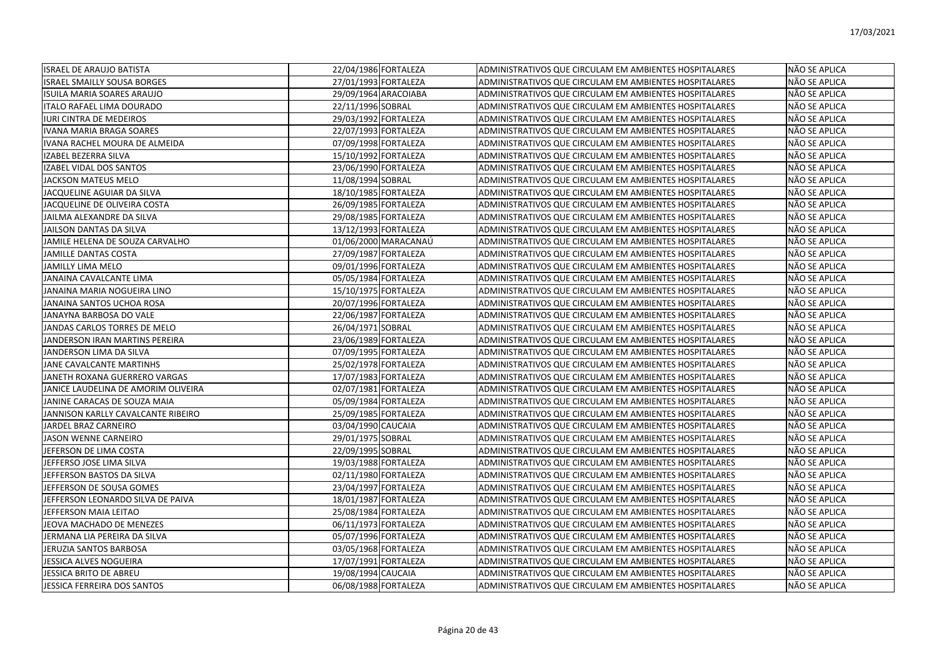| <b>ISRAEL DE ARAUJO BATISTA</b>     | 22/04/1986 FORTALEZA | ADMINISTRATIVOS QUE CIRCULAM EM AMBIENTES HOSPITALARES | NÃO SE APLICA        |
|-------------------------------------|----------------------|--------------------------------------------------------|----------------------|
| <b>ISRAEL SMAILLY SOUSA BORGES</b>  | 27/01/1993 FORTALEZA | ADMINISTRATIVOS QUE CIRCULAM EM AMBIENTES HOSPITALARES | NÃO SE APLICA        |
| ISUILA MARIA SOARES ARAUJO          | 29/09/1964 ARACOIABA | ADMINISTRATIVOS QUE CIRCULAM EM AMBIENTES HOSPITALARES | NÃO SE APLICA        |
| ITALO RAFAEL LIMA DOURADO           | 22/11/1996 SOBRAL    | ADMINISTRATIVOS QUE CIRCULAM EM AMBIENTES HOSPITALARES | NÃO SE APLICA        |
| <b>IURI CINTRA DE MEDEIROS</b>      | 29/03/1992 FORTALEZA | ADMINISTRATIVOS QUE CIRCULAM EM AMBIENTES HOSPITALARES | NÃO SE APLICA        |
| IVANA MARIA BRAGA SOARES            | 22/07/1993 FORTALEZA | ADMINISTRATIVOS QUE CIRCULAM EM AMBIENTES HOSPITALARES | NÃO SE APLICA        |
| IVANA RACHEL MOURA DE ALMEIDA       | 07/09/1998 FORTALEZA | ADMINISTRATIVOS QUE CIRCULAM EM AMBIENTES HOSPITALARES | NÃO SE APLICA        |
| IZABEL BEZERRA SILVA                | 15/10/1992 FORTALEZA | ADMINISTRATIVOS QUE CIRCULAM EM AMBIENTES HOSPITALARES | NÃO SE APLICA        |
| IZABEL VIDAL DOS SANTOS             | 23/06/1990 FORTALEZA | ADMINISTRATIVOS QUE CIRCULAM EM AMBIENTES HOSPITALARES | NÃO SE APLICA        |
| JACKSON MATEUS MELO                 | 11/08/1994 SOBRAL    | ADMINISTRATIVOS QUE CIRCULAM EM AMBIENTES HOSPITALARES | NÃO SE APLICA        |
| JACQUELINE AGUIAR DA SILVA          | 18/10/1985 FORTALEZA | ADMINISTRATIVOS QUE CIRCULAM EM AMBIENTES HOSPITALARES | NÃO SE APLICA        |
| JACQUELINE DE OLIVEIRA COSTA        | 26/09/1985 FORTALEZA | ADMINISTRATIVOS QUE CIRCULAM EM AMBIENTES HOSPITALARES | NÃO SE APLICA        |
| JAILMA ALEXANDRE DA SILVA           | 29/08/1985 FORTALEZA | ADMINISTRATIVOS QUE CIRCULAM EM AMBIENTES HOSPITALARES | NÃO SE APLICA        |
| JAILSON DANTAS DA SILVA             | 13/12/1993 FORTALEZA | ADMINISTRATIVOS QUE CIRCULAM EM AMBIENTES HOSPITALARES | NÃO SE APLICA        |
| JAMILE HELENA DE SOUZA CARVALHO     | 01/06/2000 MARACANAÚ | ADMINISTRATIVOS QUE CIRCULAM EM AMBIENTES HOSPITALARES | NÃO SE APLICA        |
| <b>JAMILLE DANTAS COSTA</b>         | 27/09/1987 FORTALEZA | ADMINISTRATIVOS QUE CIRCULAM EM AMBIENTES HOSPITALARES | NÃO SE APLICA        |
| <b>JAMILLY LIMA MELO</b>            | 09/01/1996 FORTALEZA | ADMINISTRATIVOS QUE CIRCULAM EM AMBIENTES HOSPITALARES | NÃO SE APLICA        |
| JANAINA CAVALCANTE LIMA             | 05/05/1984 FORTALEZA | ADMINISTRATIVOS QUE CIRCULAM EM AMBIENTES HOSPITALARES | NÃO SE APLICA        |
| JANAINA MARIA NOGUEIRA LINO         | 15/10/1975 FORTALEZA | ADMINISTRATIVOS QUE CIRCULAM EM AMBIENTES HOSPITALARES | NÃO SE APLICA        |
| JANAINA SANTOS UCHOA ROSA           | 20/07/1996 FORTALEZA | ADMINISTRATIVOS QUE CIRCULAM EM AMBIENTES HOSPITALARES | NÃO SE APLICA        |
| JANAYNA BARBOSA DO VALE             | 22/06/1987 FORTALEZA | ADMINISTRATIVOS QUE CIRCULAM EM AMBIENTES HOSPITALARES | NÃO SE APLICA        |
| JANDAS CARLOS TORRES DE MELO        | 26/04/1971 SOBRAL    | ADMINISTRATIVOS QUE CIRCULAM EM AMBIENTES HOSPITALARES | NÃO SE APLICA        |
| JANDERSON IRAN MARTINS PEREIRA      | 23/06/1989 FORTALEZA | ADMINISTRATIVOS QUE CIRCULAM EM AMBIENTES HOSPITALARES | NÃO SE APLICA        |
| JANDERSON LIMA DA SILVA             | 07/09/1995 FORTALEZA | ADMINISTRATIVOS QUE CIRCULAM EM AMBIENTES HOSPITALARES | NÃO SE APLICA        |
| JANE CAVALCANTE MARTINHS            | 25/02/1978 FORTALEZA | ADMINISTRATIVOS QUE CIRCULAM EM AMBIENTES HOSPITALARES | NÃO SE APLICA        |
| JANETH ROXANA GUERRERO VARGAS       | 17/07/1983 FORTALEZA | ADMINISTRATIVOS QUE CIRCULAM EM AMBIENTES HOSPITALARES | NÃO SE APLICA        |
| JANICE LAUDELINA DE AMORIM OLIVEIRA | 02/07/1981 FORTALEZA | ADMINISTRATIVOS QUE CIRCULAM EM AMBIENTES HOSPITALARES | NÃO SE APLICA        |
| JANINE CARACAS DE SOUZA MAIA        | 05/09/1984 FORTALEZA | ADMINISTRATIVOS QUE CIRCULAM EM AMBIENTES HOSPITALARES | NÃO SE APLICA        |
| JANNISON KARLLY CAVALCANTE RIBEIRO  | 25/09/1985 FORTALEZA | ADMINISTRATIVOS QUE CIRCULAM EM AMBIENTES HOSPITALARES | NÃO SE APLICA        |
| JARDEL BRAZ CARNEIRO                | 03/04/1990 CAUCAIA   | ADMINISTRATIVOS QUE CIRCULAM EM AMBIENTES HOSPITALARES | NÃO SE APLICA        |
| <b>JASON WENNE CARNEIRO</b>         | 29/01/1975 SOBRAL    | ADMINISTRATIVOS QUE CIRCULAM EM AMBIENTES HOSPITALARES | NÃO SE APLICA        |
| JEFERSON DE LIMA COSTA              | 22/09/1995 SOBRAL    | ADMINISTRATIVOS QUE CIRCULAM EM AMBIENTES HOSPITALARES | NÃO SE APLICA        |
| JEFFERSO JOSE LIMA SILVA            | 19/03/1988 FORTALEZA | ADMINISTRATIVOS QUE CIRCULAM EM AMBIENTES HOSPITALARES | NÃO SE APLICA        |
| JEFFERSON BASTOS DA SILVA           | 02/11/1980 FORTALEZA | ADMINISTRATIVOS QUE CIRCULAM EM AMBIENTES HOSPITALARES | NÃO SE APLICA        |
| JEFFERSON DE SOUSA GOMES            | 23/04/1997 FORTALEZA | ADMINISTRATIVOS QUE CIRCULAM EM AMBIENTES HOSPITALARES | NÃO SE APLICA        |
| JEFFERSON LEONARDO SILVA DE PAIVA   | 18/01/1987 FORTALEZA | ADMINISTRATIVOS QUE CIRCULAM EM AMBIENTES HOSPITALARES | NÃO SE APLICA        |
| JEFFERSON MAIA LEITAO               | 25/08/1984 FORTALEZA | ADMINISTRATIVOS QUE CIRCULAM EM AMBIENTES HOSPITALARES | NÃO SE APLICA        |
| JEOVA MACHADO DE MENEZES            | 06/11/1973 FORTALEZA | ADMINISTRATIVOS QUE CIRCULAM EM AMBIENTES HOSPITALARES | NÃO SE APLICA        |
| JERMANA LIA PEREIRA DA SILVA        | 05/07/1996 FORTALEZA | ADMINISTRATIVOS QUE CIRCULAM EM AMBIENTES HOSPITALARES | NÃO SE APLICA        |
| JERUZIA SANTOS BARBOSA              | 03/05/1968 FORTALEZA | ADMINISTRATIVOS QUE CIRCULAM EM AMBIENTES HOSPITALARES | NÃO SE APLICA        |
| JESSICA ALVES NOGUEIRA              | 17/07/1991 FORTALEZA | ADMINISTRATIVOS QUE CIRCULAM EM AMBIENTES HOSPITALARES | NÃO SE APLICA        |
| JESSICA BRITO DE ABREU              | 19/08/1994 CAUCAIA   | ADMINISTRATIVOS QUE CIRCULAM EM AMBIENTES HOSPITALARES | NÃO SE APLICA        |
| <b>JESSICA FERREIRA DOS SANTOS</b>  | 06/08/1988 FORTALEZA | ADMINISTRATIVOS QUE CIRCULAM EM AMBIENTES HOSPITALARES | <b>NÃO SE APLICA</b> |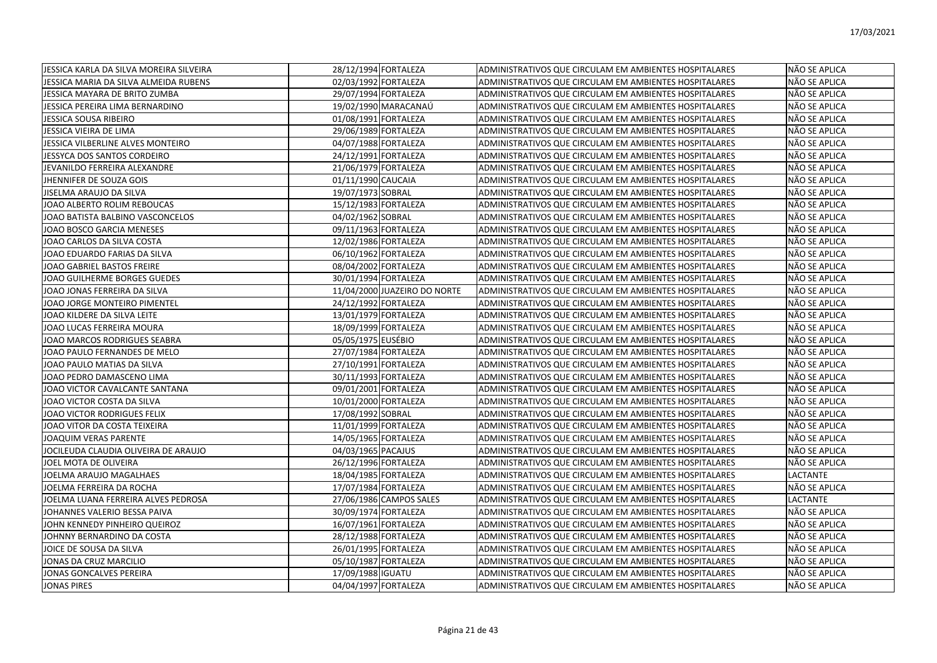| JESSICA KARLA DA SILVA MOREIRA SILVEIRA | 28/12/1994 FORTALEZA         | ADMINISTRATIVOS QUE CIRCULAM EM AMBIENTES HOSPITALARES | NÃO SE APLICA   |
|-----------------------------------------|------------------------------|--------------------------------------------------------|-----------------|
| JESSICA MARIA DA SILVA ALMEIDA RUBENS   | 02/03/1992 FORTALEZA         | ADMINISTRATIVOS QUE CIRCULAM EM AMBIENTES HOSPITALARES | NÃO SE APLICA   |
| JESSICA MAYARA DE BRITO ZUMBA           | 29/07/1994 FORTALEZA         | ADMINISTRATIVOS QUE CIRCULAM EM AMBIENTES HOSPITALARES | NÃO SE APLICA   |
| JESSICA PEREIRA LIMA BERNARDINO         | 19/02/1990 MARACANAÚ         | ADMINISTRATIVOS QUE CIRCULAM EM AMBIENTES HOSPITALARES | NÃO SE APLICA   |
| JESSICA SOUSA RIBEIRO                   | 01/08/1991 FORTALEZA         | ADMINISTRATIVOS QUE CIRCULAM EM AMBIENTES HOSPITALARES | NÃO SE APLICA   |
| JESSICA VIEIRA DE LIMA                  | 29/06/1989 FORTALEZA         | ADMINISTRATIVOS QUE CIRCULAM EM AMBIENTES HOSPITALARES | NÃO SE APLICA   |
| JESSICA VILBERLINE ALVES MONTEIRO       | 04/07/1988 FORTALEZA         | ADMINISTRATIVOS QUE CIRCULAM EM AMBIENTES HOSPITALARES | NÃO SE APLICA   |
| JESSYCA DOS SANTOS CORDEIRO             | 24/12/1991 FORTALEZA         | ADMINISTRATIVOS QUE CIRCULAM EM AMBIENTES HOSPITALARES | NÃO SE APLICA   |
| JEVANILDO FERREIRA ALEXANDRE            | 21/06/1979 FORTALEZA         | ADMINISTRATIVOS QUE CIRCULAM EM AMBIENTES HOSPITALARES | NÃO SE APLICA   |
| JHENNIFER DE SOUZA GOIS                 | 01/11/1990 CAUCAIA           | ADMINISTRATIVOS QUE CIRCULAM EM AMBIENTES HOSPITALARES | NÃO SE APLICA   |
| JISELMA ARAUJO DA SILVA                 | 19/07/1973 SOBRAL            | ADMINISTRATIVOS QUE CIRCULAM EM AMBIENTES HOSPITALARES | NÃO SE APLICA   |
| JOAO ALBERTO ROLIM REBOUCAS             | 15/12/1983 FORTALEZA         | ADMINISTRATIVOS QUE CIRCULAM EM AMBIENTES HOSPITALARES | NÃO SE APLICA   |
| JOAO BATISTA BALBINO VASCONCELOS        | 04/02/1962 SOBRAL            | ADMINISTRATIVOS QUE CIRCULAM EM AMBIENTES HOSPITALARES | NÃO SE APLICA   |
| JOAO BOSCO GARCIA MENESES               | 09/11/1963 FORTALEZA         | ADMINISTRATIVOS QUE CIRCULAM EM AMBIENTES HOSPITALARES | NÃO SE APLICA   |
| JOAO CARLOS DA SILVA COSTA              | 12/02/1986 FORTALEZA         | ADMINISTRATIVOS QUE CIRCULAM EM AMBIENTES HOSPITALARES | NÃO SE APLICA   |
| JOAO EDUARDO FARIAS DA SILVA            | 06/10/1962 FORTALEZA         | ADMINISTRATIVOS QUE CIRCULAM EM AMBIENTES HOSPITALARES | NÃO SE APLICA   |
| JOAO GABRIEL BASTOS FREIRE              | 08/04/2002 FORTALEZA         | ADMINISTRATIVOS QUE CIRCULAM EM AMBIENTES HOSPITALARES | NÃO SE APLICA   |
| JOAO GUILHERME BORGES GUEDES            | 30/01/1994 FORTALEZA         | ADMINISTRATIVOS QUE CIRCULAM EM AMBIENTES HOSPITALARES | NÃO SE APLICA   |
| JOAO JONAS FERREIRA DA SILVA            | 11/04/2000 JUAZEIRO DO NORTE | ADMINISTRATIVOS QUE CIRCULAM EM AMBIENTES HOSPITALARES | NÃO SE APLICA   |
| JOAO JORGE MONTEIRO PIMENTEL            | 24/12/1992 FORTALEZA         | ADMINISTRATIVOS QUE CIRCULAM EM AMBIENTES HOSPITALARES | NÃO SE APLICA   |
| JOAO KILDERE DA SILVA LEITE             | 13/01/1979 FORTALEZA         | ADMINISTRATIVOS QUE CIRCULAM EM AMBIENTES HOSPITALARES | NÃO SE APLICA   |
| JOAO LUCAS FERREIRA MOURA               | 18/09/1999 FORTALEZA         | ADMINISTRATIVOS QUE CIRCULAM EM AMBIENTES HOSPITALARES | NÃO SE APLICA   |
| JOAO MARCOS RODRIGUES SEABRA            | 05/05/1975 EUSÉBIO           | ADMINISTRATIVOS QUE CIRCULAM EM AMBIENTES HOSPITALARES | NÃO SE APLICA   |
| JOAO PAULO FERNANDES DE MELO            | 27/07/1984 FORTALEZA         | ADMINISTRATIVOS QUE CIRCULAM EM AMBIENTES HOSPITALARES | NÃO SE APLICA   |
| JOAO PAULO MATIAS DA SILVA              | 27/10/1991 FORTALEZA         | ADMINISTRATIVOS QUE CIRCULAM EM AMBIENTES HOSPITALARES | NÃO SE APLICA   |
| JOAO PEDRO DAMASCENO LIMA               | 30/11/1993 FORTALEZA         | ADMINISTRATIVOS QUE CIRCULAM EM AMBIENTES HOSPITALARES | NÃO SE APLICA   |
| JOAO VICTOR CAVALCANTE SANTANA          | 09/01/2001 FORTALEZA         | ADMINISTRATIVOS QUE CIRCULAM EM AMBIENTES HOSPITALARES | NÃO SE APLICA   |
| JOAO VICTOR COSTA DA SILVA              | 10/01/2000 FORTALEZA         | ADMINISTRATIVOS QUE CIRCULAM EM AMBIENTES HOSPITALARES | NÃO SE APLICA   |
| JOAO VICTOR RODRIGUES FELIX             | 17/08/1992 SOBRAL            | ADMINISTRATIVOS QUE CIRCULAM EM AMBIENTES HOSPITALARES | NÃO SE APLICA   |
| JOAO VITOR DA COSTA TEIXEIRA            | 11/01/1999 FORTALEZA         | ADMINISTRATIVOS QUE CIRCULAM EM AMBIENTES HOSPITALARES | NÃO SE APLICA   |
| JOAQUIM VERAS PARENTE                   | 14/05/1965 FORTALEZA         | ADMINISTRATIVOS QUE CIRCULAM EM AMBIENTES HOSPITALARES | NÃO SE APLICA   |
| JOCILEUDA CLAUDIA OLIVEIRA DE ARAUJO    | 04/03/1965 PACAJUS           | ADMINISTRATIVOS QUE CIRCULAM EM AMBIENTES HOSPITALARES | NÃO SE APLICA   |
| JOEL MOTA DE OLIVEIRA                   | 26/12/1996 FORTALEZA         | ADMINISTRATIVOS QUE CIRCULAM EM AMBIENTES HOSPITALARES | NÃO SE APLICA   |
| JOELMA ARAUJO MAGALHAES                 | 18/04/1985 FORTALEZA         | ADMINISTRATIVOS QUE CIRCULAM EM AMBIENTES HOSPITALARES | <b>LACTANTE</b> |
| JOELMA FERREIRA DA ROCHA                | 17/07/1984 FORTALEZA         | ADMINISTRATIVOS QUE CIRCULAM EM AMBIENTES HOSPITALARES | NÃO SE APLICA   |
| JOELMA LUANA FERREIRA ALVES PEDROSA     | 27/06/1986 CAMPOS SALES      | ADMINISTRATIVOS QUE CIRCULAM EM AMBIENTES HOSPITALARES | LACTANTE        |
| JOHANNES VALERIO BESSA PAIVA            | 30/09/1974 FORTALEZA         | ADMINISTRATIVOS QUE CIRCULAM EM AMBIENTES HOSPITALARES | NÃO SE APLICA   |
| JOHN KENNEDY PINHEIRO QUEIROZ           | 16/07/1961 FORTALEZA         | ADMINISTRATIVOS QUE CIRCULAM EM AMBIENTES HOSPITALARES | NÃO SE APLICA   |
| JOHNNY BERNARDINO DA COSTA              | 28/12/1988 FORTALEZA         | ADMINISTRATIVOS QUE CIRCULAM EM AMBIENTES HOSPITALARES | NÃO SE APLICA   |
| JOICE DE SOUSA DA SILVA                 | 26/01/1995 FORTALEZA         | ADMINISTRATIVOS QUE CIRCULAM EM AMBIENTES HOSPITALARES | NÃO SE APLICA   |
| JONAS DA CRUZ MARCILIO                  | 05/10/1987 FORTALEZA         | ADMINISTRATIVOS QUE CIRCULAM EM AMBIENTES HOSPITALARES | NÃO SE APLICA   |
| JONAS GONCALVES PEREIRA                 | 17/09/1988 IGUATU            | ADMINISTRATIVOS QUE CIRCULAM EM AMBIENTES HOSPITALARES | NÃO SE APLICA   |
| JONAS PIRES                             | 04/04/1997 FORTALEZA         | ADMINISTRATIVOS QUE CIRCULAM EM AMBIENTES HOSPITALARES | NÃO SE APLICA   |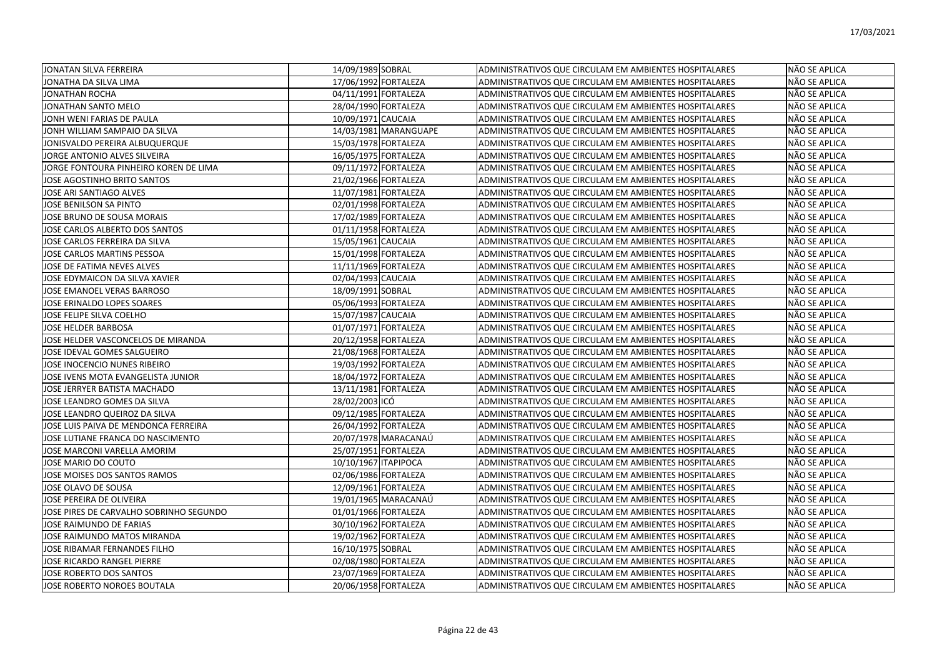| JONATAN SILVA FERREIRA                  | 14/09/1989 SOBRAL     | ADMINISTRATIVOS QUE CIRCULAM EM AMBIENTES HOSPITALARES | NÃO SE APLICA |
|-----------------------------------------|-----------------------|--------------------------------------------------------|---------------|
| JONATHA DA SILVA LIMA                   | 17/06/1992 FORTALEZA  | ADMINISTRATIVOS QUE CIRCULAM EM AMBIENTES HOSPITALARES | NÃO SE APLICA |
| <b>JONATHAN ROCHA</b>                   | 04/11/1991 FORTALEZA  | ADMINISTRATIVOS QUE CIRCULAM EM AMBIENTES HOSPITALARES | NÃO SE APLICA |
| JONATHAN SANTO MELO                     | 28/04/1990 FORTALEZA  | ADMINISTRATIVOS QUE CIRCULAM EM AMBIENTES HOSPITALARES | NÃO SE APLICA |
| JONH WENI FARIAS DE PAULA               | 10/09/1971 CAUCAIA    | ADMINISTRATIVOS QUE CIRCULAM EM AMBIENTES HOSPITALARES | NÃO SE APLICA |
| JONH WILLIAM SAMPAIO DA SILVA           | 14/03/1981 MARANGUAPE | ADMINISTRATIVOS QUE CIRCULAM EM AMBIENTES HOSPITALARES | NÃO SE APLICA |
| JONISVALDO PEREIRA ALBUQUERQUE          | 15/03/1978 FORTALEZA  | ADMINISTRATIVOS QUE CIRCULAM EM AMBIENTES HOSPITALARES | NÃO SE APLICA |
| JORGE ANTONIO ALVES SILVEIRA            | 16/05/1975 FORTALEZA  | ADMINISTRATIVOS QUE CIRCULAM EM AMBIENTES HOSPITALARES | NÃO SE APLICA |
| JORGE FONTOURA PINHEIRO KOREN DE LIMA   | 09/11/1972 FORTALEZA  | ADMINISTRATIVOS QUE CIRCULAM EM AMBIENTES HOSPITALARES | NÃO SE APLICA |
| JOSE AGOSTINHO BRITO SANTOS             | 21/02/1966 FORTALEZA  | ADMINISTRATIVOS QUE CIRCULAM EM AMBIENTES HOSPITALARES | NÃO SE APLICA |
| JOSE ARI SANTIAGO ALVES                 | 11/07/1981 FORTALEZA  | ADMINISTRATIVOS QUE CIRCULAM EM AMBIENTES HOSPITALARES | NÃO SE APLICA |
| JOSE BENILSON SA PINTO                  | 02/01/1998 FORTALEZA  | ADMINISTRATIVOS QUE CIRCULAM EM AMBIENTES HOSPITALARES | NÃO SE APLICA |
| JOSE BRUNO DE SOUSA MORAIS              | 17/02/1989 FORTALEZA  | ADMINISTRATIVOS QUE CIRCULAM EM AMBIENTES HOSPITALARES | NÃO SE APLICA |
| JOSE CARLOS ALBERTO DOS SANTOS          | 01/11/1958 FORTALEZA  | ADMINISTRATIVOS QUE CIRCULAM EM AMBIENTES HOSPITALARES | NÃO SE APLICA |
| JOSE CARLOS FERREIRA DA SILVA           | 15/05/1961 CAUCAIA    | ADMINISTRATIVOS QUE CIRCULAM EM AMBIENTES HOSPITALARES | NÃO SE APLICA |
| JOSE CARLOS MARTINS PESSOA              | 15/01/1998 FORTALEZA  | ADMINISTRATIVOS QUE CIRCULAM EM AMBIENTES HOSPITALARES | NÃO SE APLICA |
| JOSE DE FATIMA NEVES ALVES              | 11/11/1969 FORTALEZA  | ADMINISTRATIVOS QUE CIRCULAM EM AMBIENTES HOSPITALARES | NÃO SE APLICA |
| JOSE EDYMAICON DA SILVA XAVIER          | 02/04/1993 CAUCAIA    | ADMINISTRATIVOS QUE CIRCULAM EM AMBIENTES HOSPITALARES | NÃO SE APLICA |
| JOSE EMANOEL VERAS BARROSO              | 18/09/1991 SOBRAL     | ADMINISTRATIVOS QUE CIRCULAM EM AMBIENTES HOSPITALARES | NÃO SE APLICA |
| JOSE ERINALDO LOPES SOARES              | 05/06/1993 FORTALEZA  | ADMINISTRATIVOS QUE CIRCULAM EM AMBIENTES HOSPITALARES | NÃO SE APLICA |
| JOSE FELIPE SILVA COELHO                | 15/07/1987 CAUCAIA    | ADMINISTRATIVOS QUE CIRCULAM EM AMBIENTES HOSPITALARES | NÃO SE APLICA |
| JOSE HELDER BARBOSA                     | 01/07/1971 FORTALEZA  | ADMINISTRATIVOS QUE CIRCULAM EM AMBIENTES HOSPITALARES | NÃO SE APLICA |
| JOSE HELDER VASCONCELOS DE MIRANDA      | 20/12/1958 FORTALEZA  | ADMINISTRATIVOS QUE CIRCULAM EM AMBIENTES HOSPITALARES | NÃO SE APLICA |
| JOSE IDEVAL GOMES SALGUEIRO             | 21/08/1968 FORTALEZA  | ADMINISTRATIVOS QUE CIRCULAM EM AMBIENTES HOSPITALARES | NÃO SE APLICA |
| JOSE INOCENCIO NUNES RIBEIRO            | 19/03/1992 FORTALEZA  | ADMINISTRATIVOS QUE CIRCULAM EM AMBIENTES HOSPITALARES | NÃO SE APLICA |
| JOSE IVENS MOTA EVANGELISTA JUNIOR      | 18/04/1972 FORTALEZA  | ADMINISTRATIVOS QUE CIRCULAM EM AMBIENTES HOSPITALARES | NÃO SE APLICA |
| JOSE JERRYER BATISTA MACHADO            | 13/11/1981 FORTALEZA  | ADMINISTRATIVOS QUE CIRCULAM EM AMBIENTES HOSPITALARES | NÃO SE APLICA |
| JOSE LEANDRO GOMES DA SILVA             | 28/02/2003 ICÓ        | ADMINISTRATIVOS QUE CIRCULAM EM AMBIENTES HOSPITALARES | NÃO SE APLICA |
| JOSE LEANDRO QUEIROZ DA SILVA           | 09/12/1985 FORTALEZA  | ADMINISTRATIVOS QUE CIRCULAM EM AMBIENTES HOSPITALARES | NÃO SE APLICA |
| JOSE LUIS PAIVA DE MENDONCA FERREIRA    | 26/04/1992 FORTALEZA  | ADMINISTRATIVOS QUE CIRCULAM EM AMBIENTES HOSPITALARES | NÃO SE APLICA |
| JOSE LUTIANE FRANCA DO NASCIMENTO       | 20/07/1978 MARACANAÚ  | ADMINISTRATIVOS QUE CIRCULAM EM AMBIENTES HOSPITALARES | NÃO SE APLICA |
| JOSE MARCONI VARELLA AMORIM             | 25/07/1951 FORTALEZA  | ADMINISTRATIVOS QUE CIRCULAM EM AMBIENTES HOSPITALARES | NÃO SE APLICA |
| JOSE MARIO DO COUTO                     | 10/10/1967 ITAPIPOCA  | ADMINISTRATIVOS QUE CIRCULAM EM AMBIENTES HOSPITALARES | NÃO SE APLICA |
| JOSE MOISES DOS SANTOS RAMOS            | 02/06/1986 FORTALEZA  | ADMINISTRATIVOS QUE CIRCULAM EM AMBIENTES HOSPITALARES | NÃO SE APLICA |
| JOSE OLAVO DE SOUSA                     | 12/09/1961 FORTALEZA  | ADMINISTRATIVOS QUE CIRCULAM EM AMBIENTES HOSPITALARES | NÃO SE APLICA |
| JOSE PEREIRA DE OLIVEIRA                | 19/01/1965 MARACANAÚ  | ADMINISTRATIVOS QUE CIRCULAM EM AMBIENTES HOSPITALARES | NÃO SE APLICA |
| JOSE PIRES DE CARVALHO SOBRINHO SEGUNDO | 01/01/1966 FORTALEZA  | ADMINISTRATIVOS QUE CIRCULAM EM AMBIENTES HOSPITALARES | NÃO SE APLICA |
| JOSE RAIMUNDO DE FARIAS                 | 30/10/1962 FORTALEZA  | ADMINISTRATIVOS QUE CIRCULAM EM AMBIENTES HOSPITALARES | NÃO SE APLICA |
| JOSE RAIMUNDO MATOS MIRANDA             | 19/02/1962 FORTALEZA  | ADMINISTRATIVOS QUE CIRCULAM EM AMBIENTES HOSPITALARES | NÃO SE APLICA |
| JOSE RIBAMAR FERNANDES FILHO            | 16/10/1975 SOBRAL     | ADMINISTRATIVOS QUE CIRCULAM EM AMBIENTES HOSPITALARES | NÃO SE APLICA |
| <b>JOSE RICARDO RANGEL PIERRE</b>       | 02/08/1980 FORTALEZA  | ADMINISTRATIVOS QUE CIRCULAM EM AMBIENTES HOSPITALARES | NÃO SE APLICA |
| JOSE ROBERTO DOS SANTOS                 | 23/07/1969 FORTALEZA  | ADMINISTRATIVOS QUE CIRCULAM EM AMBIENTES HOSPITALARES | NÃO SE APLICA |
| JOSE ROBERTO NOROES BOUTALA             | 20/06/1958 FORTALEZA  | ADMINISTRATIVOS QUE CIRCULAM EM AMBIENTES HOSPITALARES | NÃO SE APLICA |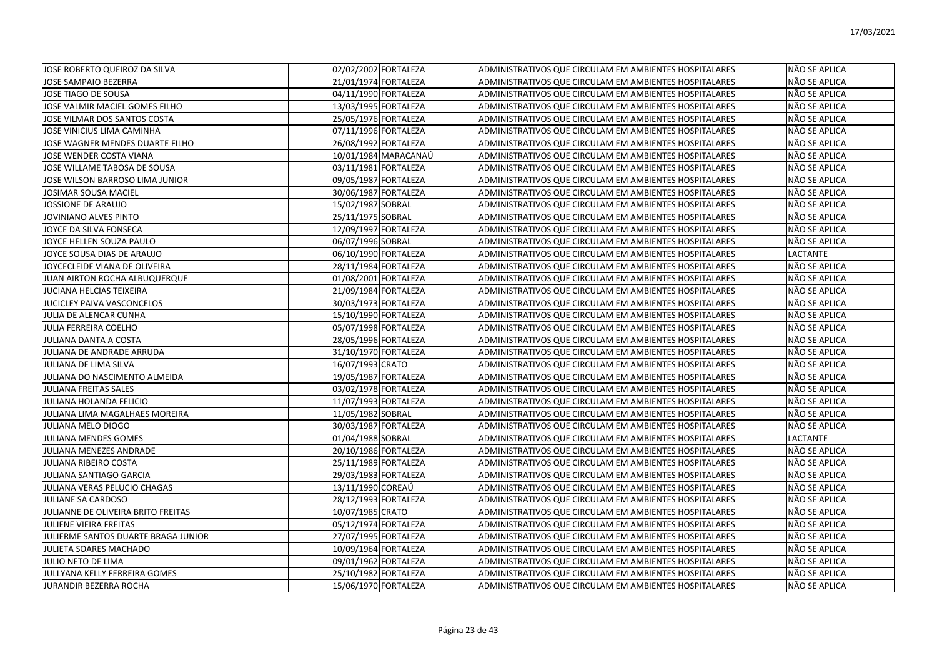| JOSE ROBERTO QUEIROZ DA SILVA       | 02/02/2002 FORTALEZA | ADMINISTRATIVOS QUE CIRCULAM EM AMBIENTES HOSPITALARES | NÃO SE APLICA        |
|-------------------------------------|----------------------|--------------------------------------------------------|----------------------|
| <b>JOSE SAMPAIO BEZERRA</b>         | 21/01/1974 FORTALEZA | ADMINISTRATIVOS QUE CIRCULAM EM AMBIENTES HOSPITALARES | NÃO SE APLICA        |
| JOSE TIAGO DE SOUSA                 | 04/11/1990 FORTALEZA | ADMINISTRATIVOS QUE CIRCULAM EM AMBIENTES HOSPITALARES | NÃO SE APLICA        |
| JOSE VALMIR MACIEL GOMES FILHO      | 13/03/1995 FORTALEZA | ADMINISTRATIVOS QUE CIRCULAM EM AMBIENTES HOSPITALARES | NÃO SE APLICA        |
| JOSE VILMAR DOS SANTOS COSTA        | 25/05/1976 FORTALEZA | ADMINISTRATIVOS QUE CIRCULAM EM AMBIENTES HOSPITALARES | NÃO SE APLICA        |
| JOSE VINICIUS LIMA CAMINHA          | 07/11/1996 FORTALEZA | ADMINISTRATIVOS QUE CIRCULAM EM AMBIENTES HOSPITALARES | NÃO SE APLICA        |
| JOSE WAGNER MENDES DUARTE FILHO     | 26/08/1992 FORTALEZA | ADMINISTRATIVOS QUE CIRCULAM EM AMBIENTES HOSPITALARES | NÃO SE APLICA        |
| JOSE WENDER COSTA VIANA             | 10/01/1984 MARACANAÚ | ADMINISTRATIVOS QUE CIRCULAM EM AMBIENTES HOSPITALARES | NÃO SE APLICA        |
| JOSE WILLAME TABOSA DE SOUSA        | 03/11/1981 FORTALEZA | ADMINISTRATIVOS QUE CIRCULAM EM AMBIENTES HOSPITALARES | NÃO SE APLICA        |
| JOSE WILSON BARROSO LIMA JUNIOR     | 09/05/1987 FORTALEZA | ADMINISTRATIVOS QUE CIRCULAM EM AMBIENTES HOSPITALARES | NÃO SE APLICA        |
| JOSIMAR SOUSA MACIEL                | 30/06/1987 FORTALEZA | ADMINISTRATIVOS QUE CIRCULAM EM AMBIENTES HOSPITALARES | NÃO SE APLICA        |
| JOSSIONE DE ARAUJO                  | 15/02/1987 SOBRAL    | ADMINISTRATIVOS QUE CIRCULAM EM AMBIENTES HOSPITALARES | <b>NÃO SE APLICA</b> |
| JOVINIANO ALVES PINTO               | 25/11/1975 SOBRAL    | ADMINISTRATIVOS QUE CIRCULAM EM AMBIENTES HOSPITALARES | NÃO SE APLICA        |
| JOYCE DA SILVA FONSECA              | 12/09/1997 FORTALEZA | ADMINISTRATIVOS QUE CIRCULAM EM AMBIENTES HOSPITALARES | NÃO SE APLICA        |
| JOYCE HELLEN SOUZA PAULO            | 06/07/1996 SOBRAL    | ADMINISTRATIVOS QUE CIRCULAM EM AMBIENTES HOSPITALARES | NÃO SE APLICA        |
| JOYCE SOUSA DIAS DE ARAUJO          | 06/10/1990 FORTALEZA | ADMINISTRATIVOS QUE CIRCULAM EM AMBIENTES HOSPITALARES | <b>LACTANTE</b>      |
| JOYCECLEIDE VIANA DE OLIVEIRA       | 28/11/1984 FORTALEZA | ADMINISTRATIVOS QUE CIRCULAM EM AMBIENTES HOSPITALARES | NÃO SE APLICA        |
| JUAN AIRTON ROCHA ALBUQUERQUE       | 01/08/2001 FORTALEZA | ADMINISTRATIVOS QUE CIRCULAM EM AMBIENTES HOSPITALARES | NÃO SE APLICA        |
| <b>JUCIANA HELCIAS TEIXEIRA</b>     | 21/09/1984 FORTALEZA | ADMINISTRATIVOS QUE CIRCULAM EM AMBIENTES HOSPITALARES | <b>NÃO SE APLICA</b> |
| JUCICLEY PAIVA VASCONCELOS          | 30/03/1973 FORTALEZA | ADMINISTRATIVOS QUE CIRCULAM EM AMBIENTES HOSPITALARES | NÃO SE APLICA        |
| JULIA DE ALENCAR CUNHA              | 15/10/1990 FORTALEZA | ADMINISTRATIVOS QUE CIRCULAM EM AMBIENTES HOSPITALARES | NÃO SE APLICA        |
| <b>JULIA FERREIRA COELHO</b>        | 05/07/1998 FORTALEZA | ADMINISTRATIVOS QUE CIRCULAM EM AMBIENTES HOSPITALARES | NÃO SE APLICA        |
| JULIANA DANTA A COSTA               | 28/05/1996 FORTALEZA | ADMINISTRATIVOS QUE CIRCULAM EM AMBIENTES HOSPITALARES | NÃO SE APLICA        |
| JULIANA DE ANDRADE ARRUDA           | 31/10/1970 FORTALEZA | ADMINISTRATIVOS QUE CIRCULAM EM AMBIENTES HOSPITALARES | NÃO SE APLICA        |
| JULIANA DE LIMA SILVA               | 16/07/1993 CRATO     | ADMINISTRATIVOS QUE CIRCULAM EM AMBIENTES HOSPITALARES | NÃO SE APLICA        |
| JULIANA DO NASCIMENTO ALMEIDA       | 19/05/1987 FORTALEZA | ADMINISTRATIVOS QUE CIRCULAM EM AMBIENTES HOSPITALARES | NÃO SE APLICA        |
| <b>JULIANA FREITAS SALES</b>        | 03/02/1978 FORTALEZA | ADMINISTRATIVOS QUE CIRCULAM EM AMBIENTES HOSPITALARES | NÃO SE APLICA        |
| JULIANA HOLANDA FELICIO             | 11/07/1993 FORTALEZA | ADMINISTRATIVOS QUE CIRCULAM EM AMBIENTES HOSPITALARES | NÃO SE APLICA        |
| JULIANA LIMA MAGALHAES MOREIRA      | 11/05/1982 SOBRAL    | ADMINISTRATIVOS QUE CIRCULAM EM AMBIENTES HOSPITALARES | NÃO SE APLICA        |
| JULIANA MELO DIOGO                  | 30/03/1987 FORTALEZA | ADMINISTRATIVOS QUE CIRCULAM EM AMBIENTES HOSPITALARES | NÃO SE APLICA        |
| JULIANA MENDES GOMES                | 01/04/1988 SOBRAL    | ADMINISTRATIVOS QUE CIRCULAM EM AMBIENTES HOSPITALARES | <b>LACTANTE</b>      |
| JULIANA MENEZES ANDRADE             | 20/10/1986 FORTALEZA | ADMINISTRATIVOS QUE CIRCULAM EM AMBIENTES HOSPITALARES | NÃO SE APLICA        |
| <b>JULIANA RIBEIRO COSTA</b>        | 25/11/1989 FORTALEZA | ADMINISTRATIVOS QUE CIRCULAM EM AMBIENTES HOSPITALARES | NÃO SE APLICA        |
| <b>JULIANA SANTIAGO GARCIA</b>      | 29/03/1983 FORTALEZA | ADMINISTRATIVOS QUE CIRCULAM EM AMBIENTES HOSPITALARES | NÃO SE APLICA        |
| JULIANA VERAS PELUCIO CHAGAS        | 13/11/1990 COREAÚ    | ADMINISTRATIVOS QUE CIRCULAM EM AMBIENTES HOSPITALARES | NÃO SE APLICA        |
| JULIANE SA CARDOSO                  | 28/12/1993 FORTALEZA | ADMINISTRATIVOS QUE CIRCULAM EM AMBIENTES HOSPITALARES | NÃO SE APLICA        |
| JULIANNE DE OLIVEIRA BRITO FREITAS  | 10/07/1985 CRATO     | ADMINISTRATIVOS QUE CIRCULAM EM AMBIENTES HOSPITALARES | NÃO SE APLICA        |
| JULIENE VIEIRA FREITAS              | 05/12/1974 FORTALEZA | ADMINISTRATIVOS QUE CIRCULAM EM AMBIENTES HOSPITALARES | NÃO SE APLICA        |
| JULIERME SANTOS DUARTE BRAGA JUNIOR | 27/07/1995 FORTALEZA | ADMINISTRATIVOS QUE CIRCULAM EM AMBIENTES HOSPITALARES | NÃO SE APLICA        |
| JULIETA SOARES MACHADO              | 10/09/1964 FORTALEZA | ADMINISTRATIVOS QUE CIRCULAM EM AMBIENTES HOSPITALARES | NÃO SE APLICA        |
| IJULIO NETO DE LIMA                 | 09/01/1962 FORTALEZA | ADMINISTRATIVOS QUE CIRCULAM EM AMBIENTES HOSPITALARES | NÃO SE APLICA        |
| JULLYANA KELLY FERREIRA GOMES       | 25/10/1982 FORTALEZA | ADMINISTRATIVOS QUE CIRCULAM EM AMBIENTES HOSPITALARES | <b>NÃO SE APLICA</b> |
| <b>JURANDIR BEZERRA ROCHA</b>       | 15/06/1970 FORTALEZA | ADMINISTRATIVOS QUE CIRCULAM EM AMBIENTES HOSPITALARES | <b>NÃO SE APLICA</b> |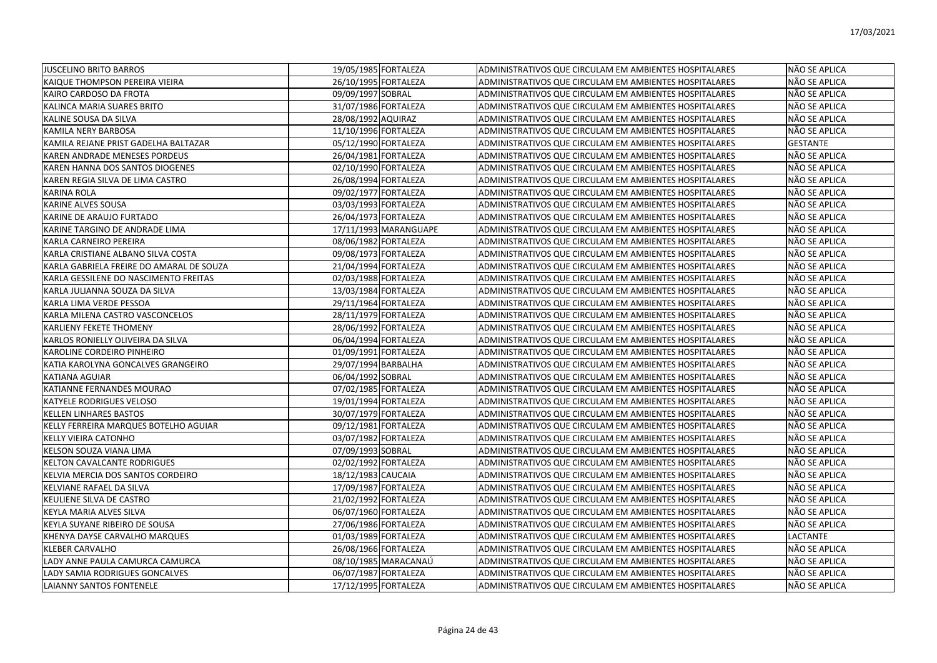| <b>JUSCELINO BRITO BARROS</b>            | 19/05/1985 FORTALEZA  | ADMINISTRATIVOS QUE CIRCULAM EM AMBIENTES HOSPITALARES | NÃO SE APLICA   |
|------------------------------------------|-----------------------|--------------------------------------------------------|-----------------|
| KAIQUE THOMPSON PEREIRA VIEIRA           | 26/10/1995 FORTALEZA  | ADMINISTRATIVOS QUE CIRCULAM EM AMBIENTES HOSPITALARES | NÃO SE APLICA   |
| KAIRO CARDOSO DA FROTA                   | 09/09/1997 SOBRAL     | ADMINISTRATIVOS QUE CIRCULAM EM AMBIENTES HOSPITALARES | NÃO SE APLICA   |
| KALINCA MARIA SUARES BRITO               | 31/07/1986 FORTALEZA  | ADMINISTRATIVOS QUE CIRCULAM EM AMBIENTES HOSPITALARES | NÃO SE APLICA   |
| KALINE SOUSA DA SILVA                    | 28/08/1992 AQUIRAZ    | ADMINISTRATIVOS QUE CIRCULAM EM AMBIENTES HOSPITALARES | NÃO SE APLICA   |
| KAMILA NERY BARBOSA                      | 11/10/1996 FORTALEZA  | ADMINISTRATIVOS QUE CIRCULAM EM AMBIENTES HOSPITALARES | NÃO SE APLICA   |
| KAMILA REJANE PRIST GADELHA BALTAZAR     | 05/12/1990 FORTALEZA  | ADMINISTRATIVOS QUE CIRCULAM EM AMBIENTES HOSPITALARES | <b>GESTANTE</b> |
| KAREN ANDRADE MENESES PORDEUS            | 26/04/1981 FORTALEZA  | ADMINISTRATIVOS QUE CIRCULAM EM AMBIENTES HOSPITALARES | NÃO SE APLICA   |
| KAREN HANNA DOS SANTOS DIOGENES          | 02/10/1990 FORTALEZA  | ADMINISTRATIVOS QUE CIRCULAM EM AMBIENTES HOSPITALARES | NÃO SE APLICA   |
| KAREN REGIA SILVA DE LIMA CASTRO         | 26/08/1994 FORTALEZA  | ADMINISTRATIVOS QUE CIRCULAM EM AMBIENTES HOSPITALARES | NÃO SE APLICA   |
| <b>KARINA ROLA</b>                       | 09/02/1977 FORTALEZA  | ADMINISTRATIVOS QUE CIRCULAM EM AMBIENTES HOSPITALARES | NÃO SE APLICA   |
| KARINE ALVES SOUSA                       | 03/03/1993 FORTALEZA  | ADMINISTRATIVOS QUE CIRCULAM EM AMBIENTES HOSPITALARES | NÃO SE APLICA   |
| KARINE DE ARAUJO FURTADO                 | 26/04/1973 FORTALEZA  | ADMINISTRATIVOS QUE CIRCULAM EM AMBIENTES HOSPITALARES | NÃO SE APLICA   |
| KARINE TARGINO DE ANDRADE LIMA           | 17/11/1993 MARANGUAPE | ADMINISTRATIVOS QUE CIRCULAM EM AMBIENTES HOSPITALARES | NÃO SE APLICA   |
| KARLA CARNEIRO PEREIRA                   | 08/06/1982 FORTALEZA  | ADMINISTRATIVOS QUE CIRCULAM EM AMBIENTES HOSPITALARES | NÃO SE APLICA   |
| KARLA CRISTIANE ALBANO SILVA COSTA       | 09/08/1973 FORTALEZA  | ADMINISTRATIVOS QUE CIRCULAM EM AMBIENTES HOSPITALARES | NÃO SE APLICA   |
| KARLA GABRIELA FREIRE DO AMARAL DE SOUZA | 21/04/1994 FORTALEZA  | ADMINISTRATIVOS QUE CIRCULAM EM AMBIENTES HOSPITALARES | NÃO SE APLICA   |
| KARLA GESSILENE DO NASCIMENTO FREITAS    | 02/03/1988 FORTALEZA  | ADMINISTRATIVOS QUE CIRCULAM EM AMBIENTES HOSPITALARES | NÃO SE APLICA   |
| KARLA JULIANNA SOUZA DA SILVA            | 13/03/1984 FORTALEZA  | ADMINISTRATIVOS QUE CIRCULAM EM AMBIENTES HOSPITALARES | NÃO SE APLICA   |
| KARLA LIMA VERDE PESSOA                  | 29/11/1964 FORTALEZA  | ADMINISTRATIVOS QUE CIRCULAM EM AMBIENTES HOSPITALARES | NÃO SE APLICA   |
| KARLA MILENA CASTRO VASCONCELOS          | 28/11/1979 FORTALEZA  | ADMINISTRATIVOS QUE CIRCULAM EM AMBIENTES HOSPITALARES | NÃO SE APLICA   |
| <b>KARLIENY FEKETE THOMENY</b>           | 28/06/1992 FORTALEZA  | ADMINISTRATIVOS QUE CIRCULAM EM AMBIENTES HOSPITALARES | NÃO SE APLICA   |
| KARLOS RONIELLY OLIVEIRA DA SILVA        | 06/04/1994 FORTALEZA  | ADMINISTRATIVOS QUE CIRCULAM EM AMBIENTES HOSPITALARES | NÃO SE APLICA   |
| KAROLINE CORDEIRO PINHEIRO               | 01/09/1991 FORTALEZA  | ADMINISTRATIVOS QUE CIRCULAM EM AMBIENTES HOSPITALARES | NÃO SE APLICA   |
| KATIA KAROLYNA GONCALVES GRANGEIRO       | 29/07/1994 BARBALHA   | ADMINISTRATIVOS QUE CIRCULAM EM AMBIENTES HOSPITALARES | NÃO SE APLICA   |
| <b>KATIANA AGUIAR</b>                    | 06/04/1992 SOBRAL     | ADMINISTRATIVOS QUE CIRCULAM EM AMBIENTES HOSPITALARES | NÃO SE APLICA   |
| KATIANNE FERNANDES MOURAO                | 07/02/1985 FORTALEZA  | ADMINISTRATIVOS QUE CIRCULAM EM AMBIENTES HOSPITALARES | NÃO SE APLICA   |
| <b>KATYELE RODRIGUES VELOSO</b>          | 19/01/1994 FORTALEZA  | ADMINISTRATIVOS QUE CIRCULAM EM AMBIENTES HOSPITALARES | NÃO SE APLICA   |
| <b>KELLEN LINHARES BASTOS</b>            | 30/07/1979 FORTALEZA  | ADMINISTRATIVOS QUE CIRCULAM EM AMBIENTES HOSPITALARES | NÃO SE APLICA   |
| KELLY FERREIRA MARQUES BOTELHO AGUIAR    | 09/12/1981 FORTALEZA  | ADMINISTRATIVOS QUE CIRCULAM EM AMBIENTES HOSPITALARES | NÃO SE APLICA   |
| <b>KELLY VIEIRA CATONHO</b>              | 03/07/1982 FORTALEZA  | ADMINISTRATIVOS QUE CIRCULAM EM AMBIENTES HOSPITALARES | NÃO SE APLICA   |
| KELSON SOUZA VIANA LIMA                  | 07/09/1993 SOBRAL     | ADMINISTRATIVOS QUE CIRCULAM EM AMBIENTES HOSPITALARES | NÃO SE APLICA   |
| <b>KELTON CAVALCANTE RODRIGUES</b>       | 02/02/1992 FORTALEZA  | ADMINISTRATIVOS QUE CIRCULAM EM AMBIENTES HOSPITALARES | NÃO SE APLICA   |
| KELVIA MERCIA DOS SANTOS CORDEIRO        | 18/12/1983 CAUCAIA    | ADMINISTRATIVOS QUE CIRCULAM EM AMBIENTES HOSPITALARES | NÃO SE APLICA   |
| KELVIANE RAFAEL DA SILVA                 | 17/09/1987 FORTALEZA  | ADMINISTRATIVOS QUE CIRCULAM EM AMBIENTES HOSPITALARES | NÃO SE APLICA   |
| KEULIENE SILVA DE CASTRO                 | 21/02/1992 FORTALEZA  | ADMINISTRATIVOS QUE CIRCULAM EM AMBIENTES HOSPITALARES | NÃO SE APLICA   |
| KEYLA MARIA ALVES SILVA                  | 06/07/1960 FORTALEZA  | ADMINISTRATIVOS QUE CIRCULAM EM AMBIENTES HOSPITALARES | NÃO SE APLICA   |
| KEYLA SUYANE RIBEIRO DE SOUSA            | 27/06/1986 FORTALEZA  | ADMINISTRATIVOS QUE CIRCULAM EM AMBIENTES HOSPITALARES | INÃO SE APLICA  |
| KHENYA DAYSE CARVALHO MARQUES            | 01/03/1989 FORTALEZA  | ADMINISTRATIVOS QUE CIRCULAM EM AMBIENTES HOSPITALARES | <b>LACTANTE</b> |
| KLEBER CARVALHO                          | 26/08/1966 FORTALEZA  | ADMINISTRATIVOS QUE CIRCULAM EM AMBIENTES HOSPITALARES | NÃO SE APLICA   |
| LADY ANNE PAULA CAMURCA CAMURCA          | 08/10/1985 MARACANAÚ  | ADMINISTRATIVOS QUE CIRCULAM EM AMBIENTES HOSPITALARES | NÃO SE APLICA   |
| LADY SAMIA RODRIGUES GONCALVES           | 06/07/1987 FORTALEZA  | ADMINISTRATIVOS QUE CIRCULAM EM AMBIENTES HOSPITALARES | NÃO SE APLICA   |
| <b>LAIANNY SANTOS FONTENELE</b>          | 17/12/1995 FORTALEZA  | ADMINISTRATIVOS QUE CIRCULAM EM AMBIENTES HOSPITALARES | INÃO SE APLICA  |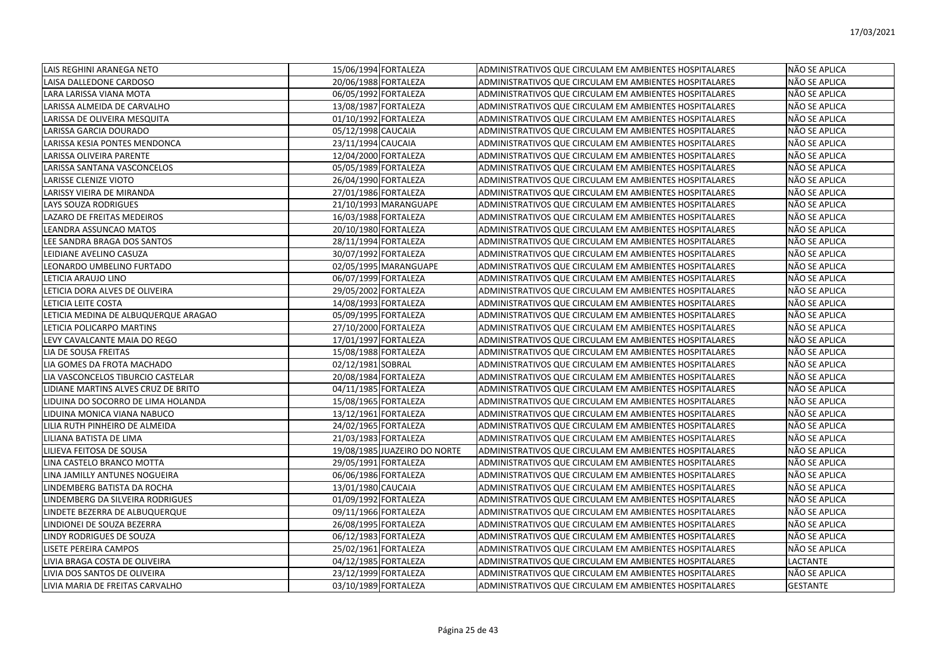| LAIS REGHINI ARANEGA NETO            | 15/06/1994 FORTALEZA         | ADMINISTRATIVOS QUE CIRCULAM EM AMBIENTES HOSPITALARES | NÃO SE APLICA   |
|--------------------------------------|------------------------------|--------------------------------------------------------|-----------------|
| LAISA DALLEDONE CARDOSO              | 20/06/1988 FORTALEZA         | ADMINISTRATIVOS QUE CIRCULAM EM AMBIENTES HOSPITALARES | NÃO SE APLICA   |
| LARA LARISSA VIANA MOTA              | 06/05/1992 FORTALEZA         | ADMINISTRATIVOS QUE CIRCULAM EM AMBIENTES HOSPITALARES | NÃO SE APLICA   |
| LARISSA ALMEIDA DE CARVALHO          | 13/08/1987 FORTALEZA         | ADMINISTRATIVOS QUE CIRCULAM EM AMBIENTES HOSPITALARES | NÃO SE APLICA   |
| LARISSA DE OLIVEIRA MESQUITA         | 01/10/1992 FORTALEZA         | ADMINISTRATIVOS QUE CIRCULAM EM AMBIENTES HOSPITALARES | NÃO SE APLICA   |
| LARISSA GARCIA DOURADO               | 05/12/1998 CAUCAIA           | ADMINISTRATIVOS QUE CIRCULAM EM AMBIENTES HOSPITALARES | NÃO SE APLICA   |
| LARISSA KESIA PONTES MENDONCA        | 23/11/1994 CAUCAIA           | ADMINISTRATIVOS QUE CIRCULAM EM AMBIENTES HOSPITALARES | NÃO SE APLICA   |
| <b>LARISSA OLIVEIRA PARENTE</b>      | 12/04/2000 FORTALEZA         | ADMINISTRATIVOS QUE CIRCULAM EM AMBIENTES HOSPITALARES | NÃO SE APLICA   |
| LARISSA SANTANA VASCONCELOS          | 05/05/1989 FORTALEZA         | ADMINISTRATIVOS QUE CIRCULAM EM AMBIENTES HOSPITALARES | NÃO SE APLICA   |
| LARISSE CLENIZE VIOTO                | 26/04/1990 FORTALEZA         | ADMINISTRATIVOS QUE CIRCULAM EM AMBIENTES HOSPITALARES | NÃO SE APLICA   |
| LARISSY VIEIRA DE MIRANDA            | 27/01/1986 FORTALEZA         | ADMINISTRATIVOS QUE CIRCULAM EM AMBIENTES HOSPITALARES | NÃO SE APLICA   |
| <b>LAYS SOUZA RODRIGUES</b>          | 21/10/1993 MARANGUAPE        | ADMINISTRATIVOS QUE CIRCULAM EM AMBIENTES HOSPITALARES | NÃO SE APLICA   |
| LAZARO DE FREITAS MEDEIROS           | 16/03/1988 FORTALEZA         | ADMINISTRATIVOS QUE CIRCULAM EM AMBIENTES HOSPITALARES | NÃO SE APLICA   |
| LEANDRA ASSUNCAO MATOS               | 20/10/1980 FORTALEZA         | ADMINISTRATIVOS QUE CIRCULAM EM AMBIENTES HOSPITALARES | NÃO SE APLICA   |
| LEE SANDRA BRAGA DOS SANTOS          | 28/11/1994 FORTALEZA         | ADMINISTRATIVOS QUE CIRCULAM EM AMBIENTES HOSPITALARES | NÃO SE APLICA   |
| LEIDIANE AVELINO CASUZA              | 30/07/1992 FORTALEZA         | ADMINISTRATIVOS QUE CIRCULAM EM AMBIENTES HOSPITALARES | NÃO SE APLICA   |
| LEONARDO UMBELINO FURTADO            | 02/05/1995 MARANGUAPE        | ADMINISTRATIVOS QUE CIRCULAM EM AMBIENTES HOSPITALARES | NÃO SE APLICA   |
| LETICIA ARAUJO LINO                  | 06/07/1999 FORTALEZA         | ADMINISTRATIVOS QUE CIRCULAM EM AMBIENTES HOSPITALARES | NÃO SE APLICA   |
| LETICIA DORA ALVES DE OLIVEIRA       | 29/05/2002 FORTALEZA         | ADMINISTRATIVOS QUE CIRCULAM EM AMBIENTES HOSPITALARES | NÃO SE APLICA   |
| LETICIA LEITE COSTA                  | 14/08/1993 FORTALEZA         | ADMINISTRATIVOS QUE CIRCULAM EM AMBIENTES HOSPITALARES | NÃO SE APLICA   |
| LETICIA MEDINA DE ALBUQUERQUE ARAGAO | 05/09/1995 FORTALEZA         | ADMINISTRATIVOS QUE CIRCULAM EM AMBIENTES HOSPITALARES | NÃO SE APLICA   |
| LETICIA POLICARPO MARTINS            | 27/10/2000 FORTALEZA         | ADMINISTRATIVOS QUE CIRCULAM EM AMBIENTES HOSPITALARES | NÃO SE APLICA   |
| LEVY CAVALCANTE MAIA DO REGO         | 17/01/1997 FORTALEZA         | ADMINISTRATIVOS QUE CIRCULAM EM AMBIENTES HOSPITALARES | NÃO SE APLICA   |
| LIA DE SOUSA FREITAS                 | 15/08/1988 FORTALEZA         | ADMINISTRATIVOS QUE CIRCULAM EM AMBIENTES HOSPITALARES | NÃO SE APLICA   |
| LIA GOMES DA FROTA MACHADO           | 02/12/1981 SOBRAL            | ADMINISTRATIVOS QUE CIRCULAM EM AMBIENTES HOSPITALARES | NÃO SE APLICA   |
| LIA VASCONCELOS TIBURCIO CASTELAR    | 20/08/1984 FORTALEZA         | ADMINISTRATIVOS QUE CIRCULAM EM AMBIENTES HOSPITALARES | NÃO SE APLICA   |
| LIDIANE MARTINS ALVES CRUZ DE BRITO  | 04/11/1985 FORTALEZA         | ADMINISTRATIVOS QUE CIRCULAM EM AMBIENTES HOSPITALARES | NÃO SE APLICA   |
| LIDUINA DO SOCORRO DE LIMA HOLANDA   | 15/08/1965 FORTALEZA         | ADMINISTRATIVOS QUE CIRCULAM EM AMBIENTES HOSPITALARES | NÃO SE APLICA   |
| LIDUINA MONICA VIANA NABUCO          | 13/12/1961 FORTALEZA         | ADMINISTRATIVOS QUE CIRCULAM EM AMBIENTES HOSPITALARES | NÃO SE APLICA   |
| LILIA RUTH PINHEIRO DE ALMEIDA       | 24/02/1965 FORTALEZA         | ADMINISTRATIVOS QUE CIRCULAM EM AMBIENTES HOSPITALARES | NÃO SE APLICA   |
| LILIANA BATISTA DE LIMA              | 21/03/1983 FORTALEZA         | ADMINISTRATIVOS QUE CIRCULAM EM AMBIENTES HOSPITALARES | NÃO SE APLICA   |
| LILIEVA FEITOSA DE SOUSA             | 19/08/1985 JUAZEIRO DO NORTE | ADMINISTRATIVOS QUE CIRCULAM EM AMBIENTES HOSPITALARES | NÃO SE APLICA   |
| LINA CASTELO BRANCO MOTTA            | 29/05/1991 FORTALEZA         | ADMINISTRATIVOS QUE CIRCULAM EM AMBIENTES HOSPITALARES | NÃO SE APLICA   |
| LINA JAMILLY ANTUNES NOGUEIRA        | 06/06/1986 FORTALEZA         | ADMINISTRATIVOS QUE CIRCULAM EM AMBIENTES HOSPITALARES | NÃO SE APLICA   |
| LINDEMBERG BATISTA DA ROCHA          | 13/01/1980 CAUCAIA           | ADMINISTRATIVOS QUE CIRCULAM EM AMBIENTES HOSPITALARES | NÃO SE APLICA   |
| LINDEMBERG DA SILVEIRA RODRIGUES     | 01/09/1992 FORTALEZA         | ADMINISTRATIVOS QUE CIRCULAM EM AMBIENTES HOSPITALARES | NÃO SE APLICA   |
| LINDETE BEZERRA DE ALBUQUERQUE       | 09/11/1966 FORTALEZA         | ADMINISTRATIVOS QUE CIRCULAM EM AMBIENTES HOSPITALARES | NÃO SE APLICA   |
| LINDIONEI DE SOUZA BEZERRA           | 26/08/1995 FORTALEZA         | ADMINISTRATIVOS QUE CIRCULAM EM AMBIENTES HOSPITALARES | NÃO SE APLICA   |
| LINDY RODRIGUES DE SOUZA             | 06/12/1983 FORTALEZA         | ADMINISTRATIVOS QUE CIRCULAM EM AMBIENTES HOSPITALARES | NÃO SE APLICA   |
| LISETE PEREIRA CAMPOS                | 25/02/1961 FORTALEZA         | ADMINISTRATIVOS QUE CIRCULAM EM AMBIENTES HOSPITALARES | NÃO SE APLICA   |
| LIVIA BRAGA COSTA DE OLIVEIRA        | 04/12/1985 FORTALEZA         | ADMINISTRATIVOS QUE CIRCULAM EM AMBIENTES HOSPITALARES | LACTANTE        |
| LIVIA DOS SANTOS DE OLIVEIRA         | 23/12/1999 FORTALEZA         | ADMINISTRATIVOS QUE CIRCULAM EM AMBIENTES HOSPITALARES | NÃO SE APLICA   |
| LIVIA MARIA DE FREITAS CARVALHO      | 03/10/1989 FORTALEZA         | ADMINISTRATIVOS QUE CIRCULAM EM AMBIENTES HOSPITALARES | <b>GESTANTE</b> |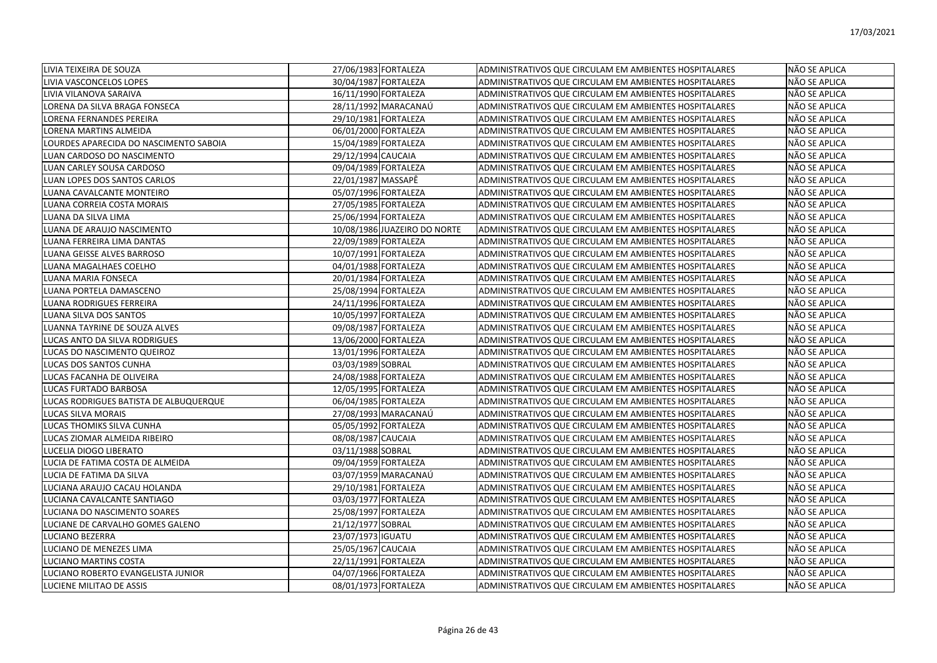| LIVIA TEIXEIRA DE SOUZA                | 27/06/1983 FORTALEZA         | <b>ADMINISTRATIVOS QUE CIRCULAM EM AMBIENTES HOSPITALARES</b> | NÃO SE APLICA        |
|----------------------------------------|------------------------------|---------------------------------------------------------------|----------------------|
| LIVIA VASCONCELOS LOPES                | 30/04/1987 FORTALEZA         | ADMINISTRATIVOS QUE CIRCULAM EM AMBIENTES HOSPITALARES        | NÃO SE APLICA        |
| LIVIA VILANOVA SARAIVA                 | 16/11/1990 FORTALEZA         | ADMINISTRATIVOS QUE CIRCULAM EM AMBIENTES HOSPITALARES        | NÃO SE APLICA        |
| LORENA DA SILVA BRAGA FONSECA          | 28/11/1992 MARACANAÚ         | ADMINISTRATIVOS QUE CIRCULAM EM AMBIENTES HOSPITALARES        | <b>NÃO SE APLICA</b> |
| LORENA FERNANDES PEREIRA               | 29/10/1981 FORTALEZA         | ADMINISTRATIVOS QUE CIRCULAM EM AMBIENTES HOSPITALARES        | NÃO SE APLICA        |
| LORENA MARTINS ALMEIDA                 | 06/01/2000 FORTALEZA         | ADMINISTRATIVOS QUE CIRCULAM EM AMBIENTES HOSPITALARES        | NÃO SE APLICA        |
| LOURDES APARECIDA DO NASCIMENTO SABOIA | 15/04/1989 FORTALEZA         | ADMINISTRATIVOS QUE CIRCULAM EM AMBIENTES HOSPITALARES        | NÃO SE APLICA        |
| LUAN CARDOSO DO NASCIMENTO             | 29/12/1994 CAUCAIA           | ADMINISTRATIVOS QUE CIRCULAM EM AMBIENTES HOSPITALARES        | NÃO SE APLICA        |
| LUAN CARLEY SOUSA CARDOSO              | 09/04/1989 FORTALEZA         | ADMINISTRATIVOS QUE CIRCULAM EM AMBIENTES HOSPITALARES        | NÃO SE APLICA        |
| LUAN LOPES DOS SANTOS CARLOS           | 22/01/1987 MASSAPÊ           | ADMINISTRATIVOS QUE CIRCULAM EM AMBIENTES HOSPITALARES        | NÃO SE APLICA        |
| LUANA CAVALCANTE MONTEIRO              | 05/07/1996 FORTALEZA         | ADMINISTRATIVOS QUE CIRCULAM EM AMBIENTES HOSPITALARES        | NÃO SE APLICA        |
| LUANA CORREIA COSTA MORAIS             | 27/05/1985 FORTALEZA         | ADMINISTRATIVOS QUE CIRCULAM EM AMBIENTES HOSPITALARES        | NÃO SE APLICA        |
| LUANA DA SILVA LIMA                    | 25/06/1994 FORTALEZA         | ADMINISTRATIVOS QUE CIRCULAM EM AMBIENTES HOSPITALARES        | NÃO SE APLICA        |
| LUANA DE ARAUJO NASCIMENTO             | 10/08/1986 JUAZEIRO DO NORTE | ADMINISTRATIVOS QUE CIRCULAM EM AMBIENTES HOSPITALARES        | NÃO SE APLICA        |
| LUANA FERREIRA LIMA DANTAS             | 22/09/1989 FORTALEZA         | ADMINISTRATIVOS QUE CIRCULAM EM AMBIENTES HOSPITALARES        | NÃO SE APLICA        |
| LUANA GEISSE ALVES BARROSO             | 10/07/1991 FORTALEZA         | ADMINISTRATIVOS QUE CIRCULAM EM AMBIENTES HOSPITALARES        | NÃO SE APLICA        |
| LUANA MAGALHAES COELHO                 | 04/01/1988 FORTALEZA         | ADMINISTRATIVOS QUE CIRCULAM EM AMBIENTES HOSPITALARES        | NÃO SE APLICA        |
| LUANA MARIA FONSECA                    | 20/01/1984 FORTALEZA         | ADMINISTRATIVOS QUE CIRCULAM EM AMBIENTES HOSPITALARES        | NÃO SE APLICA        |
| LUANA PORTELA DAMASCENO                | 25/08/1994 FORTALEZA         | ADMINISTRATIVOS QUE CIRCULAM EM AMBIENTES HOSPITALARES        | NÃO SE APLICA        |
| LUANA RODRIGUES FERREIRA               | 24/11/1996 FORTALEZA         | ADMINISTRATIVOS QUE CIRCULAM EM AMBIENTES HOSPITALARES        | NÃO SE APLICA        |
| LUANA SILVA DOS SANTOS                 | 10/05/1997 FORTALEZA         | ADMINISTRATIVOS QUE CIRCULAM EM AMBIENTES HOSPITALARES        | NÃO SE APLICA        |
| LUANNA TAYRINE DE SOUZA ALVES          | 09/08/1987 FORTALEZA         | ADMINISTRATIVOS QUE CIRCULAM EM AMBIENTES HOSPITALARES        | NÃO SE APLICA        |
| LUCAS ANTO DA SILVA RODRIGUES          | 13/06/2000 FORTALEZA         | ADMINISTRATIVOS QUE CIRCULAM EM AMBIENTES HOSPITALARES        | NÃO SE APLICA        |
| LUCAS DO NASCIMENTO QUEIROZ            | 13/01/1996 FORTALEZA         | ADMINISTRATIVOS QUE CIRCULAM EM AMBIENTES HOSPITALARES        | NÃO SE APLICA        |
| LUCAS DOS SANTOS CUNHA                 | 03/03/1989 SOBRAL            | ADMINISTRATIVOS QUE CIRCULAM EM AMBIENTES HOSPITALARES        | NÃO SE APLICA        |
| LUCAS FACANHA DE OLIVEIRA              | 24/08/1988 FORTALEZA         | ADMINISTRATIVOS QUE CIRCULAM EM AMBIENTES HOSPITALARES        | NÃO SE APLICA        |
| LUCAS FURTADO BARBOSA                  | 12/05/1995 FORTALEZA         | ADMINISTRATIVOS QUE CIRCULAM EM AMBIENTES HOSPITALARES        | NÃO SE APLICA        |
| LUCAS RODRIGUES BATISTA DE ALBUQUERQUE | 06/04/1985 FORTALEZA         | ADMINISTRATIVOS QUE CIRCULAM EM AMBIENTES HOSPITALARES        | NÃO SE APLICA        |
| LUCAS SILVA MORAIS                     | 27/08/1993 MARACANAÚ         | ADMINISTRATIVOS QUE CIRCULAM EM AMBIENTES HOSPITALARES        | NÃO SE APLICA        |
| LUCAS THOMIKS SILVA CUNHA              | 05/05/1992 FORTALEZA         | ADMINISTRATIVOS QUE CIRCULAM EM AMBIENTES HOSPITALARES        | NÃO SE APLICA        |
| LUCAS ZIOMAR ALMEIDA RIBEIRO           | 08/08/1987 CAUCAIA           | ADMINISTRATIVOS QUE CIRCULAM EM AMBIENTES HOSPITALARES        | NÃO SE APLICA        |
| LUCELIA DIOGO LIBERATO                 | 03/11/1988 SOBRAL            | ADMINISTRATIVOS QUE CIRCULAM EM AMBIENTES HOSPITALARES        | NÃO SE APLICA        |
| LUCIA DE FATIMA COSTA DE ALMEIDA       | 09/04/1959 FORTALEZA         | ADMINISTRATIVOS QUE CIRCULAM EM AMBIENTES HOSPITALARES        | NÃO SE APLICA        |
| LUCIA DE FATIMA DA SILVA               | 03/07/1959 MARACANAÚ         | ADMINISTRATIVOS QUE CIRCULAM EM AMBIENTES HOSPITALARES        | <b>NÃO SE APLICA</b> |
| LUCIANA ARAUJO CACAU HOLANDA           | 29/10/1981 FORTALEZA         | ADMINISTRATIVOS QUE CIRCULAM EM AMBIENTES HOSPITALARES        | NÃO SE APLICA        |
| LUCIANA CAVALCANTE SANTIAGO            | 03/03/1977 FORTALEZA         | ADMINISTRATIVOS QUE CIRCULAM EM AMBIENTES HOSPITALARES        | <b>NÃO SE APLICA</b> |
| LUCIANA DO NASCIMENTO SOARES           | 25/08/1997 FORTALEZA         | ADMINISTRATIVOS QUE CIRCULAM EM AMBIENTES HOSPITALARES        | NÃO SE APLICA        |
| LUCIANE DE CARVALHO GOMES GALENO       | 21/12/1977 SOBRAL            | ADMINISTRATIVOS QUE CIRCULAM EM AMBIENTES HOSPITALARES        | NÃO SE APLICA        |
| LUCIANO BEZERRA                        | 23/07/1973 IGUATU            | ADMINISTRATIVOS QUE CIRCULAM EM AMBIENTES HOSPITALARES        | NÃO SE APLICA        |
| LUCIANO DE MENEZES LIMA                | 25/05/1967 CAUCAIA           | ADMINISTRATIVOS QUE CIRCULAM EM AMBIENTES HOSPITALARES        | NÃO SE APLICA        |
| LUCIANO MARTINS COSTA                  | 22/11/1991 FORTALEZA         | ADMINISTRATIVOS QUE CIRCULAM EM AMBIENTES HOSPITALARES        | NÃO SE APLICA        |
| LUCIANO ROBERTO EVANGELISTA JUNIOR     | 04/07/1966 FORTALEZA         | ADMINISTRATIVOS QUE CIRCULAM EM AMBIENTES HOSPITALARES        | NÃO SE APLICA        |
| <b>LUCIENE MILITAO DE ASSIS</b>        | 08/01/1973 FORTALEZA         | ADMINISTRATIVOS QUE CIRCULAM EM AMBIENTES HOSPITALARES        | <b>NÃO SE APLICA</b> |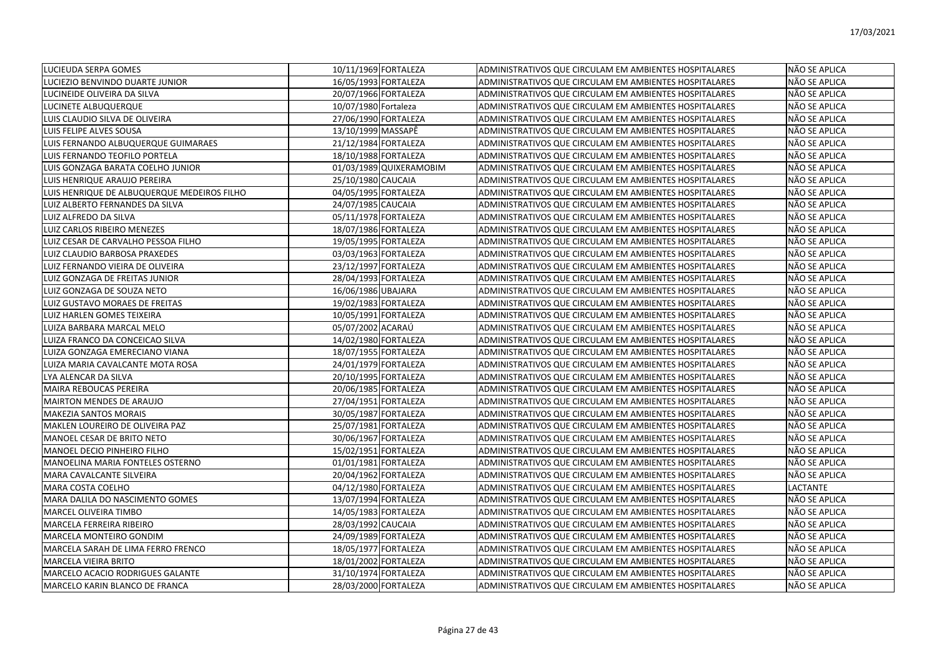| LUCIEUDA SERPA GOMES                        | 10/11/1969 FORTALEZA    | ADMINISTRATIVOS QUE CIRCULAM EM AMBIENTES HOSPITALARES        | NÃO SE APLICA |
|---------------------------------------------|-------------------------|---------------------------------------------------------------|---------------|
| LUCIEZIO BENVINDO DUARTE JUNIOR             | 16/05/1993 FORTALEZA    | ADMINISTRATIVOS QUE CIRCULAM EM AMBIENTES HOSPITALARES        | NÃO SE APLICA |
| LUCINEIDE OLIVEIRA DA SILVA                 | 20/07/1966 FORTALEZA    | ADMINISTRATIVOS QUE CIRCULAM EM AMBIENTES HOSPITALARES        | NÃO SE APLICA |
| LUCINETE ALBUQUERQUE                        | 10/07/1980 Fortaleza    | ADMINISTRATIVOS QUE CIRCULAM EM AMBIENTES HOSPITALARES        | NÃO SE APLICA |
| LUIS CLAUDIO SILVA DE OLIVEIRA              | 27/06/1990 FORTALEZA    | ADMINISTRATIVOS QUE CIRCULAM EM AMBIENTES HOSPITALARES        | NÃO SE APLICA |
| LUIS FELIPE ALVES SOUSA                     | 13/10/1999 MASSAPÊ      | ADMINISTRATIVOS QUE CIRCULAM EM AMBIENTES HOSPITALARES        | NÃO SE APLICA |
| LUIS FERNANDO ALBUQUERQUE GUIMARAES         | 21/12/1984 FORTALEZA    | ADMINISTRATIVOS QUE CIRCULAM EM AMBIENTES HOSPITALARES        | NÃO SE APLICA |
| LUIS FERNANDO TEOFILO PORTELA               | 18/10/1988 FORTALEZA    | ADMINISTRATIVOS QUE CIRCULAM EM AMBIENTES HOSPITALARES        | NÃO SE APLICA |
| LUIS GONZAGA BARATA COELHO JUNIOR           | 01/03/1989 QUIXERAMOBIM | ADMINISTRATIVOS QUE CIRCULAM EM AMBIENTES HOSPITALARES        | NÃO SE APLICA |
| LUIS HENRIQUE ARAUJO PEREIRA                | 25/10/1980 CAUCAIA      | ADMINISTRATIVOS QUE CIRCULAM EM AMBIENTES HOSPITALARES        | NÃO SE APLICA |
| LUIS HENRIQUE DE ALBUQUERQUE MEDEIROS FILHO | 04/05/1995 FORTALEZA    | ADMINISTRATIVOS QUE CIRCULAM EM AMBIENTES HOSPITALARES        | NÃO SE APLICA |
| LUIZ ALBERTO FERNANDES DA SILVA             | 24/07/1985 CAUCAIA      | <b>ADMINISTRATIVOS QUE CIRCULAM EM AMBIENTES HOSPITALARES</b> | NÃO SE APLICA |
| LUIZ ALFREDO DA SILVA                       | 05/11/1978 FORTALEZA    | ADMINISTRATIVOS QUE CIRCULAM EM AMBIENTES HOSPITALARES        | NÃO SE APLICA |
| LUIZ CARLOS RIBEIRO MENEZES                 | 18/07/1986 FORTALEZA    | ADMINISTRATIVOS QUE CIRCULAM EM AMBIENTES HOSPITALARES        | NÃO SE APLICA |
| LUIZ CESAR DE CARVALHO PESSOA FILHO         | 19/05/1995 FORTALEZA    | ADMINISTRATIVOS QUE CIRCULAM EM AMBIENTES HOSPITALARES        | NÃO SE APLICA |
| LUIZ CLAUDIO BARBOSA PRAXEDES               | 03/03/1963 FORTALEZA    | ADMINISTRATIVOS QUE CIRCULAM EM AMBIENTES HOSPITALARES        | NÃO SE APLICA |
| LUIZ FERNANDO VIEIRA DE OLIVEIRA            | 23/12/1997 FORTALEZA    | ADMINISTRATIVOS QUE CIRCULAM EM AMBIENTES HOSPITALARES        | NÃO SE APLICA |
| LUIZ GONZAGA DE FREITAS JUNIOR              | 28/04/1993 FORTALEZA    | ADMINISTRATIVOS QUE CIRCULAM EM AMBIENTES HOSPITALARES        | NÃO SE APLICA |
| LUIZ GONZAGA DE SOUZA NETO                  | 16/06/1986 UBAJARA      | ADMINISTRATIVOS QUE CIRCULAM EM AMBIENTES HOSPITALARES        | NÃO SE APLICA |
| LUIZ GUSTAVO MORAES DE FREITAS              | 19/02/1983 FORTALEZA    | ADMINISTRATIVOS QUE CIRCULAM EM AMBIENTES HOSPITALARES        | NÃO SE APLICA |
| LUIZ HARLEN GOMES TEIXEIRA                  | 10/05/1991 FORTALEZA    | ADMINISTRATIVOS QUE CIRCULAM EM AMBIENTES HOSPITALARES        | NÃO SE APLICA |
| LUIZA BARBARA MARCAL MELO                   | 05/07/2002 ACARAÚ       | ADMINISTRATIVOS QUE CIRCULAM EM AMBIENTES HOSPITALARES        | NÃO SE APLICA |
| LUIZA FRANCO DA CONCEICAO SILVA             | 14/02/1980 FORTALEZA    | ADMINISTRATIVOS QUE CIRCULAM EM AMBIENTES HOSPITALARES        | NÃO SE APLICA |
| LUIZA GONZAGA EMERECIANO VIANA              | 18/07/1955 FORTALEZA    | ADMINISTRATIVOS QUE CIRCULAM EM AMBIENTES HOSPITALARES        | NÃO SE APLICA |
| LUIZA MARIA CAVALCANTE MOTA ROSA            | 24/01/1979 FORTALEZA    | ADMINISTRATIVOS QUE CIRCULAM EM AMBIENTES HOSPITALARES        | NÃO SE APLICA |
| LYA ALENCAR DA SILVA                        | 20/10/1995 FORTALEZA    | ADMINISTRATIVOS QUE CIRCULAM EM AMBIENTES HOSPITALARES        | NÃO SE APLICA |
| <b>MAIRA REBOUCAS PEREIRA</b>               | 20/06/1985 FORTALEZA    | ADMINISTRATIVOS QUE CIRCULAM EM AMBIENTES HOSPITALARES        | NÃO SE APLICA |
| <b>MAIRTON MENDES DE ARAUJO</b>             | 27/04/1951 FORTALEZA    | ADMINISTRATIVOS QUE CIRCULAM EM AMBIENTES HOSPITALARES        | NÃO SE APLICA |
| <b>MAKEZIA SANTOS MORAIS</b>                | 30/05/1987 FORTALEZA    | ADMINISTRATIVOS QUE CIRCULAM EM AMBIENTES HOSPITALARES        | NÃO SE APLICA |
| MAKLEN LOUREIRO DE OLIVEIRA PAZ             | 25/07/1981 FORTALEZA    | ADMINISTRATIVOS QUE CIRCULAM EM AMBIENTES HOSPITALARES        | NÃO SE APLICA |
| MANOEL CESAR DE BRITO NETO                  | 30/06/1967 FORTALEZA    | ADMINISTRATIVOS QUE CIRCULAM EM AMBIENTES HOSPITALARES        | NÃO SE APLICA |
| <b>MANOEL DECIO PINHEIRO FILHO</b>          | 15/02/1951 FORTALEZA    | ADMINISTRATIVOS QUE CIRCULAM EM AMBIENTES HOSPITALARES        | NÃO SE APLICA |
| <b>MANOELINA MARIA FONTELES OSTERNO</b>     | 01/01/1981 FORTALEZA    | ADMINISTRATIVOS QUE CIRCULAM EM AMBIENTES HOSPITALARES        | NÃO SE APLICA |
| MARA CAVALCANTE SILVEIRA                    | 20/04/1962 FORTALEZA    | ADMINISTRATIVOS QUE CIRCULAM EM AMBIENTES HOSPITALARES        | NÃO SE APLICA |
| <b>MARA COSTA COELHO</b>                    | 04/12/1980 FORTALEZA    | <b>ADMINISTRATIVOS QUE CIRCULAM EM AMBIENTES HOSPITALARES</b> | LACTANTE      |
| MARA DALILA DO NASCIMENTO GOMES             | 13/07/1994 FORTALEZA    | ADMINISTRATIVOS QUE CIRCULAM EM AMBIENTES HOSPITALARES        | NÃO SE APLICA |
| MARCEL OLIVEIRA TIMBO                       | 14/05/1983 FORTALEZA    | ADMINISTRATIVOS QUE CIRCULAM EM AMBIENTES HOSPITALARES        | NÃO SE APLICA |
| <b>MARCELA FERREIRA RIBEIRO</b>             | 28/03/1992 CAUCAIA      | ADMINISTRATIVOS QUE CIRCULAM EM AMBIENTES HOSPITALARES        | NÃO SE APLICA |
| <b>MARCELA MONTEIRO GONDIM</b>              | 24/09/1989 FORTALEZA    | ADMINISTRATIVOS QUE CIRCULAM EM AMBIENTES HOSPITALARES        | NÃO SE APLICA |
| MARCELA SARAH DE LIMA FERRO FRENCO          | 18/05/1977 FORTALEZA    | ADMINISTRATIVOS QUE CIRCULAM EM AMBIENTES HOSPITALARES        | NÃO SE APLICA |
| <b>MARCELA VIEIRA BRITO</b>                 | 18/01/2002 FORTALEZA    | ADMINISTRATIVOS QUE CIRCULAM EM AMBIENTES HOSPITALARES        | NÃO SE APLICA |
| <b>MARCELO ACACIO RODRIGUES GALANTE</b>     | 31/10/1974 FORTALEZA    | ADMINISTRATIVOS QUE CIRCULAM EM AMBIENTES HOSPITALARES        | NÃO SE APLICA |
| IMARCELO KARIN BLANCO DE FRANCA             | 28/03/2000 FORTALEZA    | ADMINISTRATIVOS QUE CIRCULAM EM AMBIENTES HOSPITALARES        | NÃO SE APLICA |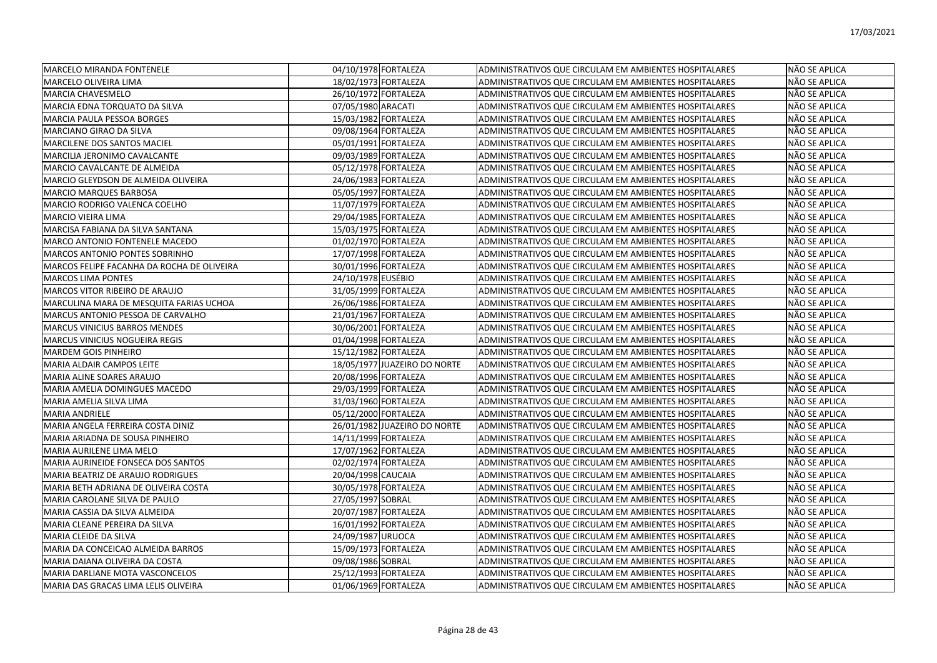| <b>MARCELO MIRANDA FONTENELE</b>           | 04/10/1978 FORTALEZA         | ADMINISTRATIVOS QUE CIRCULAM EM AMBIENTES HOSPITALARES | NÃO SE APLICA |
|--------------------------------------------|------------------------------|--------------------------------------------------------|---------------|
| MARCELO OLIVEIRA LIMA                      | 18/02/1973 FORTALEZA         | ADMINISTRATIVOS QUE CIRCULAM EM AMBIENTES HOSPITALARES | NÃO SE APLICA |
| MARCIA CHAVESMELO                          | 26/10/1972 FORTALEZA         | ADMINISTRATIVOS QUE CIRCULAM EM AMBIENTES HOSPITALARES | NÃO SE APLICA |
| MARCIA EDNA TORQUATO DA SILVA              | 07/05/1980 ARACATI           | ADMINISTRATIVOS QUE CIRCULAM EM AMBIENTES HOSPITALARES | NÃO SE APLICA |
| MARCIA PAULA PESSOA BORGES                 | 15/03/1982 FORTALEZA         | ADMINISTRATIVOS QUE CIRCULAM EM AMBIENTES HOSPITALARES | NÃO SE APLICA |
| MARCIANO GIRAO DA SILVA                    | 09/08/1964 FORTALEZA         | ADMINISTRATIVOS QUE CIRCULAM EM AMBIENTES HOSPITALARES | NÃO SE APLICA |
| MARCILENE DOS SANTOS MACIEL                | 05/01/1991 FORTALEZA         | ADMINISTRATIVOS QUE CIRCULAM EM AMBIENTES HOSPITALARES | NÃO SE APLICA |
| MARCILIA JERONIMO CAVALCANTE               | 09/03/1989 FORTALEZA         | ADMINISTRATIVOS QUE CIRCULAM EM AMBIENTES HOSPITALARES | NÃO SE APLICA |
| MARCIO CAVALCANTE DE ALMEIDA               | 05/12/1978 FORTALEZA         | ADMINISTRATIVOS QUE CIRCULAM EM AMBIENTES HOSPITALARES | NÃO SE APLICA |
| MARCIO GLEYDSON DE ALMEIDA OLIVEIRA        | 24/06/1983 FORTALEZA         | ADMINISTRATIVOS QUE CIRCULAM EM AMBIENTES HOSPITALARES | NÃO SE APLICA |
| MARCIO MARQUES BARBOSA                     | 05/05/1997 FORTALEZA         | ADMINISTRATIVOS QUE CIRCULAM EM AMBIENTES HOSPITALARES | NÃO SE APLICA |
| MARCIO RODRIGO VALENCA COELHO              | 11/07/1979 FORTALEZA         | ADMINISTRATIVOS QUE CIRCULAM EM AMBIENTES HOSPITALARES | NÃO SE APLICA |
| MARCIO VIEIRA LIMA                         | 29/04/1985 FORTALEZA         | ADMINISTRATIVOS QUE CIRCULAM EM AMBIENTES HOSPITALARES | NÃO SE APLICA |
| MARCISA FABIANA DA SILVA SANTANA           | 15/03/1975 FORTALEZA         | ADMINISTRATIVOS QUE CIRCULAM EM AMBIENTES HOSPITALARES | NÃO SE APLICA |
| MARCO ANTONIO FONTENELE MACEDO             | 01/02/1970 FORTALEZA         | ADMINISTRATIVOS QUE CIRCULAM EM AMBIENTES HOSPITALARES | NÃO SE APLICA |
| MARCOS ANTONIO PONTES SOBRINHO             | 17/07/1998 FORTALEZA         | ADMINISTRATIVOS QUE CIRCULAM EM AMBIENTES HOSPITALARES | NÃO SE APLICA |
| MARCOS FELIPE FACANHA DA ROCHA DE OLIVEIRA | 30/01/1996 FORTALEZA         | ADMINISTRATIVOS QUE CIRCULAM EM AMBIENTES HOSPITALARES | NÃO SE APLICA |
| <b>MARCOS LIMA PONTES</b>                  | 24/10/1978 EUSÉBIO           | ADMINISTRATIVOS QUE CIRCULAM EM AMBIENTES HOSPITALARES | NÃO SE APLICA |
| MARCOS VITOR RIBEIRO DE ARAUJO             | 31/05/1999 FORTALEZA         | ADMINISTRATIVOS QUE CIRCULAM EM AMBIENTES HOSPITALARES | NÃO SE APLICA |
| MARCULINA MARA DE MESQUITA FARIAS UCHOA    | 26/06/1986 FORTALEZA         | ADMINISTRATIVOS QUE CIRCULAM EM AMBIENTES HOSPITALARES | NÃO SE APLICA |
| MARCUS ANTONIO PESSOA DE CARVALHO          | 21/01/1967 FORTALEZA         | ADMINISTRATIVOS QUE CIRCULAM EM AMBIENTES HOSPITALARES | NÃO SE APLICA |
| <b>MARCUS VINICIUS BARROS MENDES</b>       | 30/06/2001 FORTALEZA         | ADMINISTRATIVOS QUE CIRCULAM EM AMBIENTES HOSPITALARES | NÃO SE APLICA |
| MARCUS VINICIUS NOGUEIRA REGIS             | 01/04/1998 FORTALEZA         | ADMINISTRATIVOS QUE CIRCULAM EM AMBIENTES HOSPITALARES | NÃO SE APLICA |
| MARDEM GOIS PINHEIRO                       | 15/12/1982 FORTALEZA         | ADMINISTRATIVOS QUE CIRCULAM EM AMBIENTES HOSPITALARES | NÃO SE APLICA |
| MARIA ALDAIR CAMPOS LEITE                  | 18/05/1977 JUAZEIRO DO NORTE | ADMINISTRATIVOS QUE CIRCULAM EM AMBIENTES HOSPITALARES | NÃO SE APLICA |
| MARIA ALINE SOARES ARAUJO                  | 20/08/1996 FORTALEZA         | ADMINISTRATIVOS QUE CIRCULAM EM AMBIENTES HOSPITALARES | NÃO SE APLICA |
| MARIA AMELIA DOMINGUES MACEDO              | 29/03/1999 FORTALEZA         | ADMINISTRATIVOS QUE CIRCULAM EM AMBIENTES HOSPITALARES | NÃO SE APLICA |
| MARIA AMELIA SILVA LIMA                    | 31/03/1960 FORTALEZA         | ADMINISTRATIVOS QUE CIRCULAM EM AMBIENTES HOSPITALARES | NÃO SE APLICA |
| MARIA ANDRIELE                             | 05/12/2000 FORTALEZA         | ADMINISTRATIVOS QUE CIRCULAM EM AMBIENTES HOSPITALARES | NÃO SE APLICA |
| MARIA ANGELA FERREIRA COSTA DINIZ          | 26/01/1982 JUAZEIRO DO NORTE | ADMINISTRATIVOS QUE CIRCULAM EM AMBIENTES HOSPITALARES | NÃO SE APLICA |
| MARIA ARIADNA DE SOUSA PINHEIRO            | 14/11/1999 FORTALEZA         | ADMINISTRATIVOS QUE CIRCULAM EM AMBIENTES HOSPITALARES | NÃO SE APLICA |
| MARIA AURILENE LIMA MELO                   | 17/07/1962 FORTALEZA         | ADMINISTRATIVOS QUE CIRCULAM EM AMBIENTES HOSPITALARES | NÃO SE APLICA |
| MARIA AURINEIDE FONSECA DOS SANTOS         | 02/02/1974 FORTALEZA         | ADMINISTRATIVOS QUE CIRCULAM EM AMBIENTES HOSPITALARES | NÃO SE APLICA |
| MARIA BEATRIZ DE ARAUJO RODRIGUES          | 20/04/1998 CAUCAIA           | ADMINISTRATIVOS QUE CIRCULAM EM AMBIENTES HOSPITALARES | NÃO SE APLICA |
| MARIA BETH ADRIANA DE OLIVEIRA COSTA       | 30/05/1978 FORTALEZA         | ADMINISTRATIVOS QUE CIRCULAM EM AMBIENTES HOSPITALARES | NÃO SE APLICA |
| MARIA CAROLANE SILVA DE PAULO              | 27/05/1997 SOBRAL            | ADMINISTRATIVOS QUE CIRCULAM EM AMBIENTES HOSPITALARES | NÃO SE APLICA |
| MARIA CASSIA DA SILVA ALMEIDA              | 20/07/1987 FORTALEZA         | ADMINISTRATIVOS QUE CIRCULAM EM AMBIENTES HOSPITALARES | NÃO SE APLICA |
| MARIA CLEANE PEREIRA DA SILVA              | 16/01/1992 FORTALEZA         | ADMINISTRATIVOS QUE CIRCULAM EM AMBIENTES HOSPITALARES | NÃO SE APLICA |
| MARIA CLEIDE DA SILVA                      | 24/09/1987 URUOCA            | ADMINISTRATIVOS QUE CIRCULAM EM AMBIENTES HOSPITALARES | NÃO SE APLICA |
| MARIA DA CONCEICAO ALMEIDA BARROS          | 15/09/1973 FORTALEZA         | ADMINISTRATIVOS QUE CIRCULAM EM AMBIENTES HOSPITALARES | NÃO SE APLICA |
| MARIA DAIANA OLIVEIRA DA COSTA             | 09/08/1986 SOBRAL            | ADMINISTRATIVOS QUE CIRCULAM EM AMBIENTES HOSPITALARES | NÃO SE APLICA |
| MARIA DARLIANE MOTA VASCONCELOS            | 25/12/1993 FORTALEZA         | ADMINISTRATIVOS QUE CIRCULAM EM AMBIENTES HOSPITALARES | NÃO SE APLICA |
| MARIA DAS GRACAS LIMA LELIS OLIVEIRA       | 01/06/1969 FORTALEZA         | ADMINISTRATIVOS QUE CIRCULAM EM AMBIENTES HOSPITALARES | NÃO SE APLICA |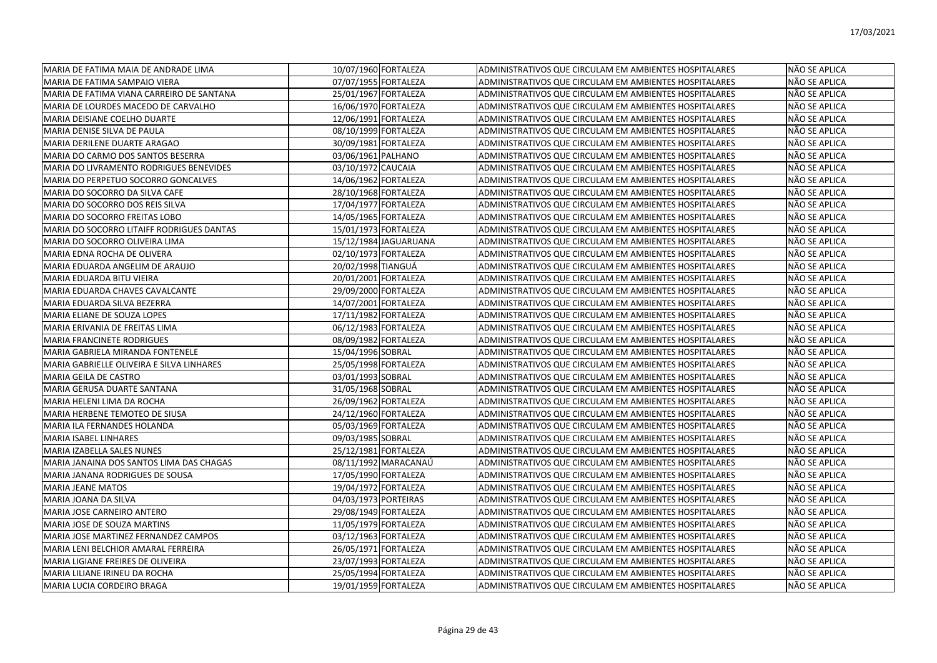| MARIA DE FATIMA MAIA DE ANDRADE LIMA           | 10/07/1960 FORTALEZA  | ADMINISTRATIVOS QUE CIRCULAM EM AMBIENTES HOSPITALARES<br>NÃO SE APLICA        |
|------------------------------------------------|-----------------------|--------------------------------------------------------------------------------|
| MARIA DE FATIMA SAMPAIO VIERA                  | 07/07/1955 FORTALEZA  | ADMINISTRATIVOS QUE CIRCULAM EM AMBIENTES HOSPITALARES<br>NÃO SE APLICA        |
| MARIA DE FATIMA VIANA CARREIRO DE SANTANA      | 25/01/1967 FORTALEZA  | NÃO SE APLICA<br>ADMINISTRATIVOS QUE CIRCULAM EM AMBIENTES HOSPITALARES        |
| MARIA DE LOURDES MACEDO DE CARVALHO            | 16/06/1970 FORTALEZA  | ADMINISTRATIVOS QUE CIRCULAM EM AMBIENTES HOSPITALARES<br>NÃO SE APLICA        |
| MARIA DEISIANE COELHO DUARTE                   | 12/06/1991 FORTALEZA  | ADMINISTRATIVOS QUE CIRCULAM EM AMBIENTES HOSPITALARES<br>NÃO SE APLICA        |
| MARIA DENISE SILVA DE PAULA                    | 08/10/1999 FORTALEZA  | NÃO SE APLICA<br>ADMINISTRATIVOS QUE CIRCULAM EM AMBIENTES HOSPITALARES        |
| MARIA DERILENE DUARTE ARAGAO                   | 30/09/1981 FORTALEZA  | NÃO SE APLICA<br>ADMINISTRATIVOS QUE CIRCULAM EM AMBIENTES HOSPITALARES        |
| MARIA DO CARMO DOS SANTOS BESERRA              | 03/06/1961 PALHANO    | NÃO SE APLICA<br>ADMINISTRATIVOS QUE CIRCULAM EM AMBIENTES HOSPITALARES        |
| <b>MARIA DO LIVRAMENTO RODRIGUES BENEVIDES</b> | 03/10/1972 CAUCAIA    | NÃO SE APLICA<br>ADMINISTRATIVOS QUE CIRCULAM EM AMBIENTES HOSPITALARES        |
| MARIA DO PERPETUO SOCORRO GONCALVES            | 14/06/1962 FORTALEZA  | NÃO SE APLICA<br>ADMINISTRATIVOS QUE CIRCULAM EM AMBIENTES HOSPITALARES        |
| MARIA DO SOCORRO DA SILVA CAFE                 | 28/10/1968 FORTALEZA  | NÃO SE APLICA<br>ADMINISTRATIVOS QUE CIRCULAM EM AMBIENTES HOSPITALARES        |
| MARIA DO SOCORRO DOS REIS SILVA                | 17/04/1977 FORTALEZA  | NÃO SE APLICA<br><b>ADMINISTRATIVOS QUE CIRCULAM EM AMBIENTES HOSPITALARES</b> |
| MARIA DO SOCORRO FREITAS LOBO                  | 14/05/1965 FORTALEZA  | ADMINISTRATIVOS QUE CIRCULAM EM AMBIENTES HOSPITALARES<br>NÃO SE APLICA        |
| MARIA DO SOCORRO LITAIFF RODRIGUES DANTAS      | 15/01/1973 FORTALEZA  | ADMINISTRATIVOS QUE CIRCULAM EM AMBIENTES HOSPITALARES<br>NÃO SE APLICA        |
| MARIA DO SOCORRO OLIVEIRA LIMA                 | 15/12/1984 JAGUARUANA | NÃO SE APLICA<br>ADMINISTRATIVOS QUE CIRCULAM EM AMBIENTES HOSPITALARES        |
| MARIA EDNA ROCHA DE OLIVERA                    | 02/10/1973 FORTALEZA  | ADMINISTRATIVOS QUE CIRCULAM EM AMBIENTES HOSPITALARES<br>NÃO SE APLICA        |
| MARIA EDUARDA ANGELIM DE ARAUJO                | 20/02/1998 TIANGUÁ    | ADMINISTRATIVOS QUE CIRCULAM EM AMBIENTES HOSPITALARES<br>NÃO SE APLICA        |
| MARIA EDUARDA BITU VIEIRA                      | 20/01/2001 FORTALEZA  | NÃO SE APLICA<br>ADMINISTRATIVOS QUE CIRCULAM EM AMBIENTES HOSPITALARES        |
| MARIA EDUARDA CHAVES CAVALCANTE                | 29/09/2000 FORTALEZA  | ADMINISTRATIVOS QUE CIRCULAM EM AMBIENTES HOSPITALARES<br>NÃO SE APLICA        |
| MARIA EDUARDA SILVA BEZERRA                    | 14/07/2001 FORTALEZA  | ADMINISTRATIVOS QUE CIRCULAM EM AMBIENTES HOSPITALARES<br>NÃO SE APLICA        |
| MARIA ELIANE DE SOUZA LOPES                    | 17/11/1982 FORTALEZA  | NÃO SE APLICA<br>ADMINISTRATIVOS QUE CIRCULAM EM AMBIENTES HOSPITALARES        |
| MARIA ERIVANIA DE FREITAS LIMA                 | 06/12/1983 FORTALEZA  | NÃO SE APLICA<br>ADMINISTRATIVOS QUE CIRCULAM EM AMBIENTES HOSPITALARES        |
| <b>MARIA FRANCINETE RODRIGUES</b>              | 08/09/1982 FORTALEZA  | ADMINISTRATIVOS QUE CIRCULAM EM AMBIENTES HOSPITALARES<br>NÃO SE APLICA        |
| MARIA GABRIELA MIRANDA FONTENELE               | 15/04/1996 SOBRAL     | ADMINISTRATIVOS QUE CIRCULAM EM AMBIENTES HOSPITALARES<br>NÃO SE APLICA        |
| MARIA GABRIELLE OLIVEIRA E SILVA LINHARES      | 25/05/1998 FORTALEZA  | NÃO SE APLICA<br>ADMINISTRATIVOS QUE CIRCULAM EM AMBIENTES HOSPITALARES        |
| MARIA GEILA DE CASTRO                          | 03/01/1993 SOBRAL     | NÃO SE APLICA<br>ADMINISTRATIVOS QUE CIRCULAM EM AMBIENTES HOSPITALARES        |
| MARIA GERUSA DUARTE SANTANA                    | 31/05/1968 SOBRAL     | ADMINISTRATIVOS QUE CIRCULAM EM AMBIENTES HOSPITALARES<br>NÃO SE APLICA        |
| MARIA HELENI LIMA DA ROCHA                     | 26/09/1962 FORTALEZA  | NÃO SE APLICA<br>ADMINISTRATIVOS QUE CIRCULAM EM AMBIENTES HOSPITALARES        |
| MARIA HERBENE TEMOTEO DE SIUSA                 | 24/12/1960 FORTALEZA  | ADMINISTRATIVOS QUE CIRCULAM EM AMBIENTES HOSPITALARES<br>NÃO SE APLICA        |
| MARIA ILA FERNANDES HOLANDA                    | 05/03/1969 FORTALEZA  | NÃO SE APLICA<br>ADMINISTRATIVOS QUE CIRCULAM EM AMBIENTES HOSPITALARES        |
| <b>MARIA ISABEL LINHARES</b>                   | 09/03/1985 SOBRAL     | ADMINISTRATIVOS QUE CIRCULAM EM AMBIENTES HOSPITALARES<br>NÃO SE APLICA        |
| <b>MARIA IZABELLA SALES NUNES</b>              | 25/12/1981 FORTALEZA  | ADMINISTRATIVOS QUE CIRCULAM EM AMBIENTES HOSPITALARES<br>NÃO SE APLICA        |
| MARIA JANAINA DOS SANTOS LIMA DAS CHAGAS       | 08/11/1992 MARACANAÚ  | NÃO SE APLICA<br>ADMINISTRATIVOS QUE CIRCULAM EM AMBIENTES HOSPITALARES        |
| MARIA JANANA RODRIGUES DE SOUSA                | 17/05/1990 FORTALEZA  | NÃO SE APLICA<br>ADMINISTRATIVOS QUE CIRCULAM EM AMBIENTES HOSPITALARES        |
| <b>MARIA JEANE MATOS</b>                       | 19/04/1972 FORTALEZA  | NÃO SE APLICA<br><b>ADMINISTRATIVOS QUE CIRCULAM EM AMBIENTES HOSPITALARES</b> |
| MARIA JOANA DA SILVA                           | 04/03/1973 PORTEIRAS  | ADMINISTRATIVOS QUE CIRCULAM EM AMBIENTES HOSPITALARES<br>NÃO SE APLICA        |
| MARIA JOSE CARNEIRO ANTERO                     | 29/08/1949 FORTALEZA  | NÃO SE APLICA<br>ADMINISTRATIVOS QUE CIRCULAM EM AMBIENTES HOSPITALARES        |
| MARIA JOSE DE SOUZA MARTINS                    | 11/05/1979 FORTALEZA  | NÃO SE APLICA<br>ADMINISTRATIVOS QUE CIRCULAM EM AMBIENTES HOSPITALARES        |
| MARIA JOSE MARTINEZ FERNANDEZ CAMPOS           | 03/12/1963 FORTALEZA  | ADMINISTRATIVOS QUE CIRCULAM EM AMBIENTES HOSPITALARES<br>NÃO SE APLICA        |
| MARIA LENI BELCHIOR AMARAL FERREIRA            | 26/05/1971 FORTALEZA  | NÃO SE APLICA<br>ADMINISTRATIVOS QUE CIRCULAM EM AMBIENTES HOSPITALARES        |
| MARIA LIGIANE FREIRES DE OLIVEIRA              | 23/07/1993 FORTALEZA  | NÃO SE APLICA<br>ADMINISTRATIVOS QUE CIRCULAM EM AMBIENTES HOSPITALARES        |
| MARIA LILIANE IRINEU DA ROCHA                  | 25/05/1994 FORTALEZA  | ADMINISTRATIVOS QUE CIRCULAM EM AMBIENTES HOSPITALARES<br>NÃO SE APLICA        |
| <b>IMARIA LUCIA CORDEIRO BRAGA</b>             | 19/01/1959 FORTALEZA  | ADMINISTRATIVOS QUE CIRCULAM EM AMBIENTES HOSPITALARES<br>NÃO SE APLICA        |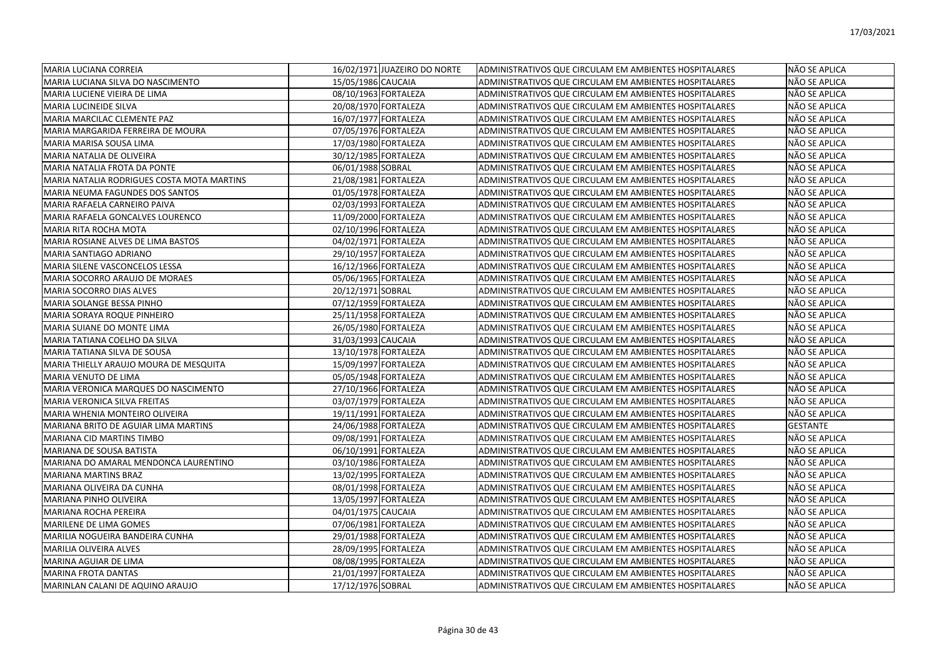| MARIA LUCIANA CORREIA                      |                    | 16/02/1971 JUAZEIRO DO NORTE | ADMINISTRATIVOS QUE CIRCULAM EM AMBIENTES HOSPITALARES | NÃO SE APLICA   |
|--------------------------------------------|--------------------|------------------------------|--------------------------------------------------------|-----------------|
| MARIA LUCIANA SILVA DO NASCIMENTO          | 15/05/1986 CAUCAIA |                              | ADMINISTRATIVOS QUE CIRCULAM EM AMBIENTES HOSPITALARES | NÃO SE APLICA   |
| MARIA LUCIENE VIEIRA DE LIMA               |                    | 08/10/1963 FORTALEZA         | ADMINISTRATIVOS QUE CIRCULAM EM AMBIENTES HOSPITALARES | NÃO SE APLICA   |
| <b>MARIA LUCINEIDE SILVA</b>               |                    | 20/08/1970 FORTALEZA         | ADMINISTRATIVOS QUE CIRCULAM EM AMBIENTES HOSPITALARES | NÃO SE APLICA   |
| MARIA MARCILAC CLEMENTE PAZ                |                    | 16/07/1977 FORTALEZA         | ADMINISTRATIVOS QUE CIRCULAM EM AMBIENTES HOSPITALARES | NÃO SE APLICA   |
| MARIA MARGARIDA FERREIRA DE MOURA          |                    | 07/05/1976 FORTALEZA         | ADMINISTRATIVOS QUE CIRCULAM EM AMBIENTES HOSPITALARES | NÃO SE APLICA   |
| MARIA MARISA SOUSA LIMA                    |                    | 17/03/1980 FORTALEZA         | ADMINISTRATIVOS QUE CIRCULAM EM AMBIENTES HOSPITALARES | NÃO SE APLICA   |
| MARIA NATALIA DE OLIVEIRA                  |                    | 30/12/1985 FORTALEZA         | ADMINISTRATIVOS QUE CIRCULAM EM AMBIENTES HOSPITALARES | NÃO SE APLICA   |
| MARIA NATALIA FROTA DA PONTE               | 06/01/1988 SOBRAL  |                              | ADMINISTRATIVOS QUE CIRCULAM EM AMBIENTES HOSPITALARES | NÃO SE APLICA   |
| MARIA NATALIA RODRIGUES COSTA MOTA MARTINS |                    | 21/08/1981 FORTALEZA         | ADMINISTRATIVOS QUE CIRCULAM EM AMBIENTES HOSPITALARES | NÃO SE APLICA   |
| MARIA NEUMA FAGUNDES DOS SANTOS            |                    | 01/05/1978 FORTALEZA         | ADMINISTRATIVOS QUE CIRCULAM EM AMBIENTES HOSPITALARES | NÃO SE APLICA   |
| MARIA RAFAELA CARNEIRO PAIVA               |                    | 02/03/1993 FORTALEZA         | ADMINISTRATIVOS QUE CIRCULAM EM AMBIENTES HOSPITALARES | NÃO SE APLICA   |
| MARIA RAFAELA GONCALVES LOURENCO           |                    | 11/09/2000 FORTALEZA         | ADMINISTRATIVOS QUE CIRCULAM EM AMBIENTES HOSPITALARES | NÃO SE APLICA   |
| MARIA RITA ROCHA MOTA                      |                    | 02/10/1996 FORTALEZA         | ADMINISTRATIVOS QUE CIRCULAM EM AMBIENTES HOSPITALARES | NÃO SE APLICA   |
| MARIA ROSIANE ALVES DE LIMA BASTOS         |                    | 04/02/1971 FORTALEZA         | ADMINISTRATIVOS QUE CIRCULAM EM AMBIENTES HOSPITALARES | NÃO SE APLICA   |
| MARIA SANTIAGO ADRIANO                     |                    | 29/10/1957 FORTALEZA         | ADMINISTRATIVOS QUE CIRCULAM EM AMBIENTES HOSPITALARES | NÃO SE APLICA   |
| MARIA SILENE VASCONCELOS LESSA             |                    | 16/12/1966 FORTALEZA         | ADMINISTRATIVOS QUE CIRCULAM EM AMBIENTES HOSPITALARES | NÃO SE APLICA   |
| MARIA SOCORRO ARAUJO DE MORAES             |                    | 05/06/1965 FORTALEZA         | ADMINISTRATIVOS QUE CIRCULAM EM AMBIENTES HOSPITALARES | NÃO SE APLICA   |
| MARIA SOCORRO DIAS ALVES                   | 20/12/1971 SOBRAL  |                              | ADMINISTRATIVOS QUE CIRCULAM EM AMBIENTES HOSPITALARES | NÃO SE APLICA   |
| MARIA SOLANGE BESSA PINHO                  |                    | 07/12/1959 FORTALEZA         | ADMINISTRATIVOS QUE CIRCULAM EM AMBIENTES HOSPITALARES | NÃO SE APLICA   |
| MARIA SORAYA ROQUE PINHEIRO                |                    | 25/11/1958 FORTALEZA         | ADMINISTRATIVOS QUE CIRCULAM EM AMBIENTES HOSPITALARES | NÃO SE APLICA   |
| MARIA SUIANE DO MONTE LIMA                 |                    | 26/05/1980 FORTALEZA         | ADMINISTRATIVOS QUE CIRCULAM EM AMBIENTES HOSPITALARES | NÃO SE APLICA   |
| MARIA TATIANA COELHO DA SILVA              | 31/03/1993 CAUCAIA |                              | ADMINISTRATIVOS QUE CIRCULAM EM AMBIENTES HOSPITALARES | NÃO SE APLICA   |
| MARIA TATIANA SILVA DE SOUSA               |                    | 13/10/1978 FORTALEZA         | ADMINISTRATIVOS QUE CIRCULAM EM AMBIENTES HOSPITALARES | NÃO SE APLICA   |
| MARIA THIELLY ARAUJO MOURA DE MESQUITA     |                    | 15/09/1997 FORTALEZA         | ADMINISTRATIVOS QUE CIRCULAM EM AMBIENTES HOSPITALARES | NÃO SE APLICA   |
| <b>MARIA VENUTO DE LIMA</b>                |                    | 05/05/1948 FORTALEZA         | ADMINISTRATIVOS QUE CIRCULAM EM AMBIENTES HOSPITALARES | NÃO SE APLICA   |
| MARIA VERONICA MARQUES DO NASCIMENTO       |                    | 27/10/1966 FORTALEZA         | ADMINISTRATIVOS QUE CIRCULAM EM AMBIENTES HOSPITALARES | NÃO SE APLICA   |
| MARIA VERONICA SILVA FREITAS               |                    | 03/07/1979 FORTALEZA         | ADMINISTRATIVOS QUE CIRCULAM EM AMBIENTES HOSPITALARES | NÃO SE APLICA   |
| MARIA WHENIA MONTEIRO OLIVEIRA             |                    | 19/11/1991 FORTALEZA         | ADMINISTRATIVOS QUE CIRCULAM EM AMBIENTES HOSPITALARES | NÃO SE APLICA   |
| MARIANA BRITO DE AGUIAR LIMA MARTINS       |                    | 24/06/1988 FORTALEZA         | ADMINISTRATIVOS QUE CIRCULAM EM AMBIENTES HOSPITALARES | <b>GESTANTE</b> |
| MARIANA CID MARTINS TIMBO                  |                    | 09/08/1991 FORTALEZA         | ADMINISTRATIVOS QUE CIRCULAM EM AMBIENTES HOSPITALARES | NÃO SE APLICA   |
| <b>MARIANA DE SOUSA BATISTA</b>            |                    | 06/10/1991 FORTALEZA         | ADMINISTRATIVOS QUE CIRCULAM EM AMBIENTES HOSPITALARES | NÃO SE APLICA   |
| MARIANA DO AMARAL MENDONCA LAURENTINO      |                    | 03/10/1986 FORTALEZA         | ADMINISTRATIVOS QUE CIRCULAM EM AMBIENTES HOSPITALARES | NÃO SE APLICA   |
| <b>MARIANA MARTINS BRAZ</b>                |                    | 13/02/1995 FORTALEZA         | ADMINISTRATIVOS QUE CIRCULAM EM AMBIENTES HOSPITALARES | NÃO SE APLICA   |
| MARIANA OLIVEIRA DA CUNHA                  |                    | 08/01/1998 FORTALEZA         | ADMINISTRATIVOS QUE CIRCULAM EM AMBIENTES HOSPITALARES | NÃO SE APLICA   |
| MARIANA PINHO OLIVEIRA                     |                    | 13/05/1997 FORTALEZA         | ADMINISTRATIVOS QUE CIRCULAM EM AMBIENTES HOSPITALARES | NÃO SE APLICA   |
| MARIANA ROCHA PEREIRA                      | 04/01/1975 CAUCAIA |                              | ADMINISTRATIVOS QUE CIRCULAM EM AMBIENTES HOSPITALARES | NÃO SE APLICA   |
| MARILENE DE LIMA GOMES                     |                    | 07/06/1981 FORTALEZA         | ADMINISTRATIVOS QUE CIRCULAM EM AMBIENTES HOSPITALARES | NÃO SE APLICA   |
| MARILIA NOGUEIRA BANDEIRA CUNHA            |                    | 29/01/1988 FORTALEZA         | ADMINISTRATIVOS QUE CIRCULAM EM AMBIENTES HOSPITALARES | NÃO SE APLICA   |
| MARILIA OLIVEIRA ALVES                     |                    | 28/09/1995 FORTALEZA         | ADMINISTRATIVOS QUE CIRCULAM EM AMBIENTES HOSPITALARES | NÃO SE APLICA   |
| MARINA AGUIAR DE LIMA                      |                    | 08/08/1995 FORTALEZA         | ADMINISTRATIVOS QUE CIRCULAM EM AMBIENTES HOSPITALARES | NÃO SE APLICA   |
| <b>MARINA FROTA DANTAS</b>                 |                    | 21/01/1997 FORTALEZA         | ADMINISTRATIVOS QUE CIRCULAM EM AMBIENTES HOSPITALARES | NÃO SE APLICA   |
| MARINLAN CALANI DE AQUINO ARAUJO           | 17/12/1976 SOBRAL  |                              | ADMINISTRATIVOS QUE CIRCULAM EM AMBIENTES HOSPITALARES | NÃO SE APLICA   |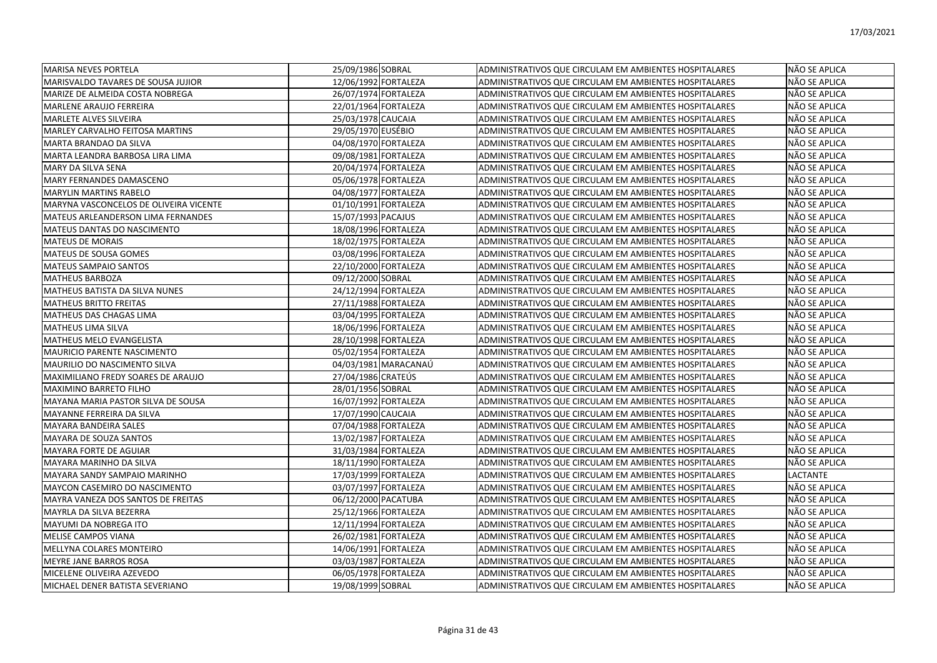| MARISA NEVES PORTELA                   | 25/09/1986 SOBRAL    | ADMINISTRATIVOS QUE CIRCULAM EM AMBIENTES HOSPITALARES | NÃO SE APLICA   |
|----------------------------------------|----------------------|--------------------------------------------------------|-----------------|
| MARISVALDO TAVARES DE SOUSA JUJIOR     | 12/06/1992 FORTALEZA | ADMINISTRATIVOS QUE CIRCULAM EM AMBIENTES HOSPITALARES | NÃO SE APLICA   |
| MARIZE DE ALMEIDA COSTA NOBREGA        | 26/07/1974 FORTALEZA | ADMINISTRATIVOS QUE CIRCULAM EM AMBIENTES HOSPITALARES | NÃO SE APLICA   |
| <b>MARLENE ARAUJO FERREIRA</b>         | 22/01/1964 FORTALEZA | ADMINISTRATIVOS QUE CIRCULAM EM AMBIENTES HOSPITALARES | NÃO SE APLICA   |
| <b>MARLETE ALVES SILVEIRA</b>          | 25/03/1978 CAUCAIA   | ADMINISTRATIVOS QUE CIRCULAM EM AMBIENTES HOSPITALARES | NÃO SE APLICA   |
| MARLEY CARVALHO FEITOSA MARTINS        | 29/05/1970 EUSÉBIO   | ADMINISTRATIVOS QUE CIRCULAM EM AMBIENTES HOSPITALARES | NÃO SE APLICA   |
| <b>MARTA BRANDAO DA SILVA</b>          | 04/08/1970 FORTALEZA | ADMINISTRATIVOS QUE CIRCULAM EM AMBIENTES HOSPITALARES | NÃO SE APLICA   |
| MARTA LEANDRA BARBOSA LIRA LIMA        | 09/08/1981 FORTALEZA | ADMINISTRATIVOS QUE CIRCULAM EM AMBIENTES HOSPITALARES | NÃO SE APLICA   |
| MARY DA SILVA SENA                     | 20/04/1974 FORTALEZA | ADMINISTRATIVOS QUE CIRCULAM EM AMBIENTES HOSPITALARES | NÃO SE APLICA   |
| MARY FERNANDES DAMASCENO               | 05/06/1978 FORTALEZA | ADMINISTRATIVOS QUE CIRCULAM EM AMBIENTES HOSPITALARES | NÃO SE APLICA   |
| <b>MARYLIN MARTINS RABELO</b>          | 04/08/1977 FORTALEZA | ADMINISTRATIVOS QUE CIRCULAM EM AMBIENTES HOSPITALARES | NÃO SE APLICA   |
| MARYNA VASCONCELOS DE OLIVEIRA VICENTE | 01/10/1991 FORTALEZA | ADMINISTRATIVOS QUE CIRCULAM EM AMBIENTES HOSPITALARES | NÃO SE APLICA   |
| MATEUS ARLEANDERSON LIMA FERNANDES     | 15/07/1993 PACAJUS   | ADMINISTRATIVOS QUE CIRCULAM EM AMBIENTES HOSPITALARES | NÃO SE APLICA   |
| MATEUS DANTAS DO NASCIMENTO            | 18/08/1996 FORTALEZA | ADMINISTRATIVOS QUE CIRCULAM EM AMBIENTES HOSPITALARES | NÃO SE APLICA   |
| <b>MATEUS DE MORAIS</b>                | 18/02/1975 FORTALEZA | ADMINISTRATIVOS QUE CIRCULAM EM AMBIENTES HOSPITALARES | NÃO SE APLICA   |
| MATEUS DE SOUSA GOMES                  | 03/08/1996 FORTALEZA | ADMINISTRATIVOS QUE CIRCULAM EM AMBIENTES HOSPITALARES | NÃO SE APLICA   |
| <b>MATEUS SAMPAIO SANTOS</b>           | 22/10/2000 FORTALEZA | ADMINISTRATIVOS QUE CIRCULAM EM AMBIENTES HOSPITALARES | NÃO SE APLICA   |
| lMATHEUS BARBOZA                       | 09/12/2000 SOBRAL    | ADMINISTRATIVOS QUE CIRCULAM EM AMBIENTES HOSPITALARES | NÃO SE APLICA   |
| MATHEUS BATISTA DA SILVA NUNES         | 24/12/1994 FORTALEZA | ADMINISTRATIVOS QUE CIRCULAM EM AMBIENTES HOSPITALARES | NÃO SE APLICA   |
| <b>MATHEUS BRITTO FREITAS</b>          | 27/11/1988 FORTALEZA | ADMINISTRATIVOS QUE CIRCULAM EM AMBIENTES HOSPITALARES | NÃO SE APLICA   |
| MATHEUS DAS CHAGAS LIMA                | 03/04/1995 FORTALEZA | ADMINISTRATIVOS QUE CIRCULAM EM AMBIENTES HOSPITALARES | NÃO SE APLICA   |
| <b>MATHEUS LIMA SILVA</b>              | 18/06/1996 FORTALEZA | ADMINISTRATIVOS QUE CIRCULAM EM AMBIENTES HOSPITALARES | NÃO SE APLICA   |
| MATHEUS MELO EVANGELISTA               | 28/10/1998 FORTALEZA | ADMINISTRATIVOS QUE CIRCULAM EM AMBIENTES HOSPITALARES | NÃO SE APLICA   |
| <b>MAURICIO PARENTE NASCIMENTO</b>     | 05/02/1954 FORTALEZA | ADMINISTRATIVOS QUE CIRCULAM EM AMBIENTES HOSPITALARES | NÃO SE APLICA   |
| <b>MAURILIO DO NASCIMENTO SILVA</b>    | 04/03/1981 MARACANAÚ | ADMINISTRATIVOS QUE CIRCULAM EM AMBIENTES HOSPITALARES | NÃO SE APLICA   |
| MAXIMILIANO FREDY SOARES DE ARAUJO     | 27/04/1986 CRATEÚS   | ADMINISTRATIVOS QUE CIRCULAM EM AMBIENTES HOSPITALARES | NÃO SE APLICA   |
| <b>MAXIMINO BARRETO FILHO</b>          | 28/01/1956 SOBRAL    | ADMINISTRATIVOS QUE CIRCULAM EM AMBIENTES HOSPITALARES | NÃO SE APLICA   |
| MAYANA MARIA PASTOR SILVA DE SOUSA     | 16/07/1992 FORTALEZA | ADMINISTRATIVOS QUE CIRCULAM EM AMBIENTES HOSPITALARES | NÃO SE APLICA   |
| MAYANNE FERREIRA DA SILVA              | 17/07/1990 CAUCAIA   | ADMINISTRATIVOS QUE CIRCULAM EM AMBIENTES HOSPITALARES | NÃO SE APLICA   |
| MAYARA BANDEIRA SALES                  | 07/04/1988 FORTALEZA | ADMINISTRATIVOS QUE CIRCULAM EM AMBIENTES HOSPITALARES | NÃO SE APLICA   |
| MAYARA DE SOUZA SANTOS                 | 13/02/1987 FORTALEZA | ADMINISTRATIVOS QUE CIRCULAM EM AMBIENTES HOSPITALARES | NÃO SE APLICA   |
| <b>MAYARA FORTE DE AGUIAR</b>          | 31/03/1984 FORTALEZA | ADMINISTRATIVOS QUE CIRCULAM EM AMBIENTES HOSPITALARES | NÃO SE APLICA   |
| MAYARA MARINHO DA SILVA                | 18/11/1990 FORTALEZA | ADMINISTRATIVOS QUE CIRCULAM EM AMBIENTES HOSPITALARES | NÃO SE APLICA   |
| MAYARA SANDY SAMPAIO MARINHO           | 17/03/1999 FORTALEZA | ADMINISTRATIVOS QUE CIRCULAM EM AMBIENTES HOSPITALARES | <b>LACTANTE</b> |
| MAYCON CASEMIRO DO NASCIMENTO          | 03/07/1997 FORTALEZA | ADMINISTRATIVOS QUE CIRCULAM EM AMBIENTES HOSPITALARES | NÃO SE APLICA   |
| MAYRA VANEZA DOS SANTOS DE FREITAS     | 06/12/2000 PACATUBA  | ADMINISTRATIVOS QUE CIRCULAM EM AMBIENTES HOSPITALARES | NÃO SE APLICA   |
| MAYRLA DA SILVA BEZERRA                | 25/12/1966 FORTALEZA | ADMINISTRATIVOS QUE CIRCULAM EM AMBIENTES HOSPITALARES | NÃO SE APLICA   |
| MAYUMI DA NOBREGA ITO                  | 12/11/1994 FORTALEZA | ADMINISTRATIVOS QUE CIRCULAM EM AMBIENTES HOSPITALARES | NÃO SE APLICA   |
| <b>MELISE CAMPOS VIANA</b>             | 26/02/1981 FORTALEZA | ADMINISTRATIVOS QUE CIRCULAM EM AMBIENTES HOSPITALARES | NÃO SE APLICA   |
| MELLYNA COLARES MONTEIRO               | 14/06/1991 FORTALEZA | ADMINISTRATIVOS QUE CIRCULAM EM AMBIENTES HOSPITALARES | NÃO SE APLICA   |
| <b>IMEYRE JANE BARROS ROSA</b>         | 03/03/1987 FORTALEZA | ADMINISTRATIVOS QUE CIRCULAM EM AMBIENTES HOSPITALARES | NÃO SE APLICA   |
| MICELENE OLIVEIRA AZEVEDO              | 06/05/1978 FORTALEZA | ADMINISTRATIVOS QUE CIRCULAM EM AMBIENTES HOSPITALARES | NÃO SE APLICA   |
| MICHAEL DENER BATISTA SEVERIANO        | 19/08/1999 SOBRAL    | ADMINISTRATIVOS QUE CIRCULAM EM AMBIENTES HOSPITALARES | INÃO SE APLICA  |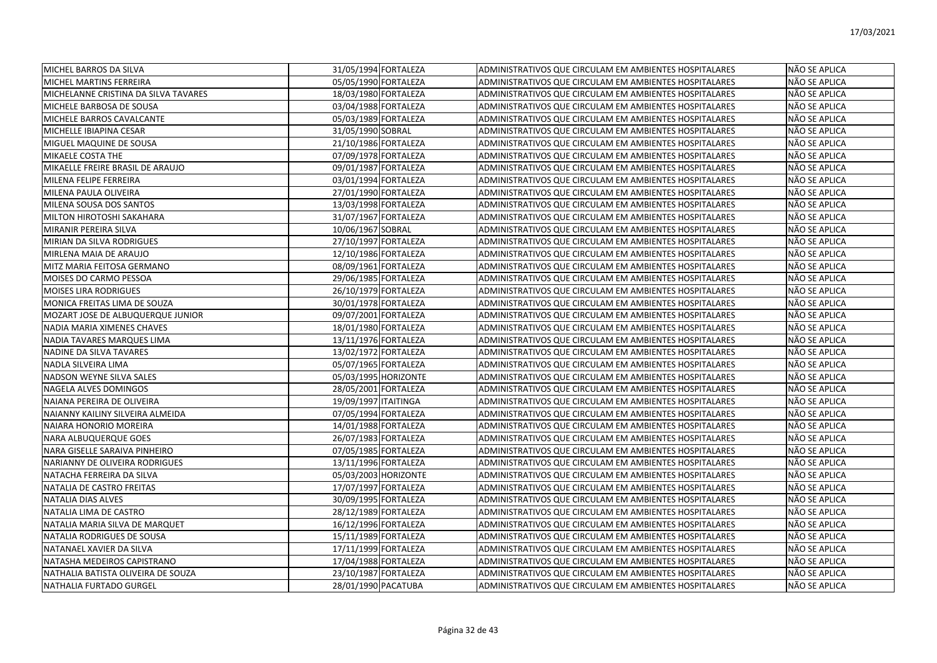| <b>MICHEL BARROS DA SILVA</b>        | 31/05/1994 FORTALEZA | <b>ADMINISTRATIVOS QUE CIRCULAM EM AMBIENTES HOSPITALARES</b> | NÃO SE APLICA        |
|--------------------------------------|----------------------|---------------------------------------------------------------|----------------------|
| MICHEL MARTINS FERREIRA              | 05/05/1990 FORTALEZA | ADMINISTRATIVOS QUE CIRCULAM EM AMBIENTES HOSPITALARES        | NÃO SE APLICA        |
| MICHELANNE CRISTINA DA SILVA TAVARES | 18/03/1980 FORTALEZA | ADMINISTRATIVOS QUE CIRCULAM EM AMBIENTES HOSPITALARES        | NÃO SE APLICA        |
| MICHELE BARBOSA DE SOUSA             | 03/04/1988 FORTALEZA | <b>ADMINISTRATIVOS QUE CIRCULAM EM AMBIENTES HOSPITALARES</b> | <b>NÃO SE APLICA</b> |
| MICHELE BARROS CAVALCANTE            | 05/03/1989 FORTALEZA | ADMINISTRATIVOS QUE CIRCULAM EM AMBIENTES HOSPITALARES        | NÃO SE APLICA        |
| MICHELLE IBIAPINA CESAR              | 31/05/1990 SOBRAL    | ADMINISTRATIVOS QUE CIRCULAM EM AMBIENTES HOSPITALARES        | NÃO SE APLICA        |
| <b>MIGUEL MAQUINE DE SOUSA</b>       | 21/10/1986 FORTALEZA | ADMINISTRATIVOS QUE CIRCULAM EM AMBIENTES HOSPITALARES        | NÃO SE APLICA        |
| MIKAELE COSTA THE                    | 07/09/1978 FORTALEZA | ADMINISTRATIVOS QUE CIRCULAM EM AMBIENTES HOSPITALARES        | NÃO SE APLICA        |
| MIKAELLE FREIRE BRASIL DE ARAUJO     | 09/01/1987 FORTALEZA | ADMINISTRATIVOS QUE CIRCULAM EM AMBIENTES HOSPITALARES        | NÃO SE APLICA        |
| MILENA FELIPE FERREIRA               | 03/01/1994 FORTALEZA | ADMINISTRATIVOS QUE CIRCULAM EM AMBIENTES HOSPITALARES        | NÃO SE APLICA        |
| MILENA PAULA OLIVEIRA                | 27/01/1990 FORTALEZA | ADMINISTRATIVOS QUE CIRCULAM EM AMBIENTES HOSPITALARES        | NÃO SE APLICA        |
| MILENA SOUSA DOS SANTOS              | 13/03/1998 FORTALEZA | ADMINISTRATIVOS QUE CIRCULAM EM AMBIENTES HOSPITALARES        | NÃO SE APLICA        |
| MILTON HIROTOSHI SAKAHARA            | 31/07/1967 FORTALEZA | ADMINISTRATIVOS QUE CIRCULAM EM AMBIENTES HOSPITALARES        | NÃO SE APLICA        |
| MIRANIR PEREIRA SILVA                | 10/06/1967 SOBRAL    | ADMINISTRATIVOS QUE CIRCULAM EM AMBIENTES HOSPITALARES        | NÃO SE APLICA        |
| MIRIAN DA SILVA RODRIGUES            | 27/10/1997 FORTALEZA | ADMINISTRATIVOS QUE CIRCULAM EM AMBIENTES HOSPITALARES        | NÃO SE APLICA        |
| MIRLENA MAIA DE ARAUJO               | 12/10/1986 FORTALEZA | ADMINISTRATIVOS QUE CIRCULAM EM AMBIENTES HOSPITALARES        | NÃO SE APLICA        |
| MITZ MARIA FEITOSA GERMANO           | 08/09/1961 FORTALEZA | ADMINISTRATIVOS QUE CIRCULAM EM AMBIENTES HOSPITALARES        | NÃO SE APLICA        |
| MOISES DO CARMO PESSOA               | 29/06/1985 FORTALEZA | ADMINISTRATIVOS QUE CIRCULAM EM AMBIENTES HOSPITALARES        | NÃO SE APLICA        |
| <b>MOISES LIRA RODRIGUES</b>         | 26/10/1979 FORTALEZA | ADMINISTRATIVOS QUE CIRCULAM EM AMBIENTES HOSPITALARES        | NÃO SE APLICA        |
| MONICA FREITAS LIMA DE SOUZA         | 30/01/1978 FORTALEZA | ADMINISTRATIVOS QUE CIRCULAM EM AMBIENTES HOSPITALARES        | NÃO SE APLICA        |
| MOZART JOSE DE ALBUQUERQUE JUNIOR    | 09/07/2001 FORTALEZA | ADMINISTRATIVOS QUE CIRCULAM EM AMBIENTES HOSPITALARES        | NÃO SE APLICA        |
| <b>NADIA MARIA XIMENES CHAVES</b>    | 18/01/1980 FORTALEZA | ADMINISTRATIVOS QUE CIRCULAM EM AMBIENTES HOSPITALARES        | <b>NÃO SE APLICA</b> |
| NADIA TAVARES MARQUES LIMA           | 13/11/1976 FORTALEZA | ADMINISTRATIVOS QUE CIRCULAM EM AMBIENTES HOSPITALARES        | NÃO SE APLICA        |
| NADINE DA SILVA TAVARES              | 13/02/1972 FORTALEZA | ADMINISTRATIVOS QUE CIRCULAM EM AMBIENTES HOSPITALARES        | NÃO SE APLICA        |
| NADLA SILVEIRA LIMA                  | 05/07/1965 FORTALEZA | ADMINISTRATIVOS QUE CIRCULAM EM AMBIENTES HOSPITALARES        | NÃO SE APLICA        |
| NADSON WEYNE SILVA SALES             | 05/03/1995 HORIZONTE | ADMINISTRATIVOS QUE CIRCULAM EM AMBIENTES HOSPITALARES        | NÃO SE APLICA        |
| NAGELA ALVES DOMINGOS                | 28/05/2001 FORTALEZA | ADMINISTRATIVOS QUE CIRCULAM EM AMBIENTES HOSPITALARES        | NÃO SE APLICA        |
| NAIANA PEREIRA DE OLIVEIRA           | 19/09/1997 ITAITINGA | ADMINISTRATIVOS QUE CIRCULAM EM AMBIENTES HOSPITALARES        | NÃO SE APLICA        |
| NAIANNY KAILINY SILVEIRA ALMEIDA     | 07/05/1994 FORTALEZA | ADMINISTRATIVOS QUE CIRCULAM EM AMBIENTES HOSPITALARES        | NÃO SE APLICA        |
| <b>NAIARA HONORIO MOREIRA</b>        | 14/01/1988 FORTALEZA | ADMINISTRATIVOS QUE CIRCULAM EM AMBIENTES HOSPITALARES        | NÃO SE APLICA        |
| <b>NARA ALBUQUERQUE GOES</b>         | 26/07/1983 FORTALEZA | ADMINISTRATIVOS QUE CIRCULAM EM AMBIENTES HOSPITALARES        | NÃO SE APLICA        |
| NARA GISELLE SARAIVA PINHEIRO        | 07/05/1985 FORTALEZA | ADMINISTRATIVOS QUE CIRCULAM EM AMBIENTES HOSPITALARES        | NÃO SE APLICA        |
| NARIANNY DE OLIVEIRA RODRIGUES       | 13/11/1996 FORTALEZA | ADMINISTRATIVOS QUE CIRCULAM EM AMBIENTES HOSPITALARES        | NÃO SE APLICA        |
| NATACHA FERREIRA DA SILVA            | 05/03/2003 HORIZONTE | ADMINISTRATIVOS QUE CIRCULAM EM AMBIENTES HOSPITALARES        | NÃO SE APLICA        |
| NATALIA DE CASTRO FREITAS            | 17/07/1997 FORTALEZA | ADMINISTRATIVOS QUE CIRCULAM EM AMBIENTES HOSPITALARES        | NÃO SE APLICA        |
| <b>NATALIA DIAS ALVES</b>            | 30/09/1995 FORTALEZA | ADMINISTRATIVOS QUE CIRCULAM EM AMBIENTES HOSPITALARES        | NÃO SE APLICA        |
| NATALIA LIMA DE CASTRO               | 28/12/1989 FORTALEZA | ADMINISTRATIVOS QUE CIRCULAM EM AMBIENTES HOSPITALARES        | <b>NÃO SE APLICA</b> |
| NATALIA MARIA SILVA DE MARQUET       | 16/12/1996 FORTALEZA | ADMINISTRATIVOS QUE CIRCULAM EM AMBIENTES HOSPITALARES        | NÃO SE APLICA        |
| NATALIA RODRIGUES DE SOUSA           | 15/11/1989 FORTALEZA | ADMINISTRATIVOS QUE CIRCULAM EM AMBIENTES HOSPITALARES        | NÃO SE APLICA        |
| NATANAEL XAVIER DA SILVA             | 17/11/1999 FORTALEZA | ADMINISTRATIVOS QUE CIRCULAM EM AMBIENTES HOSPITALARES        | NÃO SE APLICA        |
| NATASHA MEDEIROS CAPISTRANO          | 17/04/1988 FORTALEZA | ADMINISTRATIVOS QUE CIRCULAM EM AMBIENTES HOSPITALARES        | NÃO SE APLICA        |
| NATHALIA BATISTA OLIVEIRA DE SOUZA   | 23/10/1987 FORTALEZA | ADMINISTRATIVOS QUE CIRCULAM EM AMBIENTES HOSPITALARES        | NÃO SE APLICA        |
| NATHALIA FURTADO GURGEL              | 28/01/1990 PACATUBA  | ADMINISTRATIVOS QUE CIRCULAM EM AMBIENTES HOSPITALARES        | <b>NÃO SE APLICA</b> |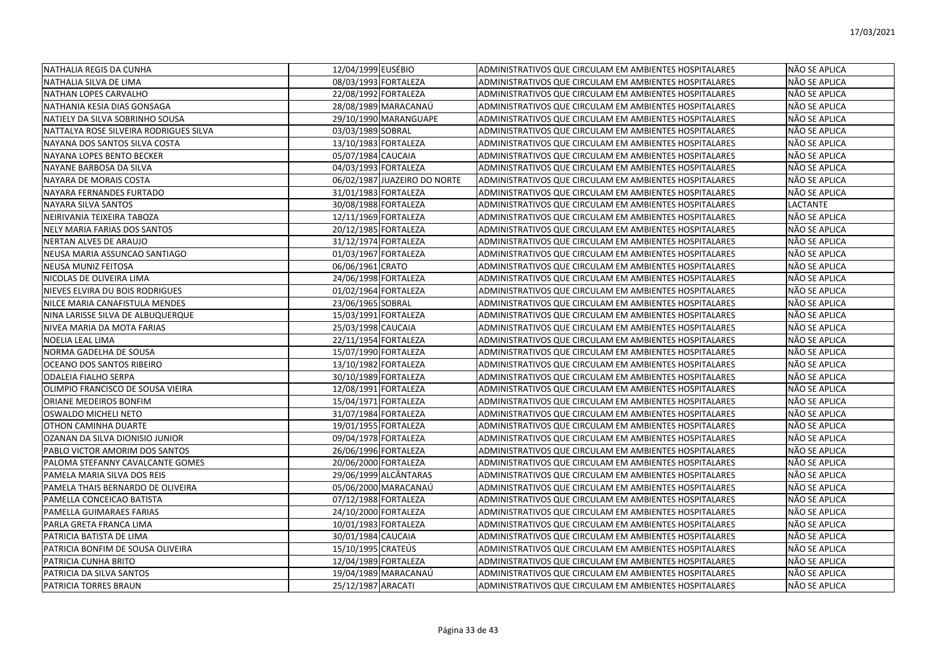| INATHALIA REGIS DA CUNHA               | 12/04/1999 EUSÉBIO   |                              | ADMINISTRATIVOS QUE CIRCULAM EM AMBIENTES HOSPITALARES | NÃO SE APLICA |
|----------------------------------------|----------------------|------------------------------|--------------------------------------------------------|---------------|
| NATHALIA SILVA DE LIMA                 | 08/03/1993 FORTALEZA |                              | ADMINISTRATIVOS QUE CIRCULAM EM AMBIENTES HOSPITALARES | NÃO SE APLICA |
| NATHAN LOPES CARVALHO                  | 22/08/1992 FORTALEZA |                              | ADMINISTRATIVOS QUE CIRCULAM EM AMBIENTES HOSPITALARES | NÃO SE APLICA |
| NATHANIA KESIA DIAS GONSAGA            |                      | 28/08/1989 MARACANAÚ         | ADMINISTRATIVOS QUE CIRCULAM EM AMBIENTES HOSPITALARES | NÃO SE APLICA |
| NATIELY DA SILVA SOBRINHO SOUSA        |                      | 29/10/1990 MARANGUAPE        | ADMINISTRATIVOS QUE CIRCULAM EM AMBIENTES HOSPITALARES | NÃO SE APLICA |
| NATTALYA ROSE SILVEIRA RODRIGUES SILVA | 03/03/1989 SOBRAL    |                              | ADMINISTRATIVOS QUE CIRCULAM EM AMBIENTES HOSPITALARES | NÃO SE APLICA |
| NAYANA DOS SANTOS SILVA COSTA          | 13/10/1983 FORTALEZA |                              | ADMINISTRATIVOS QUE CIRCULAM EM AMBIENTES HOSPITALARES | NÃO SE APLICA |
| NAYANA LOPES BENTO BECKER              | 05/07/1984 CAUCAIA   |                              | ADMINISTRATIVOS QUE CIRCULAM EM AMBIENTES HOSPITALARES | NÃO SE APLICA |
| NAYANE BARBOSA DA SILVA                | 04/03/1993 FORTALEZA |                              | ADMINISTRATIVOS QUE CIRCULAM EM AMBIENTES HOSPITALARES | NÃO SE APLICA |
| NAYARA DE MORAIS COSTA                 |                      | 06/02/1987 JUAZEIRO DO NORTE | ADMINISTRATIVOS QUE CIRCULAM EM AMBIENTES HOSPITALARES | NÃO SE APLICA |
| NAYARA FERNANDES FURTADO               | 31/01/1983 FORTALEZA |                              | ADMINISTRATIVOS QUE CIRCULAM EM AMBIENTES HOSPITALARES | NÃO SE APLICA |
| NAYARA SILVA SANTOS                    | 30/08/1988 FORTALEZA |                              | ADMINISTRATIVOS QUE CIRCULAM EM AMBIENTES HOSPITALARES | LACTANTE      |
| NEIRIVANIA TEIXEIRA TABOZA             | 12/11/1969 FORTALEZA |                              | ADMINISTRATIVOS QUE CIRCULAM EM AMBIENTES HOSPITALARES | NÃO SE APLICA |
| NELY MARIA FARIAS DOS SANTOS           | 20/12/1985 FORTALEZA |                              | ADMINISTRATIVOS QUE CIRCULAM EM AMBIENTES HOSPITALARES | NÃO SE APLICA |
| NERTAN ALVES DE ARAUJO                 | 31/12/1974 FORTALEZA |                              | ADMINISTRATIVOS QUE CIRCULAM EM AMBIENTES HOSPITALARES | NÃO SE APLICA |
| NEUSA MARIA ASSUNCAO SANTIAGO          | 01/03/1967 FORTALEZA |                              | ADMINISTRATIVOS QUE CIRCULAM EM AMBIENTES HOSPITALARES | NÃO SE APLICA |
| NEUSA MUNIZ FEITOSA                    | 06/06/1961 CRATO     |                              | ADMINISTRATIVOS QUE CIRCULAM EM AMBIENTES HOSPITALARES | NÃO SE APLICA |
| NICOLAS DE OLIVEIRA LIMA               | 24/06/1998 FORTALEZA |                              | ADMINISTRATIVOS QUE CIRCULAM EM AMBIENTES HOSPITALARES | NÃO SE APLICA |
| NIEVES ELVIRA DU BOIS RODRIGUES        | 01/02/1964 FORTALEZA |                              | ADMINISTRATIVOS QUE CIRCULAM EM AMBIENTES HOSPITALARES | NÃO SE APLICA |
| NILCE MARIA CANAFISTULA MENDES         | 23/06/1965 SOBRAL    |                              | ADMINISTRATIVOS QUE CIRCULAM EM AMBIENTES HOSPITALARES | NÃO SE APLICA |
| NINA LARISSE SILVA DE ALBUQUERQUE      | 15/03/1991 FORTALEZA |                              | ADMINISTRATIVOS QUE CIRCULAM EM AMBIENTES HOSPITALARES | NÃO SE APLICA |
| NIVEA MARIA DA MOTA FARIAS             | 25/03/1998 CAUCAIA   |                              | ADMINISTRATIVOS QUE CIRCULAM EM AMBIENTES HOSPITALARES | NÃO SE APLICA |
| NOELIA LEAL LIMA                       | 22/11/1954 FORTALEZA |                              | ADMINISTRATIVOS QUE CIRCULAM EM AMBIENTES HOSPITALARES | NÃO SE APLICA |
| NORMA GADELHA DE SOUSA                 | 15/07/1990 FORTALEZA |                              | ADMINISTRATIVOS QUE CIRCULAM EM AMBIENTES HOSPITALARES | NÃO SE APLICA |
| OCEANO DOS SANTOS RIBEIRO              | 13/10/1982 FORTALEZA |                              | ADMINISTRATIVOS QUE CIRCULAM EM AMBIENTES HOSPITALARES | NÃO SE APLICA |
| <b>ODALEIA FIALHO SERPA</b>            | 30/10/1989 FORTALEZA |                              | ADMINISTRATIVOS QUE CIRCULAM EM AMBIENTES HOSPITALARES | NÃO SE APLICA |
| OLIMPIO FRANCISCO DE SOUSA VIEIRA      | 12/08/1991 FORTALEZA |                              | ADMINISTRATIVOS QUE CIRCULAM EM AMBIENTES HOSPITALARES | NÃO SE APLICA |
| ORIANE MEDEIROS BONFIM                 | 15/04/1971 FORTALEZA |                              | ADMINISTRATIVOS QUE CIRCULAM EM AMBIENTES HOSPITALARES | NÃO SE APLICA |
| OSWALDO MICHELI NETO                   | 31/07/1984 FORTALEZA |                              | ADMINISTRATIVOS QUE CIRCULAM EM AMBIENTES HOSPITALARES | NÃO SE APLICA |
| OTHON CAMINHA DUARTE                   | 19/01/1955 FORTALEZA |                              | ADMINISTRATIVOS QUE CIRCULAM EM AMBIENTES HOSPITALARES | NÃO SE APLICA |
| OZANAN DA SILVA DIONISIO JUNIOR        | 09/04/1978 FORTALEZA |                              | ADMINISTRATIVOS QUE CIRCULAM EM AMBIENTES HOSPITALARES | NÃO SE APLICA |
| PABLO VICTOR AMORIM DOS SANTOS         | 26/06/1996 FORTALEZA |                              | ADMINISTRATIVOS QUE CIRCULAM EM AMBIENTES HOSPITALARES | NÃO SE APLICA |
| PALOMA STEFANNY CAVALCANTE GOMES       | 20/06/2000 FORTALEZA |                              | ADMINISTRATIVOS QUE CIRCULAM EM AMBIENTES HOSPITALARES | NÃO SE APLICA |
| PAMELA MARIA SILVA DOS REIS            |                      | 29/06/1999 ALCÂNTARAS        | ADMINISTRATIVOS QUE CIRCULAM EM AMBIENTES HOSPITALARES | NÃO SE APLICA |
| PAMELA THAIS BERNARDO DE OLIVEIRA      |                      | 05/06/2000 MARACANAÚ         | ADMINISTRATIVOS QUE CIRCULAM EM AMBIENTES HOSPITALARES | NÃO SE APLICA |
| PAMELLA CONCEICAO BATISTA              | 07/12/1988 FORTALEZA |                              | ADMINISTRATIVOS QUE CIRCULAM EM AMBIENTES HOSPITALARES | NÃO SE APLICA |
| PAMELLA GUIMARAES FARIAS               | 24/10/2000 FORTALEZA |                              | ADMINISTRATIVOS QUE CIRCULAM EM AMBIENTES HOSPITALARES | NÃO SE APLICA |
| PARLA GRETA FRANCA LIMA                | 10/01/1983 FORTALEZA |                              | ADMINISTRATIVOS QUE CIRCULAM EM AMBIENTES HOSPITALARES | NÃO SE APLICA |
| PATRICIA BATISTA DE LIMA               | 30/01/1984 CAUCAIA   |                              | ADMINISTRATIVOS QUE CIRCULAM EM AMBIENTES HOSPITALARES | NÃO SE APLICA |
| PATRICIA BONFIM DE SOUSA OLIVEIRA      | 15/10/1995 CRATEÚS   |                              | ADMINISTRATIVOS QUE CIRCULAM EM AMBIENTES HOSPITALARES | NÃO SE APLICA |
| PATRICIA CUNHA BRITO                   | 12/04/1989 FORTALEZA |                              | ADMINISTRATIVOS QUE CIRCULAM EM AMBIENTES HOSPITALARES | NÃO SE APLICA |
| PATRICIA DA SILVA SANTOS               |                      | 19/04/1989 MARACANAÚ         | ADMINISTRATIVOS QUE CIRCULAM EM AMBIENTES HOSPITALARES | NÃO SE APLICA |
| <b>PATRICIA TORRES BRAUN</b>           | 25/12/1987 ARACATI   |                              | ADMINISTRATIVOS QUE CIRCULAM EM AMBIENTES HOSPITALARES | NÃO SE APLICA |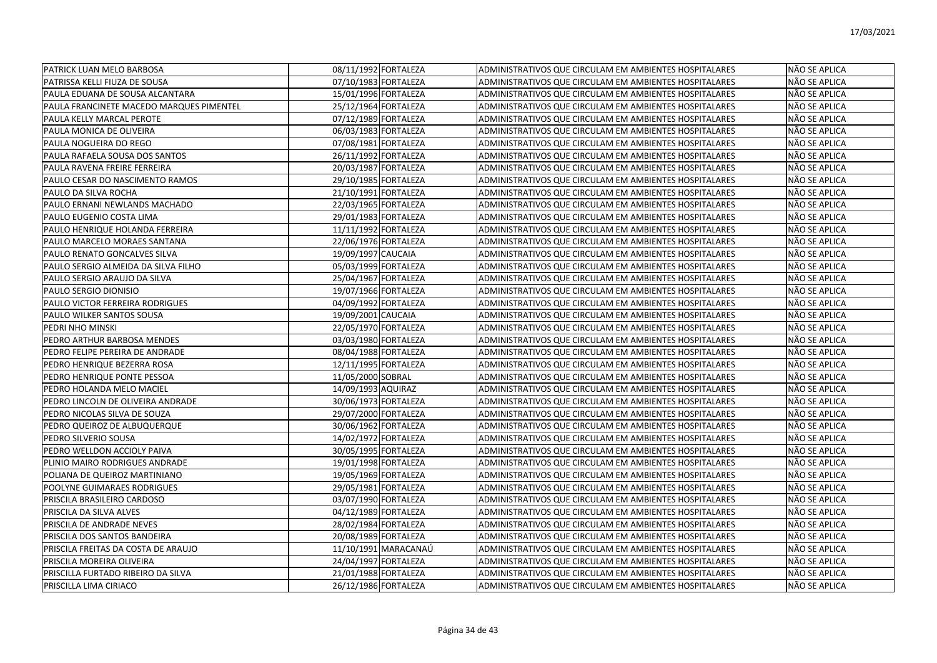| <b>PATRICK LUAN MELO BARBOSA</b>         | 08/11/1992 FORTALEZA | ADMINISTRATIVOS QUE CIRCULAM EM AMBIENTES HOSPITALARES | NÃO SE APLICA |
|------------------------------------------|----------------------|--------------------------------------------------------|---------------|
| PATRISSA KELLI FIUZA DE SOUSA            | 07/10/1983 FORTALEZA | ADMINISTRATIVOS QUE CIRCULAM EM AMBIENTES HOSPITALARES | NÃO SE APLICA |
| lPAULA EDUANA DE SOUSA ALCANTARA         | 15/01/1996 FORTALEZA | ADMINISTRATIVOS QUE CIRCULAM EM AMBIENTES HOSPITALARES | NÃO SE APLICA |
| PAULA FRANCINETE MACEDO MARQUES PIMENTEL | 25/12/1964 FORTALEZA | ADMINISTRATIVOS QUE CIRCULAM EM AMBIENTES HOSPITALARES | NÃO SE APLICA |
| PAULA KELLY MARCAL PEROTE                | 07/12/1989 FORTALEZA | ADMINISTRATIVOS QUE CIRCULAM EM AMBIENTES HOSPITALARES | NÃO SE APLICA |
| PAULA MONICA DE OLIVEIRA                 | 06/03/1983 FORTALEZA | ADMINISTRATIVOS QUE CIRCULAM EM AMBIENTES HOSPITALARES | NÃO SE APLICA |
| PAULA NOGUEIRA DO REGO                   | 07/08/1981 FORTALEZA | ADMINISTRATIVOS QUE CIRCULAM EM AMBIENTES HOSPITALARES | NÃO SE APLICA |
| PAULA RAFAELA SOUSA DOS SANTOS           | 26/11/1992 FORTALEZA | ADMINISTRATIVOS QUE CIRCULAM EM AMBIENTES HOSPITALARES | NÃO SE APLICA |
| PAULA RAVENA FREIRE FERREIRA             | 20/03/1987 FORTALEZA | ADMINISTRATIVOS QUE CIRCULAM EM AMBIENTES HOSPITALARES | NÃO SE APLICA |
| PAULO CESAR DO NASCIMENTO RAMOS          | 29/10/1985 FORTALEZA | ADMINISTRATIVOS QUE CIRCULAM EM AMBIENTES HOSPITALARES | NÃO SE APLICA |
| PAULO DA SILVA ROCHA                     | 21/10/1991 FORTALEZA | ADMINISTRATIVOS QUE CIRCULAM EM AMBIENTES HOSPITALARES | NÃO SE APLICA |
| PAULO ERNANI NEWLANDS MACHADO            | 22/03/1965 FORTALEZA | ADMINISTRATIVOS QUE CIRCULAM EM AMBIENTES HOSPITALARES | NÃO SE APLICA |
| PAULO EUGENIO COSTA LIMA                 | 29/01/1983 FORTALEZA | ADMINISTRATIVOS QUE CIRCULAM EM AMBIENTES HOSPITALARES | NÃO SE APLICA |
| PAULO HENRIQUE HOLANDA FERREIRA          | 11/11/1992 FORTALEZA | ADMINISTRATIVOS QUE CIRCULAM EM AMBIENTES HOSPITALARES | NÃO SE APLICA |
| PAULO MARCELO MORAES SANTANA             | 22/06/1976 FORTALEZA | ADMINISTRATIVOS QUE CIRCULAM EM AMBIENTES HOSPITALARES | NÃO SE APLICA |
| PAULO RENATO GONCALVES SILVA             | 19/09/1997 CAUCAIA   | ADMINISTRATIVOS QUE CIRCULAM EM AMBIENTES HOSPITALARES | NÃO SE APLICA |
| PAULO SERGIO ALMEIDA DA SILVA FILHO      | 05/03/1999 FORTALEZA | ADMINISTRATIVOS QUE CIRCULAM EM AMBIENTES HOSPITALARES | NÃO SE APLICA |
| PAULO SERGIO ARAUJO DA SILVA             | 25/04/1967 FORTALEZA | ADMINISTRATIVOS QUE CIRCULAM EM AMBIENTES HOSPITALARES | NÃO SE APLICA |
| <b>PAULO SERGIO DIONISIO</b>             | 19/07/1966 FORTALEZA | ADMINISTRATIVOS QUE CIRCULAM EM AMBIENTES HOSPITALARES | NÃO SE APLICA |
| IPAULO VICTOR FERREIRA RODRIGUES         | 04/09/1992 FORTALEZA | ADMINISTRATIVOS QUE CIRCULAM EM AMBIENTES HOSPITALARES | NÃO SE APLICA |
| PAULO WILKER SANTOS SOUSA                | 19/09/2001 CAUCAIA   | ADMINISTRATIVOS QUE CIRCULAM EM AMBIENTES HOSPITALARES | NÃO SE APLICA |
| PEDRI NHO MINSKI                         | 22/05/1970 FORTALEZA | ADMINISTRATIVOS QUE CIRCULAM EM AMBIENTES HOSPITALARES | NÃO SE APLICA |
| PEDRO ARTHUR BARBOSA MENDES              | 03/03/1980 FORTALEZA | ADMINISTRATIVOS QUE CIRCULAM EM AMBIENTES HOSPITALARES | NÃO SE APLICA |
| PEDRO FELIPE PEREIRA DE ANDRADE          | 08/04/1988 FORTALEZA | ADMINISTRATIVOS QUE CIRCULAM EM AMBIENTES HOSPITALARES | NÃO SE APLICA |
| PEDRO HENRIQUE BEZERRA ROSA              | 12/11/1995 FORTALEZA | ADMINISTRATIVOS QUE CIRCULAM EM AMBIENTES HOSPITALARES | NÃO SE APLICA |
| PEDRO HENRIQUE PONTE PESSOA              | 11/05/2000 SOBRAL    | ADMINISTRATIVOS QUE CIRCULAM EM AMBIENTES HOSPITALARES | NÃO SE APLICA |
| PEDRO HOLANDA MELO MACIEL                | 14/09/1993 AQUIRAZ   | ADMINISTRATIVOS QUE CIRCULAM EM AMBIENTES HOSPITALARES | NÃO SE APLICA |
| PEDRO LINCOLN DE OLIVEIRA ANDRADE        | 30/06/1973 FORTALEZA | ADMINISTRATIVOS QUE CIRCULAM EM AMBIENTES HOSPITALARES | NÃO SE APLICA |
| PEDRO NICOLAS SILVA DE SOUZA             | 29/07/2000 FORTALEZA | ADMINISTRATIVOS QUE CIRCULAM EM AMBIENTES HOSPITALARES | NÃO SE APLICA |
| PEDRO QUEIROZ DE ALBUQUERQUE             | 30/06/1962 FORTALEZA | ADMINISTRATIVOS QUE CIRCULAM EM AMBIENTES HOSPITALARES | NÃO SE APLICA |
| PEDRO SILVERIO SOUSA                     | 14/02/1972 FORTALEZA | ADMINISTRATIVOS QUE CIRCULAM EM AMBIENTES HOSPITALARES | NÃO SE APLICA |
| PEDRO WELLDON ACCIOLY PAIVA              | 30/05/1995 FORTALEZA | ADMINISTRATIVOS QUE CIRCULAM EM AMBIENTES HOSPITALARES | NÃO SE APLICA |
| PLINIO MAIRO RODRIGUES ANDRADE           | 19/01/1998 FORTALEZA | ADMINISTRATIVOS QUE CIRCULAM EM AMBIENTES HOSPITALARES | NÃO SE APLICA |
| POLIANA DE QUEIROZ MARTINIANO            | 19/05/1969 FORTALEZA | ADMINISTRATIVOS QUE CIRCULAM EM AMBIENTES HOSPITALARES | NÃO SE APLICA |
| POOLYNE GUIMARAES RODRIGUES              | 29/05/1981 FORTALEZA | ADMINISTRATIVOS QUE CIRCULAM EM AMBIENTES HOSPITALARES | NÃO SE APLICA |
| PRISCILA BRASILEIRO CARDOSO              | 03/07/1990 FORTALEZA | ADMINISTRATIVOS QUE CIRCULAM EM AMBIENTES HOSPITALARES | NÃO SE APLICA |
| PRISCILA DA SILVA ALVES                  | 04/12/1989 FORTALEZA | ADMINISTRATIVOS QUE CIRCULAM EM AMBIENTES HOSPITALARES | NÃO SE APLICA |
| PRISCILA DE ANDRADE NEVES                | 28/02/1984 FORTALEZA | ADMINISTRATIVOS QUE CIRCULAM EM AMBIENTES HOSPITALARES | NÃO SE APLICA |
| PRISCILA DOS SANTOS BANDEIRA             | 20/08/1989 FORTALEZA | ADMINISTRATIVOS QUE CIRCULAM EM AMBIENTES HOSPITALARES | NÃO SE APLICA |
| PRISCILA FREITAS DA COSTA DE ARAUJO      | 11/10/1991 MARACANAÚ | ADMINISTRATIVOS QUE CIRCULAM EM AMBIENTES HOSPITALARES | NÃO SE APLICA |
| PRISCILA MOREIRA OLIVEIRA                | 24/04/1997 FORTALEZA | ADMINISTRATIVOS QUE CIRCULAM EM AMBIENTES HOSPITALARES | NÃO SE APLICA |
| PRISCILLA FURTADO RIBEIRO DA SILVA       | 21/01/1988 FORTALEZA | ADMINISTRATIVOS QUE CIRCULAM EM AMBIENTES HOSPITALARES | NÃO SE APLICA |
| PRISCILLA LIMA CIRIACO                   | 26/12/1986 FORTALEZA | ADMINISTRATIVOS QUE CIRCULAM EM AMBIENTES HOSPITALARES | NÃO SE APLICA |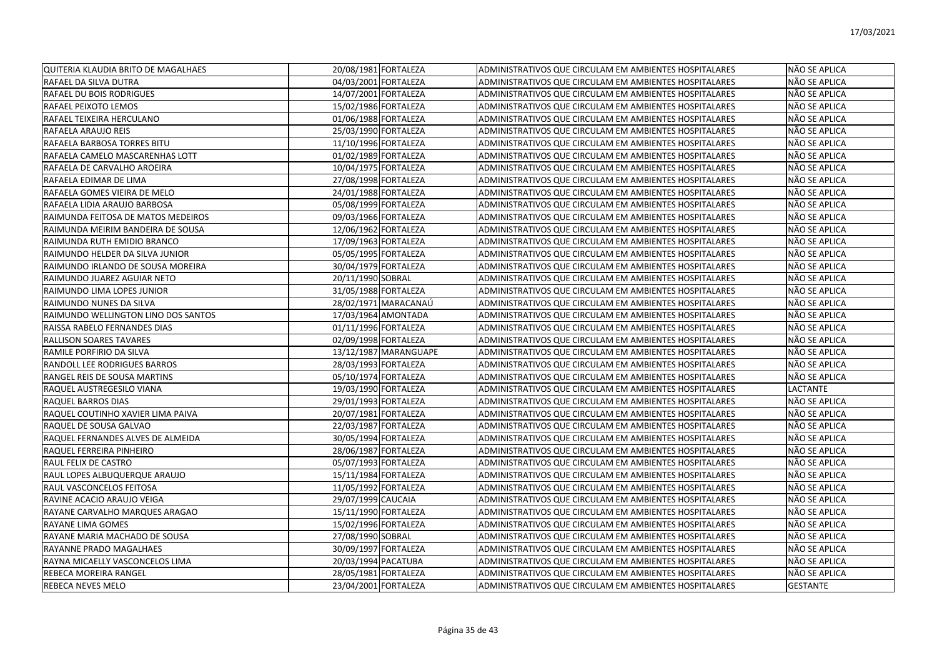| QUITERIA KLAUDIA BRITO DE MAGALHAES | 20/08/1981 FORTALEZA  | ADMINISTRATIVOS QUE CIRCULAM EM AMBIENTES HOSPITALARES | NÃO SE APLICA   |
|-------------------------------------|-----------------------|--------------------------------------------------------|-----------------|
| RAFAEL DA SILVA DUTRA               | 04/03/2001 FORTALEZA  | ADMINISTRATIVOS QUE CIRCULAM EM AMBIENTES HOSPITALARES | NÃO SE APLICA   |
| RAFAEL DU BOIS RODRIGUES            | 14/07/2001 FORTALEZA  | ADMINISTRATIVOS QUE CIRCULAM EM AMBIENTES HOSPITALARES | NÃO SE APLICA   |
| RAFAEL PEIXOTO LEMOS                | 15/02/1986 FORTALEZA  | ADMINISTRATIVOS QUE CIRCULAM EM AMBIENTES HOSPITALARES | NÃO SE APLICA   |
| RAFAEL TEIXEIRA HERCULANO           | 01/06/1988 FORTALEZA  | ADMINISTRATIVOS QUE CIRCULAM EM AMBIENTES HOSPITALARES | NÃO SE APLICA   |
| RAFAELA ARAUJO REIS                 | 25/03/1990 FORTALEZA  | ADMINISTRATIVOS QUE CIRCULAM EM AMBIENTES HOSPITALARES | NÃO SE APLICA   |
| RAFAELA BARBOSA TORRES BITU         | 11/10/1996 FORTALEZA  | ADMINISTRATIVOS QUE CIRCULAM EM AMBIENTES HOSPITALARES | NÃO SE APLICA   |
| RAFAELA CAMELO MASCARENHAS LOTT     | 01/02/1989 FORTALEZA  | ADMINISTRATIVOS QUE CIRCULAM EM AMBIENTES HOSPITALARES | NÃO SE APLICA   |
| RAFAELA DE CARVALHO AROEIRA         | 10/04/1975 FORTALEZA  | ADMINISTRATIVOS QUE CIRCULAM EM AMBIENTES HOSPITALARES | NÃO SE APLICA   |
| RAFAELA EDIMAR DE LIMA              | 27/08/1998 FORTALEZA  | ADMINISTRATIVOS QUE CIRCULAM EM AMBIENTES HOSPITALARES | NÃO SE APLICA   |
| RAFAELA GOMES VIEIRA DE MELO        | 24/01/1988 FORTALEZA  | ADMINISTRATIVOS QUE CIRCULAM EM AMBIENTES HOSPITALARES | NÃO SE APLICA   |
| RAFAELA LIDIA ARAUJO BARBOSA        | 05/08/1999 FORTALEZA  | ADMINISTRATIVOS QUE CIRCULAM EM AMBIENTES HOSPITALARES | NÃO SE APLICA   |
| RAIMUNDA FEITOSA DE MATOS MEDEIROS  | 09/03/1966 FORTALEZA  | ADMINISTRATIVOS QUE CIRCULAM EM AMBIENTES HOSPITALARES | NÃO SE APLICA   |
| RAIMUNDA MEIRIM BANDEIRA DE SOUSA   | 12/06/1962 FORTALEZA  | ADMINISTRATIVOS QUE CIRCULAM EM AMBIENTES HOSPITALARES | NÃO SE APLICA   |
| RAIMUNDA RUTH EMIDIO BRANCO         | 17/09/1963 FORTALEZA  | ADMINISTRATIVOS QUE CIRCULAM EM AMBIENTES HOSPITALARES | NÃO SE APLICA   |
| RAIMUNDO HELDER DA SILVA JUNIOR     | 05/05/1995 FORTALEZA  | ADMINISTRATIVOS QUE CIRCULAM EM AMBIENTES HOSPITALARES | NÃO SE APLICA   |
| RAIMUNDO IRLANDO DE SOUSA MOREIRA   | 30/04/1979 FORTALEZA  | ADMINISTRATIVOS QUE CIRCULAM EM AMBIENTES HOSPITALARES | NÃO SE APLICA   |
| RAIMUNDO JUAREZ AGUIAR NETO         | 20/11/1990 SOBRAL     | ADMINISTRATIVOS QUE CIRCULAM EM AMBIENTES HOSPITALARES | NÃO SE APLICA   |
| RAIMUNDO LIMA LOPES JUNIOR          | 31/05/1988 FORTALEZA  | ADMINISTRATIVOS QUE CIRCULAM EM AMBIENTES HOSPITALARES | NÃO SE APLICA   |
| RAIMUNDO NUNES DA SILVA             | 28/02/1971 MARACANAÚ  | ADMINISTRATIVOS QUE CIRCULAM EM AMBIENTES HOSPITALARES | NÃO SE APLICA   |
| RAIMUNDO WELLINGTON LINO DOS SANTOS | 17/03/1964 AMONTADA   | ADMINISTRATIVOS QUE CIRCULAM EM AMBIENTES HOSPITALARES | NÃO SE APLICA   |
| RAISSA RABELO FERNANDES DIAS        | 01/11/1996 FORTALEZA  | ADMINISTRATIVOS QUE CIRCULAM EM AMBIENTES HOSPITALARES | NÃO SE APLICA   |
| RALLISON SOARES TAVARES             | 02/09/1998 FORTALEZA  | ADMINISTRATIVOS QUE CIRCULAM EM AMBIENTES HOSPITALARES | NÃO SE APLICA   |
| RAMILE PORFIRIO DA SILVA            | 13/12/1987 MARANGUAPE | ADMINISTRATIVOS QUE CIRCULAM EM AMBIENTES HOSPITALARES | NÃO SE APLICA   |
| RANDOLL LEE RODRIGUES BARROS        | 28/03/1993 FORTALEZA  | ADMINISTRATIVOS QUE CIRCULAM EM AMBIENTES HOSPITALARES | NÃO SE APLICA   |
| RANGEL REIS DE SOUSA MARTINS        | 05/10/1974 FORTALEZA  | ADMINISTRATIVOS QUE CIRCULAM EM AMBIENTES HOSPITALARES | NÃO SE APLICA   |
| RAQUEL AUSTREGESILO VIANA           | 19/03/1990 FORTALEZA  | ADMINISTRATIVOS QUE CIRCULAM EM AMBIENTES HOSPITALARES | LACTANTE        |
| RAQUEL BARROS DIAS                  | 29/01/1993 FORTALEZA  | ADMINISTRATIVOS QUE CIRCULAM EM AMBIENTES HOSPITALARES | NÃO SE APLICA   |
| RAQUEL COUTINHO XAVIER LIMA PAIVA   | 20/07/1981 FORTALEZA  | ADMINISTRATIVOS QUE CIRCULAM EM AMBIENTES HOSPITALARES | NÃO SE APLICA   |
| RAQUEL DE SOUSA GALVAO              | 22/03/1987 FORTALEZA  | ADMINISTRATIVOS QUE CIRCULAM EM AMBIENTES HOSPITALARES | NÃO SE APLICA   |
| RAQUEL FERNANDES ALVES DE ALMEIDA   | 30/05/1994 FORTALEZA  | ADMINISTRATIVOS QUE CIRCULAM EM AMBIENTES HOSPITALARES | NÃO SE APLICA   |
| RAQUEL FERREIRA PINHEIRO            | 28/06/1987 FORTALEZA  | ADMINISTRATIVOS QUE CIRCULAM EM AMBIENTES HOSPITALARES | NÃO SE APLICA   |
| RAUL FELIX DE CASTRO                | 05/07/1993 FORTALEZA  | ADMINISTRATIVOS QUE CIRCULAM EM AMBIENTES HOSPITALARES | NÃO SE APLICA   |
| RAUL LOPES ALBUQUERQUE ARAUJO       | 15/11/1984 FORTALEZA  | ADMINISTRATIVOS QUE CIRCULAM EM AMBIENTES HOSPITALARES | NÃO SE APLICA   |
| RAUL VASCONCELOS FEITOSA            | 11/05/1992 FORTALEZA  | ADMINISTRATIVOS QUE CIRCULAM EM AMBIENTES HOSPITALARES | NÃO SE APLICA   |
| RAVINE ACACIO ARAUJO VEIGA          | 29/07/1999 CAUCAIA    | ADMINISTRATIVOS QUE CIRCULAM EM AMBIENTES HOSPITALARES | NÃO SE APLICA   |
| RAYANE CARVALHO MARQUES ARAGAO      | 15/11/1990 FORTALEZA  | ADMINISTRATIVOS QUE CIRCULAM EM AMBIENTES HOSPITALARES | NÃO SE APLICA   |
| RAYANE LIMA GOMES                   | 15/02/1996 FORTALEZA  | ADMINISTRATIVOS QUE CIRCULAM EM AMBIENTES HOSPITALARES | NÃO SE APLICA   |
| RAYANE MARIA MACHADO DE SOUSA       | 27/08/1990 SOBRAL     | ADMINISTRATIVOS QUE CIRCULAM EM AMBIENTES HOSPITALARES | NÃO SE APLICA   |
| RAYANNE PRADO MAGALHAES             | 30/09/1997 FORTALEZA  | ADMINISTRATIVOS QUE CIRCULAM EM AMBIENTES HOSPITALARES | NÃO SE APLICA   |
| RAYNA MICAELLY VASCONCELOS LIMA     | 20/03/1994 PACATUBA   | ADMINISTRATIVOS QUE CIRCULAM EM AMBIENTES HOSPITALARES | NÃO SE APLICA   |
| REBECA MOREIRA RANGEL               | 28/05/1981 FORTALEZA  | ADMINISTRATIVOS QUE CIRCULAM EM AMBIENTES HOSPITALARES | NÃO SE APLICA   |
| <b>REBECA NEVES MELO</b>            | 23/04/2001 FORTALEZA  | ADMINISTRATIVOS QUE CIRCULAM EM AMBIENTES HOSPITALARES | <b>GESTANTE</b> |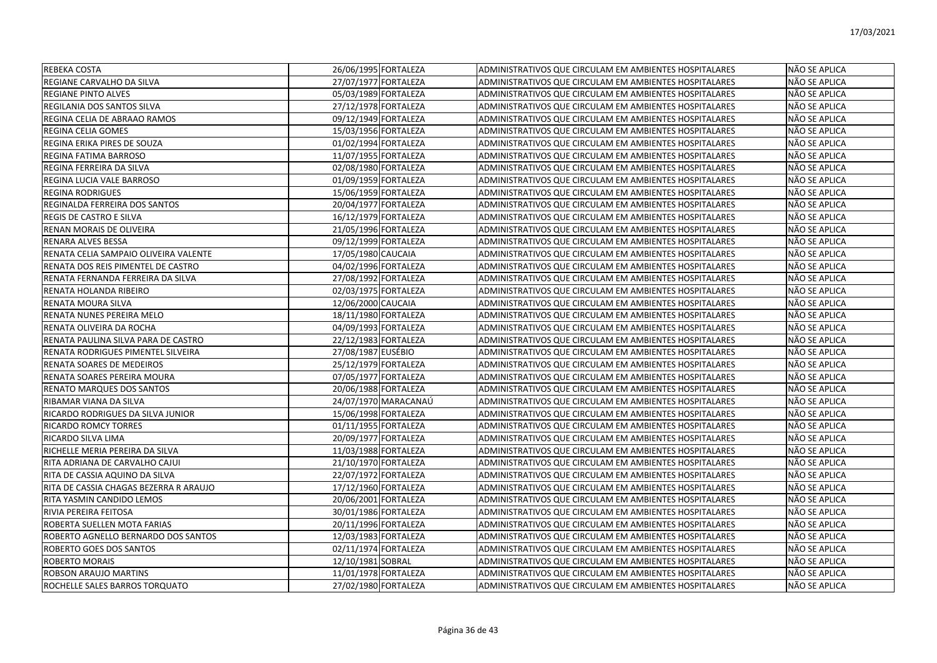| <b>REBEKA COSTA</b>                    | 26/06/1995 FORTALEZA | <b>ADMINISTRATIVOS QUE CIRCULAM EM AMBIENTES HOSPITALARES</b> | NÃO SE APLICA        |
|----------------------------------------|----------------------|---------------------------------------------------------------|----------------------|
| REGIANE CARVALHO DA SILVA              | 27/07/1977 FORTALEZA | ADMINISTRATIVOS QUE CIRCULAM EM AMBIENTES HOSPITALARES        | NÃO SE APLICA        |
| <b>REGIANE PINTO ALVES</b>             | 05/03/1989 FORTALEZA | ADMINISTRATIVOS QUE CIRCULAM EM AMBIENTES HOSPITALARES        | NÃO SE APLICA        |
| REGILANIA DOS SANTOS SILVA             | 27/12/1978 FORTALEZA | <b>ADMINISTRATIVOS QUE CIRCULAM EM AMBIENTES HOSPITALARES</b> | <b>NÃO SE APLICA</b> |
| REGINA CELIA DE ABRAAO RAMOS           | 09/12/1949 FORTALEZA | ADMINISTRATIVOS QUE CIRCULAM EM AMBIENTES HOSPITALARES        | NÃO SE APLICA        |
| REGINA CELIA GOMES                     | 15/03/1956 FORTALEZA | ADMINISTRATIVOS QUE CIRCULAM EM AMBIENTES HOSPITALARES        | NÃO SE APLICA        |
| REGINA ERIKA PIRES DE SOUZA            | 01/02/1994 FORTALEZA | ADMINISTRATIVOS QUE CIRCULAM EM AMBIENTES HOSPITALARES        | NÃO SE APLICA        |
| REGINA FATIMA BARROSO                  | 11/07/1955 FORTALEZA | ADMINISTRATIVOS QUE CIRCULAM EM AMBIENTES HOSPITALARES        | NÃO SE APLICA        |
| REGINA FERREIRA DA SILVA               | 02/08/1980 FORTALEZA | ADMINISTRATIVOS QUE CIRCULAM EM AMBIENTES HOSPITALARES        | NÃO SE APLICA        |
| REGINA LUCIA VALE BARROSO              | 01/09/1959 FORTALEZA | ADMINISTRATIVOS QUE CIRCULAM EM AMBIENTES HOSPITALARES        | NÃO SE APLICA        |
| <b>REGINA RODRIGUES</b>                | 15/06/1959 FORTALEZA | ADMINISTRATIVOS QUE CIRCULAM EM AMBIENTES HOSPITALARES        | NÃO SE APLICA        |
| REGINALDA FERREIRA DOS SANTOS          | 20/04/1977 FORTALEZA | ADMINISTRATIVOS QUE CIRCULAM EM AMBIENTES HOSPITALARES        | NÃO SE APLICA        |
| REGIS DE CASTRO E SILVA                | 16/12/1979 FORTALEZA | ADMINISTRATIVOS QUE CIRCULAM EM AMBIENTES HOSPITALARES        | NÃO SE APLICA        |
| RENAN MORAIS DE OLIVEIRA               | 21/05/1996 FORTALEZA | ADMINISTRATIVOS QUE CIRCULAM EM AMBIENTES HOSPITALARES        | NÃO SE APLICA        |
| <b>RENARA ALVES BESSA</b>              | 09/12/1999 FORTALEZA | ADMINISTRATIVOS QUE CIRCULAM EM AMBIENTES HOSPITALARES        | NÃO SE APLICA        |
| RENATA CELIA SAMPAIO OLIVEIRA VALENTE  | 17/05/1980 CAUCAIA   | ADMINISTRATIVOS QUE CIRCULAM EM AMBIENTES HOSPITALARES        | NÃO SE APLICA        |
| RENATA DOS REIS PIMENTEL DE CASTRO     | 04/02/1996 FORTALEZA | ADMINISTRATIVOS QUE CIRCULAM EM AMBIENTES HOSPITALARES        | NÃO SE APLICA        |
| RENATA FERNANDA FERREIRA DA SILVA      | 27/08/1992 FORTALEZA | ADMINISTRATIVOS QUE CIRCULAM EM AMBIENTES HOSPITALARES        | NÃO SE APLICA        |
| RENATA HOLANDA RIBEIRO                 | 02/03/1975 FORTALEZA | ADMINISTRATIVOS QUE CIRCULAM EM AMBIENTES HOSPITALARES        | NÃO SE APLICA        |
| RENATA MOURA SILVA                     | 12/06/2000 CAUCAIA   | ADMINISTRATIVOS QUE CIRCULAM EM AMBIENTES HOSPITALARES        | NÃO SE APLICA        |
| RENATA NUNES PEREIRA MELO              | 18/11/1980 FORTALEZA | ADMINISTRATIVOS QUE CIRCULAM EM AMBIENTES HOSPITALARES        | NÃO SE APLICA        |
| RENATA OLIVEIRA DA ROCHA               | 04/09/1993 FORTALEZA | ADMINISTRATIVOS QUE CIRCULAM EM AMBIENTES HOSPITALARES        | NÃO SE APLICA        |
| RENATA PAULINA SILVA PARA DE CASTRO    | 22/12/1983 FORTALEZA | <b>ADMINISTRATIVOS QUE CIRCULAM EM AMBIENTES HOSPITALARES</b> | NÃO SE APLICA        |
| RENATA RODRIGUES PIMENTEL SILVEIRA     | 27/08/1987 EUSÉBIO   | ADMINISTRATIVOS QUE CIRCULAM EM AMBIENTES HOSPITALARES        | NÃO SE APLICA        |
| RENATA SOARES DE MEDEIROS              | 25/12/1979 FORTALEZA | ADMINISTRATIVOS QUE CIRCULAM EM AMBIENTES HOSPITALARES        | NÃO SE APLICA        |
| RENATA SOARES PEREIRA MOURA            | 07/05/1977 FORTALEZA | <b>ADMINISTRATIVOS QUE CIRCULAM EM AMBIENTES HOSPITALARES</b> | NÃO SE APLICA        |
| RENATO MARQUES DOS SANTOS              | 20/06/1988 FORTALEZA | ADMINISTRATIVOS QUE CIRCULAM EM AMBIENTES HOSPITALARES        | NÃO SE APLICA        |
| RIBAMAR VIANA DA SILVA                 | 24/07/1970 MARACANAÚ | ADMINISTRATIVOS QUE CIRCULAM EM AMBIENTES HOSPITALARES        | NÃO SE APLICA        |
| RICARDO RODRIGUES DA SILVA JUNIOR      | 15/06/1998 FORTALEZA | ADMINISTRATIVOS QUE CIRCULAM EM AMBIENTES HOSPITALARES        | NÃO SE APLICA        |
| <b>RICARDO ROMCY TORRES</b>            | 01/11/1955 FORTALEZA | ADMINISTRATIVOS QUE CIRCULAM EM AMBIENTES HOSPITALARES        | NÃO SE APLICA        |
| RICARDO SILVA LIMA                     | 20/09/1977 FORTALEZA | ADMINISTRATIVOS QUE CIRCULAM EM AMBIENTES HOSPITALARES        | NÃO SE APLICA        |
| RICHELLE MERIA PEREIRA DA SILVA        | 11/03/1988 FORTALEZA | ADMINISTRATIVOS QUE CIRCULAM EM AMBIENTES HOSPITALARES        | NÃO SE APLICA        |
| RITA ADRIANA DE CARVALHO CAJUI         | 21/10/1970 FORTALEZA | ADMINISTRATIVOS QUE CIRCULAM EM AMBIENTES HOSPITALARES        | NÃO SE APLICA        |
| RITA DE CASSIA AQUINO DA SILVA         | 22/07/1972 FORTALEZA | ADMINISTRATIVOS QUE CIRCULAM EM AMBIENTES HOSPITALARES        | NÃO SE APLICA        |
| RITA DE CASSIA CHAGAS BEZERRA R ARAUJO | 17/12/1960 FORTALEZA | ADMINISTRATIVOS QUE CIRCULAM EM AMBIENTES HOSPITALARES        | NÃO SE APLICA        |
| RITA YASMIN CANDIDO LEMOS              | 20/06/2001 FORTALEZA | ADMINISTRATIVOS QUE CIRCULAM EM AMBIENTES HOSPITALARES        | NÃO SE APLICA        |
| RIVIA PEREIRA FEITOSA                  | 30/01/1986 FORTALEZA | ADMINISTRATIVOS QUE CIRCULAM EM AMBIENTES HOSPITALARES        | NÃO SE APLICA        |
| ROBERTA SUELLEN MOTA FARIAS            | 20/11/1996 FORTALEZA | ADMINISTRATIVOS QUE CIRCULAM EM AMBIENTES HOSPITALARES        | NÃO SE APLICA        |
| ROBERTO AGNELLO BERNARDO DOS SANTOS    | 12/03/1983 FORTALEZA | ADMINISTRATIVOS QUE CIRCULAM EM AMBIENTES HOSPITALARES        | NÃO SE APLICA        |
| ROBERTO GOES DOS SANTOS                | 02/11/1974 FORTALEZA | ADMINISTRATIVOS QUE CIRCULAM EM AMBIENTES HOSPITALARES        | NÃO SE APLICA        |
| <b>ROBERTO MORAIS</b>                  | 12/10/1981 SOBRAL    | ADMINISTRATIVOS QUE CIRCULAM EM AMBIENTES HOSPITALARES        | NÃO SE APLICA        |
| ROBSON ARAUJO MARTINS                  | 11/01/1978 FORTALEZA | ADMINISTRATIVOS QUE CIRCULAM EM AMBIENTES HOSPITALARES        | NÃO SE APLICA        |
| ROCHELLE SALES BARROS TORQUATO         | 27/02/1980 FORTALEZA | ADMINISTRATIVOS QUE CIRCULAM EM AMBIENTES HOSPITALARES        | <b>NÃO SE APLICA</b> |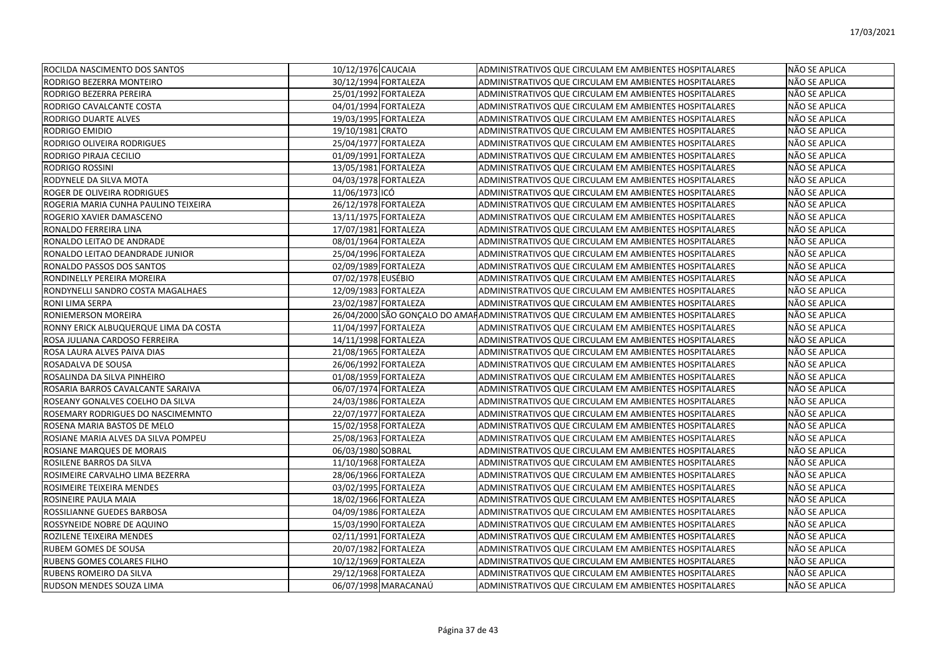| ROCILDA NASCIMENTO DOS SANTOS         | 10/12/1976 CAUCAIA   | ADMINISTRATIVOS QUE CIRCULAM EM AMBIENTES HOSPITALARES                               | NÃO SE APLICA |
|---------------------------------------|----------------------|--------------------------------------------------------------------------------------|---------------|
| RODRIGO BEZERRA MONTEIRO              | 30/12/1994 FORTALEZA | ADMINISTRATIVOS QUE CIRCULAM EM AMBIENTES HOSPITALARES                               | NÃO SE APLICA |
| RODRIGO BEZERRA PEREIRA               | 25/01/1992 FORTALEZA | ADMINISTRATIVOS QUE CIRCULAM EM AMBIENTES HOSPITALARES                               | NÃO SE APLICA |
| RODRIGO CAVALCANTE COSTA              | 04/01/1994 FORTALEZA | ADMINISTRATIVOS QUE CIRCULAM EM AMBIENTES HOSPITALARES                               | NÃO SE APLICA |
| RODRIGO DUARTE ALVES                  | 19/03/1995 FORTALEZA | ADMINISTRATIVOS QUE CIRCULAM EM AMBIENTES HOSPITALARES                               | NÃO SE APLICA |
| RODRIGO EMIDIO                        | 19/10/1981 CRATO     | ADMINISTRATIVOS QUE CIRCULAM EM AMBIENTES HOSPITALARES                               | NÃO SE APLICA |
| RODRIGO OLIVEIRA RODRIGUES            | 25/04/1977 FORTALEZA | ADMINISTRATIVOS QUE CIRCULAM EM AMBIENTES HOSPITALARES                               | NÃO SE APLICA |
| RODRIGO PIRAJA CECILIO                | 01/09/1991 FORTALEZA | ADMINISTRATIVOS QUE CIRCULAM EM AMBIENTES HOSPITALARES                               | NÃO SE APLICA |
| <b>RODRIGO ROSSINI</b>                | 13/05/1981 FORTALEZA | ADMINISTRATIVOS QUE CIRCULAM EM AMBIENTES HOSPITALARES                               | NÃO SE APLICA |
| RODYNELE DA SILVA MOTA                | 04/03/1978 FORTALEZA | ADMINISTRATIVOS QUE CIRCULAM EM AMBIENTES HOSPITALARES                               | NÃO SE APLICA |
| ROGER DE OLIVEIRA RODRIGUES           | 11/06/1973 ICÓ       | ADMINISTRATIVOS QUE CIRCULAM EM AMBIENTES HOSPITALARES                               | NÃO SE APLICA |
| ROGERIA MARIA CUNHA PAULINO TEIXEIRA  | 26/12/1978 FORTALEZA | ADMINISTRATIVOS QUE CIRCULAM EM AMBIENTES HOSPITALARES                               | NÃO SE APLICA |
| ROGERIO XAVIER DAMASCENO              | 13/11/1975 FORTALEZA | ADMINISTRATIVOS QUE CIRCULAM EM AMBIENTES HOSPITALARES                               | NÃO SE APLICA |
| RONALDO FERREIRA LINA                 | 17/07/1981 FORTALEZA | ADMINISTRATIVOS QUE CIRCULAM EM AMBIENTES HOSPITALARES                               | NÃO SE APLICA |
| RONALDO LEITAO DE ANDRADE             | 08/01/1964 FORTALEZA | ADMINISTRATIVOS QUE CIRCULAM EM AMBIENTES HOSPITALARES                               | NÃO SE APLICA |
| RONALDO LEITAO DEANDRADE JUNIOR       | 25/04/1996 FORTALEZA | ADMINISTRATIVOS QUE CIRCULAM EM AMBIENTES HOSPITALARES                               | NÃO SE APLICA |
| RONALDO PASSOS DOS SANTOS             | 02/09/1989 FORTALEZA | ADMINISTRATIVOS QUE CIRCULAM EM AMBIENTES HOSPITALARES                               | NÃO SE APLICA |
| RONDINELLY PEREIRA MOREIRA            | 07/02/1978 EUSÉBIO   | ADMINISTRATIVOS QUE CIRCULAM EM AMBIENTES HOSPITALARES                               | NÃO SE APLICA |
| RONDYNELLI SANDRO COSTA MAGALHAES     | 12/09/1983 FORTALEZA | ADMINISTRATIVOS QUE CIRCULAM EM AMBIENTES HOSPITALARES                               | NÃO SE APLICA |
| <b>RONI LIMA SERPA</b>                | 23/02/1987 FORTALEZA | ADMINISTRATIVOS QUE CIRCULAM EM AMBIENTES HOSPITALARES                               | NÃO SE APLICA |
| RONIEMERSON MOREIRA                   |                      | 26/04/2000 SÃO GONÇALO DO AMARADMINISTRATIVOS QUE CIRCULAM EM AMBIENTES HOSPITALARES | NÃO SE APLICA |
| RONNY ERICK ALBUQUERQUE LIMA DA COSTA | 11/04/1997 FORTALEZA | ADMINISTRATIVOS QUE CIRCULAM EM AMBIENTES HOSPITALARES                               | NÃO SE APLICA |
| ROSA JULIANA CARDOSO FERREIRA         | 14/11/1998 FORTALEZA | ADMINISTRATIVOS QUE CIRCULAM EM AMBIENTES HOSPITALARES                               | NÃO SE APLICA |
| ROSA LAURA ALVES PAIVA DIAS           | 21/08/1965 FORTALEZA | ADMINISTRATIVOS QUE CIRCULAM EM AMBIENTES HOSPITALARES                               | NÃO SE APLICA |
| ROSADALVA DE SOUSA                    | 26/06/1992 FORTALEZA | ADMINISTRATIVOS QUE CIRCULAM EM AMBIENTES HOSPITALARES                               | NÃO SE APLICA |
| ROSALINDA DA SILVA PINHEIRO           | 01/08/1959 FORTALEZA | ADMINISTRATIVOS QUE CIRCULAM EM AMBIENTES HOSPITALARES                               | NÃO SE APLICA |
| ROSARIA BARROS CAVALCANTE SARAIVA     | 06/07/1974 FORTALEZA | ADMINISTRATIVOS QUE CIRCULAM EM AMBIENTES HOSPITALARES                               | NÃO SE APLICA |
| ROSEANY GONALVES COELHO DA SILVA      | 24/03/1986 FORTALEZA | ADMINISTRATIVOS QUE CIRCULAM EM AMBIENTES HOSPITALARES                               | NÃO SE APLICA |
| ROSEMARY RODRIGUES DO NASCIMEMNTO     | 22/07/1977 FORTALEZA | ADMINISTRATIVOS QUE CIRCULAM EM AMBIENTES HOSPITALARES                               | NÃO SE APLICA |
| ROSENA MARIA BASTOS DE MELO           | 15/02/1958 FORTALEZA | ADMINISTRATIVOS QUE CIRCULAM EM AMBIENTES HOSPITALARES                               | NÃO SE APLICA |
| ROSIANE MARIA ALVES DA SILVA POMPEU   | 25/08/1963 FORTALEZA | ADMINISTRATIVOS QUE CIRCULAM EM AMBIENTES HOSPITALARES                               | NÃO SE APLICA |
| ROSIANE MARQUES DE MORAIS             | 06/03/1980 SOBRAL    | ADMINISTRATIVOS QUE CIRCULAM EM AMBIENTES HOSPITALARES                               | NÃO SE APLICA |
| ROSILENE BARROS DA SILVA              | 11/10/1968 FORTALEZA | ADMINISTRATIVOS QUE CIRCULAM EM AMBIENTES HOSPITALARES                               | NÃO SE APLICA |
| ROSIMEIRE CARVALHO LIMA BEZERRA       | 28/06/1966 FORTALEZA | ADMINISTRATIVOS QUE CIRCULAM EM AMBIENTES HOSPITALARES                               | NÃO SE APLICA |
| ROSIMEIRE TEIXEIRA MENDES             | 03/02/1995 FORTALEZA | ADMINISTRATIVOS QUE CIRCULAM EM AMBIENTES HOSPITALARES                               | NÃO SE APLICA |
| ROSINEIRE PAULA MAIA                  | 18/02/1966 FORTALEZA | ADMINISTRATIVOS QUE CIRCULAM EM AMBIENTES HOSPITALARES                               | NÃO SE APLICA |
| ROSSILIANNE GUEDES BARBOSA            | 04/09/1986 FORTALEZA | ADMINISTRATIVOS QUE CIRCULAM EM AMBIENTES HOSPITALARES                               | NÃO SE APLICA |
| ROSSYNEIDE NOBRE DE AQUINO            | 15/03/1990 FORTALEZA | ADMINISTRATIVOS QUE CIRCULAM EM AMBIENTES HOSPITALARES                               | NÃO SE APLICA |
| ROZILENE TEIXEIRA MENDES              | 02/11/1991 FORTALEZA | ADMINISTRATIVOS QUE CIRCULAM EM AMBIENTES HOSPITALARES                               | NÃO SE APLICA |
| <b>RUBEM GOMES DE SOUSA</b>           | 20/07/1982 FORTALEZA | ADMINISTRATIVOS QUE CIRCULAM EM AMBIENTES HOSPITALARES                               | NÃO SE APLICA |
| RUBENS GOMES COLARES FILHO            | 10/12/1969 FORTALEZA | ADMINISTRATIVOS QUE CIRCULAM EM AMBIENTES HOSPITALARES                               | NÃO SE APLICA |
| RUBENS ROMEIRO DA SILVA               | 29/12/1968 FORTALEZA | ADMINISTRATIVOS QUE CIRCULAM EM AMBIENTES HOSPITALARES                               | NÃO SE APLICA |
| RUDSON MENDES SOUZA LIMA              | 06/07/1998 MARACANAÚ | ADMINISTRATIVOS QUE CIRCULAM EM AMBIENTES HOSPITALARES                               | NÃO SE APLICA |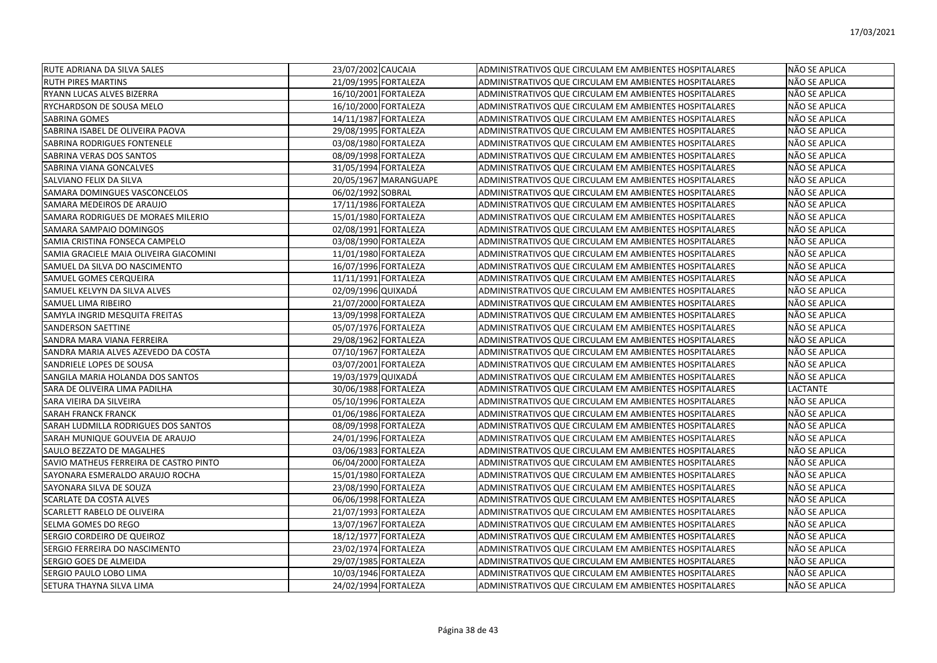| <b>RUTE ADRIANA DA SILVA SALES</b>     | 23/07/2002 CAUCAIA    | ADMINISTRATIVOS QUE CIRCULAM EM AMBIENTES HOSPITALARES | NÃO SE APLICA   |
|----------------------------------------|-----------------------|--------------------------------------------------------|-----------------|
| <b>RUTH PIRES MARTINS</b>              | 21/09/1995 FORTALEZA  | ADMINISTRATIVOS QUE CIRCULAM EM AMBIENTES HOSPITALARES | NÃO SE APLICA   |
| RYANN LUCAS ALVES BIZERRA              | 16/10/2001 FORTALEZA  | ADMINISTRATIVOS QUE CIRCULAM EM AMBIENTES HOSPITALARES | NÃO SE APLICA   |
| RYCHARDSON DE SOUSA MELO               | 16/10/2000 FORTALEZA  | ADMINISTRATIVOS QUE CIRCULAM EM AMBIENTES HOSPITALARES | NÃO SE APLICA   |
| SABRINA GOMES                          | 14/11/1987 FORTALEZA  | ADMINISTRATIVOS QUE CIRCULAM EM AMBIENTES HOSPITALARES | NÃO SE APLICA   |
| SABRINA ISABEL DE OLIVEIRA PAOVA       | 29/08/1995 FORTALEZA  | ADMINISTRATIVOS QUE CIRCULAM EM AMBIENTES HOSPITALARES | NÃO SE APLICA   |
| SABRINA RODRIGUES FONTENELE            | 03/08/1980 FORTALEZA  | ADMINISTRATIVOS QUE CIRCULAM EM AMBIENTES HOSPITALARES | NÃO SE APLICA   |
| SABRINA VERAS DOS SANTOS               | 08/09/1998 FORTALEZA  | ADMINISTRATIVOS QUE CIRCULAM EM AMBIENTES HOSPITALARES | NÃO SE APLICA   |
| SABRINA VIANA GONCALVES                | 31/05/1994 FORTALEZA  | ADMINISTRATIVOS QUE CIRCULAM EM AMBIENTES HOSPITALARES | NÃO SE APLICA   |
| SALVIANO FELIX DA SILVA                | 20/05/1967 MARANGUAPE | ADMINISTRATIVOS QUE CIRCULAM EM AMBIENTES HOSPITALARES | NÃO SE APLICA   |
| SAMARA DOMINGUES VASCONCELOS           | 06/02/1992 SOBRAL     | ADMINISTRATIVOS QUE CIRCULAM EM AMBIENTES HOSPITALARES | NÃO SE APLICA   |
| SAMARA MEDEIROS DE ARAUJO              | 17/11/1986 FORTALEZA  | ADMINISTRATIVOS QUE CIRCULAM EM AMBIENTES HOSPITALARES | NÃO SE APLICA   |
| SAMARA RODRIGUES DE MORAES MILERIO     | 15/01/1980 FORTALEZA  | ADMINISTRATIVOS QUE CIRCULAM EM AMBIENTES HOSPITALARES | NÃO SE APLICA   |
| SAMARA SAMPAIO DOMINGOS                | 02/08/1991 FORTALEZA  | ADMINISTRATIVOS QUE CIRCULAM EM AMBIENTES HOSPITALARES | NÃO SE APLICA   |
| SAMIA CRISTINA FONSECA CAMPELO         | 03/08/1990 FORTALEZA  | ADMINISTRATIVOS QUE CIRCULAM EM AMBIENTES HOSPITALARES | NÃO SE APLICA   |
| SAMIA GRACIELE MAIA OLIVEIRA GIACOMINI | 11/01/1980 FORTALEZA  | ADMINISTRATIVOS QUE CIRCULAM EM AMBIENTES HOSPITALARES | NÃO SE APLICA   |
| SAMUEL DA SILVA DO NASCIMENTO          | 16/07/1996 FORTALEZA  | ADMINISTRATIVOS QUE CIRCULAM EM AMBIENTES HOSPITALARES | NÃO SE APLICA   |
| <b>SAMUEL GOMES CERQUEIRA</b>          | 11/11/1991 FORTALEZA  | ADMINISTRATIVOS QUE CIRCULAM EM AMBIENTES HOSPITALARES | NÃO SE APLICA   |
| SAMUEL KELVYN DA SILVA ALVES           | 02/09/1996 QUIXADÁ    | ADMINISTRATIVOS QUE CIRCULAM EM AMBIENTES HOSPITALARES | NÃO SE APLICA   |
| <b>SAMUEL LIMA RIBEIRO</b>             | 21/07/2000 FORTALEZA  | ADMINISTRATIVOS QUE CIRCULAM EM AMBIENTES HOSPITALARES | NÃO SE APLICA   |
| SAMYLA INGRID MESQUITA FREITAS         | 13/09/1998 FORTALEZA  | ADMINISTRATIVOS QUE CIRCULAM EM AMBIENTES HOSPITALARES | NÃO SE APLICA   |
| <b>SANDERSON SAETTINE</b>              | 05/07/1976 FORTALEZA  | ADMINISTRATIVOS QUE CIRCULAM EM AMBIENTES HOSPITALARES | NÃO SE APLICA   |
| SANDRA MARA VIANA FERREIRA             | 29/08/1962 FORTALEZA  | ADMINISTRATIVOS QUE CIRCULAM EM AMBIENTES HOSPITALARES | NÃO SE APLICA   |
| SANDRA MARIA ALVES AZEVEDO DA COSTA    | 07/10/1967 FORTALEZA  | ADMINISTRATIVOS QUE CIRCULAM EM AMBIENTES HOSPITALARES | NÃO SE APLICA   |
| SANDRIELE LOPES DE SOUSA               | 03/07/2001 FORTALEZA  | ADMINISTRATIVOS QUE CIRCULAM EM AMBIENTES HOSPITALARES | NÃO SE APLICA   |
| SANGILA MARIA HOLANDA DOS SANTOS       | 19/03/1979 QUIXADÁ    | ADMINISTRATIVOS QUE CIRCULAM EM AMBIENTES HOSPITALARES | NÃO SE APLICA   |
| SARA DE OLIVEIRA LIMA PADILHA          | 30/06/1988 FORTALEZA  | ADMINISTRATIVOS QUE CIRCULAM EM AMBIENTES HOSPITALARES | <b>LACTANTE</b> |
| SARA VIEIRA DA SILVEIRA                | 05/10/1996 FORTALEZA  | ADMINISTRATIVOS QUE CIRCULAM EM AMBIENTES HOSPITALARES | NÃO SE APLICA   |
| <b>SARAH FRANCK FRANCK</b>             | 01/06/1986 FORTALEZA  | ADMINISTRATIVOS QUE CIRCULAM EM AMBIENTES HOSPITALARES | NÃO SE APLICA   |
| SARAH LUDMILLA RODRIGUES DOS SANTOS    | 08/09/1998 FORTALEZA  | ADMINISTRATIVOS QUE CIRCULAM EM AMBIENTES HOSPITALARES | NÃO SE APLICA   |
| SARAH MUNIQUE GOUVEIA DE ARAUJO        | 24/01/1996 FORTALEZA  | ADMINISTRATIVOS QUE CIRCULAM EM AMBIENTES HOSPITALARES | NÃO SE APLICA   |
| SAULO BEZZATO DE MAGALHES              | 03/06/1983 FORTALEZA  | ADMINISTRATIVOS QUE CIRCULAM EM AMBIENTES HOSPITALARES | NÃO SE APLICA   |
| SAVIO MATHEUS FERREIRA DE CASTRO PINTO | 06/04/2000 FORTALEZA  | ADMINISTRATIVOS QUE CIRCULAM EM AMBIENTES HOSPITALARES | NÃO SE APLICA   |
| SAYONARA ESMERALDO ARAUJO ROCHA        | 15/01/1980 FORTALEZA  | ADMINISTRATIVOS QUE CIRCULAM EM AMBIENTES HOSPITALARES | NÃO SE APLICA   |
| SAYONARA SILVA DE SOUZA                | 23/08/1990 FORTALEZA  | ADMINISTRATIVOS QUE CIRCULAM EM AMBIENTES HOSPITALARES | NÃO SE APLICA   |
| <b>SCARLATE DA COSTA ALVES</b>         | 06/06/1998 FORTALEZA  | ADMINISTRATIVOS QUE CIRCULAM EM AMBIENTES HOSPITALARES | NÃO SE APLICA   |
| <b>SCARLETT RABELO DE OLIVEIRA</b>     | 21/07/1993 FORTALEZA  | ADMINISTRATIVOS QUE CIRCULAM EM AMBIENTES HOSPITALARES | NÃO SE APLICA   |
| <b>SELMA GOMES DO REGO</b>             | 13/07/1967 FORTALEZA  | ADMINISTRATIVOS QUE CIRCULAM EM AMBIENTES HOSPITALARES | NÃO SE APLICA   |
| SERGIO CORDEIRO DE QUEIROZ             | 18/12/1977 FORTALEZA  | ADMINISTRATIVOS QUE CIRCULAM EM AMBIENTES HOSPITALARES | NÃO SE APLICA   |
| SERGIO FERREIRA DO NASCIMENTO          | 23/02/1974 FORTALEZA  | ADMINISTRATIVOS QUE CIRCULAM EM AMBIENTES HOSPITALARES | NÃO SE APLICA   |
| SERGIO GOES DE ALMEIDA                 | 29/07/1985 FORTALEZA  | ADMINISTRATIVOS QUE CIRCULAM EM AMBIENTES HOSPITALARES | NÃO SE APLICA   |
| SERGIO PAULO LOBO LIMA                 | 10/03/1946 FORTALEZA  | ADMINISTRATIVOS QUE CIRCULAM EM AMBIENTES HOSPITALARES | NÃO SE APLICA   |
| SETURA THAYNA SILVA LIMA               | 24/02/1994 FORTALEZA  | ADMINISTRATIVOS QUE CIRCULAM EM AMBIENTES HOSPITALARES | NÃO SE APLICA   |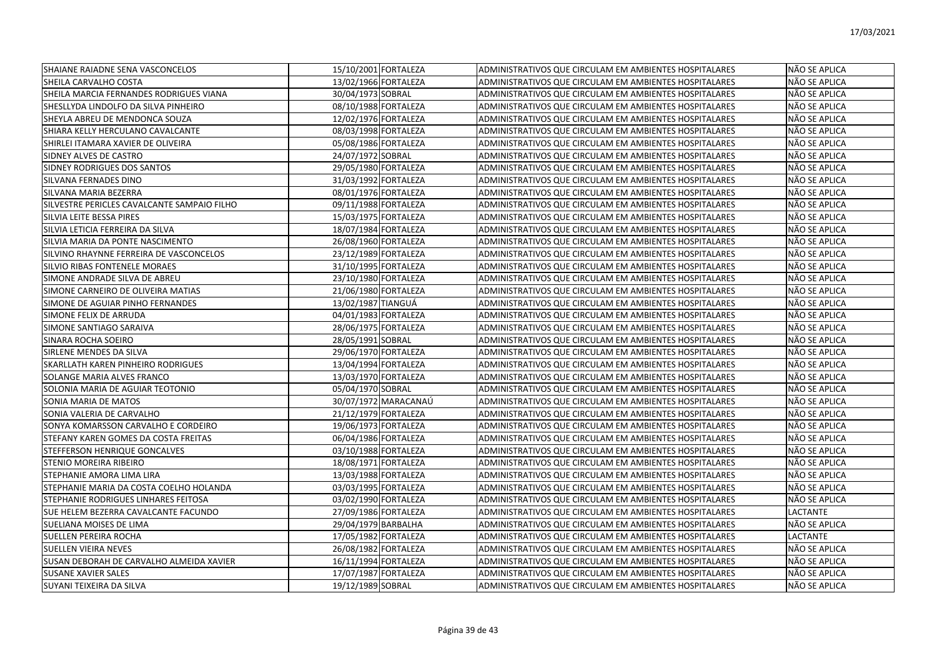| SHAIANE RAIADNE SENA VASCONCELOS            | 15/10/2001 FORTALEZA | ADMINISTRATIVOS QUE CIRCULAM EM AMBIENTES HOSPITALARES | NÃO SE APLICA   |
|---------------------------------------------|----------------------|--------------------------------------------------------|-----------------|
| SHEILA CARVALHO COSTA                       | 13/02/1966 FORTALEZA | ADMINISTRATIVOS QUE CIRCULAM EM AMBIENTES HOSPITALARES | NÃO SE APLICA   |
| SHEILA MARCIA FERNANDES RODRIGUES VIANA     | 30/04/1973 SOBRAL    | ADMINISTRATIVOS QUE CIRCULAM EM AMBIENTES HOSPITALARES | NÃO SE APLICA   |
| SHESLLYDA LINDOLFO DA SILVA PINHEIRO        | 08/10/1988 FORTALEZA | ADMINISTRATIVOS QUE CIRCULAM EM AMBIENTES HOSPITALARES | NÃO SE APLICA   |
| SHEYLA ABREU DE MENDONCA SOUZA              | 12/02/1976 FORTALEZA | ADMINISTRATIVOS QUE CIRCULAM EM AMBIENTES HOSPITALARES | NÃO SE APLICA   |
| SHIARA KELLY HERCULANO CAVALCANTE           | 08/03/1998 FORTALEZA | ADMINISTRATIVOS QUE CIRCULAM EM AMBIENTES HOSPITALARES | NÃO SE APLICA   |
| SHIRLEI ITAMARA XAVIER DE OLIVEIRA          | 05/08/1986 FORTALEZA | ADMINISTRATIVOS QUE CIRCULAM EM AMBIENTES HOSPITALARES | NÃO SE APLICA   |
| SIDNEY ALVES DE CASTRO                      | 24/07/1972 SOBRAL    | ADMINISTRATIVOS QUE CIRCULAM EM AMBIENTES HOSPITALARES | NÃO SE APLICA   |
| SIDNEY RODRIGUES DOS SANTOS                 | 29/05/1980 FORTALEZA | ADMINISTRATIVOS QUE CIRCULAM EM AMBIENTES HOSPITALARES | NÃO SE APLICA   |
| SILVANA FERNADES DINO                       | 31/03/1992 FORTALEZA | ADMINISTRATIVOS QUE CIRCULAM EM AMBIENTES HOSPITALARES | NÃO SE APLICA   |
| SILVANA MARIA BEZERRA                       | 08/01/1976 FORTALEZA | ADMINISTRATIVOS QUE CIRCULAM EM AMBIENTES HOSPITALARES | NÃO SE APLICA   |
| SILVESTRE PERICLES CAVALCANTE SAMPAIO FILHO | 09/11/1988 FORTALEZA | ADMINISTRATIVOS QUE CIRCULAM EM AMBIENTES HOSPITALARES | NÃO SE APLICA   |
| SILVIA LEITE BESSA PIRES                    | 15/03/1975 FORTALEZA | ADMINISTRATIVOS QUE CIRCULAM EM AMBIENTES HOSPITALARES | NÃO SE APLICA   |
| SILVIA LETICIA FERREIRA DA SILVA            | 18/07/1984 FORTALEZA | ADMINISTRATIVOS QUE CIRCULAM EM AMBIENTES HOSPITALARES | NÃO SE APLICA   |
| SILVIA MARIA DA PONTE NASCIMENTO            | 26/08/1960 FORTALEZA | ADMINISTRATIVOS QUE CIRCULAM EM AMBIENTES HOSPITALARES | NÃO SE APLICA   |
| SILVINO RHAYNNE FERREIRA DE VASCONCELOS     | 23/12/1989 FORTALEZA | ADMINISTRATIVOS QUE CIRCULAM EM AMBIENTES HOSPITALARES | NÃO SE APLICA   |
| SILVIO RIBAS FONTENELE MORAES               | 31/10/1995 FORTALEZA | ADMINISTRATIVOS QUE CIRCULAM EM AMBIENTES HOSPITALARES | NÃO SE APLICA   |
| SIMONE ANDRADE SILVA DE ABREU               | 23/10/1980 FORTALEZA | ADMINISTRATIVOS QUE CIRCULAM EM AMBIENTES HOSPITALARES | NÃO SE APLICA   |
| SIMONE CARNEIRO DE OLIVEIRA MATIAS          | 21/06/1980 FORTALEZA | ADMINISTRATIVOS QUE CIRCULAM EM AMBIENTES HOSPITALARES | NÃO SE APLICA   |
| SIMONE DE AGUIAR PINHO FERNANDES            | 13/02/1987 TIANGUÁ   | ADMINISTRATIVOS QUE CIRCULAM EM AMBIENTES HOSPITALARES | NÃO SE APLICA   |
| SIMONE FELIX DE ARRUDA                      | 04/01/1983 FORTALEZA | ADMINISTRATIVOS QUE CIRCULAM EM AMBIENTES HOSPITALARES | NÃO SE APLICA   |
| SIMONE SANTIAGO SARAIVA                     | 28/06/1975 FORTALEZA | ADMINISTRATIVOS QUE CIRCULAM EM AMBIENTES HOSPITALARES | NÃO SE APLICA   |
| SINARA ROCHA SOEIRO                         | 28/05/1991 SOBRAL    | ADMINISTRATIVOS QUE CIRCULAM EM AMBIENTES HOSPITALARES | NÃO SE APLICA   |
| SIRLENE MENDES DA SILVA                     | 29/06/1970 FORTALEZA | ADMINISTRATIVOS QUE CIRCULAM EM AMBIENTES HOSPITALARES | NÃO SE APLICA   |
| SKARLLATH KAREN PINHEIRO RODRIGUES          | 13/04/1994 FORTALEZA | ADMINISTRATIVOS QUE CIRCULAM EM AMBIENTES HOSPITALARES | NÃO SE APLICA   |
| SOLANGE MARIA ALVES FRANCO                  | 13/03/1970 FORTALEZA | ADMINISTRATIVOS QUE CIRCULAM EM AMBIENTES HOSPITALARES | NÃO SE APLICA   |
| SOLONIA MARIA DE AGUIAR TEOTONIO            | 05/04/1970 SOBRAL    | ADMINISTRATIVOS QUE CIRCULAM EM AMBIENTES HOSPITALARES | NÃO SE APLICA   |
| SONIA MARIA DE MATOS                        | 30/07/1972 MARACANAÚ | ADMINISTRATIVOS QUE CIRCULAM EM AMBIENTES HOSPITALARES | NÃO SE APLICA   |
| SONIA VALERIA DE CARVALHO                   | 21/12/1979 FORTALEZA | ADMINISTRATIVOS QUE CIRCULAM EM AMBIENTES HOSPITALARES | NÃO SE APLICA   |
| SONYA KOMARSSON CARVALHO E CORDEIRO         | 19/06/1973 FORTALEZA | ADMINISTRATIVOS QUE CIRCULAM EM AMBIENTES HOSPITALARES | NÃO SE APLICA   |
| STEFANY KAREN GOMES DA COSTA FREITAS        | 06/04/1986 FORTALEZA | ADMINISTRATIVOS QUE CIRCULAM EM AMBIENTES HOSPITALARES | NÃO SE APLICA   |
| STEFFERSON HENRIQUE GONCALVES               | 03/10/1988 FORTALEZA | ADMINISTRATIVOS QUE CIRCULAM EM AMBIENTES HOSPITALARES | NÃO SE APLICA   |
| STENIO MOREIRA RIBEIRO                      | 18/08/1971 FORTALEZA | ADMINISTRATIVOS QUE CIRCULAM EM AMBIENTES HOSPITALARES | NÃO SE APLICA   |
| STEPHANIE AMORA LIMA LIRA                   | 13/03/1988 FORTALEZA | ADMINISTRATIVOS QUE CIRCULAM EM AMBIENTES HOSPITALARES | NÃO SE APLICA   |
| STEPHANIE MARIA DA COSTA COELHO HOLANDA     | 03/03/1995 FORTALEZA | ADMINISTRATIVOS QUE CIRCULAM EM AMBIENTES HOSPITALARES | NÃO SE APLICA   |
| STEPHANIE RODRIGUES LINHARES FEITOSA        | 03/02/1990 FORTALEZA | ADMINISTRATIVOS QUE CIRCULAM EM AMBIENTES HOSPITALARES | NÃO SE APLICA   |
| SUE HELEM BEZERRA CAVALCANTE FACUNDO        | 27/09/1986 FORTALEZA | ADMINISTRATIVOS QUE CIRCULAM EM AMBIENTES HOSPITALARES | <b>LACTANTE</b> |
| SUELIANA MOISES DE LIMA                     | 29/04/1979 BARBALHA  | ADMINISTRATIVOS QUE CIRCULAM EM AMBIENTES HOSPITALARES | NÃO SE APLICA   |
| <b>SUELLEN PEREIRA ROCHA</b>                | 17/05/1982 FORTALEZA | ADMINISTRATIVOS QUE CIRCULAM EM AMBIENTES HOSPITALARES | <b>LACTANTE</b> |
| SUELLEN VIEIRA NEVES                        | 26/08/1982 FORTALEZA | ADMINISTRATIVOS QUE CIRCULAM EM AMBIENTES HOSPITALARES | NÃO SE APLICA   |
| SUSAN DEBORAH DE CARVALHO ALMEIDA XAVIER    | 16/11/1994 FORTALEZA | ADMINISTRATIVOS QUE CIRCULAM EM AMBIENTES HOSPITALARES | NÃO SE APLICA   |
| SUSANE XAVIER SALES                         | 17/07/1987 FORTALEZA | ADMINISTRATIVOS QUE CIRCULAM EM AMBIENTES HOSPITALARES | NÃO SE APLICA   |
| SUYANI TEIXEIRA DA SILVA                    | 19/12/1989 SOBRAL    | ADMINISTRATIVOS QUE CIRCULAM EM AMBIENTES HOSPITALARES | NÃO SE APLICA   |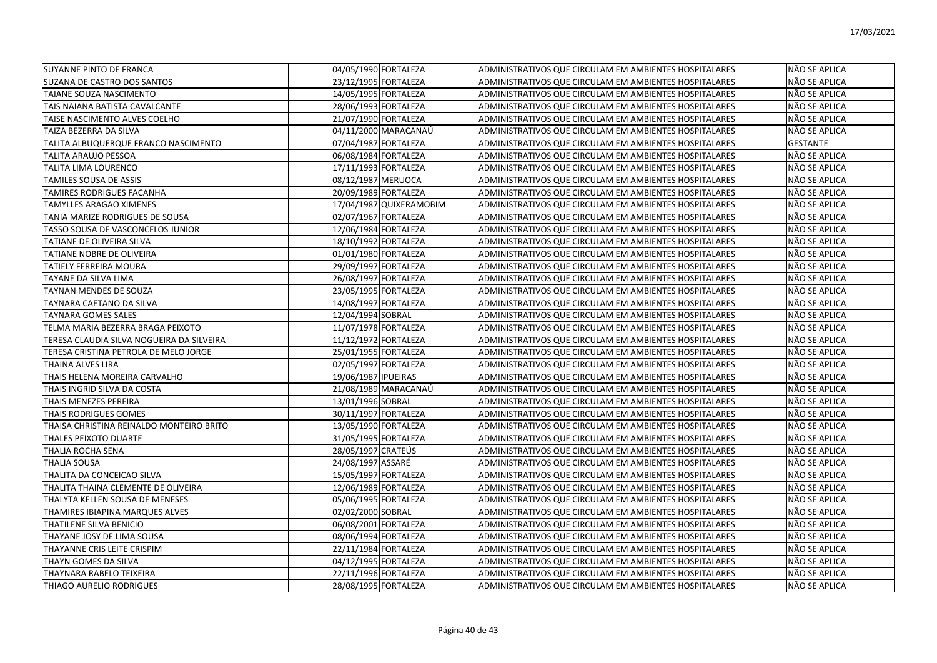| <b>SUYANNE PINTO DE FRANCA</b>            | 04/05/1990 FORTALEZA    | ADMINISTRATIVOS QUE CIRCULAM EM AMBIENTES HOSPITALARES | NÃO SE APLICA   |
|-------------------------------------------|-------------------------|--------------------------------------------------------|-----------------|
| SUZANA DE CASTRO DOS SANTOS               | 23/12/1995 FORTALEZA    | ADMINISTRATIVOS QUE CIRCULAM EM AMBIENTES HOSPITALARES | NÃO SE APLICA   |
| TAIANE SOUZA NASCIMENTO                   | 14/05/1995 FORTALEZA    | ADMINISTRATIVOS QUE CIRCULAM EM AMBIENTES HOSPITALARES | NÃO SE APLICA   |
| TAIS NAIANA BATISTA CAVALCANTE            | 28/06/1993 FORTALEZA    | ADMINISTRATIVOS QUE CIRCULAM EM AMBIENTES HOSPITALARES | NÃO SE APLICA   |
| TAISE NASCIMENTO ALVES COELHO             | 21/07/1990 FORTALEZA    | ADMINISTRATIVOS QUE CIRCULAM EM AMBIENTES HOSPITALARES | NÃO SE APLICA   |
| TAIZA BEZERRA DA SILVA                    | 04/11/2000 MARACANAÚ    | ADMINISTRATIVOS QUE CIRCULAM EM AMBIENTES HOSPITALARES | NÃO SE APLICA   |
| TALITA ALBUQUERQUE FRANCO NASCIMENTO      | 07/04/1987 FORTALEZA    | ADMINISTRATIVOS QUE CIRCULAM EM AMBIENTES HOSPITALARES | <b>GESTANTE</b> |
| TALITA ARAUJO PESSOA                      | 06/08/1984 FORTALEZA    | ADMINISTRATIVOS QUE CIRCULAM EM AMBIENTES HOSPITALARES | NÃO SE APLICA   |
| TALITA LIMA LOURENCO                      | 17/11/1993 FORTALEZA    | ADMINISTRATIVOS QUE CIRCULAM EM AMBIENTES HOSPITALARES | NÃO SE APLICA   |
| TAMILES SOUSA DE ASSIS                    | 08/12/1987 MERUOCA      | ADMINISTRATIVOS QUE CIRCULAM EM AMBIENTES HOSPITALARES | NÃO SE APLICA   |
| TAMIRES RODRIGUES FACANHA                 | 20/09/1989 FORTALEZA    | ADMINISTRATIVOS QUE CIRCULAM EM AMBIENTES HOSPITALARES | NÃO SE APLICA   |
| TAMYLLES ARAGAO XIMENES                   | 17/04/1987 QUIXERAMOBIM | ADMINISTRATIVOS QUE CIRCULAM EM AMBIENTES HOSPITALARES | NÃO SE APLICA   |
| TANIA MARIZE RODRIGUES DE SOUSA           | 02/07/1967 FORTALEZA    | ADMINISTRATIVOS QUE CIRCULAM EM AMBIENTES HOSPITALARES | NÃO SE APLICA   |
| TASSO SOUSA DE VASCONCELOS JUNIOR         | 12/06/1984 FORTALEZA    | ADMINISTRATIVOS QUE CIRCULAM EM AMBIENTES HOSPITALARES | NÃO SE APLICA   |
| TATIANE DE OLIVEIRA SILVA                 | 18/10/1992 FORTALEZA    | ADMINISTRATIVOS QUE CIRCULAM EM AMBIENTES HOSPITALARES | NÃO SE APLICA   |
| TATIANE NOBRE DE OLIVEIRA                 | 01/01/1980 FORTALEZA    | ADMINISTRATIVOS QUE CIRCULAM EM AMBIENTES HOSPITALARES | NÃO SE APLICA   |
| TATIELY FERREIRA MOURA                    | 29/09/1997 FORTALEZA    | ADMINISTRATIVOS QUE CIRCULAM EM AMBIENTES HOSPITALARES | NÃO SE APLICA   |
| TAYANE DA SILVA LIMA                      | 26/08/1997 FORTALEZA    | ADMINISTRATIVOS QUE CIRCULAM EM AMBIENTES HOSPITALARES | NÃO SE APLICA   |
| TAYNAN MENDES DE SOUZA                    | 23/05/1995 FORTALEZA    | ADMINISTRATIVOS QUE CIRCULAM EM AMBIENTES HOSPITALARES | NÃO SE APLICA   |
| TAYNARA CAETANO DA SILVA                  | 14/08/1997 FORTALEZA    | ADMINISTRATIVOS QUE CIRCULAM EM AMBIENTES HOSPITALARES | NÃO SE APLICA   |
| TAYNARA GOMES SALES                       | 12/04/1994 SOBRAL       | ADMINISTRATIVOS QUE CIRCULAM EM AMBIENTES HOSPITALARES | NÃO SE APLICA   |
| TELMA MARIA BEZERRA BRAGA PEIXOTO         | 11/07/1978 FORTALEZA    | ADMINISTRATIVOS QUE CIRCULAM EM AMBIENTES HOSPITALARES | NÃO SE APLICA   |
| TERESA CLAUDIA SILVA NOGUEIRA DA SILVEIRA | 11/12/1972 FORTALEZA    | ADMINISTRATIVOS QUE CIRCULAM EM AMBIENTES HOSPITALARES | NÃO SE APLICA   |
| TERESA CRISTINA PETROLA DE MELO JORGE     | 25/01/1955 FORTALEZA    | ADMINISTRATIVOS QUE CIRCULAM EM AMBIENTES HOSPITALARES | NÃO SE APLICA   |
| THAINA ALVES LIRA                         | 02/05/1997 FORTALEZA    | ADMINISTRATIVOS QUE CIRCULAM EM AMBIENTES HOSPITALARES | NÃO SE APLICA   |
| THAIS HELENA MOREIRA CARVALHO             | 19/06/1987 IPUEIRAS     | ADMINISTRATIVOS QUE CIRCULAM EM AMBIENTES HOSPITALARES | NÃO SE APLICA   |
| THAIS INGRID SILVA DA COSTA               | 21/08/1989 MARACANAÚ    | ADMINISTRATIVOS QUE CIRCULAM EM AMBIENTES HOSPITALARES | NÃO SE APLICA   |
| THAIS MENEZES PEREIRA                     | 13/01/1996 SOBRAL       | ADMINISTRATIVOS QUE CIRCULAM EM AMBIENTES HOSPITALARES | NÃO SE APLICA   |
| THAIS RODRIGUES GOMES                     | 30/11/1997 FORTALEZA    | ADMINISTRATIVOS QUE CIRCULAM EM AMBIENTES HOSPITALARES | NÃO SE APLICA   |
| THAISA CHRISTINA REINALDO MONTEIRO BRITO  | 13/05/1990 FORTALEZA    | ADMINISTRATIVOS QUE CIRCULAM EM AMBIENTES HOSPITALARES | NÃO SE APLICA   |
| THALES PEIXOTO DUARTE                     | 31/05/1995 FORTALEZA    | ADMINISTRATIVOS QUE CIRCULAM EM AMBIENTES HOSPITALARES | NÃO SE APLICA   |
| THALIA ROCHA SENA                         | 28/05/1997 CRATEÚS      | ADMINISTRATIVOS QUE CIRCULAM EM AMBIENTES HOSPITALARES | NÃO SE APLICA   |
| THALIA SOUSA                              | 24/08/1997 ASSARÉ       | ADMINISTRATIVOS QUE CIRCULAM EM AMBIENTES HOSPITALARES | NÃO SE APLICA   |
| THALITA DA CONCEICAO SILVA                | 15/05/1997 FORTALEZA    | ADMINISTRATIVOS QUE CIRCULAM EM AMBIENTES HOSPITALARES | NÃO SE APLICA   |
| THALITA THAINA CLEMENTE DE OLIVEIRA       | 12/06/1989 FORTALEZA    | ADMINISTRATIVOS QUE CIRCULAM EM AMBIENTES HOSPITALARES | NÃO SE APLICA   |
| THALYTA KELLEN SOUSA DE MENESES           | 05/06/1995 FORTALEZA    | ADMINISTRATIVOS QUE CIRCULAM EM AMBIENTES HOSPITALARES | NÃO SE APLICA   |
| THAMIRES IBIAPINA MARQUES ALVES           | 02/02/2000 SOBRAL       | ADMINISTRATIVOS QUE CIRCULAM EM AMBIENTES HOSPITALARES | NÃO SE APLICA   |
| THATILENE SILVA BENICIO                   | 06/08/2001 FORTALEZA    | ADMINISTRATIVOS QUE CIRCULAM EM AMBIENTES HOSPITALARES | NÃO SE APLICA   |
| THAYANE JOSY DE LIMA SOUSA                | 08/06/1994 FORTALEZA    | ADMINISTRATIVOS QUE CIRCULAM EM AMBIENTES HOSPITALARES | NÃO SE APLICA   |
| THAYANNE CRIS LEITE CRISPIM               | 22/11/1984 FORTALEZA    | ADMINISTRATIVOS QUE CIRCULAM EM AMBIENTES HOSPITALARES | NÃO SE APLICA   |
| THAYN GOMES DA SILVA                      | 04/12/1995 FORTALEZA    | ADMINISTRATIVOS QUE CIRCULAM EM AMBIENTES HOSPITALARES | NÃO SE APLICA   |
| THAYNARA RABELO TEIXEIRA                  | 22/11/1996 FORTALEZA    | ADMINISTRATIVOS QUE CIRCULAM EM AMBIENTES HOSPITALARES | NÃO SE APLICA   |
| THIAGO AURELIO RODRIGUES                  | 28/08/1995 FORTALEZA    | ADMINISTRATIVOS QUE CIRCULAM EM AMBIENTES HOSPITALARES | NÃO SE APLICA   |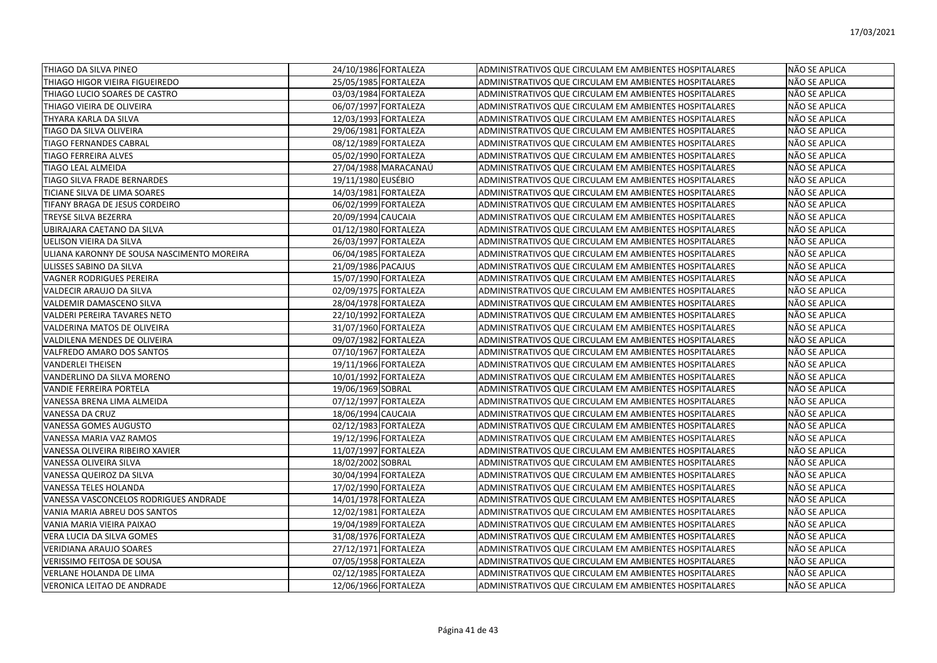| THIAGO DA SILVA PINEO                      | 24/10/1986 FORTALEZA | ADMINISTRATIVOS QUE CIRCULAM EM AMBIENTES HOSPITALARES | NÃO SE APLICA |
|--------------------------------------------|----------------------|--------------------------------------------------------|---------------|
| THIAGO HIGOR VIEIRA FIGUEIREDO             | 25/05/1985 FORTALEZA | ADMINISTRATIVOS QUE CIRCULAM EM AMBIENTES HOSPITALARES | NÃO SE APLICA |
| THIAGO LUCIO SOARES DE CASTRO              | 03/03/1984 FORTALEZA | ADMINISTRATIVOS QUE CIRCULAM EM AMBIENTES HOSPITALARES | NÃO SE APLICA |
| THIAGO VIEIRA DE OLIVEIRA                  | 06/07/1997 FORTALEZA | ADMINISTRATIVOS QUE CIRCULAM EM AMBIENTES HOSPITALARES | NÃO SE APLICA |
| THYARA KARLA DA SILVA                      | 12/03/1993 FORTALEZA | ADMINISTRATIVOS QUE CIRCULAM EM AMBIENTES HOSPITALARES | NÃO SE APLICA |
| TIAGO DA SILVA OLIVEIRA                    | 29/06/1981 FORTALEZA | ADMINISTRATIVOS QUE CIRCULAM EM AMBIENTES HOSPITALARES | NÃO SE APLICA |
| <b>TIAGO FERNANDES CABRAL</b>              | 08/12/1989 FORTALEZA | ADMINISTRATIVOS QUE CIRCULAM EM AMBIENTES HOSPITALARES | NÃO SE APLICA |
| TIAGO FERREIRA ALVES                       | 05/02/1990 FORTALEZA | ADMINISTRATIVOS QUE CIRCULAM EM AMBIENTES HOSPITALARES | NÃO SE APLICA |
| TIAGO LEAL ALMEIDA                         | 27/04/1988 MARACANAÚ | ADMINISTRATIVOS QUE CIRCULAM EM AMBIENTES HOSPITALARES | NÃO SE APLICA |
| TIAGO SILVA FRADE BERNARDES                | 19/11/1980 EUSÉBIO   | ADMINISTRATIVOS QUE CIRCULAM EM AMBIENTES HOSPITALARES | NÃO SE APLICA |
| TICIANE SILVA DE LIMA SOARES               | 14/03/1981 FORTALEZA | ADMINISTRATIVOS QUE CIRCULAM EM AMBIENTES HOSPITALARES | NÃO SE APLICA |
| TIFANY BRAGA DE JESUS CORDEIRO             | 06/02/1999 FORTALEZA | ADMINISTRATIVOS QUE CIRCULAM EM AMBIENTES HOSPITALARES | NÃO SE APLICA |
| TREYSE SILVA BEZERRA                       | 20/09/1994 CAUCAIA   | ADMINISTRATIVOS QUE CIRCULAM EM AMBIENTES HOSPITALARES | NÃO SE APLICA |
| UBIRAJARA CAETANO DA SILVA                 | 01/12/1980 FORTALEZA | ADMINISTRATIVOS QUE CIRCULAM EM AMBIENTES HOSPITALARES | NÃO SE APLICA |
| UELISON VIEIRA DA SILVA                    | 26/03/1997 FORTALEZA | ADMINISTRATIVOS QUE CIRCULAM EM AMBIENTES HOSPITALARES | NÃO SE APLICA |
| ULIANA KARONNY DE SOUSA NASCIMENTO MOREIRA | 06/04/1985 FORTALEZA | ADMINISTRATIVOS QUE CIRCULAM EM AMBIENTES HOSPITALARES | NÃO SE APLICA |
| ULISSES SABINO DA SILVA                    | 21/09/1986 PACAJUS   | ADMINISTRATIVOS QUE CIRCULAM EM AMBIENTES HOSPITALARES | NÃO SE APLICA |
| <b>VAGNER RODRIGUES PEREIRA</b>            | 15/07/1990 FORTALEZA | ADMINISTRATIVOS QUE CIRCULAM EM AMBIENTES HOSPITALARES | NÃO SE APLICA |
| VALDECIR ARAUJO DA SILVA                   | 02/09/1975 FORTALEZA | ADMINISTRATIVOS QUE CIRCULAM EM AMBIENTES HOSPITALARES | NÃO SE APLICA |
| VALDEMIR DAMASCENO SILVA                   | 28/04/1978 FORTALEZA | ADMINISTRATIVOS QUE CIRCULAM EM AMBIENTES HOSPITALARES | NÃO SE APLICA |
| VALDERI PEREIRA TAVARES NETO               | 22/10/1992 FORTALEZA | ADMINISTRATIVOS QUE CIRCULAM EM AMBIENTES HOSPITALARES | NÃO SE APLICA |
| VALDERINA MATOS DE OLIVEIRA                | 31/07/1960 FORTALEZA | ADMINISTRATIVOS QUE CIRCULAM EM AMBIENTES HOSPITALARES | NÃO SE APLICA |
| VALDILENA MENDES DE OLIVEIRA               | 09/07/1982 FORTALEZA | ADMINISTRATIVOS QUE CIRCULAM EM AMBIENTES HOSPITALARES | NÃO SE APLICA |
| VALFREDO AMARO DOS SANTOS                  | 07/10/1967 FORTALEZA | ADMINISTRATIVOS QUE CIRCULAM EM AMBIENTES HOSPITALARES | NÃO SE APLICA |
| <b>VANDERLEI THEISEN</b>                   | 19/11/1966 FORTALEZA | ADMINISTRATIVOS QUE CIRCULAM EM AMBIENTES HOSPITALARES | NÃO SE APLICA |
| VANDERLINO DA SILVA MORENO                 | 10/01/1992 FORTALEZA | ADMINISTRATIVOS QUE CIRCULAM EM AMBIENTES HOSPITALARES | NÃO SE APLICA |
| VANDIE FERREIRA PORTELA                    | 19/06/1969 SOBRAL    | ADMINISTRATIVOS QUE CIRCULAM EM AMBIENTES HOSPITALARES | NÃO SE APLICA |
| VANESSA BRENA LIMA ALMEIDA                 | 07/12/1997 FORTALEZA | ADMINISTRATIVOS QUE CIRCULAM EM AMBIENTES HOSPITALARES | NÃO SE APLICA |
| VANESSA DA CRUZ                            | 18/06/1994 CAUCAIA   | ADMINISTRATIVOS QUE CIRCULAM EM AMBIENTES HOSPITALARES | NÃO SE APLICA |
| VANESSA GOMES AUGUSTO                      | 02/12/1983 FORTALEZA | ADMINISTRATIVOS QUE CIRCULAM EM AMBIENTES HOSPITALARES | NÃO SE APLICA |
| VANESSA MARIA VAZ RAMOS                    | 19/12/1996 FORTALEZA | ADMINISTRATIVOS QUE CIRCULAM EM AMBIENTES HOSPITALARES | NÃO SE APLICA |
| VANESSA OLIVEIRA RIBEIRO XAVIER            | 11/07/1997 FORTALEZA | ADMINISTRATIVOS QUE CIRCULAM EM AMBIENTES HOSPITALARES | NÃO SE APLICA |
| VANESSA OLIVEIRA SILVA                     | 18/02/2002 SOBRAL    | ADMINISTRATIVOS QUE CIRCULAM EM AMBIENTES HOSPITALARES | NÃO SE APLICA |
| VANESSA QUEIROZ DA SILVA                   | 30/04/1994 FORTALEZA | ADMINISTRATIVOS QUE CIRCULAM EM AMBIENTES HOSPITALARES | NÃO SE APLICA |
| VANESSA TELES HOLANDA                      | 17/02/1990 FORTALEZA | ADMINISTRATIVOS QUE CIRCULAM EM AMBIENTES HOSPITALARES | NÃO SE APLICA |
| VANESSA VASCONCELOS RODRIGUES ANDRADE      | 14/01/1978 FORTALEZA | ADMINISTRATIVOS QUE CIRCULAM EM AMBIENTES HOSPITALARES | NÃO SE APLICA |
| VANIA MARIA ABREU DOS SANTOS               | 12/02/1981 FORTALEZA | ADMINISTRATIVOS QUE CIRCULAM EM AMBIENTES HOSPITALARES | NÃO SE APLICA |
| VANIA MARIA VIEIRA PAIXAO                  | 19/04/1989 FORTALEZA | ADMINISTRATIVOS QUE CIRCULAM EM AMBIENTES HOSPITALARES | NÃO SE APLICA |
| VERA LUCIA DA SILVA GOMES                  | 31/08/1976 FORTALEZA | ADMINISTRATIVOS QUE CIRCULAM EM AMBIENTES HOSPITALARES | NÃO SE APLICA |
| VERIDIANA ARAUJO SOARES                    | 27/12/1971 FORTALEZA | ADMINISTRATIVOS QUE CIRCULAM EM AMBIENTES HOSPITALARES | NÃO SE APLICA |
| <b>VERISSIMO FEITOSA DE SOUSA</b>          | 07/05/1958 FORTALEZA | ADMINISTRATIVOS QUE CIRCULAM EM AMBIENTES HOSPITALARES | NÃO SE APLICA |
| VERLANE HOLANDA DE LIMA                    | 02/12/1985 FORTALEZA | ADMINISTRATIVOS QUE CIRCULAM EM AMBIENTES HOSPITALARES | NÃO SE APLICA |
| VERONICA LEITAO DE ANDRADE                 | 12/06/1966 FORTALEZA | ADMINISTRATIVOS QUE CIRCULAM EM AMBIENTES HOSPITALARES | NÃO SE APLICA |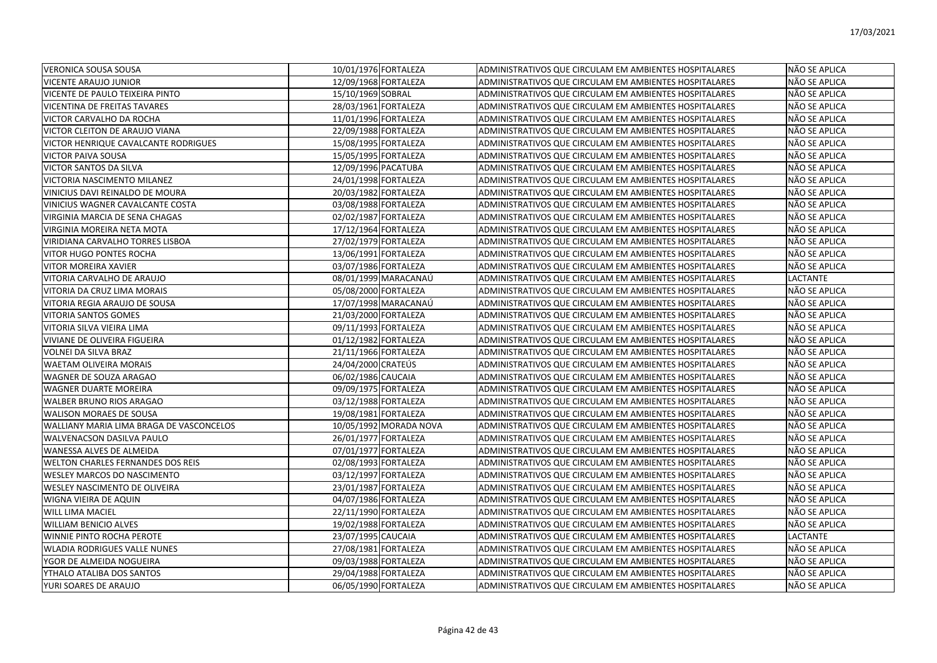| IVERONICA SOUSA SOUSA                    | 10/01/1976 FORTALEZA |                        | ADMINISTRATIVOS QUE CIRCULAM EM AMBIENTES HOSPITALARES | NÃO SE APLICA   |
|------------------------------------------|----------------------|------------------------|--------------------------------------------------------|-----------------|
| <b>VICENTE ARAUJO JUNIOR</b>             | 12/09/1968 FORTALEZA |                        | ADMINISTRATIVOS QUE CIRCULAM EM AMBIENTES HOSPITALARES | NÃO SE APLICA   |
| VICENTE DE PAULO TEIXEIRA PINTO          | 15/10/1969 SOBRAL    |                        | ADMINISTRATIVOS QUE CIRCULAM EM AMBIENTES HOSPITALARES | NÃO SE APLICA   |
| <b>VICENTINA DE FREITAS TAVARES</b>      | 28/03/1961 FORTALEZA |                        | ADMINISTRATIVOS QUE CIRCULAM EM AMBIENTES HOSPITALARES | NÃO SE APLICA   |
| VICTOR CARVALHO DA ROCHA                 | 11/01/1996 FORTALEZA |                        | ADMINISTRATIVOS QUE CIRCULAM EM AMBIENTES HOSPITALARES | NÃO SE APLICA   |
| VICTOR CLEITON DE ARAUJO VIANA           | 22/09/1988 FORTALEZA |                        | ADMINISTRATIVOS QUE CIRCULAM EM AMBIENTES HOSPITALARES | NÃO SE APLICA   |
| VICTOR HENRIQUE CAVALCANTE RODRIGUES     | 15/08/1995 FORTALEZA |                        | ADMINISTRATIVOS QUE CIRCULAM EM AMBIENTES HOSPITALARES | NÃO SE APLICA   |
| <b>VICTOR PAIVA SOUSA</b>                | 15/05/1995 FORTALEZA |                        | ADMINISTRATIVOS QUE CIRCULAM EM AMBIENTES HOSPITALARES | NÃO SE APLICA   |
| VICTOR SANTOS DA SILVA                   | 12/09/1996 PACATUBA  |                        | ADMINISTRATIVOS QUE CIRCULAM EM AMBIENTES HOSPITALARES | NÃO SE APLICA   |
| VICTORIA NASCIMENTO MILANEZ              | 24/01/1998 FORTALEZA |                        | ADMINISTRATIVOS QUE CIRCULAM EM AMBIENTES HOSPITALARES | NÃO SE APLICA   |
| VINICIUS DAVI REINALDO DE MOURA          | 20/03/1982 FORTALEZA |                        | ADMINISTRATIVOS QUE CIRCULAM EM AMBIENTES HOSPITALARES | NÃO SE APLICA   |
| VINICIUS WAGNER CAVALCANTE COSTA         | 03/08/1988 FORTALEZA |                        | ADMINISTRATIVOS QUE CIRCULAM EM AMBIENTES HOSPITALARES | NÃO SE APLICA   |
| VIRGINIA MARCIA DE SENA CHAGAS           | 02/02/1987 FORTALEZA |                        | ADMINISTRATIVOS QUE CIRCULAM EM AMBIENTES HOSPITALARES | NÃO SE APLICA   |
| VIRGINIA MOREIRA NETA MOTA               | 17/12/1964 FORTALEZA |                        | ADMINISTRATIVOS QUE CIRCULAM EM AMBIENTES HOSPITALARES | NÃO SE APLICA   |
| VIRIDIANA CARVALHO TORRES LISBOA         | 27/02/1979 FORTALEZA |                        | ADMINISTRATIVOS QUE CIRCULAM EM AMBIENTES HOSPITALARES | NÃO SE APLICA   |
| VITOR HUGO PONTES ROCHA                  | 13/06/1991 FORTALEZA |                        | ADMINISTRATIVOS QUE CIRCULAM EM AMBIENTES HOSPITALARES | NÃO SE APLICA   |
| <b>VITOR MOREIRA XAVIER</b>              | 03/07/1986 FORTALEZA |                        | ADMINISTRATIVOS QUE CIRCULAM EM AMBIENTES HOSPITALARES | NÃO SE APLICA   |
| VITORIA CARVALHO DE ARAUJO               | 08/01/1999 MARACANAÚ |                        | ADMINISTRATIVOS QUE CIRCULAM EM AMBIENTES HOSPITALARES | <b>LACTANTE</b> |
| VITORIA DA CRUZ LIMA MORAIS              | 05/08/2000 FORTALEZA |                        | ADMINISTRATIVOS QUE CIRCULAM EM AMBIENTES HOSPITALARES | NÃO SE APLICA   |
| IVITORIA REGIA ARAUJO DE SOUSA           |                      | 17/07/1998 MARACANAÚ   | ADMINISTRATIVOS QUE CIRCULAM EM AMBIENTES HOSPITALARES | NÃO SE APLICA   |
| <b>VITORIA SANTOS GOMES</b>              | 21/03/2000 FORTALEZA |                        | ADMINISTRATIVOS QUE CIRCULAM EM AMBIENTES HOSPITALARES | NÃO SE APLICA   |
| VITORIA SILVA VIEIRA LIMA                | 09/11/1993 FORTALEZA |                        | ADMINISTRATIVOS QUE CIRCULAM EM AMBIENTES HOSPITALARES | NÃO SE APLICA   |
| VIVIANE DE OLIVEIRA FIGUEIRA             | 01/12/1982 FORTALEZA |                        | ADMINISTRATIVOS QUE CIRCULAM EM AMBIENTES HOSPITALARES | NÃO SE APLICA   |
| VOLNEI DA SILVA BRAZ                     | 21/11/1966 FORTALEZA |                        | ADMINISTRATIVOS QUE CIRCULAM EM AMBIENTES HOSPITALARES | NÃO SE APLICA   |
| <b>WAETAM OLIVEIRA MORAIS</b>            | 24/04/2000 CRATEÚS   |                        | ADMINISTRATIVOS QUE CIRCULAM EM AMBIENTES HOSPITALARES | NÃO SE APLICA   |
| <b>WAGNER DE SOUZA ARAGAO</b>            | 06/02/1986 CAUCAIA   |                        | ADMINISTRATIVOS QUE CIRCULAM EM AMBIENTES HOSPITALARES | NÃO SE APLICA   |
| <b>WAGNER DUARTE MOREIRA</b>             | 09/09/1975 FORTALEZA |                        | ADMINISTRATIVOS QUE CIRCULAM EM AMBIENTES HOSPITALARES | NÃO SE APLICA   |
| WALBER BRUNO RIOS ARAGAO                 | 03/12/1988 FORTALEZA |                        | ADMINISTRATIVOS QUE CIRCULAM EM AMBIENTES HOSPITALARES | NÃO SE APLICA   |
| WALISON MORAES DE SOUSA                  | 19/08/1981 FORTALEZA |                        | ADMINISTRATIVOS QUE CIRCULAM EM AMBIENTES HOSPITALARES | NÃO SE APLICA   |
| WALLIANY MARIA LIMA BRAGA DE VASCONCELOS |                      | 10/05/1992 MORADA NOVA | ADMINISTRATIVOS QUE CIRCULAM EM AMBIENTES HOSPITALARES | NÃO SE APLICA   |
| WALVENACSON DASILVA PAULO                | 26/01/1977 FORTALEZA |                        | ADMINISTRATIVOS QUE CIRCULAM EM AMBIENTES HOSPITALARES | NÃO SE APLICA   |
| <b>WANESSA ALVES DE ALMEIDA</b>          | 07/01/1977 FORTALEZA |                        | ADMINISTRATIVOS QUE CIRCULAM EM AMBIENTES HOSPITALARES | NÃO SE APLICA   |
| <b>WELTON CHARLES FERNANDES DOS REIS</b> | 02/08/1993 FORTALEZA |                        | ADMINISTRATIVOS QUE CIRCULAM EM AMBIENTES HOSPITALARES | NÃO SE APLICA   |
| <b>WESLEY MARCOS DO NASCIMENTO</b>       | 03/12/1997 FORTALEZA |                        | ADMINISTRATIVOS QUE CIRCULAM EM AMBIENTES HOSPITALARES | NÃO SE APLICA   |
| <b>WESLEY NASCIMENTO DE OLIVEIRA</b>     | 23/01/1987 FORTALEZA |                        | ADMINISTRATIVOS QUE CIRCULAM EM AMBIENTES HOSPITALARES | NÃO SE APLICA   |
| IWIGNA VIEIRA DE AQUIN                   | 04/07/1986 FORTALEZA |                        | ADMINISTRATIVOS QUE CIRCULAM EM AMBIENTES HOSPITALARES | NÃO SE APLICA   |
| <b>WILL LIMA MACIEL</b>                  | 22/11/1990 FORTALEZA |                        | ADMINISTRATIVOS QUE CIRCULAM EM AMBIENTES HOSPITALARES | NÃO SE APLICA   |
| <b>WILLIAM BENICIO ALVES</b>             | 19/02/1988 FORTALEZA |                        | ADMINISTRATIVOS QUE CIRCULAM EM AMBIENTES HOSPITALARES | NÃO SE APLICA   |
| WINNIE PINTO ROCHA PEROTE                | 23/07/1995 CAUCAIA   |                        | ADMINISTRATIVOS QUE CIRCULAM EM AMBIENTES HOSPITALARES | LACTANTE        |
| <b>WLADIA RODRIGUES VALLE NUNES</b>      | 27/08/1981 FORTALEZA |                        | ADMINISTRATIVOS QUE CIRCULAM EM AMBIENTES HOSPITALARES | NÃO SE APLICA   |
| YGOR DE ALMEIDA NOGUEIRA                 | 09/03/1988 FORTALEZA |                        | ADMINISTRATIVOS QUE CIRCULAM EM AMBIENTES HOSPITALARES | NÃO SE APLICA   |
| YTHALO ATALIBA DOS SANTOS                | 29/04/1988 FORTALEZA |                        | ADMINISTRATIVOS QUE CIRCULAM EM AMBIENTES HOSPITALARES | NÃO SE APLICA   |
| YURI SOARES DE ARAUJO                    | 06/05/1990 FORTALEZA |                        | ADMINISTRATIVOS QUE CIRCULAM EM AMBIENTES HOSPITALARES | NÃO SE APLICA   |